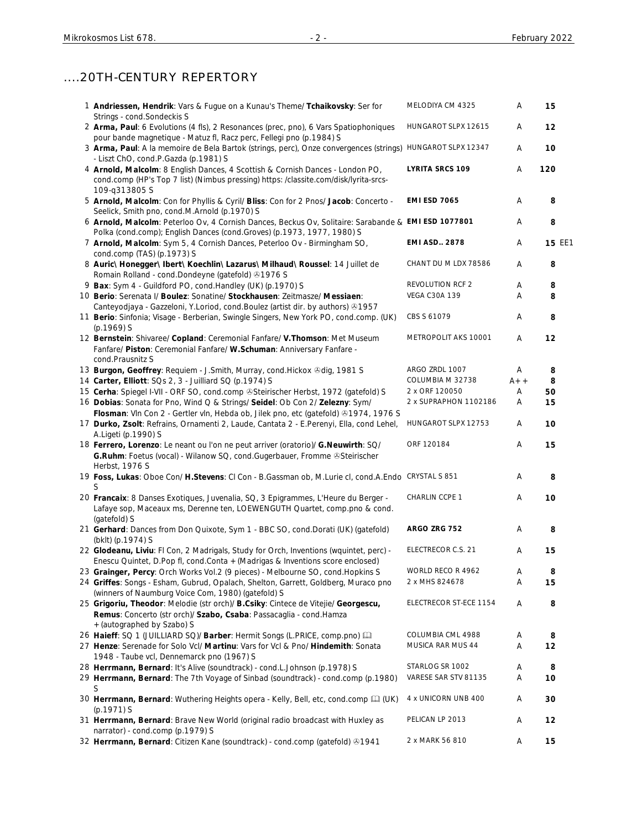# ....20TH-CENTURY REPERTORY

| 1 Andriessen, Hendrik: Vars & Fugue on a Kunau's Theme/ Tchaikovsky: Ser for<br>Strings - cond.Sondeckis S                                                                             | MELODIYA CM 4325        | A     | 15     |
|----------------------------------------------------------------------------------------------------------------------------------------------------------------------------------------|-------------------------|-------|--------|
| 2 Arma, Paul: 6 Evolutions (4 fls), 2 Resonances (prec, pno), 6 Vars Spatiophoniques<br>pour bande magnetique - Matuz fl, Racz perc, Fellegi pno (p.1984) S                            | HUNGAROT SLPX 12615     | Α     | 12     |
| 3 Arma, Paul: A la memoire de Bela Bartok (strings, perc), Onze convergences (strings) HUNGAROT SLPX 12347<br>- Liszt ChO, cond.P.Gazda (p.1981) S                                     |                         | Α     | 10     |
| 4 Arnold, Malcolm: 8 English Dances, 4 Scottish & Cornish Dances - London PO,<br>cond.comp (HP's Top 7 list) (Nimbus pressing) https: /classite.com/disk/lyrita-srcs-<br>109-q313805 S | <b>LYRITA SRCS 109</b>  | Α     | 120    |
| 5 Arnold, Malcolm: Con for Phyllis & Cyril/ Bliss: Con for 2 Pnos/ Jacob: Concerto -<br>Seelick, Smith pno, cond.M.Arnold (p.1970) S                                                   | <b>EMI ESD 7065</b>     | Α     | 8      |
| 6 Arnold, Malcolm: Peterloo Ov, 4 Cornish Dances, Beckus Ov, Solitaire: Sarabande & EMI ESD 1077801<br>Polka (cond.comp); English Dances (cond.Groves) (p.1973, 1977, 1980) S          |                         | A     | 8      |
| 7 Arnold, Malcolm: Sym 5, 4 Cornish Dances, Peterloo Ov - Birmingham SO,<br>cond.comp (TAS) (p.1973) S                                                                                 | <b>EMI ASD., 2878</b>   | Α     | 15 EE1 |
| 8 Auric\ Honegger\ Ibert\ Koechlin\ Lazarus\ Milhaud\ Roussel: 14 Juillet de<br>Romain Rolland - cond.Dondeyne (gatefold) 31976 S                                                      | CHANT DU M LDX 78586    | Α     | 8      |
| 9 Bax: Sym 4 - Guildford PO, cond. Handley (UK) (p.1970) S                                                                                                                             | <b>REVOLUTION RCF 2</b> | Α     | 8      |
| 10 Berio: Serenata I/ Boulez: Sonatine/ Stockhausen: Zeitmasze/ Messiaen:<br>Canteyodjaya - Gazzeloni, Y.Loriod, cond.Boulez (artist dir. by authors) 31957                            | <b>VEGA C30A 139</b>    | A     | 8      |
| 11 Berio: Sinfonia; Visage - Berberian, Swingle Singers, New York PO, cond.comp. (UK)<br>$(p.1969)$ S                                                                                  | CBS S 61079             | Α     | 8      |
| 12 Bernstein: Shivaree/ Copland: Ceremonial Fanfare/ V. Thomson: Met Museum<br>Fanfare/ Piston: Ceremonial Fanfare/ W.Schuman: Anniversary Fanfare -<br>cond.Prausnitz S               | METROPOLIT AKS 10001    | Α     | 12     |
| 13 Burgon, Geoffrey: Requiem - J. Smith, Murray, cond. Hickox & dig, 1981 S                                                                                                            | ARGO ZRDL 1007          | A     | 8      |
| 14 Carter, Elliott: SQs 2, 3 - Juilliard SQ (p.1974) S                                                                                                                                 | COLUMBIA M 32738        | $A++$ | 8      |
| 15 Cerha: Spiegel I-VII - ORF SO, cond.comp @Steirischer Herbst, 1972 (gatefold) S                                                                                                     | 2 x ORF 120050          | Α     | 50     |
| 16 Dobias: Sonata for Pno, Wind Q & Strings/ Seidel: Ob Con 2/ Zelezny: Sym/                                                                                                           | 2 x SUPRAPHON 1102186   | A     | 15     |
| Flosman: VIn Con 2 - Gertler vIn, Hebda ob, Jilek pno, etc (gatefold) @1974, 1976 S                                                                                                    |                         |       |        |
| 17 Durko, Zsolt: Refrains, Ornamenti 2, Laude, Cantata 2 - E.Perenyi, Ella, cond Lehel,<br>A.Ligeti (p.1990) S                                                                         | HUNGAROT SLPX 12753     | A     | 10     |
| 18 Ferrero, Lorenzo: Le neant ou l'on ne peut arriver (oratorio)/ G. Neuwirth: SQ/<br>G.Ruhm: Foetus (vocal) - Wilanow SQ, cond.Gugerbauer, Fromme @Steirischer<br>Herbst, 1976 S      | ORF 120184              | Α     | 15     |
| 19 Foss, Lukas: Oboe Con/ H.Stevens: CI Con - B.Gassman ob, M.Lurie cl, cond.A.Endo CRYSTAL S 851<br>S                                                                                 |                         | Α     | 8      |
| 20 Francaix: 8 Danses Exotiques, Juvenalia, SQ, 3 Epigrammes, L'Heure du Berger -<br>Lafaye sop, Maceaux ms, Derenne ten, LOEWENGUTH Quartet, comp.pno & cond.<br>(gatefold) S         | CHARLIN CCPE 1          | Α     | 10     |
| 21 Gerhard: Dances from Don Quixote, Sym 1 - BBC SO, cond.Dorati (UK) (gatefold)<br>(bklt) (p.1974) S                                                                                  | ARGO ZRG 752            | Α     | 8      |
| 22 Glodeanu, Liviu: Fl Con, 2 Madrigals, Study for Orch, Inventions (wquintet, perc) -<br>Enescu Quintet, D.Pop fl, cond.Conta + (Madrigas & Inventions score enclosed)                | ELECTRECOR C.S. 21      | Α     | 15     |
| 23 Grainger, Percy: Orch Works Vol.2 (9 pieces) - Melbourne SO, cond.Hopkins S                                                                                                         | WORLD RECO R 4962       | Α     | 8      |
| 24 Griffes: Songs - Esham, Gubrud, Opalach, Shelton, Garrett, Goldberg, Muraco pno                                                                                                     | 2 x MHS 824678          | Α     | 15     |
| (winners of Naumburg Voice Com, 1980) (gatefold) S                                                                                                                                     |                         |       |        |
| 25 Grigoriu, Theodor: Melodie (str orch)/ B.Csiky: Cintece de Vitejie/ Georgescu,<br>Remus: Concerto (str orch)/ Szabo, Csaba: Passacaglia - cond.Hamza<br>+ (autographed by Szabo) S  | ELECTRECOR ST-ECE 1154  | Α     | 8      |
| 26 Haieff: SQ 1 (JUILLIARD SQ)/ Barber: Hermit Songs (L.PRICE, comp.pno) [11]                                                                                                          | COLUMBIA CML 4988       | Α     | 8      |
| 27 Henze: Serenade for Solo Vcl/ Martinu: Vars for Vcl & Pno/ Hindemith: Sonata<br>1948 - Taube vcl, Dennemarck pno (1967) S                                                           | MUSICA RAR MUS 44       | Α     | 12     |
| 28 Herrmann, Bernard: It's Alive (soundtrack) - cond.L.Johnson (p.1978) S                                                                                                              | STARLOG SR 1002         | Α     | 8      |
| 29 Herrmann, Bernard: The 7th Voyage of Sinbad (soundtrack) - cond.comp (p.1980)<br>S                                                                                                  | VARESE SAR STV 81135    | Α     | 10     |
| 30 Herrmann, Bernard: Wuthering Heights opera - Kelly, Bell, etc, cond.comp [1] (UK)<br>$(p.1971)$ S                                                                                   | 4 x UNICORN UNB 400     | Α     | 30     |
| 31 Herrmann, Bernard: Brave New World (original radio broadcast with Huxley as<br>narrator) - cond.comp (p.1979) S                                                                     | PELICAN LP 2013         | Α     | 12     |
| 32 Herrmann, Bernard: Citizen Kane (soundtrack) - cond.comp (gatefold) 31941                                                                                                           | 2 x MARK 56 810         | A     | 15     |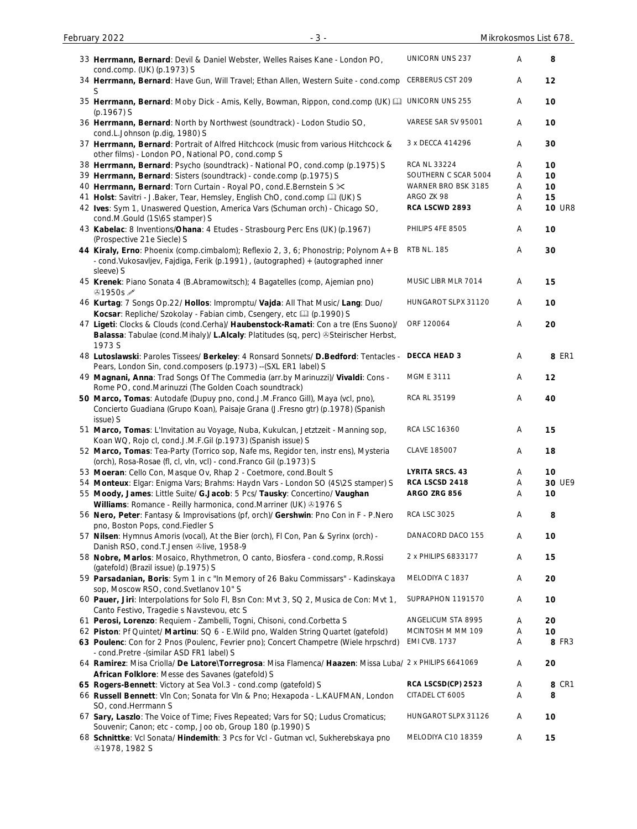| 33 Herrmann, Bernard: Devil & Daniel Webster, Welles Raises Kane - London PO,<br>cond.comp. (UK) (p.1973) S                                                                           | <b>UNICORN UNS 237</b> | Α | 8             |
|---------------------------------------------------------------------------------------------------------------------------------------------------------------------------------------|------------------------|---|---------------|
| 34 Herrmann, Bernard: Have Gun, Will Travel; Ethan Allen, Western Suite - cond.comp<br>S                                                                                              | CERBERUS CST 209       | Α | 12            |
| 35 Herrmann, Bernard: Moby Dick - Amis, Kelly, Bowman, Rippon, cond.comp (UK) C UNICORN UNS 255<br>$(p.1967)$ S                                                                       |                        | Α | 10            |
| 36 Herrmann, Bernard: North by Northwest (soundtrack) - Lodon Studio SO,<br>cond.L.Johnson (p.dig, 1980) S                                                                            | VARESE SAR SV 95001    | Α | 10            |
| 37 Herrmann, Bernard: Portrait of Alfred Hitchcock (music from various Hitchcock &<br>other films) - London PO, National PO, cond.comp S                                              | 3 x DECCA 414296       | A | 30            |
| 38 Herrmann, Bernard: Psycho (soundtrack) - National PO, cond.comp (p.1975) S                                                                                                         | <b>RCA NL 33224</b>    | Α | 10            |
| 39 Herrmann, Bernard: Sisters (soundtrack) - conde.comp (p.1975) S                                                                                                                    | SOUTHERN C SCAR 5004   | Α | 10            |
| 40 Herrmann, Bernard: Torn Curtain - Royal PO, cond.E.Bernstein S $\times$                                                                                                            | WARNER BRO BSK 3185    | Α | 10            |
| 41 Holst: Savitri - J.Baker, Tear, Hemsley, English ChO, cond.comp [1] (UK) S                                                                                                         | ARGO ZK 98             | Α | 15            |
| 42 Ives: Sym 1, Unaswered Question, America Vars (Schuman orch) - Chicago SO,<br>cond.M.Gould (1S\6S stamper) S                                                                       | RCA LSCWD 2893         | Α | <b>10 UR8</b> |
| 43 Kabelac: 8 Inventions/Ohana: 4 Etudes - Strasbourg Perc Ens (UK) (p.1967)<br>(Prospective 21e Siecle) S                                                                            | PHILIPS 4FE 8505       | Α | 10            |
| 44 Kiraly, Erno: Phoenix (comp.cimbalom); Reflexio 2, 3, 6; Phonostrip; Polynom A+B<br>- cond. Vukosavljev, Fajdiga, Ferik (p.1991), (autographed) + (autographed inner<br>sleeve) S  | <b>RTB NL. 185</b>     | Α | 30            |
| 45 Krenek: Piano Sonata 4 (B.Abramowitsch); 4 Bagatelles (comp, Ajemian pno)<br><b>⊕1950s</b>                                                                                         | MUSIC LIBR MLR 7014    | Α | 15            |
| 46 Kurtag: 7 Songs Op.22/ Hollos: Impromptu/ Vajda: All That Music/ Lang: Duo/<br>Kocsar: Repliche/ Szokolay - Fabian cimb, Csengery, etc [1] (p.1990) S                              | HUNGAROT SLPX 31120    | Α | 10            |
| 47 Ligeti: Clocks & Clouds (cond.Cerha)/ Haubenstock-Ramati: Con a tre (Ens Suono)/<br>Balassa: Tabulae (cond.Mihaly)/ L.Alcaly: Platitudes (sq, perc) @Steirischer Herbst,<br>1973 S | ORF 120064             | Α | 20            |
| 48 Lutoslawski: Paroles Tissees/ Berkeley: 4 Ronsard Sonnets/ D.Bedford: Tentacles - DECCA HEAD 3<br>Pears, London Sin, cond.composers (p.1973) -- (SXL ER1 label) S                  |                        | Α | 8 ER1         |
| 49 Magnani, Anna: Trad Songs Of The Commedia (arr.by Marinuzzi)/ Vivaldi: Cons -<br>Rome PO, cond.Marinuzzi (The Golden Coach soundtrack)                                             | <b>MGM E 3111</b>      | Α | 12            |
| 50 Marco, Tomas: Autodafe (Dupuy pno, cond.J.M.Franco Gill), Maya (vcl, pno),<br>Concierto Guadiana (Grupo Koan), Paisaje Grana (J.Fresno gtr) (p.1978) (Spanish<br>issue) S          | <b>RCA RL 35199</b>    | Α | 40            |
| 51 Marco, Tomas: L'Invitation au Voyage, Nuba, Kukulcan, Jetztzeit - Manning sop,<br>Koan WQ, Rojo cl, cond.J.M.F.Gil (p.1973) (Spanish issue) S                                      | RCA LSC 16360          | Α | 15            |
| 52 Marco, Tomas: Tea-Party (Torrico sop, Nafe ms, Regidor ten, instr ens), Mysteria<br>(orch), Rosa-Rosae (fl, cl, vln, vcl) - cond.Franco Gil (p.1973) S                             | CLAVE 185007           | Α | 18            |
| 53 Moeran: Cello Con, Masque Ov, Rhap 2 - Coetmore, cond. Boult S                                                                                                                     | <b>LYRITA SRCS. 43</b> | A | 10            |
| 54 Monteux: Elgar: Enigma Vars; Brahms: Haydn Vars - London SO (4S\2S stamper) S                                                                                                      | RCA LSCSD 2418         | Α | 30 UE9        |
| 55 Moody, James: Little Suite/ G.Jacob: 5 Pcs/ Tausky: Concertino/ Vaughan                                                                                                            | ARGO ZRG 856           | Α | 10            |
| Williams: Romance - Reilly harmonica, cond. Marriner (UK) 31976 S                                                                                                                     |                        |   |               |
| 56 Nero, Peter: Fantasy & Improvisations (pf, orch)/ Gershwin: Pno Con in F - P.Nero                                                                                                  | <b>RCA LSC 3025</b>    | Α | 8             |
| pno, Boston Pops, cond.Fiedler S                                                                                                                                                      |                        |   |               |
| 57 Nilsen: Hymnus Amoris (vocal), At the Bier (orch), FI Con, Pan & Syrinx (orch) -<br>Danish RSO, cond.T.Jensen @live, 1958-9                                                        | DANACORD DACO 155      | Α | 10            |
| 58 Nobre, Marlos: Mosaico, Rhythmetron, O canto, Biosfera - cond.comp, R.Rossi<br>(gatefold) (Brazil issue) (p.1975) S                                                                | 2 x PHILIPS 6833177    | Α | 15            |
| 59 Parsadanian, Boris: Sym 1 in c "In Memory of 26 Baku Commissars" - Kadinskaya<br>sop, Moscow RSO, cond.Svetlanov 10" S                                                             | MELODIYA C 1837        | Α | 20            |
| 60 Pauer, Jiri: Interpolations for Solo Fl, Bsn Con: Mvt 3, SQ 2, Musica de Con: Mvt 1,<br>Canto Festivo, Tragedie s Navstevou, etc S                                                 | SUPRAPHON 1191570      | A | 10            |
| 61 Perosi, Lorenzo: Requiem - Zambelli, Togni, Chisoni, cond.Corbetta S                                                                                                               | ANGELICUM STA 8995     | A | 20            |
| 62 Piston: Pf Quintet/ Martinu: SQ 6 - E. Wild pno, Walden String Quartet (gatefold)                                                                                                  | MCINTOSH M MM 109      | Α | 10            |
| 63 Poulenc: Con for 2 Pnos (Poulenc, Fevrier pno); Concert Champetre (Wiele hrpschrd)<br>- cond.Pretre -(similar ASD FR1 label) S                                                     | <b>EMI CVB. 1737</b>   | A | <b>8 FR3</b>  |
| 64 Ramirez: Misa Criolla/ De Latore\Torregrosa: Misa Flamenca/ Haazen: Missa Luba/ 2 x PHILIPS 6641069<br>African Folklore: Messe des Savanes (gatefold) S                            |                        | Α | 20            |
| 65 Rogers-Bennett: Victory at Sea Vol.3 - cond.comp (gatefold) S                                                                                                                      | RCA LSCSD(CP) 2523     | Α | 8 CR1         |
| 66 Russell Bennett: VIn Con; Sonata for VIn & Pno; Hexapoda - L.KAUFMAN, London                                                                                                       | CITADEL CT 6005        | Α | 8             |
| SO, cond.Herrmann S                                                                                                                                                                   |                        |   |               |
| 67 Sary, Laszlo: The Voice of Time; Fives Repeated; Vars for SQ; Ludus Cromaticus;<br>Souvenir; Canon; etc - comp, Joo ob, Group 180 (p.1990) S                                       | HUNGAROT SLPX 31126    | Α | 10            |
| 68 Schnittke: Vcl Sonata/ Hindemith: 3 Pcs for Vcl - Gutman vcl, Sukherebskaya pno<br><b>@1978, 1982 S</b>                                                                            | MELODIYA C10 18359     | Α | 15            |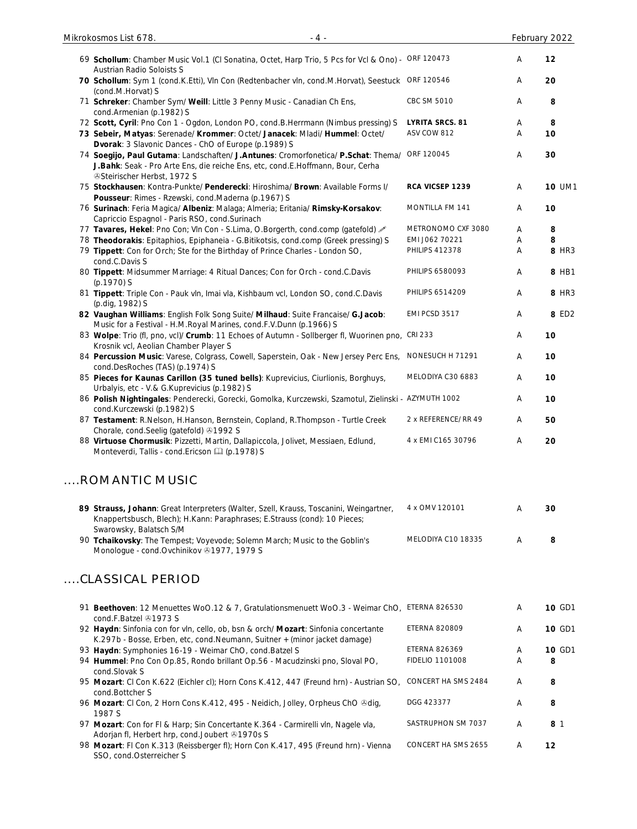| 69 Schollum: Chamber Music Vol.1 (CI Sonatina, Octet, Harp Trio, 5 Pcs for Vcl & Ono) - ORF 120473<br><b>Austrian Radio Soloists S</b>                                                                                      |                        | A                         | 12            |
|-----------------------------------------------------------------------------------------------------------------------------------------------------------------------------------------------------------------------------|------------------------|---------------------------|---------------|
| 70 Schollum: Sym 1 (cond.K.Etti), Vln Con (Redtenbacher vln, cond.M.Horvat), Seestuck ORF 120546<br>(cond.M.Horvat) S                                                                                                       |                        | Α                         | 20            |
| 71 Schreker: Chamber Sym/ Weill: Little 3 Penny Music - Canadian Ch Ens,<br>cond.Armenian (p.1982) S                                                                                                                        | CBC SM 5010            | Α                         | 8             |
| 72 Scott, Cyril: Pno Con 1 - Ogdon, London PO, cond.B.Herrmann (Nimbus pressing) S                                                                                                                                          | <b>LYRITA SRCS. 81</b> | $\boldsymbol{\mathsf{A}}$ | 8             |
| 73 Sebeir, Matyas: Serenade/ Krommer: Octet/ Janacek: Mladi/ Hummel: Octet/                                                                                                                                                 | ASV COW 812            | Α                         | 10            |
| Dvorak: 3 Slavonic Dances - ChO of Europe (p.1989) S<br>74 Soegijo, Paul Gutama: Landschaften/ J.Antunes: Cromorfonetica/ P.Schat: Thema/<br>J.Bahk: Seak - Pro Arte Ens, die reiche Ens, etc, cond.E.Hoffmann, Bour, Cerha | ORF 120045             | $\boldsymbol{\mathsf{A}}$ | 30            |
| <b><i>Steirischer Herbst, 1972 S</i></b><br>75 Stockhausen: Kontra-Punkte/ Penderecki: Hiroshima/ Brown: Available Forms I/<br>Pousseur: Rimes - Rzewski, cond.Maderna (p.1967) S                                           | RCA VICSEP 1239        | A                         | 10 UM1        |
| 76 Surinach: Feria Magica/ Albeniz: Malaga; Almeria; Eritania/ Rimsky-Korsakov:<br>Capriccio Espagnol - Paris RSO, cond.Surinach                                                                                            | MONTILLA FM 141        | A                         | 10            |
| 77 Tavares, Hekel: Pno Con; Vln Con - S.Lima, O.Borgerth, cond.comp (gatefold) &                                                                                                                                            | METRONOMO CXF 3080     | Α                         | 8             |
| 78 Theodorakis: Epitaphios, Epiphaneia - G.Bitikotsis, cond.comp (Greek pressing) S                                                                                                                                         | EMI J062 70221         | Α                         | 8             |
| 79 Tippett: Con for Orch; Ste for the Birthday of Prince Charles - London SO,                                                                                                                                               | <b>PHILIPS 412378</b>  | Α                         | 8 HR3         |
| cond.C.Davis S<br>80 Tippett: Midsummer Marriage: 4 Ritual Dances; Con for Orch - cond.C.Davis<br>(p.1970) S                                                                                                                | PHILIPS 6580093        | A                         | 8 HB1         |
| 81 Tippett: Triple Con - Pauk vln, Imai vla, Kishbaum vcl, London SO, cond.C.Davis<br>(p.dig, 1982) S                                                                                                                       | PHILIPS 6514209        | $\boldsymbol{\mathsf{A}}$ | 8 HR3         |
| 82 Vaughan Williams: English Folk Song Suite/ Milhaud: Suite Francaise/ G.Jacob:<br>Music for a Festival - H.M.Royal Marines, cond.F.V.Dunn (p.1966) S                                                                      | EMI PCSD 3517          | Α                         | 8 ED2         |
| 83 Wolpe: Trio (fl, pno, vcl)/ Crumb: 11 Echoes of Autumn - Sollberger fl, Wuorinen pno, CRI 233<br>Krosnik vcl, Aeolian Chamber Player S                                                                                   |                        | Α                         | 10            |
| 84 Percussion Music: Varese, Colgrass, Cowell, Saperstein, Oak - New Jersey Perc Ens,<br>cond.DesRoches (TAS) (p.1974) S                                                                                                    | NONESUCH H 71291       | Α                         | 10            |
| 85 Pieces for Kaunas Carillon (35 tuned bells): Kuprevicius, Ciurlionis, Borghuys,<br>Urbalyis, etc - V.& G.Kuprevicius (p.1982) S                                                                                          | MELODIYA C30 6883      | Α                         | 10            |
| 86 Polish Nightingales: Penderecki, Gorecki, Gomolka, Kurczewski, Szamotul, Zielinski - AZYMUTH 1002<br>cond.Kurczewski (p.1982) S                                                                                          |                        | $\boldsymbol{\mathsf{A}}$ | 10            |
| 87 Testament: R.Nelson, H.Hanson, Bernstein, Copland, R.Thompson - Turtle Creek<br>Chorale, cond.Seelig (gatefold) 31992 S                                                                                                  | 2 x REFERENCE/ RR 49   | $\boldsymbol{\mathsf{A}}$ | 50            |
| 88 Virtuose Chormusik: Pizzetti, Martin, Dallapiccola, Jolivet, Messiaen, Edlund,<br>Monteverdi, Tallis - cond. Ericson [1] (p.1978) S                                                                                      | 4 x EMI C165 30796     | $\boldsymbol{\mathsf{A}}$ | 20            |
| <b>ROMANTIC MUSIC</b>                                                                                                                                                                                                       |                        |                           |               |
| 89 Strauss, Johann: Great Interpreters (Walter, Szell, Krauss, Toscanini, Weingartner,<br>Knappertsbusch, Blech); H.Kann: Paraphrases; E.Strauss (cond): 10 Pieces;<br>Swarowsky, Balatsch S/M                              | 4 x OMV 120101         | A                         | 30            |
| 90 Tchaikovsky: The Tempest; Voyevode; Solemn March; Music to the Goblin's<br>Monologue - cond.Ovchinikov & 1977, 1979 S                                                                                                    | MELODIYA C10 18335     | Α                         | 8             |
| <b>CLASSICAL PERIOD</b>                                                                                                                                                                                                     |                        |                           |               |
| 91 Beethoven: 12 Menuettes WoO.12 & 7, Gratulationsmenuett WoO.3 - Weimar ChO, ETERNA 826530<br>cond.F.Batzel 31973 S                                                                                                       |                        | A                         | <b>10 GD1</b> |
| 92 Haydn: Sinfonia con for vln, cello, ob, bsn & orch/ Mozart: Sinfonia concertante<br>K.297b - Bosse, Erben, etc, cond. Neumann, Suitner + (minor jacket damage)                                                           | <b>ETERNA 820809</b>   | A                         | 10 GD1        |
| 93 Haydn: Symphonies 16-19 - Weimar ChO, cond. Batzel S                                                                                                                                                                     | <b>ETERNA 826369</b>   | A                         | 10 GD1        |
| 94 Hummel: Pno Con Op.85, Rondo brillant Op.56 - Macudzinski pno, Sloval PO,<br>cond.Slovak S                                                                                                                               | <b>FIDELIO 1101008</b> | A                         | 8             |
| 95 Mozart: CI Con K.622 (Eichler cl); Horn Cons K.412, 447 (Freund hrn) - Austrian SO,<br>cond.Bottcher S                                                                                                                   | CONCERT HA SMS 2484    | A                         | 8             |
| 96 Mozart: CI Con, 2 Horn Cons K.412, 495 - Neidich, Jolley, Orpheus ChO &dig,<br>1987 S                                                                                                                                    | DGG 423377             | A                         | 8             |
| 97 Mozart: Con for FI & Harp; Sin Concertante K.364 - Carmirelli vln, Nagele vla,<br>Adorjan fl, Herbert hrp, cond.Joubert 31970s S                                                                                         | SASTRUPHON SM 7037     | A                         | 8 1           |
| 98 Mozart: FI Con K.313 (Reissberger fl); Horn Con K.417, 495 (Freund hrn) - Vienna<br>SSO, cond.Osterreicher S                                                                                                             | CONCERT HA SMS 2655    | A                         | 12            |

Mikrokosmos List 678. - 4 - February 2022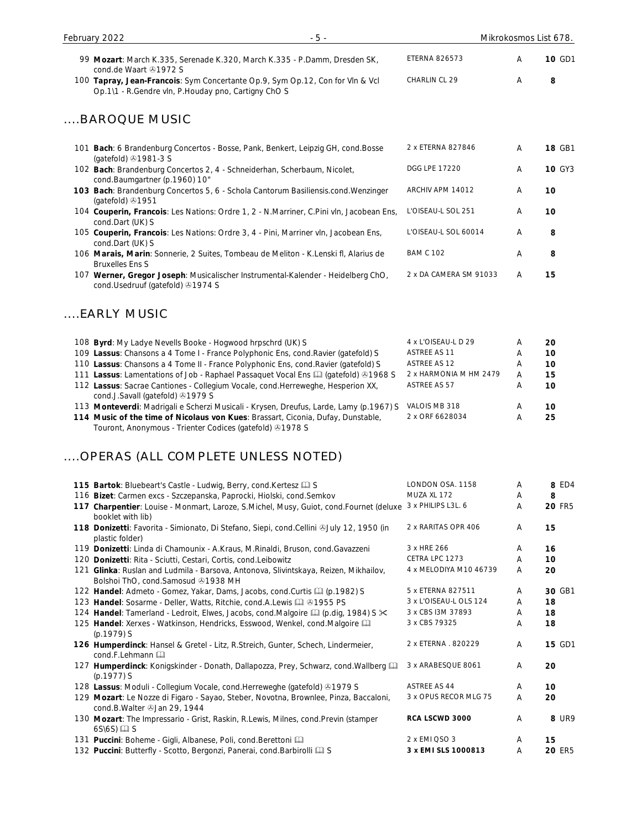| 99 Mozart: March K.335, Serenade K.320, March K.335 - P.Damm, Dresden SK,                                                                                     | <b>ETERNA 826573</b>   | Α | 10 GD1        |
|---------------------------------------------------------------------------------------------------------------------------------------------------------------|------------------------|---|---------------|
| cond.de Waart 31972 S<br>100 Tapray, Jean-Francois: Sym Concertante Op.9, Sym Op.12, Con for VIn & Vcl<br>Op.1\1 - R.Gendre vln, P.Houday pno, Cartigny ChO S | CHARLIN CL 29          | Α | 8             |
| BAROQUE MUSIC                                                                                                                                                 |                        |   |               |
| 101 Bach: 6 Brandenburg Concertos - Bosse, Pank, Benkert, Leipzig GH, cond.Bosse<br>(gatefold) 31981-3 S                                                      | 2 x ETERNA 827846      | Α | 18 GB1        |
| 102 Bach: Brandenburg Concertos 2, 4 - Schneiderhan, Scherbaum, Nicolet,<br>cond.Baumgartner (p.1960) 10"                                                     | <b>DGG LPE 17220</b>   | Α | <b>10 GY3</b> |
| 103 Bach: Brandenburg Concertos 5, 6 - Schola Cantorum Basiliensis.cond.Wenzinger<br>(gatefold) 41951                                                         | ARCHIV APM 14012       | Α | 10            |
| 104 Couperin, Francois: Les Nations: Ordre 1, 2 - N.Marriner, C.Pini vln, Jacobean Ens,<br>cond.Dart (UK) S                                                   | L'OISEAU-L SOL 251     | Α | 10            |
| 105 Couperin, Francois: Les Nations: Ordre 3, 4 - Pini, Marriner vln, Jacobean Ens,<br>cond.Dart (UK) S                                                       | L'OISEAU-L SOL 60014   | A | 8             |
| 106 Marais, Marin: Sonnerie, 2 Suites, Tombeau de Meliton - K.Lenski fl, Alarius de<br><b>Bruxelles Ens S</b>                                                 | <b>BAM C 102</b>       | Α | 8             |
| 107 Werner, Gregor Joseph: Musicalischer Instrumental-Kalender - Heidelberg ChO,<br>cond.Usedruuf (gatefold) 31974 S                                          | 2 x DA CAMERA SM 91033 | Α | 15            |
| EARLY MUSIC                                                                                                                                                   |                        |   |               |
| 108 Byrd: My Ladye Nevells Booke - Hogwood hrpschrd (UK) S                                                                                                    | 4 x L'OISEAU-L D 29    | A | 20            |
| 109 Lassus: Chansons a 4 Tome I - France Polyphonic Ens, cond. Ravier (gatefold) S                                                                            | ASTREE AS 11           | Α | 10            |
| 110 Lassus: Chansons a 4 Tome II - France Polyphonic Ens, cond. Ravier (gatefold) S                                                                           | ASTREE AS 12           | Α | 10            |
| 111 Lassus: Lamentations of Job - Raphael Passaquet Vocal Ens [4] (gatefold) 31968 S                                                                          | 2 x HARMONIA M HM 2479 | Α | 15            |
| 112 Lassus: Sacrae Cantiones - Collegium Vocale, cond.Herreweghe, Hesperion XX,<br>cond.J.Savall (gatefold) 31979 S                                           | ASTREE AS 57           | Α | 10            |
| 113 Monteverdi: Madrigali e Scherzi Musicali - Krysen, Dreufus, Larde, Lamy (p.1967) S                                                                        | VALOIS MB 318          | Α | 10            |
| 114 Music of the time of Nicolaus von Kues: Brassart, Ciconia, Dufay, Dunstable,<br>Touront, Anonymous - Trienter Codices (gatefold) 31978 S                  | 2 x ORF 6628034        | Α | 25            |
| OPERAS (ALL COMPLETE UNLESS NOTED)                                                                                                                            |                        |   |               |
| 115 Bartok: Bluebeart's Castle - Ludwig, Berry, cond. Kertesz [1] S                                                                                           | LONDON OSA. 1158       | A | 8 ED4         |
| 116 Bizet: Carmen excs - Szczepanska, Paprocki, Hiolski, cond. Semkov                                                                                         | MUZA XL 172            | Α | 8             |
| 117 Charpentier: Louise - Monmart, Laroze, S.Michel, Musy, Guiot, cond.Fournet (deluxe 3 x PHILIPS L3L. 6<br>booklet with lib)                                |                        | Α | <b>20 FR5</b> |
| 118 Donizetti: Favorita - Simionato, Di Stefano, Siepi, cond.Cellini @July 12, 1950 (in<br>plastic folder)                                                    | 2 x RARITAS OPR 406    | Α | 15            |
| 119 Donizetti: Linda di Chamounix - A.Kraus, M.Rinaldi, Bruson, cond.Gavazzeni                                                                                | 3 x HRE 266            | Α | 16            |
| 120 Donizetti: Rita - Sciutti, Cestari, Cortis, cond.Leibowitz                                                                                                | CETRA LPC 1273         | Α | 10            |
| 121 Glinka: Ruslan and Ludmila - Barsova, Antonova, Slivintskaya, Reizen, Mikhailov,<br>Bolshoi ThO, cond.Samosud 31938 MH                                    | 4 x MELODIYA M10 46739 | Α | 20            |
| 122 Handel: Admeto - Gomez, Yakar, Dams, Jacobs, cond.Curtis (1 (p.1982) S                                                                                    | 5 x ETERNA 827511      | Α | 30 GB1        |
| 123 Handel: Sosarme - Deller, Watts, Ritchie, cond.A.Lewis [1] 31955 PS                                                                                       | 3 x L'OISEAU-L OLS 124 | Α | 18            |
| 124 Handel: Tamerland - Ledroit, Elwes, Jacobs, cond. Malgoire [1] (p.dig, 1984) S $\ll$                                                                      | 3 x CBS I3M 37893      | A | 18            |
| 125 Handel: Xerxes - Watkinson, Hendricks, Esswood, Wenkel, cond.Malgoire<br>(p.1979) S                                                                       | 3 x CBS 79325          | Α | 18            |
| 126 Humperdinck: Hansel & Gretel - Litz, R.Streich, Gunter, Schech, Lindermeier,<br>cond.F.Lehmann                                                            | 2 x ETERNA . 820229    | Α | <b>15 GD1</b> |
| 127 Humperdinck: Konigskinder - Donath, Dallapozza, Prey, Schwarz, cond. Wallberg [11]<br>(p.1977) S                                                          | 3 x ARABESQUE 8061     | Α | 20            |
| 128 Lassus: Moduli - Collegium Vocale, cond. Herreweghe (gatefold) 31979 S                                                                                    | <b>ASTREE AS 44</b>    | Α | 10            |
| 129 Mozart: Le Nozze di Figaro - Sayao, Steber, Novotna, Brownlee, Pinza, Baccaloni,<br>cond.B.Walter 3Jan 29, 1944                                           | 3 x OPUS RECOR MLG 75  | Α | 20            |
| 130 Mozart: The Impressario - Grist, Raskin, R.Lewis, Milnes, cond.Previn (stamper                                                                            | RCA LSCWD 3000         | Α | 8 UR9         |

130 **Mozart**: The Impressario - Grist, Raskin, R.Lewis, Milnes, cond.Previn (stamper  $6S\setminus 6S$ )  $\Box S$ 

131 **Puccini**: Boheme - Gigli, Albanese, Poli, cond.Berettoni 2 x EMI QSO 3 A **15**

132 **Puccini**: Butterfly - Scotto, Bergonzi, Panerai, cond.Barbirolli **Q** S **3 x EMI SLS 1000813** A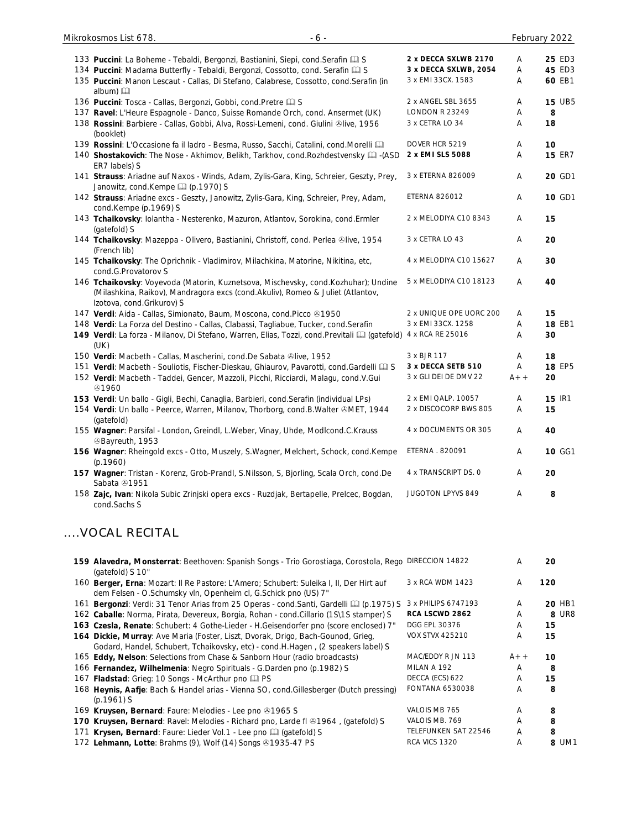| 133 Puccini: La Boheme - Tebaldi, Bergonzi, Bastianini, Siepi, cond. Serafin [1] S                    | 2 x DECCA SXLWB 2170    | A     | 25 ED3        |
|-------------------------------------------------------------------------------------------------------|-------------------------|-------|---------------|
| 134 Puccini: Madama Butterfly - Tebaldi, Bergonzi, Cossotto, cond. Serafin [2] S                      | 3 x DECCA SXLWB, 2054   | A     | 45 ED3        |
| 135 Puccini: Manon Lescaut - Callas, Di Stefano, Calabrese, Cossotto, cond. Serafin (in               | 3 x EMI 33CX. 1583      | Α     | 60 EB1        |
|                                                                                                       |                         |       |               |
| album) 口                                                                                              |                         |       | <b>15 UB5</b> |
| 136 Puccini: Tosca - Callas, Bergonzi, Gobbi, cond. Pretre La S                                       | 2 x ANGEL SBL 3655      | Α     |               |
| 137 Ravel: L'Heure Espagnole - Danco, Suisse Romande Orch, cond. Ansermet (UK)                        | <b>LONDON R 23249</b>   | A     | 8             |
| 138 Rossini: Barbiere - Callas, Gobbi, Alva, Rossi-Lemeni, cond. Giulini &live, 1956                  | 3 x CETRA LO 34         | Α     | 18            |
| (booklet)                                                                                             |                         |       |               |
| 139 Rossini: L'Occasione fa il ladro - Besma, Russo, Sacchi, Catalini, cond.Morelli [11]              | DOVER HCR 5219          | A     | 10            |
| 140 Shostakovich: The Nose - Akhimov, Belikh, Tarkhov, cond. Rozhdestvensky [2] -(ASD                 | 2 x EMI SLS 5088        | Α     | <b>15 ER7</b> |
| ER7 labels) S                                                                                         |                         |       |               |
| 141 Strauss: Ariadne auf Naxos - Winds, Adam, Zylis-Gara, King, Schreier, Geszty, Prey,               | 3 x ETERNA 826009       | Α     | 20 GD1        |
| Janowitz, cond.Kempe [1] (p.1970) S                                                                   |                         |       |               |
| 142 Strauss: Ariadne excs - Geszty, Janowitz, Zylis-Gara, King, Schreier, Prey, Adam,                 | ETERNA 826012           | Α     | 10 GD1        |
| cond.Kempe (p.1969) S                                                                                 |                         |       |               |
| 143 Tchaikovsky: Iolantha - Nesterenko, Mazuron, Atlantov, Sorokina, cond. Ermler                     | 2 x MELODIYA C10 8343   | Α     | 15            |
| (gatefold) S                                                                                          |                         |       |               |
|                                                                                                       | 3 x CETRA LO 43         | Α     | 20            |
| 144 Tchaikovsky: Mazeppa - Olivero, Bastianini, Christoff, cond. Perlea &live, 1954                   |                         |       |               |
| (French lib)                                                                                          |                         |       |               |
| 145 Tchaikovsky: The Oprichnik - Vladimirov, Milachkina, Matorine, Nikitina, etc,                     | 4 x MELODIYA C10 15627  | Α     | 30            |
| cond.G.Provatorov S                                                                                   |                         |       |               |
| 146 Tchaikovsky: Voyevoda (Matorin, Kuznetsova, Mischevsky, cond. Kozhuhar); Undine                   | 5 x MELODIYA C10 18123  | Α     | 40            |
| (Milashkina, Raikov), Mandragora excs (cond.Akuliv), Romeo & Juliet (Atlantov,                        |                         |       |               |
| Izotova, cond.Grikurov) S                                                                             |                         |       |               |
| 147 Verdi: Aida - Callas, Simionato, Baum, Moscona, cond.Picco & 1950                                 | 2 x UNIQUE OPE UORC 200 | Α     | 15            |
| 148 Verdi: La Forza del Destino - Callas, Clabassi, Tagliabue, Tucker, cond.Serafin                   | 3 x EMI 33CX. 1258      | A     | 18 EB1        |
| 149 Verdi: La forza - Milanov, Di Stefano, Warren, Elias, Tozzi, cond.Previtali [1] (gatefold)        | 4 x RCA RE 25016        | A     | 30            |
| (UK)                                                                                                  |                         |       |               |
| 150 Verdi: Macbeth - Callas, Mascherini, cond.De Sabata &live, 1952                                   | 3 x BJR 117             | Α     | 18            |
| 151 Verdi: Macbeth - Souliotis, Fischer-Dieskau, Ghiaurov, Pavarotti, cond.Gardelli [2] S             | 3 x DECCA SETB 510      | Α     | 18 EP5        |
| 152 Verdi: Macbeth - Taddei, Gencer, Mazzoli, Picchi, Ricciardi, Malagu, cond.V.Gui                   | 3 x GLI DEI DE DMV 22   | $A++$ | 20            |
| <b>ේ1960</b>                                                                                          |                         |       |               |
| 153 Verdi: Un ballo - Gigli, Bechi, Canaglia, Barbieri, cond.Serafin (individual LPs)                 | 2 x EMI QALP. 10057     | A     | 15 IR1        |
| 154 Verdi: Un ballo - Peerce, Warren, Milanov, Thorborg, cond.B.Walter &MET, 1944                     | 2 x DISCOCORP BWS 805   | Α     | 15            |
|                                                                                                       |                         |       |               |
| (gatefold)                                                                                            |                         |       |               |
| 155 Wagner: Parsifal - London, Greindl, L.Weber, Vinay, Uhde, Modlcond.C.Krauss                       | 4 x DOCUMENTS OR 305    | A     | 40            |
| <sup>3</sup> Bayreuth, 1953                                                                           |                         |       |               |
| 156 Wagner: Rheingold excs - Otto, Muszely, S.Wagner, Melchert, Schock, cond.Kempe                    | ETERNA . 820091         | A     | 10 GG1        |
| (p.1960)                                                                                              |                         |       |               |
| 157 Wagner: Tristan - Korenz, Grob-Prandl, S.Nilsson, S, Bjorling, Scala Orch, cond.De                | 4 x TRANSCRIPT DS. 0    | A     | 20            |
| Sabata 21951                                                                                          |                         |       |               |
| 158 Zajc, Ivan: Nikola Subic Zrinjski opera excs - Ruzdjak, Bertapelle, Prelcec, Bogdan,              | JUGOTON LPYVS 849       | Α     | 8             |
| cond.Sachs S                                                                                          |                         |       |               |
|                                                                                                       |                         |       |               |
|                                                                                                       |                         |       |               |
| VOCAL RECITAL                                                                                         |                         |       |               |
|                                                                                                       |                         |       |               |
|                                                                                                       |                         |       |               |
| 159 Alavedra, Monsterrat: Beethoven: Spanish Songs - Trio Gorostiaga, Corostola, Rego DIRECCION 14822 |                         | A     | 20            |
| (gatefold) S 10"                                                                                      |                         |       |               |
| 160 Berger, Erna: Mozart: Il Re Pastore: L'Amero; Schubert: Suleika I, II, Der Hirt auf               | 3 x RCA WDM 1423        | Α     | 120           |
| dem Felsen - O.Schumsky vln, Openheim cl, G.Schick pno (US) 7"                                        |                         |       |               |
| 161 Bergonzi: Verdi: 31 Tenor Arias from 25 Operas - cond.Santi, Gardelli [1] (p.1975) S              | 3 x PHILIPS 6747193     | A     | <b>20 HB1</b> |
| 162 Caballe: Norma, Pirata, Devereux, Borgia, Rohan - cond.Cillario (1S\1S stamper) S                 | RCA LSCWD 2862          | A     | 8 UR8         |
| 163 Czesla, Renate: Schubert: 4 Gothe-Lieder - H.Geisendorfer pno (score enclosed) 7"                 | DGG EPL 30376           | A     | 15            |
| 164 Dickie, Murray: Ave Maria (Foster, Liszt, Dvorak, Drigo, Bach-Gounod, Grieg,                      | <b>VOX STVX 425210</b>  | Α     | 15            |
| Godard, Handel, Schubert, Tchaikovsky, etc) - cond.H.Hagen, (2 speakers label) S                      |                         |       |               |
| 165 Eddy, Nelson: Selections from Chase & Sanborn Hour (radio broadcasts)                             | MAC/EDDY R JN 113       | $A++$ | 10            |
| 166 Fernandez, Wilhelmenia: Negro Spirituals - G.Darden pno (p.1982) S                                | MILAN A 192             | Α     | 8             |
| 167 Fladstad: Grieg: 10 Songs - McArthur pno La PS                                                    | DECCA (ECS) 622         | A     | 15            |
| 168 Heynis, Aafje: Bach & Handel arias - Vienna SO, cond. Gillesberger (Dutch pressing)               | FONTANA 6530038         | Α     | 8             |
|                                                                                                       |                         |       |               |
| $(p.1961)$ S                                                                                          | VALOIS MB 765           |       |               |
| 169 Kruysen, Bernard: Faure: Melodies - Lee pno 31965 S                                               |                         | Α     | 8             |
| 170 Kruysen, Bernard: Ravel: Melodies - Richard pno, Larde fl & 1964, (gatefold) S                    | VALOIS MB. 769          | Α     | 8             |
| 171 Krysen, Bernard: Faure: Lieder Vol.1 - Lee pno [1] (gatefold) S                                   | TELEFUNKEN SAT 22546    | A     | 8             |
| 172 Lehmann, Lotte: Brahms (9), Wolf (14) Songs 31935-47 PS                                           | RCA VICS 1320           | Α     | 8 UM1         |

172 Lehmann, Lotte: Brahms (9), Wolf (14) Songs ®1935-47 PS

Mikrokosmos List 678. Compared to the contract of the contract of the February 2022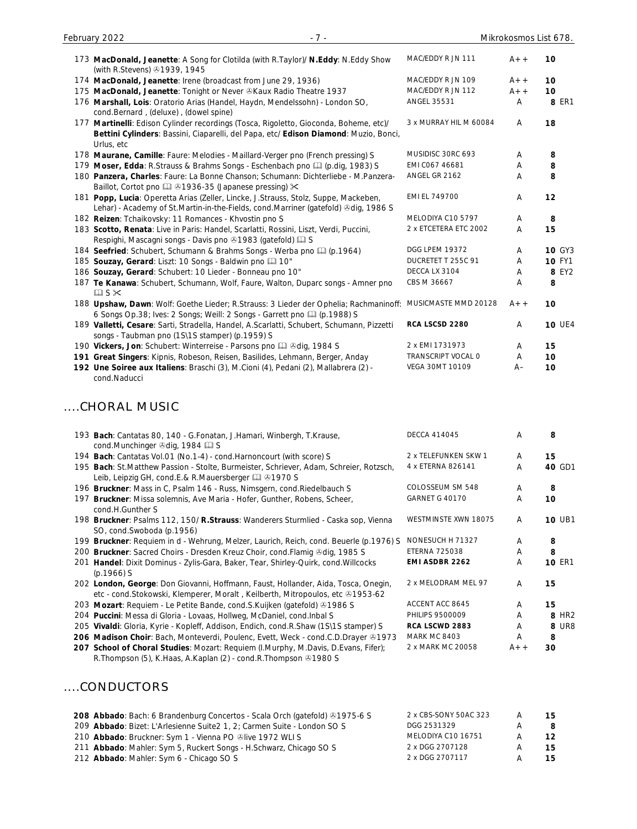| February 2022<br>$-7 -$                                                                                                                                                                     |                        |                | Mikrokosmos List 678. |
|---------------------------------------------------------------------------------------------------------------------------------------------------------------------------------------------|------------------------|----------------|-----------------------|
| 173 MacDonald, Jeanette: A Song for Clotilda (with R.Taylor)/ N.Eddy: N.Eddy Show<br>(with R.Stevens) 31939, 1945                                                                           | MAC/EDDY R JN 111      | $A++$          | 10                    |
| 174 MacDonald, Jeanette: Irene (broadcast from June 29, 1936)                                                                                                                               | MAC/EDDY R JN 109      | $A++$          | 10                    |
| 175 MacDonald, Jeanette: Tonight or Never & Kaux Radio Theatre 1937                                                                                                                         | MAC/EDDY R JN 112      | $A++$          | 10                    |
| 176 Marshall, Lois: Oratorio Arias (Handel, Haydn, Mendelssohn) - London SO,<br>cond.Bernard, (deluxe), (dowel spine)                                                                       | ANGEL 35531            | $\overline{A}$ | 8 ER1                 |
| 177 Martinelli: Edison Cylinder recordings (Tosca, Rigoletto, Gioconda, Boheme, etc)/<br>Bettini Cylinders: Bassini, Ciaparelli, del Papa, etc/ Edison Diamond: Muzio, Bonci,<br>Urlus, etc | 3 x MURRAY HIL M 60084 | A              | 18                    |
| 178 Maurane, Camille: Faure: Melodies - Maillard-Verger pno (French pressing) S                                                                                                             | MUSIDISC 30RC 693      | A              | 8                     |
| 179 Moser, Edda: R.Strauss & Brahms Songs - Eschenbach pno [1] (p.dig, 1983) S                                                                                                              | EMI C067 46681         | A              | 8                     |
| 180 Panzera, Charles: Faure: La Bonne Chanson; Schumann: Dichterliebe - M.Panzera-<br>Baillot, Cortot pno (201936-35 (Japanese pressing) $\times$                                           | ANGEL GR 2162          | A              | 8                     |
| 181 Popp, Lucia: Operetta Arias (Zeller, Lincke, J.Strauss, Stolz, Suppe, Mackeben,<br>Lehar) - Academy of St.Martin-in-the-Fields, cond.Marriner (gatefold) Odig, 1986 S                   | EMI EL 749700          | A              | 12                    |
| 182 Reizen: Tchaikovsky: 11 Romances - Khvostin pno S                                                                                                                                       | MELODIYA C10 5797      | A              | 8                     |
| 183 Scotto, Renata: Live in Paris: Handel, Scarlatti, Rossini, Liszt, Verdi, Puccini,<br>Respighi, Mascagni songs - Davis pno 31983 (gatefold) [12] S                                       | 2 x ETCETERA ETC 2002  | A              | 15                    |
| 184 Seefried: Schubert, Schumann & Brahms Songs - Werba pno (2) (p.1964)                                                                                                                    | <b>DGG LPEM 19372</b>  | A              | <b>10 GY3</b>         |
| 185 Souzay, Gerard: Liszt: 10 Songs - Baldwin pno [1] 10"                                                                                                                                   | DUCRETET T 255C 91     | A              | <b>10 FY1</b>         |
| 186 Souzay, Gerard: Schubert: 10 Lieder - Bonneau pno 10"                                                                                                                                   | DECCA LX 3104          | A              | 8 EY2                 |
| 187 Te Kanawa: Schubert, Schumann, Wolf, Faure, Walton, Duparc songs - Amner pno<br>$\square$ S $\times$                                                                                    | CBS M 36667            | A              | 8                     |
| 188 Upshaw, Dawn: Wolf: Goethe Lieder; R.Strauss: 3 Lieder der Ophelia; Rachmaninoff:<br>6 Songs Op.38; Ives: 2 Songs; Weill: 2 Songs - Garrett pno [1] (p.1988) S                          | MUSICMASTE MMD 20128   | $A++$          | 10                    |
| 189 Valletti, Cesare: Sarti, Stradella, Handel, A.Scarlatti, Schubert, Schumann, Pizzetti<br>songs - Taubman pno (1S\1S stamper) (p.1959) S                                                 | RCA LSCSD 2280         | A              | <b>10 UE4</b>         |
| 190 Vickers, Jon: Schubert: Winterreise - Parsons pno [1] 3dig, 1984 S                                                                                                                      | 2 x EMI 1731973        | A              | 15                    |
| 191 Great Singers: Kipnis, Robeson, Reisen, Basilides, Lehmann, Berger, Anday                                                                                                               | TRANSCRIPT VOCAL O     | A              | 10                    |
| 192 Une Soiree aux Italiens: Braschi (3), M.Cioni (4), Pedani (2), Mallabrera (2) -<br>cond.Naducci                                                                                         | VEGA 30MT 10109        | $A -$          | 10                    |

# ....CHORAL MUSIC

| 193 Bach: Cantatas 80, 140 - G.Fonatan, J.Hamari, Winbergh, T.Krause,                                                                                                | <b>DECCA 414045</b>   | A     | 8                 |
|----------------------------------------------------------------------------------------------------------------------------------------------------------------------|-----------------------|-------|-------------------|
| cond.Munchinger 3dig, 1984 2 S                                                                                                                                       |                       |       |                   |
| 194 Bach: Cantatas Vol.01 (No.1-4) - cond. Harnoncourt (with score) S                                                                                                | 2 x TELEFUNKEN SKW 1  | A     | 15                |
| 195 Bach: St.Matthew Passion - Stolte, Burmeister, Schriever, Adam, Schreier, Rotzsch,<br>Leib, Leipzig GH, cond.E.& R.Mauersberger Q & 1970 S                       | 4 x ETERNA 826141     | A     | 40 GD1            |
| 196 Bruckner: Mass in C, Psalm 146 - Russ, Nimsgern, cond. Riedelbauch S                                                                                             | COLOSSEUM SM 548      | A     | 8                 |
| 197 Bruckner: Missa solemnis, Ave Maria - Hofer, Gunther, Robens, Scheer,<br>cond.H.Gunther S                                                                        | <b>GARNET G 40170</b> | Α     | 10                |
| 198 Bruckner: Psalms 112, 150/ R.Strauss: Wanderers Sturmlied - Caska sop, Vienna<br>SO, cond. Swoboda (p. 1956)                                                     | WESTMINSTE XWN 18075  | A     | <b>10 UB1</b>     |
| 199 Bruckner: Requiem in d - Wehrung, Melzer, Laurich, Reich, cond. Beuerle (p.1976) S                                                                               | NONESUCH H 71327      | A     | 8                 |
| 200 Bruckner: Sacred Choirs - Dresden Kreuz Choir, cond. Flamig & dig, 1985 S                                                                                        | <b>ETERNA 725038</b>  | A     | 8                 |
| 201 Handel: Dixit Dominus - Zylis-Gara, Baker, Tear, Shirley-Quirk, cond. Willcocks<br>$(p.1966)$ S                                                                  | EMI ASDBR 2262        | A     | <b>10 ER1</b>     |
| 202 London, George: Don Giovanni, Hoffmann, Faust, Hollander, Aida, Tosca, Onegin,<br>etc - cond. Stokowski, Klemperer, Moralt, Keilberth, Mitropoulos, etc 21953-62 | 2 x MELODRAM MEL 97   | A     | 15                |
| 203 Mozart: Requiem - Le Petite Bande, cond.S.Kuijken (gatefold) 01986 S                                                                                             | ACCENT ACC 8645       | A     | 15                |
| 204 Puccini: Messa di Gloria - Lovaas, Hollweg, McDaniel, cond. Inbal S                                                                                              | PHILIPS 9500009       | A     | 8 HR <sub>2</sub> |
| 205 Vivaldi: Gloria, Kyrie - Kopleff, Addison, Endich, cond.R.Shaw (1S\1S stamper) S                                                                                 | RCA LSCWD 2883        | A     | 8 UR8             |
| 206 Madison Choir: Bach, Monteverdi, Poulenc, Evett, Weck - cond.C.D.Drayer &1973                                                                                    | <b>MARK MC 8403</b>   | A     | 8                 |
| 207 School of Choral Studies: Mozart: Requiem (I.Murphy, M.Davis, D.Evans, Fifer);<br>R. Thompson (5), K. Haas, A. Kaplan (2) - cond. R. Thompson 41980 S            | 2 x MARK MC 20058     | $A++$ | 30                |

#### ....CONDUCTORS

| 208 Abbado: Bach: 6 Brandenburg Concertos - Scala Orch (gatefold) 31975-6 S | 2 x CBS-SONY 50AC 323 | A | 15 <sub>1</sub> |
|-----------------------------------------------------------------------------|-----------------------|---|-----------------|
| 209 Abbado: Bizet: L'Arlesienne Suite 2 1, 2; Carmen Suite - London SO S    | DGG 2531329           |   | -8              |
| 210 Abbado: Bruckner: Sym 1 - Vienna PO @live 1972 WLIS                     | MELODIYA C10 16751    |   | 12 <sup>7</sup> |
| 211 Abbado: Mahler: Sym 5, Ruckert Songs - H.Schwarz, Chicago SO S          | 2 x DGG 2707128       |   | 15              |
| 212 Abbado: Mahler: Sym 6 - Chicago SO S                                    | 2 x DGG 2707117       |   | 15              |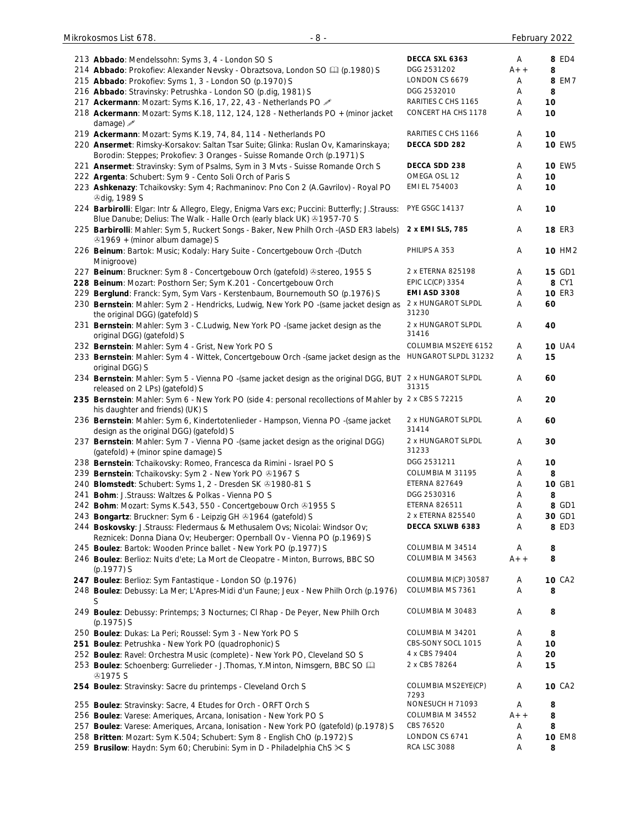| 213 Abbado: Mendelssohn: Syms 3, 4 - London SO S                                                                                                                        | DECCA SXL 6363              | Α     | 8 ED4         |
|-------------------------------------------------------------------------------------------------------------------------------------------------------------------------|-----------------------------|-------|---------------|
| 214 Abbado: Prokofiev: Alexander Nevsky - Obraztsova, London SO [1] (p.1980) S                                                                                          | DGG 2531202                 | $A++$ | 8             |
| 215 Abbado: Prokofiev: Syms 1, 3 - London SO (p.1970) S                                                                                                                 | LONDON CS 6679              | Α     | 8 EM7         |
| 216 Abbado: Stravinsky: Petrushka - London SO (p.dig, 1981) S                                                                                                           | DGG 2532010                 | Α     | 8             |
| 217 Ackermann: Mozart: Syms K.16, 17, 22, 43 - Netherlands PO                                                                                                           | RARITIES C CHS 1165         | Α     | 10            |
| 218 Ackermann: Mozart: Syms K.18, 112, 124, 128 - Netherlands PO + (minor jacket<br>damage) $\mathscr{I}$                                                               | CONCERT HA CHS 1178         | Α     | 10            |
| 219 Ackermann: Mozart: Syms K.19, 74, 84, 114 - Netherlands PO                                                                                                          | RARITIES C CHS 1166         | Α     | 10            |
| 220 Ansermet: Rimsky-Korsakov: Saltan Tsar Suite; Glinka: Ruslan Ov, Kamarinskaya;<br>Borodin: Steppes; Prokofiev: 3 Oranges - Suisse Romande Orch (p.1971) S           | DECCA SDD 282               | Α     | <b>10 EW5</b> |
| 221 Ansermet: Stravinsky: Sym of Psalms, Sym in 3 Mvts - Suisse Romande Orch S                                                                                          | DECCA SDD 238               | A     | <b>10 EW5</b> |
| 222 Argenta: Schubert: Sym 9 - Cento Soli Orch of Paris S                                                                                                               | OMEGA OSL 12                | Α     | 10            |
| 223 Ashkenazy: Tchaikovsky: Sym 4; Rachmaninov: Pno Con 2 (A.Gavrilov) - Royal PO                                                                                       | EMI EL 754003               | Α     | 10            |
| <b><i><b></b></i></b> dig, 1989 S                                                                                                                                       |                             |       |               |
| 224 Barbirolli: Elgar: Intr & Allegro, Elegy, Enigma Vars exc; Puccini: Butterfly; J.Strauss:<br>Blue Danube; Delius: The Walk - Halle Orch (early black UK) @1957-70 S | <b>PYE GSGC 14137</b>       | Α     | 10            |
| 225 Barbirolli: Mahler: Sym 5, Ruckert Songs - Baker, New Philh Orch -(ASD ER3 labels)<br>⊙1969 + (minor album damage) S                                                | 2 x EMI SLS, 785            | Α     | <b>18 ER3</b> |
| 226 Beinum: Bartok: Music; Kodaly: Hary Suite - Concertgebouw Orch -(Dutch<br>Minigroove)                                                                               | PHILIPS A 353               | Α     | <b>10 HM2</b> |
| 227 Beinum: Bruckner: Sym 8 - Concertgebouw Orch (gatefold) @stereo, 1955 S                                                                                             | 2 x ETERNA 825198           | Α     | 15 GD1        |
| 228 Beinum: Mozart: Posthorn Ser; Sym K.201 - Concertgebouw Orch                                                                                                        | <b>EPIC LC(CP) 3354</b>     | Α     | 8 CY1         |
| 229 Berglund: Franck: Sym, Sym Vars - Kerstenbaum, Bournemouth SO (p.1976) S                                                                                            | <b>EMI ASD 3308</b>         | Α     | <b>10 ER3</b> |
| 230 Bernstein: Mahler: Sym 2 - Hendricks, Ludwig, New York PO -(same jacket design as<br>the original DGG) (gatefold) S                                                 | 2 x HUNGAROT SLPDL<br>31230 | Α     | 60            |
| 231 Bernstein: Mahler: Sym 3 - C.Ludwig, New York PO -(same jacket design as the<br>original DGG) (gatefold) S                                                          | 2 x HUNGAROT SLPDL<br>31416 | Α     | 40            |
| 232 Bernstein: Mahler: Sym 4 - Grist, New York PO S                                                                                                                     | COLUMBIA MS2EYE 6152        | Α     | <b>10 UA4</b> |
| 233 Bernstein: Mahler: Sym 4 - Wittek, Concertgebouw Orch - (same jacket design as the<br>original DGG) S                                                               | HUNGAROT SLPDL 31232        | Α     | 15            |
| 234 Bernstein: Mahler: Sym 5 - Vienna PO -(same jacket design as the original DGG, BUT 2 x HUNGAROT SLPDL<br>released on 2 LPs) (gatefold) S                            | 31315                       | Α     | 60            |
| 235 Bernstein: Mahler: Sym 6 - New York PO (side 4: personal recollections of Mahler by 2 x CBS S 72215<br>his daughter and friends) (UK) S                             |                             | Α     | 20            |
| 236 Bernstein: Mahler: Sym 6, Kindertotenlieder - Hampson, Vienna PO -(same jacket<br>design as the original DGG) (gatefold) S                                          | 2 x HUNGAROT SLPDL<br>31414 | Α     | 60            |
| 237 Bernstein: Mahler: Sym 7 - Vienna PO - (same jacket design as the original DGG)<br>(gatefold) + (minor spine damage) S                                              | 2 x HUNGAROT SLPDL<br>31233 | Α     | 30            |
| 238 Bernstein: Tchaikovsky: Romeo, Francesca da Rimini - Israel PO S                                                                                                    | DGG 2531211                 | Α     | 10            |
| 239 Bernstein: Tchaikovsky: Sym 2 - New York PO +1967 S                                                                                                                 | COLUMBIA M 31195            | Α     | 8             |
| 240 Blomstedt: Schubert: Syms 1, 2 - Dresden SK @1980-81 S                                                                                                              | <b>ETERNA 827649</b>        | Α     | 10 GB1        |
|                                                                                                                                                                         | DGG 2530316                 |       |               |
| 241 Bohm: J.Strauss: Waltzes & Polkas - Vienna PO S                                                                                                                     |                             | Α     | 8             |
| 242 Bohm: Mozart: Syms K.543, 550 - Concertgebouw Orch @1955 S                                                                                                          | <b>ETERNA 826511</b>        | Α     | 8 GD1         |
| 243 Bongartz: Bruckner: Sym 6 - Leipzig GH +1964 (gatefold) S                                                                                                           | 2 x ETERNA 825540           | Α     | 30 GD1        |
| 244 Boskovsky: J.Strauss: Fledermaus & Methusalem Ovs; Nicolai: Windsor Ov;<br>Reznicek: Donna Diana Ov; Heuberger: Opernball Ov - Vienna PO (p.1969) S                 | DECCA SXLWB 6383            | Α     | 8 ED3         |
| 245 Boulez: Bartok: Wooden Prince ballet - New York PO (p.1977) S                                                                                                       | COLUMBIA M 34514            | A     | 8             |
| 246 Boulez: Berlioz: Nuits d'ete; La Mort de Cleopatre - Minton, Burrows, BBC SO<br>$(p.1977)$ S                                                                        | COLUMBIA M 34563            | $A++$ | 8             |
| 247 Boulez: Berlioz: Sym Fantastique - London SO (p.1976)                                                                                                               | COLUMBIA M(CP) 30587        | Α     | <b>10 CA2</b> |
| 248 Boulez: Debussy: La Mer; L'Apres-Midi d'un Faune; Jeux - New Philh Orch (p.1976)<br>S                                                                               | COLUMBIA MS 7361            | Α     | 8             |
| 249 Boulez: Debussy: Printemps; 3 Nocturnes; CI Rhap - De Peyer, New Philh Orch<br>$(p.1975)$ S                                                                         | COLUMBIA M 30483            | Α     | 8             |
| 250 Boulez: Dukas: La Peri; Roussel: Sym 3 - New York PO S                                                                                                              | COLUMBIA M 34201            | Α     | 8             |
| 251 Boulez: Petrushka - New York PO (quadrophonic) S                                                                                                                    | CBS-SONY SOCL 1015          | Α     | 10            |
| 252 Boulez: Ravel: Orchestra Music (complete) - New York PO, Cleveland SO S                                                                                             | 4 x CBS 79404               | Α     | 20            |
| 253 Boulez: Schoenberg: Gurrelieder - J. Thomas, Y. Minton, Nimsgern, BBC SO La<br><b>@1975 S</b>                                                                       | 2 x CBS 78264               | Α     | 15            |
| 254 Boulez: Stravinsky: Sacre du printemps - Cleveland Orch S                                                                                                           | COLUMBIA MS2EYE(CP)<br>7293 | Α     | <b>10 CA2</b> |
| 255 Boulez: Stravinsky: Sacre, 4 Etudes for Orch - ORFT Orch S                                                                                                          | NONESUCH H 71093            | Α     | 8             |
| 256 Boulez: Varese: Ameriques, Arcana, Ionisation - New York PO S                                                                                                       | COLUMBIA M 34552            | $A++$ | 8             |
| 257 Boulez: Varese: Ameriques, Arcana, Ionisation - New York PO (gatefold) (p.1978) S                                                                                   | CBS 76520                   | Α     | 8             |
| 258 Britten: Mozart: Sym K.504; Schubert: Sym 8 - English ChO (p.1972) S                                                                                                | LONDON CS 6741              | Α     | <b>10 EM8</b> |
| 259 Brusilow: Haydn: Sym 60; Cherubini: Sym in D - Philadelphia ChS $\times$ S                                                                                          | <b>RCA LSC 3088</b>         | Α     | 8             |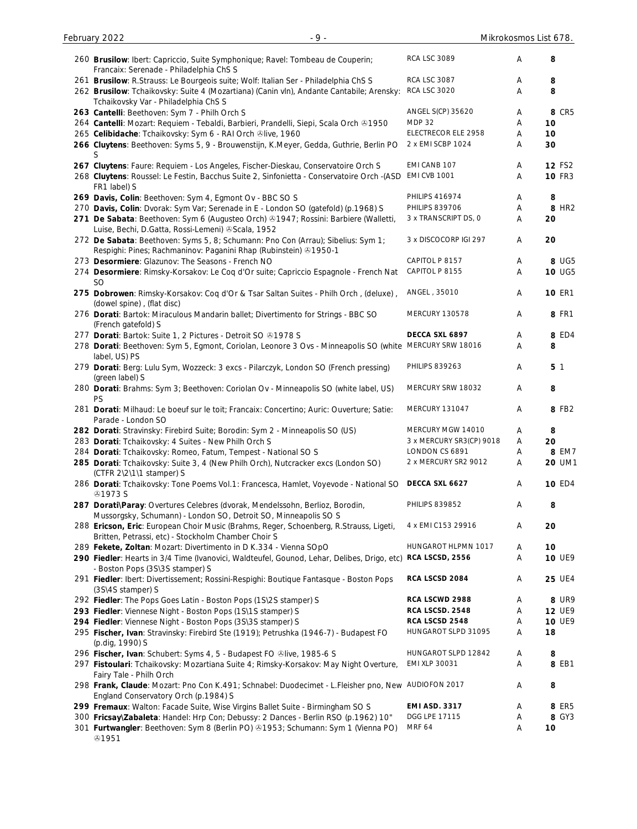| 260 Brusilow: Ibert: Capriccio, Suite Symphonique; Ravel: Tombeau de Couperin;<br>Francaix: Serenade - Philadelphia ChS S                       | <b>RCA LSC 3089</b>      | Α | 8                 |
|-------------------------------------------------------------------------------------------------------------------------------------------------|--------------------------|---|-------------------|
| 261 Brusilow: R.Strauss: Le Bourgeois suite; Wolf: Italian Ser - Philadelphia ChS S                                                             | <b>RCA LSC 3087</b>      | A | 8                 |
| 262 Brusilow: Tchaikovsky: Suite 4 (Mozartiana) (Canin vln), Andante Cantabile; Arensky:<br>Tchaikovsky Var - Philadelphia ChS S                | <b>RCA LSC 3020</b>      | Α | 8                 |
|                                                                                                                                                 | ANGEL S(CP) 35620        |   | 8 CR5             |
| 263 Cantelli: Beethoven: Sym 7 - Philh Orch S                                                                                                   |                          | Α |                   |
| 264 Cantelli: Mozart: Requiem - Tebaldi, Barbieri, Prandelli, Siepi, Scala Orch & 1950                                                          | <b>MDP 32</b>            | Α | 10                |
| 265 Celibidache: Tchaikovsky: Sym 6 - RAI Orch ®live, 1960                                                                                      | ELECTRECOR ELE 2958      | Α | 10                |
| 266 Cluytens: Beethoven: Syms 5, 9 - Brouwenstijn, K.Meyer, Gedda, Guthrie, Berlin PO<br>S                                                      | 2 x EMI SCBP 1024        | Α | 30                |
| 267 Cluytens: Faure: Requiem - Los Angeles, Fischer-Dieskau, Conservatoire Orch S                                                               | EMI CANB 107             | Α | <b>12 FS2</b>     |
| 268 Cluytens: Roussel: Le Festin, Bacchus Suite 2, Sinfonietta - Conservatoire Orch -(ASD<br>FR1 label) S                                       | <b>EMI CVB 1001</b>      | Α | <b>10 FR3</b>     |
| 269 Davis, Colin: Beethoven: Sym 4, Egmont Ov - BBC SO S                                                                                        | <b>PHILIPS 416974</b>    | Α | 8                 |
| 270 Davis, Colin: Dvorak: Sym Var; Serenade in E - London SO (gatefold) (p.1968) S                                                              | <b>PHILIPS 839706</b>    | Α | 8 HR <sub>2</sub> |
| 271 De Sabata: Beethoven: Sym 6 (Augusteo Orch) @1947; Rossini: Barbiere (Walletti,                                                             | 3 x TRANSCRIPT DS, 0     | Α | 20                |
| Luise, Bechi, D.Gatta, Rossi-Lemeni) & Scala, 1952                                                                                              |                          |   |                   |
| 272 De Sabata: Beethoven: Syms 5, 8; Schumann: Pno Con (Arrau); Sibelius: Sym 1;                                                                | 3 x DISCOCORP IGI 297    | Α | 20                |
| Respighi: Pines; Rachmaninov: Paganini Rhap (Rubinstein) 31950-1                                                                                |                          |   |                   |
| 273 Desormiere: Glazunov: The Seasons - French NO                                                                                               | CAPITOL P 8157           | Α | 8 UG5             |
| 274 Desormiere: Rimsky-Korsakov: Le Coq d'Or suite; Capriccio Espagnole - French Nat                                                            | CAPITOL P 8155           | Α | 10 UG5            |
| <b>SO</b>                                                                                                                                       |                          |   |                   |
| 275 Dobrowen: Rimsky-Korsakov: Coq d'Or & Tsar Saltan Suites - Philh Orch, (deluxe),<br>(dowel spine), (flat disc)                              | ANGEL, 35010             | A | <b>10 ER1</b>     |
| 276 Dorati: Bartok: Miraculous Mandarin ballet; Divertimento for Strings - BBC SO<br>(French gatefold) S                                        | MERCURY 130578           | Α | <b>8 FR1</b>      |
| 277 Dorati: Bartok: Suite 1, 2 Pictures - Detroit SO & 1978 S                                                                                   | DECCA SXL 6897           | Α | 8 ED4             |
| 278 Dorati: Beethoven: Sym 5, Egmont, Coriolan, Leonore 3 Ovs - Minneapolis SO (white MERCURY SRW 18016<br>label, US) PS                        |                          | A | 8                 |
| 279 Dorati: Berg: Lulu Sym, Wozzeck: 3 excs - Pilarczyk, London SO (French pressing)                                                            | <b>PHILIPS 839263</b>    | Α | 5 <sub>1</sub>    |
| (green label) S<br>280 Dorati: Brahms: Sym 3; Beethoven: Coriolan Ov - Minneapolis SO (white label, US)                                         | MERCURY SRW 18032        | Α | 8                 |
| PS<br>281 Dorati: Milhaud: Le boeuf sur le toit; Francaix: Concertino; Auric: Ouverture; Satie:                                                 | MERCURY 131047           | Α | 8 FB2             |
| Parade - London SO                                                                                                                              |                          |   |                   |
| 282 Dorati: Stravinsky: Firebird Suite; Borodin: Sym 2 - Minneapolis SO (US)                                                                    | MERCURY MGW 14010        | A | 8                 |
| 283 Dorati: Tchaikovsky: 4 Suites - New Philh Orch S                                                                                            | 3 x MERCURY SR3(CP) 9018 | Α | 20                |
| 284 Dorati: Tchaikovsky: Romeo, Fatum, Tempest - National SO S                                                                                  | LONDON CS 6891           | Α | 8 EM7             |
| 285 Dorati: Tchaikovsky: Suite 3, 4 (New Philh Orch), Nutcracker excs (London SO)<br>(CTFR 2\2\1\1 stamper) S                                   | 2 x MERCURY SR2 9012     | Α | 20 UM1            |
| 286 Dorati: Tchaikovsky: Tone Poems Vol.1: Francesca, Hamlet, Voyevode - National SO<br>& 1973 S                                                | DECCA SXL 6627           | Α | <b>10 ED4</b>     |
| 287 Dorati\Paray: Overtures Celebres (dvorak, Mendelssohn, Berlioz, Borodin,<br>Mussorgsky, Schumann) - London SO, Detroit SO, Minneapolis SO S | <b>PHILIPS 839852</b>    | Α | 8                 |
| 288 Ericson, Eric: European Choir Music (Brahms, Reger, Schoenberg, R.Strauss, Ligeti,<br>Britten, Petrassi, etc) - Stockholm Chamber Choir S   | 4 x EMI C153 29916       | Α | 20                |
|                                                                                                                                                 | HUNGAROT HLPMN 1017      |   | 10                |
| 289 Fekete, Zoltan: Mozart: Divertimento in D K.334 - Vienna SOpO                                                                               |                          | A |                   |
| 290 Fiedler: Hearts in 3/4 Time (Ivanovici, Waldteufel, Gounod, Lehar, Delibes, Drigo, etc)                                                     | RCA LSCSD, 2556          | Α | <b>10 UE9</b>     |
| - Boston Pops (3S\3S stamper) S<br>291 Fiedler: Ibert: Divertissement; Rossini-Respighi: Boutique Fantasque - Boston Pops                       | RCA LSCSD 2084           | Α | <b>25 UE4</b>     |
| (3S\4S stamper) S<br>292 Fiedler: The Pops Goes Latin - Boston Pops (1S\2S stamper) S                                                           | RCA LSCWD 2988           | A | 8 UR9             |
| 293 Fiedler: Viennese Night - Boston Pops (1S\1S stamper) S                                                                                     | RCA LSCSD. 2548          | Α | <b>12 UE9</b>     |
| 294 Fiedler: Viennese Night - Boston Pops (3S\3S stamper) S                                                                                     | RCA LSCSD 2548           | Α | <b>10 UE9</b>     |
| 295 Fischer, Ivan: Stravinsky: Firebird Ste (1919); Petrushka (1946-7) - Budapest FO                                                            | HUNGAROT SLPD 31095      | Α | 18                |
| (p.dig, 1990) S                                                                                                                                 |                          |   |                   |
| 296 Fischer, Ivan: Schubert: Syms 4, 5 - Budapest FO @live, 1985-6 S                                                                            | HUNGAROT SLPD 12842      | A | 8                 |
| 297 Fistoulari: Tchaikovsky: Mozartiana Suite 4; Rimsky-Korsakov: May Night Overture,<br>Fairy Tale - Philh Orch                                | EMI XLP 30031            | Α | 8 EB1             |
| 298 Frank, Claude: Mozart: Pno Con K.491; Schnabel: Duodecimet - L.Fleisher pno, New AUDIOFON 2017                                              |                          | Α | 8                 |
| England Conservatory Orch (p.1984) S                                                                                                            |                          |   |                   |
| 299 Fremaux: Walton: Facade Suite, Wise Virgins Ballet Suite - Birmingham SO S                                                                  | <b>EMI ASD. 3317</b>     | Α | 8 ER5             |
| 300 Fricsay\Zabaleta: Handel: Hrp Con; Debussy: 2 Dances - Berlin RSO (p.1962) 10"                                                              | DGG LPE 17115            | Α | 8 GY3             |
| 301 Furtwangler: Beethoven: Sym 8 (Berlin PO) @1953; Schumann: Sym 1 (Vienna PO)<br>\$1951                                                      | <b>MRF 64</b>            | Α | 10                |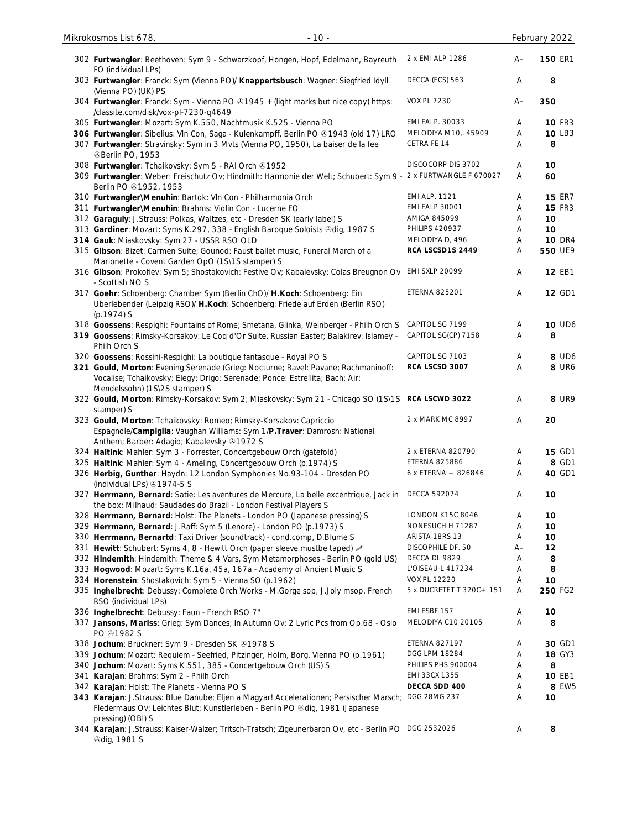| 302 Furtwangler: Beethoven: Sym 9 - Schwarzkopf, Hongen, Hopf, Edelmann, Bayreuth<br>FO (individual LPs)                                                                                             | 2 x EMI ALP 1286         | A–   | <b>150 ER1</b> |
|------------------------------------------------------------------------------------------------------------------------------------------------------------------------------------------------------|--------------------------|------|----------------|
| 303 Furtwangler: Franck: Sym (Vienna PO)/ Knappertsbusch: Wagner: Siegfried Idyll<br>(Vienna PO) (UK) PS                                                                                             | DECCA (ECS) 563          | A    | 8              |
| 304 Furtwangler: Franck: Sym - Vienna PO @1945 + (light marks but nice copy) https:<br>/classite.com/disk/vox-pl-7230-q4649                                                                          | <b>VOX PL 7230</b>       | $A-$ | 350            |
| 305 Furtwangler: Mozart: Sym K.550, Nachtmusik K.525 - Vienna PO                                                                                                                                     | <b>EMI FALP. 30033</b>   | A    | <b>10 FR3</b>  |
| 306 Furtwangler: Sibelius: VIn Con, Saga - Kulenkampff, Berlin PO & 1943 (old 17) LRO                                                                                                                | MELODIYA M10,. 45909     | Α    | 10 LB3         |
| 307 Furtwangler: Stravinsky: Sym in 3 Mvts (Vienna PO, 1950), La baiser de la fee<br><b><i>®Berlin PO, 1953</i></b>                                                                                  | CETRA FE 14              | Α    | 8              |
| 308 Furtwangler: Tchaikovsky: Sym 5 - RAI Orch & 1952                                                                                                                                                | DISCOCORP DIS 3702       | Α    | 10             |
| 309 Furtwangler: Weber: Freischutz Ov; Hindmith: Harmonie der Welt; Schubert: Sym 9 - 2 x FURTWANGLE F 670027<br>Berlin PO 31952, 1953                                                               |                          | Α    | 60             |
| 310 Furtwangler\Menuhin: Bartok: Vln Con - Philharmonia Orch                                                                                                                                         | <b>EMI ALP. 1121</b>     | Α    | <b>15 ER7</b>  |
| 311 Furtwangler\Menuhin: Brahms: Violin Con - Lucerne FO                                                                                                                                             | <b>EMI FALP 30001</b>    | Α    | <b>15 FR3</b>  |
| 312 Garaguly: J.Strauss: Polkas, Waltzes, etc - Dresden SK (early label) S                                                                                                                           | AMIGA 845099             | Α    | 10             |
| 313 Gardiner: Mozart: Syms K.297, 338 - English Baroque Soloists & dig, 1987 S                                                                                                                       | <b>PHILIPS 420937</b>    | Α    | 10             |
| 314 Gauk: Miaskovsky: Sym 27 - USSR RSO OLD                                                                                                                                                          | MELODIYA D, 496          | A    | <b>10 DR4</b>  |
| 315 Gibson: Bizet: Carmen Suite; Gounod: Faust ballet music, Funeral March of a                                                                                                                      | RCA LSCSD1S 2449         | Α    | 550 UE9        |
| Marionette - Covent Garden OpO (1S\1S stamper) S                                                                                                                                                     |                          |      |                |
| 316 Gibson: Prokofiev: Sym 5; Shostakovich: Festive Ov; Kabalevsky: Colas Breugnon Ov<br>- Scottish NO S                                                                                             | <b>EMI SXLP 20099</b>    | Α    | <b>12 EB1</b>  |
| 317 Goehr: Schoenberg: Chamber Sym (Berlin ChO)/ H.Koch: Schoenberg: Ein<br>Uberlebender (Leipzig RSO)/ H.Koch: Schoenberg: Friede auf Erden (Berlin RSO)                                            | <b>ETERNA 825201</b>     | Α    | 12 GD1         |
| $(p.1974)$ S                                                                                                                                                                                         |                          |      |                |
| 318 Goossens: Respighi: Fountains of Rome; Smetana, Glinka, Weinberger - Philh Orch S                                                                                                                | CAPITOL SG 7199          | Α    | 10 UD6         |
| 319 Goossens: Rimsky-Korsakov: Le Coq d'Or Suite, Russian Easter; Balakirev: Islamey -                                                                                                               | CAPITOL SG(CP) 7158      | Α    | 8              |
| Philh Orch S                                                                                                                                                                                         |                          |      |                |
| 320 Goossens: Rossini-Respighi: La boutique fantasque - Royal PO S                                                                                                                                   | CAPITOL SG 7103          | A    | 8 UD6          |
| 321 Gould, Morton: Evening Serenade (Grieg: Nocturne; Ravel: Pavane; Rachmaninoff:<br>Vocalise; Tchaikovsky: Elegy; Drigo: Serenade; Ponce: Estrellita; Bach: Air;<br>Mendelssohn) (1S\2S stamper) S | RCA LSCSD 3007           | Α    | 8 UR6          |
| 322 Gould, Morton: Rimsky-Korsakov: Sym 2; Miaskovsky: Sym 21 - Chicago SO (1S\1S RCA LSCWD 3022<br>stamper) S                                                                                       |                          | Α    | 8 UR9          |
| 323 Gould, Morton: Tchaikovsky: Romeo; Rimsky-Korsakov: Capriccio<br>Espagnole/Campiglia: Vaughan Williams: Sym 1/P.Traver: Damrosh: National<br>Anthem; Barber: Adagio; Kabalevsky +1972 S          | 2 x MARK MC 8997         | Α    | 20             |
| 324 Haitink: Mahler: Sym 3 - Forrester, Concertgebouw Orch (gatefold)                                                                                                                                | 2 x ETERNA 820790        | Α    | <b>15 GD1</b>  |
| 325 Haitink: Mahler: Sym 4 - Ameling, Concertgebouw Orch (p.1974) S                                                                                                                                  | ETERNA 825886            | A    | 8 GD1          |
| 326 Herbig, Gunther: Haydn: 12 London Symphonies No.93-104 - Dresden PO<br>(individual LPs) 31974-5 S                                                                                                | 6 x ETERNA + 826846      | Α    | 40 GD1         |
| 327 Herrmann, Bernard: Satie: Les aventures de Mercure, La belle excentrique, Jack in<br>the box; Milhaud: Saudades do Brazil - London Festival Players S                                            | <b>DECCA 592074</b>      | Α    | 10             |
| 328 Herrmann, Bernard: Holst: The Planets - London PO (Japanese pressing) S                                                                                                                          | <b>LONDON K15C 8046</b>  | Α    | 10             |
| 329 Herrmann, Bernard: J.Raff: Sym 5 (Lenore) - London PO (p.1973) S                                                                                                                                 | NONESUCH H 71287         | Α    | 10             |
| 330 Herrmann, Bernartd: Taxi Driver (soundtrack) - cond.comp, D.Blume S                                                                                                                              | ARISTA 18RS 13           | A    | 10             |
| 331 Hewitt: Schubert: Syms 4, 8 - Hewitt Orch (paper sleeve mustbe taped)                                                                                                                            | DISCOPHILE DF. 50        | A–   | 12             |
| 332 Hindemith: Hindemith: Theme & 4 Vars, Sym Metamorphoses - Berlin PO (gold US)                                                                                                                    | DECCA DL 9829            | A    | 8              |
| 333 Hogwood: Mozart: Syms K.16a, 45a, 167a - Academy of Ancient Music S                                                                                                                              | L'OISEAU-L 417234        | Α    | 8              |
| 334 Horenstein: Shostakovich: Sym 5 - Vienna SO (p.1962)                                                                                                                                             | <b>VOX PL 12220</b>      | Α    | 10             |
| 335 Inghelbrecht: Debussy: Complete Orch Works - M.Gorge sop, J.Joly msop, French<br>RSO (individual LPs)                                                                                            | 5 x DUCRETET T 320C+ 151 | A    | 250 FG2        |
| 336 Inghelbrecht: Debussy: Faun - French RSO 7"                                                                                                                                                      | EMI ESBF 157             | Α    | 10             |
| 337 Jansons, Mariss: Grieg: Sym Dances; In Autumn Ov; 2 Lyric Pcs from Op.68 - Oslo                                                                                                                  | MELODIYA C10 20105       | Α    | 8              |
| PO <b>@1982</b> S                                                                                                                                                                                    | <b>ETERNA 827197</b>     |      | 30 GD1         |
| 338 Jochum: Bruckner: Sym 9 - Dresden SK 21978 S                                                                                                                                                     | DGG LPM 18284            | A    |                |
| 339 Jochum: Mozart: Requiem - Seefried, Pitzinger, Holm, Borg, Vienna PO (p.1961)                                                                                                                    |                          | A    | <b>18 GY3</b>  |
| 340 Jochum: Mozart: Syms K.551, 385 - Concertgebouw Orch (US) S                                                                                                                                      | PHILIPS PHS 900004       | Α    | 8              |
| 341 Karajan: Brahms: Sym 2 - Philh Orch                                                                                                                                                              | EMI 33CX 1355            | A    | <b>10 EB1</b>  |
| 342 Karajan: Holst: The Planets - Vienna PO S                                                                                                                                                        | DECCA SDD 400            | A    | 8 EW5          |
| 343 Karajan: J.Strauss: Blue Danube; Eljen a Magyar! Accelerationen; Persischer Marsch;<br>Fledermaus Ov; Leichtes Blut; Kunstlerleben - Berlin PO &dig, 1981 (Japanese<br>pressing) (OBI) S         | DGG 28MG 237             | Α    | 10             |
| 344 Karajan: J.Strauss: Kaiser-Walzer; Tritsch-Tratsch; Zigeunerbaron Ov, etc - Berlin PO DGG 2532026<br><b><i><b></b></i></b> Odig, 1981 S                                                          |                          | A    | 8              |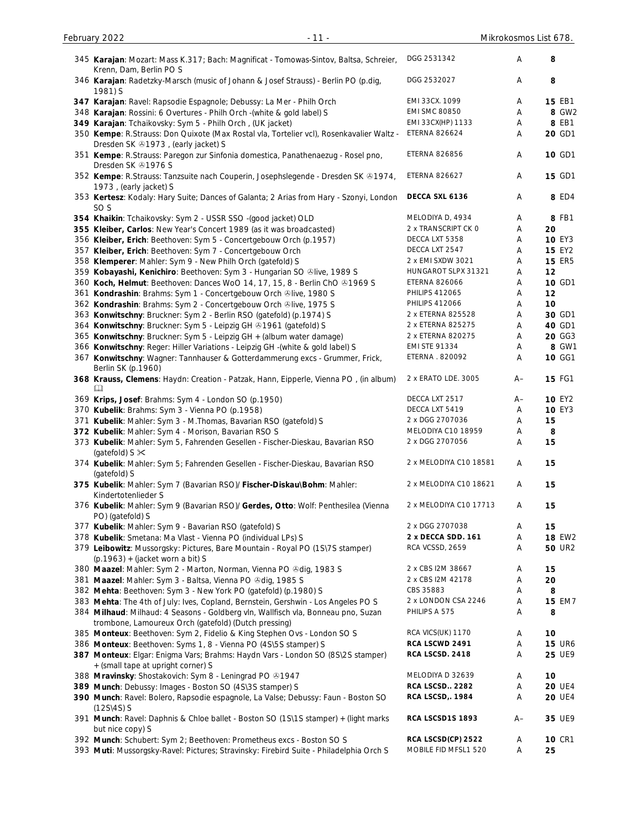| 346 Karajan: Radetzky-Marsch (music of Johann & Josef Strauss) - Berlin PO (p.dig,<br>1981) S                                             | DGG 2532027            | Α    | 8             |
|-------------------------------------------------------------------------------------------------------------------------------------------|------------------------|------|---------------|
| 347 Karajan: Ravel: Rapsodie Espagnole; Debussy: La Mer - Philh Orch                                                                      | EMI 33CX. 1099         | A    | 15 EB1        |
| 348 Karajan: Rossini: 6 Overtures - Philh Orch - (white & gold label) S                                                                   | <b>EMI SMC 80850</b>   | Α    | 8 GW2         |
| 349 Karajan: Tchaikovsky: Sym 5 - Philh Orch, (UK jacket)                                                                                 | EMI 33CX(HP) 1133      | A    | 8 EB1         |
| 350 Kempe: R.Strauss: Don Quixote (Max Rostal vla, Tortelier vcl), Rosenkavalier Waltz -<br>Dresden SK 21973, (early jacket) S            | <b>ETERNA 826624</b>   | A    | 20 GD1        |
| 351 Kempe: R.Strauss: Paregon zur Sinfonia domestica, Panathenaezug - Rosel pno,<br>Dresden SK 21976 S                                    | <b>ETERNA 826856</b>   | Α    | 10 GD1        |
| 352 Kempe: R.Strauss: Tanzsuite nach Couperin, Josephslegende - Dresden SK ®1974,<br>1973, (early jacket) S                               | <b>ETERNA 826627</b>   | Α    | 15 GD1        |
| 353 Kertesz: Kodaly: Hary Suite; Dances of Galanta; 2 Arias from Hary - Szonyi, London<br>SO <sub>S</sub>                                 | DECCA SXL 6136         | Α    | 8 ED4         |
| 354 Khaikin: Tchaikovsky: Sym 2 - USSR SSO -(good jacket) OLD                                                                             | MELODIYA D, 4934       | Α    | 8 FB1         |
| 355 Kleiber, Carlos: New Year's Concert 1989 (as it was broadcasted)                                                                      | 2 x TRANSCRIPT CK O    | Α    | 20            |
| 356 Kleiber, Erich: Beethoven: Sym 5 - Concertgebouw Orch (p.1957)                                                                        | DECCA LXT 5358         | Α    | <b>10 EY3</b> |
| 357 Kleiber, Erich: Beethoven: Sym 7 - Concertgebouw Orch                                                                                 | DECCA LXT 2547         | Α    | <b>15 EY2</b> |
| 358 Klemperer: Mahler: Sym 9 - New Philh Orch (gatefold) S                                                                                | 2 x EMI SXDW 3021      | Α    | <b>15 ER5</b> |
| 359 Kobayashi, Kenichiro: Beethoven: Sym 3 - Hungarian SO &live, 1989 S                                                                   | HUNGAROT SLPX 31321    | Α    | 12            |
| 360 Koch, Helmut: Beethoven: Dances WoO 14, 17, 15, 8 - Berlin ChO & 1969 S                                                               | <b>ETERNA 826066</b>   | Α    | 10 GD1        |
| 361 Kondrashin: Brahms: Sym 1 - Concertgebouw Orch ®live, 1980 S                                                                          | <b>PHILIPS 412065</b>  | Α    | 12            |
| 362 Kondrashin: Brahms: Sym 2 - Concertgebouw Orch Olive, 1975 S                                                                          | <b>PHILIPS 412066</b>  | Α    | 10            |
| 363 Konwitschny: Bruckner: Sym 2 - Berlin RSO (gatefold) (p.1974) S                                                                       | 2 x ETERNA 825528      | Α    | 30 GD1        |
| 364 Konwitschny: Bruckner: Sym 5 - Leipzig GH 21961 (gatefold) S                                                                          | 2 x ETERNA 825275      | Α    | 40 GD1        |
| 365 Konwitschny: Bruckner: Sym 5 - Leipzig GH + (album water damage)                                                                      | 2 x ETERNA 820275      | Α    | 20 GG3        |
| 366 Konwitschny: Reger: Hiller Variations - Leipzig GH -(white & gold label) S                                                            | <b>EMI STE 91334</b>   | Α    | 8 GW1         |
| 367 Konwitschny: Wagner: Tannhauser & Gotterdammerung excs - Grummer, Frick,<br>Berlin SK (p.1960)                                        | ETERNA . 820092        | Α    | 10 GG1        |
| 368 Krauss, Clemens: Haydn: Creation - Patzak, Hann, Eipperle, Vienna PO, (in album)<br>吅                                                 | 2 x ERATO LDE. 3005    | A–   | <b>15 FG1</b> |
| 369 Krips, Josef: Brahms: Sym 4 - London SO (p.1950)                                                                                      | DECCA LXT 2517         | $A-$ | 10 EY2        |
| 370 Kubelik: Brahms: Sym 3 - Vienna PO (p.1958)                                                                                           | DECCA LXT 5419         | Α    | <b>10 EY3</b> |
| 371 Kubelik: Mahler: Sym 3 - M. Thomas, Bavarian RSO (gatefold) S                                                                         | 2 x DGG 2707036        | A    | 15            |
| 372 Kubelik: Mahler: Sym 4 - Morison, Bavarian RSO S                                                                                      | MELODIYA C10 18959     | Α    | 8             |
| 373 Kubelik: Mahler: Sym 5, Fahrenden Gesellen - Fischer-Dieskau, Bavarian RSO<br>(gatefold) $S \times$                                   | 2 x DGG 2707056        | Α    | 15            |
| 374 Kubelik: Mahler: Sym 5; Fahrenden Gesellen - Fischer-Dieskau, Bavarian RSO<br>(gatefold) S                                            | 2 x MELODIYA C10 18581 | Α    | 15            |
| 375 Kubelik: Mahler: Sym 7 (Bavarian RSO)/ Fischer-Diskau\Bohm: Mahler:<br>Kindertotenlieder S                                            | 2 x MELODIYA C10 18621 | Α    | 15            |
| 376 Kubelik: Mahler: Sym 9 (Bavarian RSO)/ Gerdes, Otto: Wolf: Penthesilea (Vienna<br>PO) (gatefold) S                                    | 2 x MELODIYA C10 17713 | Α    | 15            |
| 377 Kubelik: Mahler: Sym 9 - Bavarian RSO (gatefold) S                                                                                    | 2 x DGG 2707038        | Α    | 15            |
| 378 Kubelik: Smetana: Ma Vlast - Vienna PO (individual LPs) S                                                                             | 2 x DECCA SDD. 161     | A    | <b>18 EW2</b> |
| 379 Leibowitz: Mussorgsky: Pictures, Bare Mountain - Royal PO (1S\7S stamper)<br>$(p.1963) + (jacket worn a bit)$ S                       | RCA VCSSD, 2659        | Α    | <b>50 UR2</b> |
| 380 Maazel: Mahler: Sym 2 - Marton, Norman, Vienna PO & dig, 1983 S                                                                       | 2 x CBS I2M 38667      | Α    | 15            |
| 381 Maazel: Mahler: Sym 3 - Baltsa, Vienna PO & dig, 1985 S                                                                               | 2 x CBS I2M 42178      | Α    | 20            |
| 382 Mehta: Beethoven: Sym 3 - New York PO (gatefold) (p.1980) S                                                                           | CBS 35883              | Α    | 8             |
| 383 Mehta: The 4th of July: Ives, Copland, Bernstein, Gershwin - Los Angeles PO S                                                         | 2 x LONDON CSA 2246    | Α    | <b>15 EM7</b> |
| 384 Milhaud: Milhaud: 4 Seasons - Goldberg vln, Wallfisch vla, Bonneau pno, Suzan<br>trombone, Lamoureux Orch (gatefold) (Dutch pressing) | PHILIPS A 575          | Α    | 8             |
| 385 Monteux: Beethoven: Sym 2, Fidelio & King Stephen Ovs - London SO S                                                                   | RCA VICS(UK) 1170      | Α    | 10            |
| 386 Monteux: Beethoven: Syms 1, 8 - Vienna PO (4S\5S stamper) S                                                                           | RCA LSCWD 2491         | Α    | <b>15 UR6</b> |
| 387 Monteux: Elgar: Enigma Vars; Brahms: Haydn Vars - London SO (8S\2S stamper)<br>+ (small tape at upright corner) S                     | RCA LSCSD. 2418        | A    | 25 UE9        |
| 388 Mravinsky: Shostakovich: Sym 8 - Leningrad PO +1947                                                                                   | MELODIYA D 32639       | Α    | 10            |
| 389 Munch: Debussy: Images - Boston SO (4S\3S stamper) S                                                                                  | RCA LSCSD 2282         | Α    | <b>20 UE4</b> |
| 390 Munch: Ravel: Bolero, Rapsodie espagnole, La Valse; Debussy: Faun - Boston SO<br>$(12S\setminus 4S)$ S                                | <b>RCA LSCSD, 1984</b> | Α    | <b>20 UE4</b> |
| 391 Munch: Ravel: Daphnis & Chloe ballet - Boston SO (1S\1S stamper) + (light marks<br>but nice copy) S                                   | RCA LSCSD1S 1893       | $A-$ | 35 UE9        |
| 392 Munch: Schubert: Sym 2; Beethoven: Prometheus excs - Boston SO S                                                                      | RCA LSCSD(CP) 2522     | Α    | <b>10 CR1</b> |
| 393 Muti: Mussorgsky-Ravel: Pictures; Stravinsky: Firebird Suite - Philadelphia Orch S                                                    | MOBILE FID MFSL1 520   | Α    | 25            |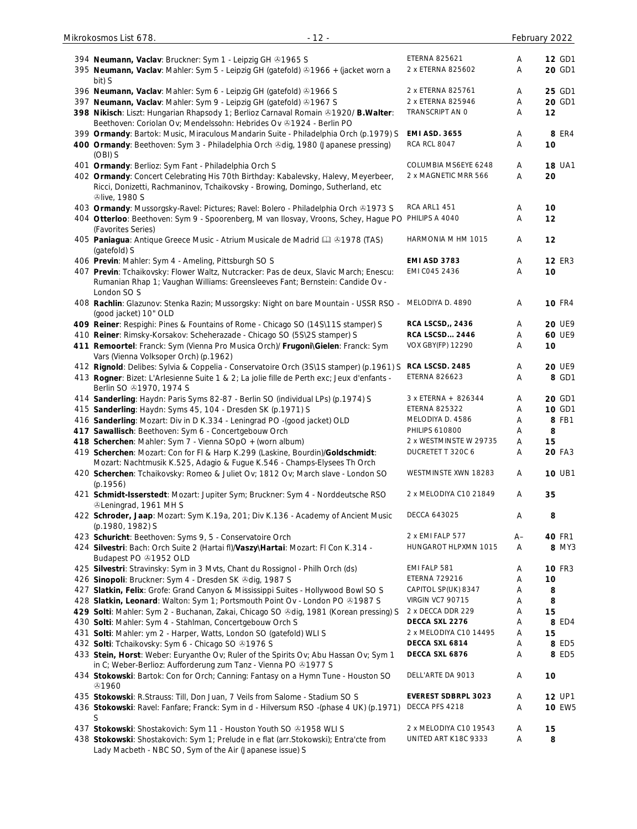| 394 Neumann, Vaclav: Bruckner: Sym 1 - Leipzig GH & 1965 S                                                                                                 | <b>ETERNA 825621</b>                   | A      | <b>12 GD1</b>    |
|------------------------------------------------------------------------------------------------------------------------------------------------------------|----------------------------------------|--------|------------------|
| 395 Neumann, Vaclav: Mahler: Sym 5 - Leipzig GH (gatefold) 31966 + (jacket worn a                                                                          | 2 x ETERNA 825602                      | Α      | 20 GD1           |
| bit) S                                                                                                                                                     |                                        |        |                  |
| 396 Neumann, Vaclav: Mahler: Sym 6 - Leipzig GH (gatefold) 31966 S<br>397 Neumann, Vaclav: Mahler: Sym 9 - Leipzig GH (gatefold) 31967 S                   | 2 x ETERNA 825761<br>2 x ETERNA 825946 | Α<br>Α | 25 GD1<br>20 GD1 |
| 398 Nikisch: Liszt: Hungarian Rhapsody 1; Berlioz Carnaval Romain @1920/ B. Walter:                                                                        | TRANSCRIPT AN O                        | Α      | 12               |
| Beethoven: Coriolan Ov; Mendelssohn: Hebrides Ov +1924 - Berlin PO                                                                                         |                                        |        |                  |
| 399 Ormandy: Bartok: Music, Miraculous Mandarin Suite - Philadelphia Orch (p.1979) S                                                                       | <b>EMI ASD. 3655</b>                   | Α      | 8 ER4            |
| 400 Ormandy: Beethoven: Sym 3 - Philadelphia Orch &dig, 1980 (Japanese pressing)                                                                           | <b>RCA RCL 8047</b>                    | Α      | 10               |
| (OBI) S                                                                                                                                                    | COLUMBIA MS6EYE 6248                   |        | <b>18 UA1</b>    |
| 401 Ormandy: Berlioz: Sym Fant - Philadelphia Orch S<br>402 Ormandy: Concert Celebrating His 70th Birthday: Kabalevsky, Halevy, Meyerbeer,                 | 2 x MAGNETIC MRR 566                   | A<br>Α | 20               |
| Ricci, Donizetti, Rachmaninov, Tchaikovsky - Browing, Domingo, Sutherland, etc                                                                             |                                        |        |                  |
| <b><i><u>@live, 1980 S</u></i></b>                                                                                                                         |                                        |        |                  |
| 403 Ormandy: Mussorgsky-Ravel: Pictures; Ravel: Bolero - Philadelphia Orch & 1973 S                                                                        | <b>RCA ARL1 451</b>                    | Α      | 10               |
| 404 Otterloo: Beethoven: Sym 9 - Spoorenberg, M van Ilosvay, Vroons, Schey, Hague PO PHILIPS A 4040                                                        |                                        | Α      | 12               |
| (Favorites Series)                                                                                                                                         | HARMONIA M HM 1015                     | A      | 12               |
| 405 Paniagua: Antique Greece Music - Atrium Musicale de Madrid [1] 31978 (TAS)<br>(gatefold) S                                                             |                                        |        |                  |
| 406 Previn: Mahler: Sym 4 - Ameling, Pittsburgh SO S                                                                                                       | <b>EMI ASD 3783</b>                    | Α      | <b>12 ER3</b>    |
| 407 Previn: Tchaikovsky: Flower Waltz, Nutcracker: Pas de deux, Slavic March; Enescu:                                                                      | EMI CO45 2436                          | Α      | 10               |
| Rumanian Rhap 1; Vaughan Williams: Greensleeves Fant; Bernstein: Candide Ov -                                                                              |                                        |        |                  |
| London SO S                                                                                                                                                |                                        |        |                  |
| 408 Rachlin: Glazunov: Stenka Razin; Mussorgsky: Night on bare Mountain - USSR RSO - MELODIYA D. 4890<br>(good jacket) 10" OLD                             |                                        | Α      | <b>10 FR4</b>    |
| 409 Reiner: Respighi: Pines & Fountains of Rome - Chicago SO (14S\11S stamper) S                                                                           | <b>RCA LSCSD,, 2436</b>                | A      | <b>20 UE9</b>    |
| 410 Reiner: Rimsky-Korsakov: Scheherazade - Chicago SO (5S\2S stamper) S                                                                                   | RCA LSCSD 2446                         | Α      | 60 UE9           |
| 411 Remoortel: Franck: Sym (Vienna Pro Musica Orch)/ Frugoni\Gielen: Franck: Sym                                                                           | <b>VOX GBY(FP) 12290</b>               | A      | 10               |
| Vars (Vienna Volksoper Orch) (p.1962)                                                                                                                      |                                        |        |                  |
| 412 Rignold: Delibes: Sylvia & Coppelia - Conservatoire Orch (3S\1S stamper) (p.1961) S                                                                    | RCA LSCSD. 2485                        | A      | <b>20 UE9</b>    |
| 413 Rogner: Bizet: L'Arlesienne Suite 1 & 2; La jolie fille de Perth exc; Jeux d'enfants -<br>Berlin SO 21970, 1974 S                                      | <b>ETERNA 826623</b>                   | Α      | 8 GD1            |
| 414 Sanderling: Haydn: Paris Syms 82-87 - Berlin SO (individual LPs) (p.1974) S                                                                            | 3 x ETERNA + 826344                    | A      | 20 GD1           |
| 415 Sanderling: Haydn: Syms 45, 104 - Dresden SK (p.1971) S                                                                                                | <b>ETERNA 825322</b>                   | A      | 10 GD1           |
| 416 Sanderling: Mozart: Div in D K.334 - Leningrad PO -(good jacket) OLD                                                                                   | MELODIYA D. 4586                       | Α      | 8 FB1            |
| 417 Sawallisch: Beethoven: Sym 6 - Concertgebouw Orch                                                                                                      | <b>PHILIPS 610800</b>                  | Α      | 8                |
| 418 Scherchen: Mahler: Sym 7 - Vienna SOpO + (worn album)                                                                                                  | 2 x WESTMINSTE W 29735                 | Α      | 15               |
| 419 Scherchen: Mozart: Con for FI & Harp K.299 (Laskine, Bourdin)/Goldschmidt:                                                                             | DUCRETET T 320C 6                      | A      | <b>20 FA3</b>    |
| Mozart: Nachtmusik K.525, Adagio & Fugue K.546 - Champs-Elysees Th Orch<br>420 Scherchen: Tchaikovsky: Romeo & Juliet Ov; 1812 Ov; March slave - London SO | WESTMINSTE XWN 18283                   | Α      | <b>10 UB1</b>    |
| (p.1956)                                                                                                                                                   |                                        |        |                  |
| 421 Schmidt-Isserstedt: Mozart: Jupiter Sym; Bruckner: Sym 4 - Norddeutsche RSO                                                                            | 2 x MELODIYA C10 21849                 | Α      | 35               |
| <b><i>SLeningrad, 1961 MHS</i></b>                                                                                                                         |                                        |        |                  |
| 422 Schroder, Jaap: Mozart: Sym K.19a, 201; Div K.136 - Academy of Ancient Music                                                                           | <b>DECCA 643025</b>                    | Α      | 8                |
| (p.1980, 1982) S<br>423 Schuricht: Beethoven: Syms 9, 5 - Conservatoire Orch                                                                               | 2 x EMI FALP 577                       | A–     | 40 FR1           |
| 424 Silvestri: Bach: Orch Suite 2 (Hartai fl)/Vaszy\Hartai: Mozart: FI Con K.314 -                                                                         | HUNGAROT HLPXMN 1015                   | Α      | 8 MY3            |
| Budapest PO +1952 OLD                                                                                                                                      |                                        |        |                  |
| 425 Silvestri: Stravinsky: Sym in 3 Mvts, Chant du Rossignol - Philh Orch (ds)                                                                             | EMI FALP 581                           | Α      | <b>10 FR3</b>    |
| 426 Sinopoli: Bruckner: Sym 4 - Dresden SK Odig, 1987 S                                                                                                    | <b>ETERNA 729216</b>                   | Α      | 10               |
| 427 Slatkin, Felix: Grofe: Grand Canyon & Mississippi Suites - Hollywood Bowl SO S                                                                         | CAPITOL SP(UK) 8347                    | Α      | 8                |
| 428 Slatkin, Leonard: Walton: Sym 1; Portsmouth Point Ov - London PO & 1987 S                                                                              | <b>VIRGIN VC7 90715</b>                | Α      | 8                |
| 429 Solti: Mahler: Sym 2 - Buchanan, Zakai, Chicago SO &dig, 1981 (Korean pressing) S                                                                      | 2 x DECCA DDR 229                      | Α      | 15               |
| 430 Solti: Mahler: Sym 4 - Stahlman, Concertgebouw Orch S                                                                                                  | DECCA SXL 2276                         | Α      | 8 ED4            |
|                                                                                                                                                            |                                        |        |                  |
| 431 Solti: Mahler: ym 2 - Harper, Watts, London SO (gatefold) WLI S                                                                                        | 2 x MELODIYA C10 14495                 | Α      | 15               |
| 432 Solti: Tchaikovsky: Sym 6 - Chicago SO & 1976 S                                                                                                        | DECCA SXL 6814                         | Α      | 8 ED5            |
| 433 Stein, Horst: Weber: Euryanthe Ov; Ruler of the Spirits Ov; Abu Hassan Ov; Sym 1                                                                       | DECCA SXL 6876                         | Α      | 8 ED5            |
| in C; Weber-Berlioz: Aufforderung zum Tanz - Vienna PO +1977 S<br>434 Stokowski: Bartok: Con for Orch; Canning: Fantasy on a Hymn Tune - Houston SO        | DELL'ARTE DA 9013                      | A      | 10               |
| <b>ේ1960</b>                                                                                                                                               |                                        |        |                  |
| 435 Stokowski: R.Strauss: Till, Don Juan, 7 Veils from Salome - Stadium SO S                                                                               | <b>EVEREST SDBRPL 3023</b>             | Α      | <b>12 UP1</b>    |
| 436 Stokowski: Ravel: Fanfare; Franck: Sym in d - Hilversum RSO -(phase 4 UK) (p.1971)                                                                     | DECCA PFS 4218                         | Α      | <b>10 EW5</b>    |
| S                                                                                                                                                          |                                        |        |                  |
| 437 Stokowski: Shostakovich: Sym 11 - Houston Youth SO & 1958 WLI S                                                                                        | 2 x MELODIYA C10 19543                 | A      | 15               |
| 438 Stokowski: Shostakovich: Sym 1; Prelude in e flat (arr. Stokowski); Entra'cte from                                                                     | UNITED ART K18C 9333                   | Α      | 8                |

Lady Macbeth - NBC SO, Sym of the Air (Japanese issue) S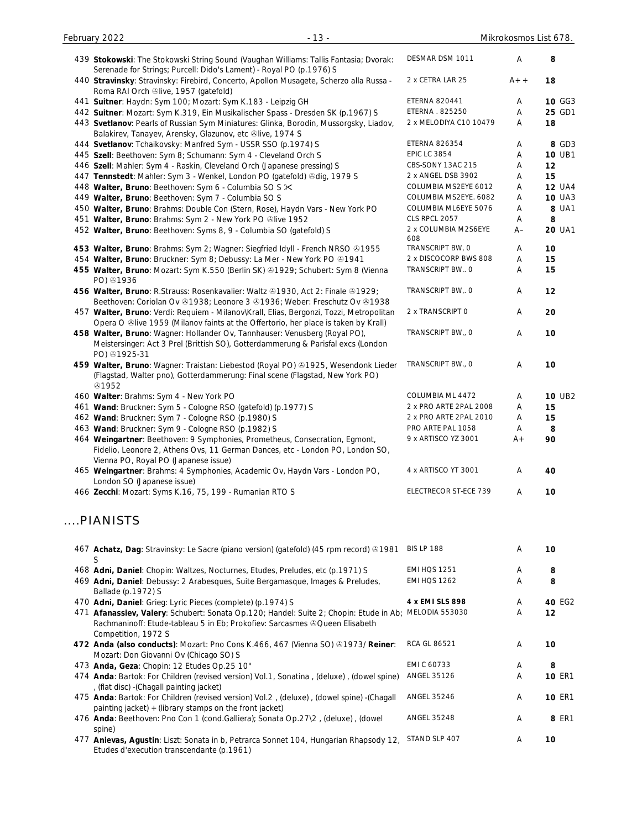| 439 Stokowski: The Stokowski String Sound (Vaughan Williams: Tallis Fantasia; Dvorak:<br>Serenade for Strings; Purcell: Dido's Lament) - Royal PO (p.1976) S                                                | DESMAR DSM 1011             | Α     | 8             |
|-------------------------------------------------------------------------------------------------------------------------------------------------------------------------------------------------------------|-----------------------------|-------|---------------|
| 440 Stravinsky: Stravinsky: Firebird, Concerto, Apollon Musagete, Scherzo alla Russa -<br>Roma RAI Orch Olive, 1957 (gatefold)                                                                              | 2 x CETRA LAR 25            | $A++$ | 18            |
| 441 Suitner: Haydn: Sym 100; Mozart: Sym K.183 - Leipzig GH                                                                                                                                                 | <b>ETERNA 820441</b>        | Α     | 10 GG3        |
| 442 Suitner: Mozart: Sym K.319, Ein Musikalischer Spass - Dresden SK (p.1967) S                                                                                                                             | ETERNA . 825250             | A     | 25 GD1        |
| 443 Svetlanov: Pearls of Russian Sym Miniatures: Glinka, Borodin, Mussorgsky, Liadov,<br>Balakirev, Tanayev, Arensky, Glazunov, etc Olive, 1974 S                                                           | 2 x MELODIYA C10 10479      | A     | 18            |
| 444 Svetlanov: Tchaikovsky: Manfred Sym - USSR SSO (p.1974) S                                                                                                                                               | <b>ETERNA 826354</b>        | Α     | 8 GD3         |
| 445 Szell: Beethoven: Sym 8; Schumann: Sym 4 - Cleveland Orch S                                                                                                                                             | <b>EPIC LC 3854</b>         | A     | 10 UB1        |
| 446 Szell: Mahler: Sym 4 - Raskin, Cleveland Orch (Japanese pressing) S                                                                                                                                     | CBS-SONY 13AC 215           | A     | 12            |
| 447 Tennstedt: Mahler: Sym 3 - Wenkel, London PO (gatefold) & dig, 1979 S                                                                                                                                   | 2 x ANGEL DSB 3902          | Α     | 15            |
| 448 Walter, Bruno: Beethoven: Sym 6 - Columbia SO S $\times$                                                                                                                                                | COLUMBIA MS2EYE 6012        | Α     | <b>12 UA4</b> |
| 449 Walter, Bruno: Beethoven: Sym 7 - Columbia SO S                                                                                                                                                         | COLUMBIA MS2EYE. 6082       | Α     | <b>10 UA3</b> |
| 450 Walter, Bruno: Brahms: Double Con (Stern, Rose), Haydn Vars - New York PO                                                                                                                               | COLUMBIA ML6EYE 5076        | Α     | 8 UA1         |
| 451 Walter, Bruno: Brahms: Sym 2 - New York PO &live 1952                                                                                                                                                   | CLS RPCL 2057               | A     | 8             |
| 452 Walter, Bruno: Beethoven: Syms 8, 9 - Columbia SO (gatefold) S                                                                                                                                          | 2 x COLUMBIA M2S6EYE<br>608 | $A-$  | <b>20 UA1</b> |
| 453 Walter, Bruno: Brahms: Sym 2; Wagner: Siegfried Idyll - French NRSO & 1955                                                                                                                              | TRANSCRIPT BW, O            | A     | 10            |
| 454 Walter, Bruno: Bruckner: Sym 8; Debussy: La Mer - New York PO ®1941                                                                                                                                     | 2 x DISCOCORP BWS 808       | A     | 15            |
| 455 Walter, Bruno: Mozart: Sym K.550 (Berlin SK) @1929; Schubert: Sym 8 (Vienna<br>PO) 31936                                                                                                                | TRANSCRIPT BW O             | Α     | 15            |
| 456 Walter, Bruno: R.Strauss: Rosenkavalier: Waltz @1930, Act 2: Finale @1929;<br>Beethoven: Coriolan Ov 21938; Leonore 3 21936; Weber: Freschutz Ov 21938                                                  | TRANSCRIPT BW, O            | Α     | 12            |
| 457 Walter, Bruno: Verdi: Requiem - Milanov\Krall, Elias, Bergonzi, Tozzi, Metropolitan<br>Opera O ®live 1959 (Milanov faints at the Offertorio, her place is taken by Krall)                               | 2 x TRANSCRIPT O            | Α     | 20            |
| 458 Walter, Bruno: Wagner: Hollander Ov, Tannhauser: Venusberg (Royal PO),<br>Meistersinger: Act 3 Prel (Brittish SO), Gotterdammerung & Parisfal excs (London<br>PO) 31925-31                              | TRANSCRIPT BW,, O           | Α     | 10            |
| 459 Walter, Bruno: Wagner: Traistan: Liebestod (Royal PO) @1925, Wesendonk Lieder<br>(Flagstad, Walter pno), Gotterdammerung: Final scene (Flagstad, New York PO)<br><b>۞1952</b>                           | TRANSCRIPT BW., O           | Α     | 10            |
| 460 Walter: Brahms: Sym 4 - New York PO                                                                                                                                                                     | COLUMBIA ML 4472            | A     | <b>10 UB2</b> |
| 461 Wand: Bruckner: Sym 5 - Cologne RSO (gatefold) (p.1977) S                                                                                                                                               | 2 x PRO ARTE 2PAL 2008      | A     | 15            |
| 462 Wand: Bruckner: Sym 7 - Cologne RSO (p.1980) S                                                                                                                                                          | 2 x PRO ARTE 2PAL 2010      | Α     | 15            |
| 463 Wand: Bruckner: Sym 9 - Cologne RSO (p.1982) S                                                                                                                                                          | PRO ARTE PAL 1058           | Α     | 8             |
| 464 Weingartner: Beethoven: 9 Symphonies, Prometheus, Consecration, Egmont,<br>Fidelio, Leonore 2, Athens Ovs, 11 German Dances, etc - London PO, London SO,                                                | 9 x ARTISCO YZ 3001         | $A +$ | 90            |
| Vienna PO, Royal PO (Japanese issue)<br>465 Weingartner: Brahms: 4 Symphonies, Academic Ov, Haydn Vars - London PO,<br>London SO (Japanese issue)                                                           | 4 x ARTISCO YT 3001         | A     | 40            |
| 466 Zecchi: Mozart: Syms K.16, 75, 199 - Rumanian RTO S                                                                                                                                                     | ELECTRECOR ST-ECE 739       | Α     | 10            |
| PIANISTS                                                                                                                                                                                                    |                             |       |               |
| 467 Achatz, Dag: Stravinsky: Le Sacre (piano version) (gatefold) (45 rpm record) ®1981<br>S                                                                                                                 | <b>BIS LP 188</b>           | Α     | 10            |
| 468 Adni, Daniel: Chopin: Waltzes, Nocturnes, Etudes, Preludes, etc (p.1971) S                                                                                                                              | <b>EMI HQS 1251</b>         | Α     | 8             |
| 469 Adni, Daniel: Debussy: 2 Arabesques, Suite Bergamasque, Images & Preludes,<br>Ballade (p.1972) S                                                                                                        | <b>EMI HQS 1262</b>         | Α     | 8             |
| 470 Adni, Daniel: Grieg: Lyric Pieces (complete) (p.1974) S                                                                                                                                                 | 4 x EMI SLS 898             | Α     | 40 EG2        |
| 471 Afanassiev, Valery: Schubert: Sonata Op.120; Handel: Suite 2; Chopin: Etude in Ab; MELODIA 553030<br>Rachmaninoff: Etude-tableau 5 in Eb; Prokofiev: Sarcasmes & Queen Elisabeth<br>Competition, 1972 S |                             | Α     | 12            |
| 472 Anda (also conducts): Mozart: Pno Cons K.466, 467 (Vienna SO) @1973/ Reiner:<br>Mozart: Don Giovanni Ov (Chicago SO) S                                                                                  | RCA GL 86521                | Α     | 10            |
| 473 Anda, Geza: Chopin: 12 Etudes Op.25 10"                                                                                                                                                                 | EMI C 60733                 | Α     | 8             |
| 474 Anda: Bartok: For Children (revised version) Vol.1, Sonatina, (deluxe), (dowel spine)<br>, (flat disc) - (Chagall painting jacket)                                                                      | ANGEL 35126                 | Α     | <b>10 ER1</b> |
| 475 Anda: Bartok: For Children (revised version) Vol.2, (deluxe), (dowel spine) - (Chagall<br>painting jacket) + (library stamps on the front jacket)                                                       | ANGEL 35246                 | Α     | <b>10 ER1</b> |
| 476 Anda: Beethoven: Pno Con 1 (cond.Galliera); Sonata Op.27\2, (deluxe), (dowel<br>spine)                                                                                                                  | ANGEL 35248                 | Α     | 8 ER1         |
| 477 Anievas, Agustin: Liszt: Sonata in b, Petrarca Sonnet 104, Hungarian Rhapsody 12, STAND SLP 407<br>Etudes d'execution transcendante (p.1961)                                                            |                             | A     | 10            |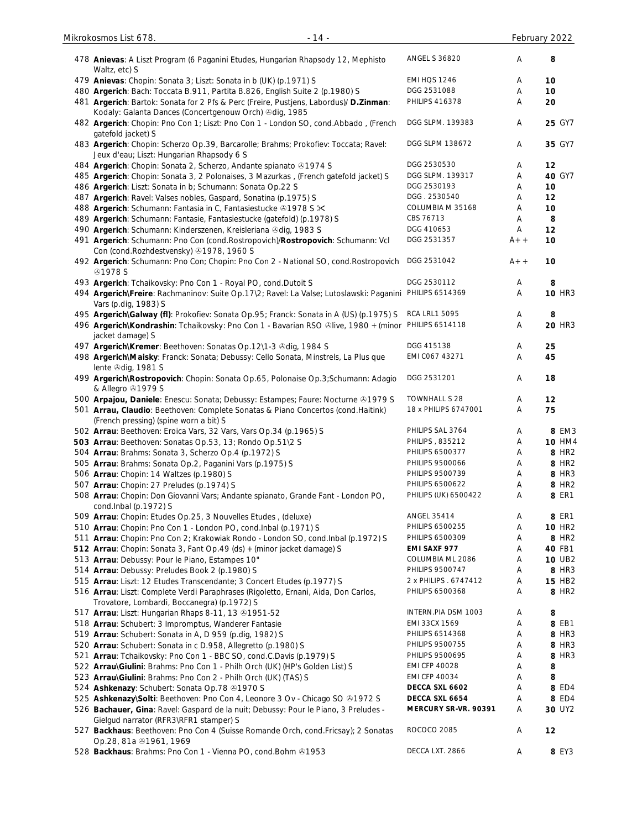| $-14-$<br>Mikrokosmos List 678.                                                                                                                  |                       |       | February 2022     |
|--------------------------------------------------------------------------------------------------------------------------------------------------|-----------------------|-------|-------------------|
| 478 Anievas: A Liszt Program (6 Paganini Etudes, Hungarian Rhapsody 12, Mephisto<br>Waltz, etc) S                                                | <b>ANGEL S 36820</b>  | A     | 8                 |
| 479 Anievas: Chopin: Sonata 3; Liszt: Sonata in b (UK) (p.1971) S                                                                                | EMI HQS 1246          | Α     | 10                |
| 480 Argerich: Bach: Toccata B.911, Partita B.826, English Suite 2 (p.1980) S                                                                     | DGG 2531088           | Α     | 10                |
| 481 Argerich: Bartok: Sonata for 2 Pfs & Perc (Freire, Pustjens, Labordus)/ D.Zinman:<br>Kodaly: Galanta Dances (Concertgenouw Orch) & dig, 1985 | <b>PHILIPS 416378</b> | Α     | 20                |
| 482 Argerich: Chopin: Pno Con 1; Liszt: Pno Con 1 - London SO, cond.Abbado, (French<br>gatefold jacket) S                                        | DGG SLPM. 139383      | Α     | 25 GY7            |
| 483 Argerich: Chopin: Scherzo Op.39, Barcarolle; Brahms; Prokofiev: Toccata; Ravel:<br>Jeux d'eau; Liszt: Hungarian Rhapsody 6 S                 | DGG SLPM 138672       | Α     | 35 GY7            |
| 484 Argerich: Chopin: Sonata 2, Scherzo, Andante spianato 31974 S                                                                                | DGG 2530530           | Α     | 12                |
| 485 Argerich: Chopin: Sonata 3, 2 Polonaises, 3 Mazurkas, (French gatefold jacket) S                                                             | DGG SLPM. 139317      | Α     | 40 GY7            |
| 486 Argerich: Liszt: Sonata in b; Schumann: Sonata Op.22 S                                                                                       | DGG 2530193           | Α     | 10                |
| 487 Argerich: Ravel: Valses nobles, Gaspard, Sonatina (p.1975) S                                                                                 | DGG. 2530540          | Α     | 12                |
| 488 Argerich: Schumann: Fantasia in C, Fantasiestucke 21978 S $\times$                                                                           | COLUMBIA M 35168      | Α     | 10                |
| 489 Argerich: Schumann: Fantasie, Fantasiestucke (gatefold) (p.1978) S                                                                           | CBS 76713             | A     | 8                 |
| 490 Argerich: Schumann: Kinderszenen, Kreisleriana Odig, 1983 S                                                                                  | DGG 410653            | Α     | 12                |
| 491 Argerich: Schumann: Pno Con (cond. Rostropovich)/Rostropovich: Schumann: Vcl<br>Con (cond.Rozhdestvensky) 31978, 1960 S                      | DGG 2531357           | $A++$ | 10                |
| 492 Argerich: Schumann: Pno Con; Chopin: Pno Con 2 - National SO, cond. Rostropovich<br><b>⊕1978 S</b>                                           | DGG 2531042           | $A++$ | 10                |
| 493 Argerich: Tchaikovsky: Pno Con 1 - Royal PO, cond.Dutoit S                                                                                   | DGG 2530112           | Α     | 8                 |
| 494 Argerich\Freire: Rachmaninov: Suite Op.17\2; Ravel: La Valse; Lutoslawski: Paganini PHILIPS 6514369<br>Vars (p.dig, 1983) S                  |                       | A     | <b>10 HR3</b>     |
| 495 Argerich\Galway (fl): Prokofiev: Sonata Op.95; Franck: Sonata in A (US) (p.1975) S                                                           | <b>RCA LRL1 5095</b>  | Α     | 8                 |
| 496 Argerich\Kondrashin: Tchaikovsky: Pno Con 1 - Bavarian RSO @live, 1980 + (minor PHILIPS 6514118<br>jacket damage) S                          |                       | Α     | <b>20 HR3</b>     |
| 497 Argerich\Kremer: Beethoven: Sonatas Op.12\1-3 &dig, 1984 S                                                                                   | DGG 415138            | Α     | 25                |
| 498 Argerich\Maisky: Franck: Sonata; Debussy: Cello Sonata, Minstrels, La Plus que<br>lente +dig, 1981 S                                         | EMI C067 43271        | Α     | 45                |
| 499 Argerich\Rostropovich: Chopin: Sonata Op.65, Polonaise Op.3;Schumann: Adagio<br>& Allegro 21979 S                                            | DGG 2531201           | Α     | 18                |
| 500 Arpajou, Daniele: Enescu: Sonata; Debussy: Estampes; Faure: Nocturne & 1979 S                                                                | <b>TOWNHALL S 28</b>  | Α     | 12                |
| 501 Arrau, Claudio: Beethoven: Complete Sonatas & Piano Concertos (cond. Haitink)<br>(French pressing) (spine worn a bit) S                      | 18 x PHILIPS 6747001  | Α     | 75                |
| 502 Arrau: Beethoven: Eroica Vars, 32 Vars, Vars Op.34 (p.1965) S                                                                                | PHILIPS SAL 3764      | Α     | 8 EM3             |
| 503 Arrau: Beethoven: Sonatas Op.53, 13; Rondo Op.51\2 S                                                                                         | PHILIPS, 835212       | Α     | <b>10 HM4</b>     |
| 504 Arrau: Brahms: Sonata 3, Scherzo Op. 4 (p. 1972) S                                                                                           | PHILIPS 6500377       | Α     | 8 HR <sub>2</sub> |
| 505 Arrau: Brahms: Sonata Op.2, Paganini Vars (p.1975) S                                                                                         | PHILIPS 9500066       | Α     | 8 HR <sub>2</sub> |
| 506 Arrau: Chopin: 14 Waltzes (p.1980) S                                                                                                         | PHILIPS 9500739       | Α     | 8 HR3             |
| 507 Arrau: Chopin: 27 Preludes (p.1974) S                                                                                                        | PHILIPS 6500622       | Α     | 8 HR <sub>2</sub> |
| 508 Arrau: Chopin: Don Giovanni Vars; Andante spianato, Grande Fant - London PO,<br>cond.Inbal (p.1972) S                                        | PHILIPS (UK) 6500422  | Α     | <b>8 ER1</b>      |
| 509 Arrau: Chopin: Etudes Op.25, 3 Nouvelles Etudes, (deluxe)                                                                                    | <b>ANGEL 35414</b>    | Α     | 8 ER1             |
| 510 Arrau: Chopin: Pno Con 1 - London PO, cond. Inbal (p.1971) S                                                                                 | PHILIPS 6500255       | Α     | <b>10 HR2</b>     |
| 511 Arrau: Chopin: Pno Con 2; Krakowiak Rondo - London SO, cond. Inbal (p. 1972) S                                                               | PHILIPS 6500309       | Α     | 8 HR <sub>2</sub> |
| 512 Arrau: Chopin: Sonata 3, Fant Op.49 (ds) + (minor jacket damage) S                                                                           | EMI SAXF 977          | Α     | 40 FB1            |
| 513 Arrau: Debussy: Pour le Piano, Estampes 10"                                                                                                  | COLUMBIA ML 2086      | Α     | <b>10 UB2</b>     |
| 514 Arrau: Debussy: Preludes Book 2 (p.1980) S                                                                                                   | PHILIPS 9500747       | Α     | 8 HR3             |
| 515 Arrau: Liszt: 12 Etudes Transcendante; 3 Concert Etudes (p.1977) S                                                                           | 2 x PHILIPS . 6747412 | Α     | <b>15 HB2</b>     |
| 516 Arrau: Liszt: Complete Verdi Paraphrases (Rigoletto, Ernani, Aida, Don Carlos,<br>Trovatore, Lombardi, Boccanegra) (p.1972) S                | PHILIPS 6500368       | A     | 8 HR2             |
| 517 Arrau: Liszt: Hungarian Rhaps 8-11, 13 31951-52                                                                                              | INTERN.PIA DSM 1003   | Α     | 8                 |
| 518 Arrau: Schubert: 3 Impromptus, Wanderer Fantasie                                                                                             | EMI 33CX 1569         | Α     | 8 EB1             |
| 519 Arrau: Schubert: Sonata in A, D 959 (p.dig, 1982) S                                                                                          | PHILIPS 6514368       | Α     | 8 HR3             |
| 520 Arrau: Schubert: Sonata in c D.958, Allegretto (p.1980) S                                                                                    | PHILIPS 9500755       | Α     | 8 HR3             |
| 521 Arrau: Tchaikovsky: Pno Con 1 - BBC SO, cond.C.Davis (p.1979) S                                                                              | PHILIPS 9500695       | Α     | 8 HR3             |
| 522 Arrau\Giulini: Brahms: Pno Con 1 - Philh Orch (UK) (HP's Golden List) S                                                                      | <b>EMI CFP 40028</b>  | Α     | 8                 |
| 523 Arrau\Giulini: Brahms: Pno Con 2 - Philh Orch (UK) (TAS) S                                                                                   | <b>EMI CFP 40034</b>  | Α     | 8                 |
| 524 Ashkenazy: Schubert: Sonata Op.78 31970 S                                                                                                    | DECCA SXL 6602        | Α     | <b>8 ED4</b>      |
| 525 Ashkenazy\Solti: Beethoven: Pno Con 4, Leonore 3 Ov - Chicago SO & 1972 S                                                                    | DECCA SXL 6654        | Α     | 8 ED4             |
| 526 Bachauer, Gina: Ravel: Gaspard de la nuit; Debussy: Pour le Piano, 3 Preludes -<br>Gielgud narrator (RFR3\RFR1 stamper) S                    | MERCURY SR-VR. 90391  | Α     | 30 UY2            |
| 527 Backhaus: Beethoven: Pno Con 4 (Suisse Romande Orch, cond. Fricsay); 2 Sonatas<br>Op.28, 81a +1961, 1969                                     | ROCOCO 2085           | A     | 12                |
| 528 Backhaus: Brahms: Pno Con 1 - Vienna PO, cond. Bohm @1953                                                                                    | DECCA LXT. 2866       | A     | 8 EY3             |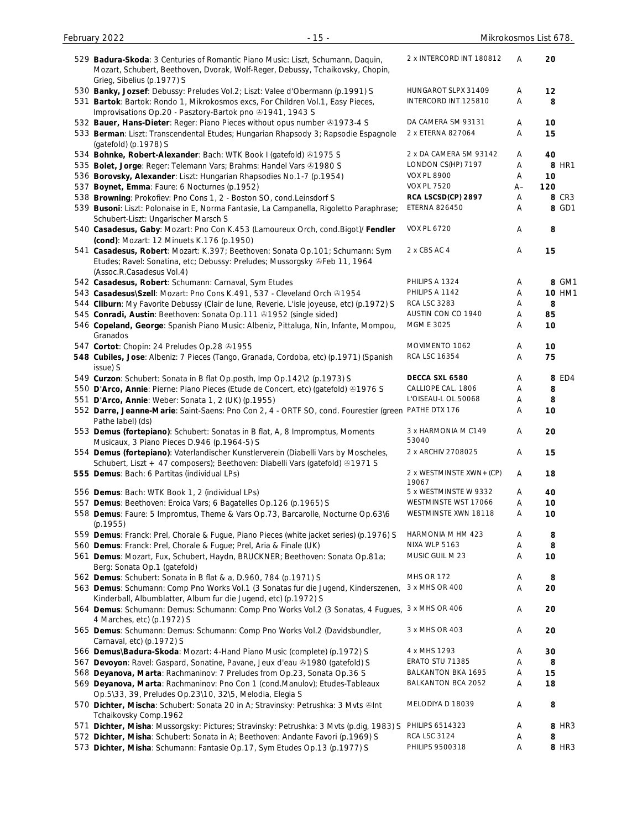| 529 Badura-Skoda: 3 Centuries of Romantic Piano Music: Liszt, Schumann, Daquin,<br>Mozart, Schubert, Beethoven, Dvorak, Wolf-Reger, Debussy, Tchaikovsky, Chopin,   | 2 x INTERCORD INT 180812           | Α     | 20            |
|---------------------------------------------------------------------------------------------------------------------------------------------------------------------|------------------------------------|-------|---------------|
| Grieg, Sibelius (p.1977) S                                                                                                                                          | HUNGAROT SLPX 31409                | Α     | 12            |
| 530 Banky, Jozsef: Debussy: Preludes Vol.2; Liszt: Valee d'Obermann (p.1991) S<br>531 Bartok: Bartok: Rondo 1, Mikrokosmos excs, For Children Vol.1, Easy Pieces,   | INTERCORD INT 125810               | A     | 8             |
| Improvisations Op.20 - Pasztory-Bartok pno 31941, 1943 S                                                                                                            |                                    |       |               |
| 532 Bauer, Hans-Dieter: Reger: Piano Pieces without opus number 31973-4 S                                                                                           | DA CAMERA SM 93131                 | Α     | 10            |
| 533 Berman: Liszt: Transcendental Etudes; Hungarian Rhapsody 3; Rapsodie Espagnole                                                                                  | 2 x ETERNA 827064                  | Α     | 15            |
| (gatefold) (p.1978) S                                                                                                                                               |                                    |       |               |
| 534 Bohnke, Robert-Alexander: Bach: WTK Book I (gatefold) @1975 S                                                                                                   | 2 x DA CAMERA SM 93142             | Α     | 40            |
| 535 Bolet, Jorge: Reger: Telemann Vars; Brahms: Handel Vars @1980 S                                                                                                 | LONDON CS(HP) 7197                 | Α     | 8 HR1         |
| 536 Borovsky, Alexander: Liszt: Hungarian Rhapsodies No.1-7 (p.1954)                                                                                                | <b>VOX PL 8900</b>                 | Α     | 10            |
| 537 Boynet, Emma: Faure: 6 Nocturnes (p.1952)                                                                                                                       | <b>VOX PL 7520</b>                 | $A -$ | 120           |
| 538 Browning: Prokofiev: Pno Cons 1, 2 - Boston SO, cond.Leinsdorf S                                                                                                | RCA LSCSD(CP) 2897                 | Α     | 8 CR3         |
| 539 Busoni: Liszt: Polonaise in E, Norma Fantasie, La Campanella, Rigoletto Paraphrase;                                                                             | <b>ETERNA 826450</b>               | A     | 8 GD1         |
| Schubert-Liszt: Ungarischer Marsch S                                                                                                                                |                                    |       |               |
| 540 Casadesus, Gaby: Mozart: Pno Con K.453 (Lamoureux Orch, cond.Bigot)/ Fendler<br>(cond): Mozart: 12 Minuets K.176 (p.1950)                                       | <b>VOX PL 6720</b>                 | Α     | 8             |
| 541 Casadesus, Robert: Mozart: K.397; Beethoven: Sonata Op.101; Schumann: Sym                                                                                       | 2 x CBS AC 4                       | Α     | 15            |
| Etudes; Ravel: Sonatina, etc; Debussy: Preludes; Mussorgsky & Feb 11, 1964<br>(Assoc.R.Casadesus Vol.4)                                                             |                                    |       |               |
| 542 Casadesus, Robert: Schumann: Carnaval, Sym Etudes                                                                                                               | PHILIPS A 1324                     | Α     | 8 GM1         |
| 543 Casadesus\Szell: Mozart: Pno Cons K.491, 537 - Cleveland Orch ®1954                                                                                             | PHILIPS A 1142                     | A     | <b>10 HM1</b> |
| 544 Cliburn: My Favorite Debussy (Clair de lune, Reverie, L'isle joyeuse, etc) (p.1972) S                                                                           | <b>RCA LSC 3283</b>                | Α     | 8             |
| 545 Conradi, Austin: Beethoven: Sonata Op.111 31952 (single sided)                                                                                                  | AUSTIN CON CO 1940                 | A     | 85            |
| 546 Copeland, George: Spanish Piano Music: Albeniz, Pittaluga, Nin, Infante, Mompou,<br>Granados                                                                    | MGM E 3025                         | Α     | 10            |
| 547 Cortot: Chopin: 24 Preludes Op.28 31955                                                                                                                         | MOVIMENTO 1062                     | Α     | 10            |
| 548 Cubiles, Jose: Albeniz: 7 Pieces (Tango, Granada, Cordoba, etc) (p.1971) (Spanish                                                                               | RCA LSC 16354                      | Α     | 75            |
| issue) S                                                                                                                                                            |                                    |       |               |
| 549 Curzon: Schubert: Sonata in B flat Op.posth, Imp Op.142\2 (p.1973) S                                                                                            | DECCA SXL 6580                     | Α     | 8 ED4         |
| 550 D'Arco, Annie: Pierne: Piano Pieces (Etude de Concert, etc) (gatefold) 31976 S                                                                                  | CALLIOPE CAL. 1806                 | Α     | 8             |
| 551 D'Arco, Annie: Weber: Sonata 1, 2 (UK) (p.1955)                                                                                                                 | L'OISEAU-L OL 50068                | Α     | 8             |
| 552 Darre, Jeanne-Marie: Saint-Saens: Pno Con 2, 4 - ORTF SO, cond. Fourestier (green<br>Pathe label) (ds)                                                          | PATHE DTX 176                      | Α     | 10            |
| 553 Demus (fortepiano): Schubert: Sonatas in B flat, A, 8 Impromptus, Moments<br>Musicaux, 3 Piano Pieces D.946 (p.1964-5) S                                        | 3 x HARMONIA M C149<br>53040       | Α     | 20            |
| 554 Demus (fortepiano): Vaterlandischer Kunstlerverein (Diabelli Vars by Moscheles,<br>Schubert, Liszt + 47 composers); Beethoven: Diabelli Vars (gatefold) 41971 S | 2 x ARCHIV 2708025                 | Α     | 15            |
| 555 Demus: Bach: 6 Partitas (individual LPs)                                                                                                                        | 2 x WESTMINSTE XWN + (CP)<br>19067 | Α     | 18            |
| 556 Demus: Bach: WTK Book 1, 2 (individual LPs)                                                                                                                     | 5 x WESTMINSTE W 9332              | Α     | 40            |
| 557 Demus: Beethoven: Eroica Vars; 6 Bagatelles Op.126 (p.1965) S                                                                                                   | WESTMINSTE WST 17066               | Α     | 10            |
| 558 Demus: Faure: 5 Impromtus, Theme & Vars Op.73, Barcarolle, Nocturne Op.63\6<br>(p.1955)                                                                         | WESTMINSTE XWN 18118               | Α     | 10            |
| 559 Demus: Franck: Prel, Chorale & Fugue, Piano Pieces (white jacket series) (p.1976) S                                                                             | HARMONIA M HM 423                  | Α     | 8             |
| 560 Demus: Franck: Prel, Chorale & Fugue; Prel, Aria & Finale (UK)                                                                                                  | NIXA WLP 5163                      | Α     | 8             |
| 561 Demus: Mozart, Fux, Schubert, Haydn, BRUCKNER; Beethoven: Sonata Op.81a;<br>Berg: Sonata Op.1 (gatefold)                                                        | MUSIC GUIL M 23                    | Α     | 10            |
| 562 Demus: Schubert: Sonata in B flat & a, D.960, 784 (p.1971) S                                                                                                    | <b>MHS OR 172</b>                  | Α     | 8             |
| 563 Demus: Schumann: Comp Pno Works Vol.1 (3 Sonatas fur die Jugend, Kinderszenen,<br>Kinderball, Albumblatter, Album fur die Jugend, etc) (p.1972) S               | 3 x MHS OR 400                     | Α     | 20            |
| 564 Demus: Schumann: Demus: Schumann: Comp Pno Works Vol.2 (3 Sonatas, 4 Fugues, 3 x MHS OR 406<br>4 Marches, etc) (p.1972) S                                       |                                    | Α     | 20            |
| 565 Demus: Schumann: Demus: Schumann: Comp Pno Works Vol.2 (Davidsbundler,<br>Carnaval, etc) (p.1972) S                                                             | 3 x MHS OR 403                     | Α     | 20            |
| 566 Demus\Badura-Skoda: Mozart: 4-Hand Piano Music (complete) (p.1972) S                                                                                            | 4 x MHS 1293                       | Α     | 30            |
| 567 Devoyon: Ravel: Gaspard, Sonatine, Pavane, Jeux d'eau +1980 (gatefold) S                                                                                        | ERATO STU 71385                    | Α     | 8             |
| 568 Deyanova, Marta: Rachmaninov: 7 Preludes from Op.23, Sonata Op.36 S                                                                                             | <b>BALKANTON BKA 1695</b>          | Α     | 15            |
| 569 Deyanova, Marta: Rachmaninov: Pno Con 1 (cond.Manulov); Etudes-Tableaux<br>Op.5\33, 39, Preludes Op.23\10, 32\5, Melodia, Elegia S                              | BALKANTON BCA 2052                 | Α     | 18            |
| 570 Dichter, Mischa: Schubert: Sonata 20 in A; Stravinsky: Petrushka: 3 Mvts ∬<br>Tchaikovsky Comp.1962                                                             | MELODIYA D 18039                   | Α     | 8             |
| 571 Dichter, Misha: Mussorgsky: Pictures; Stravinsky: Petrushka: 3 Mvts (p.dig, 1983) S                                                                             | PHILIPS 6514323                    | Α     | 8 HR3         |
| 572 Dichter, Misha: Schubert: Sonata in A; Beethoven: Andante Favori (p.1969) S                                                                                     | <b>RCA LSC 3124</b>                | Α     | 8             |
| 573 Dichter, Misha: Schumann: Fantasie Op.17, Sym Etudes Op.13 (p.1977) S                                                                                           | PHILIPS 9500318                    | Α     | 8 HR3         |

February 2022 - 15 - Mikrokosmos List 678.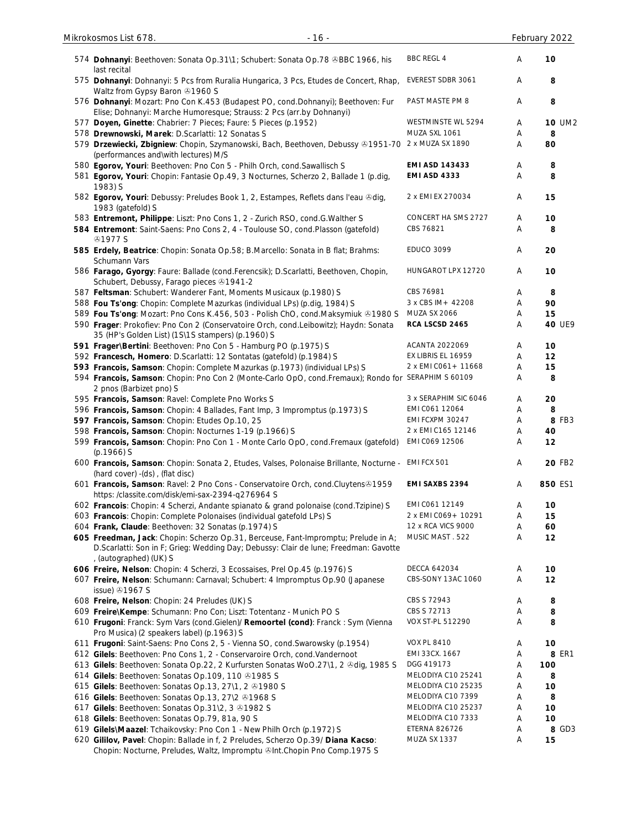| 574 Dohnanyi: Beethoven: Sonata Op.31\1; Schubert: Sonata Op.78 ®BBC 1966, his<br>last recital                                                                                                                  | <b>BBC REGL 4</b>                 | A      | 10            |
|-----------------------------------------------------------------------------------------------------------------------------------------------------------------------------------------------------------------|-----------------------------------|--------|---------------|
| 575 Dohnanyi: Dohnanyi: 5 Pcs from Ruralia Hungarica, 3 Pcs, Etudes de Concert, Rhap,<br>Waltz from Gypsy Baron @1960 S                                                                                         | EVEREST SDBR 3061                 | Α      | 8             |
| 576 Dohnanyi: Mozart: Pno Con K.453 (Budapest PO, cond.Dohnanyi); Beethoven: Fur<br>Elise; Dohnanyi: Marche Humoresque; Strauss: 2 Pcs (arr.by Dohnanyi)                                                        | PAST MASTE PM 8                   | Α      | 8             |
| 577 Doyen, Ginette: Chabrier: 7 Pieces; Faure: 5 Pieces (p.1952)                                                                                                                                                | WESTMINSTE WL 5294                | A      | <b>10 UM2</b> |
| 578 Drewnowski, Marek: D.Scarlatti: 12 Sonatas S                                                                                                                                                                | MUZA SXL 1061                     | Α      | 8             |
| 579 Drzewiecki, Zbigniew: Chopin, Szymanowski, Bach, Beethoven, Debussy & 1951-70 2 x MUZA SX 1890<br>(performances and\with lectures) M/S                                                                      |                                   | Α      | 80            |
| 580 Egorov, Youri: Beethoven: Pno Con 5 - Philh Orch, cond. Sawallisch S                                                                                                                                        | <b>EMI ASD 143433</b>             | Α      | 8             |
| 581 Egorov, Youri: Chopin: Fantasie Op.49, 3 Nocturnes, Scherzo 2, Ballade 1 (p.dig,<br>1983) S                                                                                                                 | <b>EMI ASD 4333</b>               | Α      | 8             |
| 582 Egorov, Youri: Debussy: Preludes Book 1, 2, Estampes, Reflets dans l'eau &dig,<br>1983 (gatefold) S                                                                                                         | 2 x EMI EX 270034                 | Α      | 15            |
| 583 Entremont, Philippe: Liszt: Pno Cons 1, 2 - Zurich RSO, cond.G. Walther S                                                                                                                                   | CONCERT HA SMS 2727               | Α      | 10            |
| 584 Entremont: Saint-Saens: Pno Cons 2, 4 - Toulouse SO, cond.Plasson (gatefold)<br><b>41977 S</b>                                                                                                              | CBS 76821                         | Α      | 8             |
| 585 Erdely, Beatrice: Chopin: Sonata Op.58; B.Marcello: Sonata in B flat; Brahms:<br>Schumann Vars                                                                                                              | <b>EDUCO 3099</b>                 | Α      | 20            |
| 586 Farago, Gyorgy: Faure: Ballade (cond.Ferencsik); D.Scarlatti, Beethoven, Chopin,<br>Schubert, Debussy, Farago pieces 31941-2                                                                                | HUNGAROT LPX 12720                | A      | 10            |
| 587 Feltsman: Schubert: Wanderer Fant, Moments Musicaux (p.1980) S                                                                                                                                              | CBS 76981                         | Α      | 8             |
| 588 Fou Ts'ong: Chopin: Complete Mazurkas (individual LPs) (p.dig, 1984) S                                                                                                                                      | 3 x CBS IM + 42208                | Α      | 90            |
| 589 Fou Ts'ong: Mozart: Pno Cons K.456, 503 - Polish ChO, cond.Maksymiuk ®1980 S                                                                                                                                | <b>MUZA SX 2066</b>               | Α      | 15            |
| 590 Frager: Prokofiev: Pno Con 2 (Conservatoire Orch, cond.Leibowitz); Haydn: Sonata<br>35 (HP's Golden List) (1S\1S stampers) (p.1960) S                                                                       | RCA LSCSD 2465                    | Α      | <b>40 UE9</b> |
| 591 Frager\Bertini: Beethoven: Pno Con 5 - Hamburg PO (p.1975) S                                                                                                                                                | ACANTA 2022069                    | Α      | 10            |
| 592 Francesch, Homero: D.Scarlatti: 12 Sontatas (gatefold) (p.1984) S                                                                                                                                           | EX LIBRIS EL 16959                | Α      | 12            |
| 593 Francois, Samson: Chopin: Complete Mazurkas (p.1973) (individual LPs) S                                                                                                                                     | 2 x EMI CO61 + 11668              | Α      | 15            |
| 594 Francois, Samson: Chopin: Pno Con 2 (Monte-Carlo OpO, cond.Fremaux); Rondo for SERAPHIM S 60109<br>2 pnos (Barbizet pno) S                                                                                  |                                   | Α      | 8             |
| 595 Francois, Samson: Ravel: Complete Pno Works S                                                                                                                                                               | 3 x SERAPHIM SIC 6046             | Α      | 20            |
| 596 Francois, Samson: Chopin: 4 Ballades, Fant Imp, 3 Impromptus (p.1973) S                                                                                                                                     | EMI C061 12064<br>EMI FCXPM 30247 | Α      | 8<br>8 FB3    |
| 597 Francois, Samson: Chopin: Etudes Op.10, 25                                                                                                                                                                  | 2 x EMI C165 12146                | Α      | 40            |
| 598 Francois, Samson: Chopin: Nocturnes 1-19 (p.1966) S<br>599 Francois, Samson: Chopin: Pno Con 1 - Monte Carlo OpO, cond.Fremaux (gatefold)                                                                   | EMI C069 12506                    | Α      | 12            |
| $(p.1966)$ S                                                                                                                                                                                                    | EMI FCX 501                       | Α<br>A | 20 FB2        |
| 600 Francois, Samson: Chopin: Sonata 2, Etudes, Valses, Polonaise Brillante, Nocturne -<br>(hard cover) - (ds), (flat disc)<br>601 Francois, Samson: Ravel: 2 Pno Cons - Conservatoire Orch, cond.Cluytens&1959 | EMI SAXBS 2394                    | A      | 850 ES1       |
| https:/classite.com/disk/emi-sax-2394-q276964 S                                                                                                                                                                 |                                   |        |               |
| 602 Francois: Chopin: 4 Scherzi, Andante spianato & grand polonaise (cond.Tzipine) S                                                                                                                            | EMI C061 12149                    | Α      | 10            |
| 603 Francois: Chopin: Complete Polonaises (individual gatefold LPs) S                                                                                                                                           | 2 x EMI C069 + 10291              | Α      | 15            |
| 604 Frank, Claude: Beethoven: 32 Sonatas (p.1974) S                                                                                                                                                             | 12 x RCA VICS 9000                | Α      | 60            |
| 605 Freedman, Jack: Chopin: Scherzo Op.31, Berceuse, Fant-Impromptu; Prelude in A;<br>D.Scarlatti: Son in F; Grieg: Wedding Day; Debussy: Clair de lune; Freedman: Gavotte                                      | MUSIC MAST . 522                  | Α      | 12            |
| , (autographed) (UK) S<br>606 Freire, Nelson: Chopin: 4 Scherzi, 3 Ecossaises, Prel Op.45 (p.1976) S                                                                                                            | DECCA 642034                      | A      | 10            |
| 607 Freire, Nelson: Schumann: Carnaval; Schubert: 4 Impromptus Op.90 (Japanese                                                                                                                                  | CBS-SONY 13AC 1060                | Α      | 12            |
| issue) 21967 S                                                                                                                                                                                                  |                                   |        |               |
| 608 Freire, Nelson: Chopin: 24 Preludes (UK) S                                                                                                                                                                  | CBS S 72943                       | Α      | 8             |
| 609 Freire\Kempe: Schumann: Pno Con; Liszt: Totentanz - Munich PO S                                                                                                                                             | CBS S 72713                       | Α      | 8             |
| 610 Frugoni: Franck: Sym Vars (cond.Gielen)/ Remoortel (cond): Franck: Sym (Vienna<br>Pro Musica) (2 speakers label) (p.1963) S                                                                                 | VOX ST-PL 512290                  | Α      | 8             |
| 611 Frugoni: Saint-Saens: Pno Cons 2, 5 - Vienna SO, cond. Swarowsky (p.1954)                                                                                                                                   | <b>VOX PL 8410</b>                | A      | 10            |
| 612 Gilels: Beethoven: Pno Cons 1, 2 - Conservaroire Orch, cond. Vandernoot                                                                                                                                     | EMI 33CX. 1667                    | Α      | 8 ER1         |
| 613 Gilels: Beethoven: Sonata Op.22, 2 Kurfursten Sonatas WoO.27\1, 2 &dig, 1985 S                                                                                                                              | DGG 419173                        | Α      | 100           |
| 614 Gilels: Beethoven: Sonatas Op.109, 110 01985 S                                                                                                                                                              | MELODIYA C10 25241                | Α      | 8             |
| 615 Gilels: Beethoven: Sonatas Op.13, 27\1, 2 01980 S                                                                                                                                                           | MELODIYA C10 25235                | Α      | 10            |
| 616 Gilels: Beethoven: Sonatas Op.13, 27\2 01968 S                                                                                                                                                              | MELODIYA C10 7399                 | A      | 8             |
| 617 Gilels: Beethoven: Sonatas Op.31\2, 3 31982 S                                                                                                                                                               | MELODIYA C10 25237                | A      | 10            |
| 618 Gilels: Beethoven: Sonatas Op.79, 81a, 90 S                                                                                                                                                                 | MELODIYA C10 7333                 | Α      | 10            |
| 619 Gilels\Maazel: Tchaikovsky: Pno Con 1 - New Philh Orch (p.1972) S                                                                                                                                           | <b>ETERNA 826726</b>              | A      | 8 GD3         |
| 620 Gililov, Pavel: Chopin: Ballade in f, 2 Preludes, Scherzo Op.39/ Diana Kacso:<br>Chopin: Nocturne, Preludes, Waltz, Impromptu @Int.Chopin Pno Comp.1975 S                                                   | MUZA SX 1337                      | A      | 15            |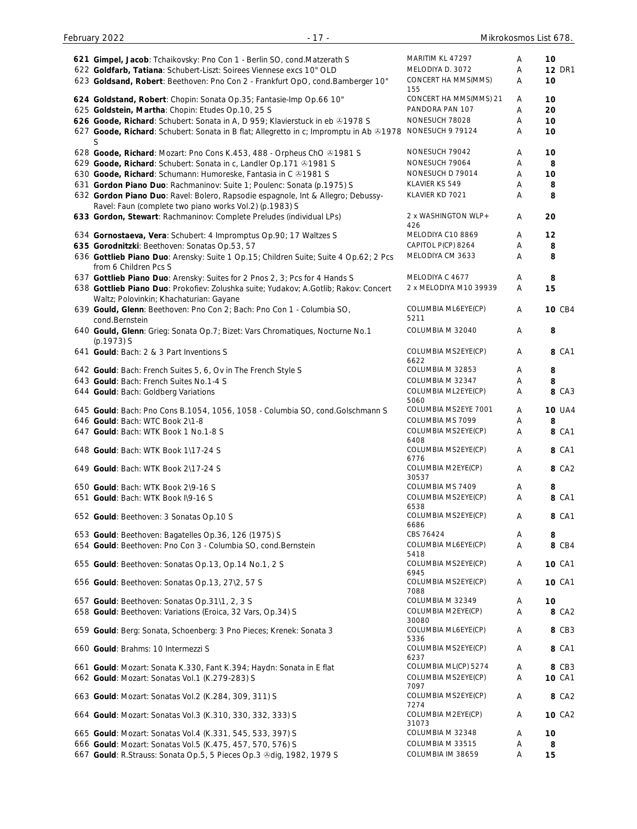| 621 Gimpel, Jacob: Tchaikovsky: Pno Con 1 - Berlin SO, cond. Matzerath S                                                 | MARITIM KL 47297              | A | 10            |
|--------------------------------------------------------------------------------------------------------------------------|-------------------------------|---|---------------|
| 622 Goldfarb, Tatiana: Schubert-Liszt: Soirees Viennese excs 10" OLD                                                     | MELODIYA D. 3072              | Α | <b>12 DR1</b> |
| 623 Goldsand, Robert: Beethoven: Pno Con 2 - Frankfurt OpO, cond.Bamberger 10"                                           | CONCERT HA MMS(MMS)           | Α | 10            |
|                                                                                                                          | 155<br>CONCERT HA MMS(MMS) 21 | A | 10            |
| 624 Goldstand, Robert: Chopin: Sonata Op.35; Fantasie-Imp Op.66 10"<br>625 Goldstein, Martha: Chopin: Etudes Op.10, 25 S | PANDORA PAN 107               | Α | 20            |
| 626 Goode, Richard: Schubert: Sonata in A, D 959; Klavierstuck in eb @1978 S                                             | NONESUCH 78028                | Α | 10            |
| 627 Goode, Richard: Schubert: Sonata in B flat; Allegretto in c; Impromptu in Ab ®1978                                   | NONESUCH 9 79124              | Α | 10            |
|                                                                                                                          |                               |   |               |
| 628 Goode, Richard: Mozart: Pno Cons K.453, 488 - Orpheus ChO & 1981 S                                                   | NONESUCH 79042                | Α | 10            |
| 629 Goode, Richard: Schubert: Sonata in c, Landler Op.171 @1981 S                                                        | NONESUCH 79064                | Α | 8             |
| 630 Goode, Richard: Schumann: Humoreske, Fantasia in C 21981 S                                                           | NONESUCH D 79014              | Α | 10            |
| 631 Gordon Piano Duo: Rachmaninov: Suite 1; Poulenc: Sonata (p.1975) S                                                   | KLAVIER KS 549                | Α | 8             |
| 632 Gordon Piano Duo: Ravel: Bolero, Rapsodie espagnole, Int & Allegro; Debussy-                                         | KLAVIER KD 7021               | Α | 8             |
| Ravel: Faun (complete two piano works Vol.2) (p.1983) S                                                                  |                               |   |               |
| 633 Gordon, Stewart: Rachmaninov: Complete Preludes (individual LPs)                                                     | 2 x WASHINGTON WLP+           | Α | 20            |
|                                                                                                                          | 426                           |   |               |
| 634 Gornostaeva, Vera: Schubert: 4 Impromptus Op.90; 17 Waltzes S                                                        | MELODIYA C10 8869             | Α | 12            |
| 635 Gorodnitzki: Beethoven: Sonatas Op.53, 57                                                                            | CAPITOL P(CP) 8264            | Α | 8             |
| 636 Gottlieb Piano Duo: Arensky: Suite 1 Op.15; Children Suite; Suite 4 Op.62; 2 Pcs                                     | MELODIYA CM 3633              | Α | 8             |
| from 6 Children Pcs S                                                                                                    |                               |   |               |
| 637 Gottlieb Piano Duo: Arensky: Suites for 2 Pnos 2, 3; Pcs for 4 Hands S                                               | MELODIYA C 4677               | Α | 8             |
| 638 Gottlieb Piano Duo: Prokofiev: Zolushka suite; Yudakov; A.Gotlib; Rakov: Concert                                     | 2 x MELODIYA M10 39939        | Α | 15            |
| Waltz; Polovinkin; Khachaturian: Gayane                                                                                  | COLUMBIA ML6EYE(CP)           |   |               |
| 639 Gould, Glenn: Beethoven: Pno Con 2; Bach: Pno Con 1 - Columbia SO,                                                   | 5211                          | Α | <b>10 CB4</b> |
| cond.Bernstein                                                                                                           | COLUMBIA M 32040              | Α | 8             |
| 640 Gould, Glenn: Grieg: Sonata Op.7; Bizet: Vars Chromatiques, Nocturne No.1<br>(p.1973) S                              |                               |   |               |
| 641 Gould: Bach: 2 & 3 Part Inventions S                                                                                 | COLUMBIA MS2EYE(CP)           | Α | 8 CA1         |
|                                                                                                                          | 6622                          |   |               |
| 642 Gould: Bach: French Suites 5, 6, Ov in The French Style S                                                            | COLUMBIA M 32853              | A | 8             |
| 643 Gould: Bach: French Suites No.1-4 S                                                                                  | COLUMBIA M 32347              | Α | 8             |
| 644 Gould: Bach: Goldberg Variations                                                                                     | COLUMBIA ML2EYE(CP)           | Α | <b>8 CA3</b>  |
|                                                                                                                          | 5060                          |   |               |
| 645 Gould: Bach: Pno Cons B.1054, 1056, 1058 - Columbia SO, cond. Golschmann S                                           | COLUMBIA MS2EYE 7001          | Α | <b>10 UA4</b> |
| 646 Gould: Bach: WTC Book 2\1-8                                                                                          | COLUMBIA MS 7099              | Α | 8             |
| 647 Gould: Bach: WTK Book 1 No.1-8 S                                                                                     | COLUMBIA MS2EYE(CP)           | Α | 8 CA1         |
| 648 Gould: Bach: WTK Book 1\17-24 S                                                                                      | 6408<br>COLUMBIA MS2EYE(CP)   | A | 8 CA1         |
|                                                                                                                          | 6776                          |   |               |
| 649 Gould: Bach: WTK Book 2\17-24 S                                                                                      | COLUMBIA M2EYE(CP)            | Α | 8 CA2         |
|                                                                                                                          | 30537                         |   |               |
| 650 Gould: Bach: WTK Book 2\9-16 S                                                                                       | COLUMBIA MS 7409              | Α | 8             |
| 651 Gould: Bach: WTK Book I\9-16 S                                                                                       | COLUMBIA MS2EYE(CP)           | Α | 8 CA1         |
| 652 Gould: Beethoven: 3 Sonatas Op.10 S                                                                                  | 6538<br>COLUMBIA MS2EYE(CP)   | Α | 8 CA1         |
|                                                                                                                          | 6686                          |   |               |
| 653 Gould: Beethoven: Bagatelles Op.36, 126 (1975) S                                                                     | CBS 76424                     | Α | 8             |
| 654 Gould: Beethoven: Pno Con 3 - Columbia SO, cond. Bernstein                                                           | COLUMBIA ML6EYE(CP)           | A | 8 CB4         |
|                                                                                                                          | 5418                          |   |               |
| 655 Gould: Beethoven: Sonatas Op.13, Op.14 No.1, 2 S                                                                     | COLUMBIA MS2EYE(CP)           | A | <b>10 CA1</b> |
| 656 Gould: Beethoven: Sonatas Op.13, 27\2, 57 S                                                                          | 6945<br>COLUMBIA MS2EYE(CP)   | Α | <b>10 CA1</b> |
|                                                                                                                          | 7088                          |   |               |
| 657 Gould: Beethoven: Sonatas Op.31\1, 2, 3 S                                                                            | COLUMBIA M 32349              | Α | 10            |
| 658 Gould: Beethoven: Variations (Eroica, 32 Vars, Op.34) S                                                              | COLUMBIA M2EYE(CP)            | Α | 8 CA2         |
|                                                                                                                          | 30080                         |   |               |
| 659 Gould: Berg: Sonata, Schoenberg: 3 Pno Pieces; Krenek: Sonata 3                                                      | COLUMBIA ML6EYE(CP)           | Α | 8 CB3         |
|                                                                                                                          | 5336<br>COLUMBIA MS2EYE(CP)   | Α | 8 CA1         |
| 660 Gould: Brahms: 10 Intermezzi S                                                                                       | 6237                          |   |               |
| 661 Gould: Mozart: Sonata K.330, Fant K.394; Haydn: Sonata in E flat                                                     | COLUMBIA ML(CP) 5274          | Α | 8 CB3         |
| 662 Gould: Mozart: Sonatas Vol.1 (K.279-283) S                                                                           | COLUMBIA MS2EYE(CP)           | Α | <b>10 CA1</b> |
|                                                                                                                          | 7097                          |   |               |
| 663 Gould: Mozart: Sonatas Vol.2 (K.284, 309, 311) S                                                                     | COLUMBIA MS2EYE(CP)           | Α | 8 CA2         |
|                                                                                                                          | 7274                          |   |               |
| 664 Gould: Mozart: Sonatas Vol.3 (K.310, 330, 332, 333) S                                                                | COLUMBIA M2EYE(CP)<br>31073   | Α | <b>10 CA2</b> |
| 665 Gould: Mozart: Sonatas Vol.4 (K.331, 545, 533, 397) S                                                                | COLUMBIA M 32348              | Α | 10            |
| 666 Gould: Mozart: Sonatas Vol.5 (K.475, 457, 570, 576) S                                                                | COLUMBIA M 33515              | Α | 8             |
| 667 Gould: R.Strauss: Sonata Op.5, 5 Pieces Op.3 & dig, 1982, 1979 S                                                     | COLUMBIA IM 38659             | Α | 15            |
|                                                                                                                          |                               |   |               |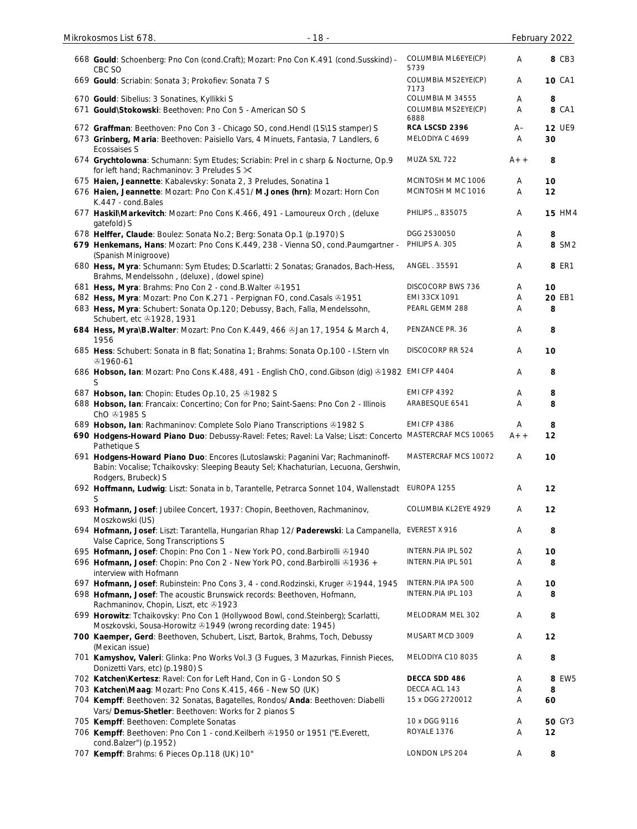| 668 Gould: Schoenberg: Pno Con (cond.Craft); Mozart: Pno Con K.491 (cond.Susskind) -<br>CBC SO                                                                                                | COLUMBIA ML6EYE(CP)<br>5739                     | A         | 8 CB3               |
|-----------------------------------------------------------------------------------------------------------------------------------------------------------------------------------------------|-------------------------------------------------|-----------|---------------------|
| 669 Gould: Scriabin: Sonata 3; Prokofiev: Sonata 7 S                                                                                                                                          | COLUMBIA MS2EYE(CP)<br>7173                     | Α         | <b>10 CA1</b>       |
| 670 Gould: Sibelius: 3 Sonatines, Kyllikki S<br>671 Gould\Stokowski: Beethoven: Pno Con 5 - American SO S                                                                                     | COLUMBIA M 34555<br>COLUMBIA MS2EYE(CP)<br>6888 | Α<br>Α    | 8<br>8 CA1          |
| 672 Graffman: Beethoven: Pno Con 3 - Chicago SO, cond.Hendl (1S\1S stamper) S<br>673 Grinberg, Maria: Beethoven: Paisiello Vars, 4 Minuets, Fantasia, 7 Landlers, 6<br><b>Ecossaises S</b>    | RCA LSCSD 2396<br>MELODIYA C 4699               | $A-$<br>Α | <b>12 UE9</b><br>30 |
| 674 Grychtolowna: Schumann: Sym Etudes; Scriabin: Prel in c sharp & Nocturne, Op.9<br>for left hand; Rachmaninov: 3 Preludes S $\times$                                                       | MUZA SXL 722                                    | $A++$     | 8                   |
| 675 Haien, Jeannette: Kabalevsky: Sonata 2, 3 Preludes, Sonatina 1<br>676 Haien, Jeannette: Mozart: Pno Con K.451/ M.Jones (hrn): Mozart: Horn Con<br>K.447 - cond.Bales                      | MCINTOSH M MC 1006<br>MCINTOSH M MC 1016        | A<br>Α    | 10<br>12            |
| 677 Haskil\Markevitch: Mozart: Pno Cons K.466, 491 - Lamoureux Orch, (deluxe<br>gatefold) S                                                                                                   | PHILIPS ,, 835075                               | Α         | <b>15 HM4</b>       |
| 678 Helffer, Claude: Boulez: Sonata No.2; Berg: Sonata Op.1 (p.1970) S                                                                                                                        | DGG 2530050                                     | Α         | 8                   |
| 679 Henkemans, Hans: Mozart: Pno Cons K.449, 238 - Vienna SO, cond.Paumgartner -<br>(Spanish Minigroove)                                                                                      | PHILIPS A. 305                                  | Α         | 8 SM2               |
| 680 Hess, Myra: Schumann: Sym Etudes; D.Scarlatti: 2 Sonatas; Granados, Bach-Hess,<br>Brahms, Mendelssohn, (deluxe), (dowel spine)                                                            | ANGEL . 35591                                   | Α         | 8 ER1               |
| 681 Hess, Myra: Brahms: Pno Con 2 - cond.B. Walter @1951                                                                                                                                      | DISCOCORP BWS 736                               | Α         | 10                  |
| 682 Hess, Myra: Mozart: Pno Con K.271 - Perpignan FO, cond.Casals @1951                                                                                                                       | EMI 33CX 1091                                   | Α         | 20 EB1              |
| 683 Hess, Myra: Schubert: Sonata Op.120; Debussy, Bach, Falla, Mendelssohn,<br>Schubert, etc 31928, 1931                                                                                      | PEARL GEMM 288                                  | A         | 8                   |
| 684 Hess, Myra\B.Walter: Mozart: Pno Con K.449, 466 &Jan 17, 1954 & March 4,<br>1956                                                                                                          | PENZANCE PR. 36                                 | Α         | 8                   |
| 685 Hess: Schubert: Sonata in B flat; Sonatina 1; Brahms: Sonata Op.100 - I.Stern vln<br>⊕1960-61                                                                                             | DISCOCORP RR 524                                | Α         | 10                  |
| 686 Hobson, Ian: Mozart: Pno Cons K.488, 491 - English ChO, cond. Gibson (dig) 31982 EMI CFP 4404<br>S                                                                                        |                                                 | Α         | 8                   |
| 687 Hobson, Ian: Chopin: Etudes Op.10, 25 31982 S                                                                                                                                             | <b>EMI CFP 4392</b>                             | Α         | 8                   |
| 688 Hobson, Ian: Francaix: Concertino; Con for Pno; Saint-Saens: Pno Con 2 - Illinois<br>ChO 31985 S                                                                                          | ARABESQUE 6541                                  | Α         | 8                   |
| 689 Hobson, Ian: Rachmaninov: Complete Solo Piano Transcriptions @1982 S                                                                                                                      | <b>EMI CFP 4386</b>                             | A         | 8                   |
| 690 Hodgens-Howard Piano Duo: Debussy-Ravel: Fetes; Ravel: La Valse; Liszt: Concerto MASTERCRAF MCS 10065<br>Pathetique S                                                                     |                                                 | $A++$     | 12                  |
| 691 Hodgens-Howard Piano Duo: Encores (Lutoslawski: Paganini Var; Rachmaninoff-<br>Babin: Vocalise; Tchaikovsky: Sleeping Beauty Sel; Khachaturian, Lecuona, Gershwin,<br>Rodgers, Brubeck) S | MASTERCRAF MCS 10072                            | Α         | 10                  |
| 692 Hoffmann, Ludwig: Liszt: Sonata in b, Tarantelle, Petrarca Sonnet 104, Wallenstadt<br>S                                                                                                   | EUROPA 1255                                     | Α         | 12                  |
| 693 Hofmann, Josef: Jubilee Concert, 1937: Chopin, Beethoven, Rachmaninov,<br>Moszkowski (US)                                                                                                 | COLUMBIA KL2EYE 4929                            | Α         | 12                  |
| 694 Hofmann, Josef: Liszt: Tarantella, Hungarian Rhap 12/ Paderewski: La Campanella,<br>Valse Caprice, Song Transcriptions S                                                                  | EVEREST X 916                                   | Α         | 8                   |
| 695 Hofmann, Josef: Chopin: Pno Con 1 - New York PO, cond.Barbirolli @1940                                                                                                                    | INTERN.PIA IPL 502                              | Α         | 10                  |
| 696 Hofmann, Josef: Chopin: Pno Con 2 - New York PO, cond. Barbirolli & 1936 +<br>interview with Hofmann                                                                                      | INTERN.PIA IPL 501                              | Α         | 8                   |
| 697 Hofmann, Josef: Rubinstein: Pno Cons 3, 4 - cond. Rodzinski, Kruger & 1944, 1945                                                                                                          | INTERN.PIA IPA 500                              | Α         | 10                  |
| 698 Hofmann, Josef: The acoustic Brunswick records: Beethoven, Hofmann,<br>Rachmaninov, Chopin, Liszt, etc +1923                                                                              | INTERN.PIA IPL 103                              | Α         | 8                   |
| 699 Horowitz: Tchaikovsky: Pno Con 1 (Hollywood Bowl, cond.Steinberg); Scarlatti,<br>Moszkovski, Sousa-Horowitz 21949 (wrong recording date: 1945)                                            | MELODRAM MEL 302                                | Α         | 8                   |
| 700 Kaemper, Gerd: Beethoven, Schubert, Liszt, Bartok, Brahms, Toch, Debussy<br>(Mexican issue)                                                                                               | MUSART MCD 3009                                 | Α         | 12                  |
| 701 Kamyshov, Valeri: Glinka: Pno Works Vol.3 (3 Fugues, 3 Mazurkas, Finnish Pieces,<br>Donizetti Vars, etc) (p.1980) S                                                                       | MELODIYA C10 8035                               | Α         | 8                   |
| 702 Katchen\Kertesz: Ravel: Con for Left Hand, Con in G - London SO S                                                                                                                         | DECCA SDD 486                                   | Α         | 8 EW5               |
| 703 Katchen\Maag: Mozart: Pno Cons K.415, 466 - New SO (UK)                                                                                                                                   | DECCA ACL 143                                   | A         | 8                   |
| 704 Kempff: Beethoven: 32 Sonatas, Bagatelles, Rondos/ Anda: Beethoven: Diabelli                                                                                                              | 15 x DGG 2720012                                | Α         | 60                  |
| Vars/ Demus-Shetler: Beethoven: Works for 2 pianos S                                                                                                                                          |                                                 |           |                     |
| 705 Kempff: Beethoven: Complete Sonatas                                                                                                                                                       | 10 x DGG 9116                                   | Α         | <b>50 GY3</b>       |
| 706 Kempff: Beethoven: Pno Con 1 - cond. Keilberh 31950 or 1951 ("E. Everett,<br>cond.Balzer") (p.1952)                                                                                       | ROYALE 1376                                     | Α         | 12                  |
| 707 Kempff: Brahms: 6 Pieces Op.118 (UK) 10"                                                                                                                                                  | LONDON LPS 204                                  | Α         | 8                   |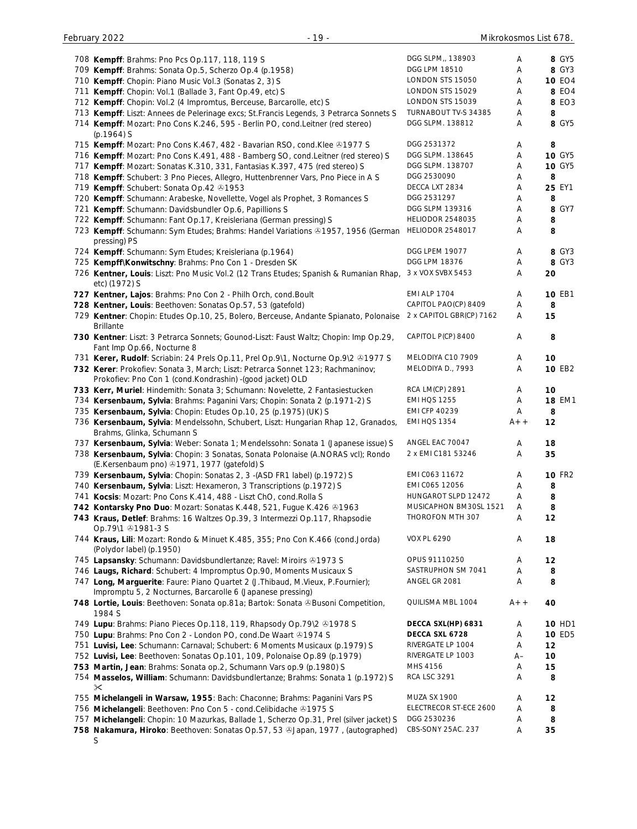| 708 Kempff: Brahms: Pno Pcs Op.117, 118, 119 S                                                                | DGG SLPM,, 138903       | Α     | 8 GY5         |
|---------------------------------------------------------------------------------------------------------------|-------------------------|-------|---------------|
| 709 Kempff: Brahms: Sonata Op.5, Scherzo Op.4 (p.1958)                                                        | DGG LPM 18510           | Α     | 8 GY3         |
| 710 Kempff: Chopin: Piano Music Vol.3 (Sonatas 2, 3) S                                                        | LONDON STS 15050        | Α     | <b>10 EO4</b> |
|                                                                                                               | LONDON STS 15029        |       | 8 EO4         |
| 711 Kempff: Chopin: Vol.1 (Ballade 3, Fant Op.49, etc) S                                                      |                         | Α     |               |
| 712 Kempff: Chopin: Vol.2 (4 Impromtus, Berceuse, Barcarolle, etc) S                                          | LONDON STS 15039        | Α     | 8 EO3         |
| 713 Kempff: Liszt: Annees de Pelerinage excs; St.Francis Legends, 3 Petrarca Sonnets S                        | TURNABOUT TV-S 34385    | Α     | 8             |
| 714 Kempff: Mozart: Pno Cons K.246, 595 - Berlin PO, cond.Leitner (red stereo)                                | DGG SLPM. 138812        | Α     | 8 GY5         |
| $(p.1964)$ S                                                                                                  |                         |       |               |
| 715 Kempff: Mozart: Pno Cons K.467, 482 - Bavarian RSO, cond. Klee @1977 S                                    | DGG 2531372             |       | 8             |
|                                                                                                               |                         | A     |               |
| 716 Kempff: Mozart: Pno Cons K.491, 488 - Bamberg SO, cond.Leitner (red stereo) S                             | DGG SLPM. 138645        | Α     | <b>10 GY5</b> |
| 717 Kempff: Mozart: Sonatas K.310, 331, Fantasias K.397, 475 (red stereo) S                                   | DGG SLPM. 138707        | Α     | <b>10 GY5</b> |
| 718 Kempff: Schubert: 3 Pno Pieces, Allegro, Huttenbrenner Vars, Pno Piece in A S                             | DGG 2530090             | Α     | 8             |
| 719 Kempff: Schubert: Sonata Op.42 01953                                                                      | DECCA LXT 2834          | Α     | 25 EY1        |
|                                                                                                               | DGG 2531297             |       | 8             |
| 720 Kempff: Schumann: Arabeske, Novellette, Vogel als Prophet, 3 Romances S                                   |                         | Α     |               |
| 721 Kempff: Schumann: Davidsbundler Op.6, Papillions S                                                        | DGG SLPM 139316         | Α     | 8 GY7         |
| 722 Kempff: Schumann: Fant Op.17, Kreisleriana (German pressing) S                                            | <b>HELIODOR 2548035</b> | Α     | 8             |
| 723 Kempff: Schumann: Sym Etudes; Brahms: Handel Variations ®1957, 1956 (German                               | <b>HELIODOR 2548017</b> | Α     | 8             |
| pressing) PS                                                                                                  |                         |       |               |
| 724 Kempff: Schumann: Sym Etudes; Kreisleriana (p.1964)                                                       | <b>DGG LPEM 19077</b>   | Α     | 8 GY3         |
| 725 Kempff\Konwitschny: Brahms: Pno Con 1 - Dresden SK                                                        | DGG LPM 18376           | Α     | 8 GY3         |
|                                                                                                               |                         |       |               |
| 726 Kentner, Louis: Liszt: Pno Music Vol.2 (12 Trans Etudes; Spanish & Rumanian Rhap,                         | 3 x VOX SVBX 5453       | Α     | 20            |
| etc) (1972) S                                                                                                 |                         |       |               |
| 727 Kentner, Lajos: Brahms: Pno Con 2 - Philh Orch, cond. Boult                                               | <b>EMI ALP 1704</b>     | A     | <b>10 EB1</b> |
| 728 Kentner, Louis: Beethoven: Sonatas Op.57, 53 (gatefold)                                                   | CAPITOL PAO(CP) 8409    | Α     | 8             |
| 729 Kentner: Chopin: Etudes Op.10, 25, Bolero, Berceuse, Andante Spianato, Polonaise 2 x CAPITOL GBR(CP) 7162 |                         | Α     | 15            |
| <b>Brillante</b>                                                                                              |                         |       |               |
|                                                                                                               |                         |       |               |
| 730 Kentner: Liszt: 3 Petrarca Sonnets; Gounod-Liszt: Faust Waltz; Chopin: Imp Op.29,                         | CAPITOL P(CP) 8400      | A     | 8             |
| Fant Imp Op.66, Nocturne 8                                                                                    |                         |       |               |
| 731 Kerer, Rudolf: Scriabin: 24 Prels Op.11, Prel Op.9\1, Nocturne Op.9\2 & 1977 S                            | MELODIYA C10 7909       | A     | 10            |
| 732 Kerer: Prokofiev: Sonata 3, March; Liszt: Petrarca Sonnet 123; Rachmaninov;                               | MELODIYA D., 7993       | Α     | 10 EB2        |
| Prokofiev: Pno Con 1 (cond.Kondrashin) - (good jacket) OLD                                                    |                         |       |               |
| 733 Kerr, Muriel: Hindemith: Sonata 3; Schumann: Novelette, 2 Fantasiestucken                                 | RCA LM(CP) 2891         | A     | 10            |
|                                                                                                               |                         |       |               |
| 734 Kersenbaum, Sylvia: Brahms: Paganini Vars; Chopin: Sonata 2 (p.1971-2) S                                  | <b>EMI HQS 1255</b>     | Α     | <b>18 EM1</b> |
| 735 Kersenbaum, Sylvia: Chopin: Etudes Op.10, 25 (p.1975) (UK) S                                              | <b>EMI CFP 40239</b>    | A     | 8             |
| 736 Kersenbaum, Sylvia: Mendelssohn, Schubert, Liszt: Hungarian Rhap 12, Granados,                            | <b>EMI HQS 1354</b>     | $A++$ | 12            |
| Brahms, Glinka, Schumann S                                                                                    |                         |       |               |
| 737 Kersenbaum, Sylvia: Weber: Sonata 1; Mendelssohn: Sonata 1 (Japanese issue) S                             | ANGEL EAC 70047         | A     | 18            |
| 738 Kersenbaum, Sylvia: Chopin: 3 Sonatas, Sonata Polonaise (A.NORAS vcl); Rondo                              | 2 x EMI C181 53246      |       |               |
|                                                                                                               |                         | A     | 35            |
| (E.Kersenbaum pno) 31971, 1977 (gatefold) S                                                                   |                         |       |               |
| 739 Kersenbaum, Sylvia: Chopin: Sonatas 2, 3 - (ASD FR1 label) (p.1972) S                                     | EMI C063 11672          | Α     | <b>10 FR2</b> |
| 740 Kersenbaum, Sylvia: Liszt: Hexameron, 3 Transcriptions (p.1972) S                                         | EMI C065 12056          | Α     | 8             |
| 741 Kocsis: Mozart: Pno Cons K.414, 488 - Liszt ChO, cond. Rolla S                                            | HUNGAROT SLPD 12472     | Α     | 8             |
| 742 Kontarsky Pno Duo: Mozart: Sonatas K.448, 521, Fugue K.426 & 1963                                         | MUSICAPHON BM30SL 1521  | A     | 8             |
| 743 Kraus, Detlef: Brahms: 16 Waltzes Op.39, 3 Intermezzi Op.117, Rhapsodie                                   | THOROFON MTH 307        | Α     | 12            |
| Op.79\1 +1981-3 S                                                                                             |                         |       |               |
|                                                                                                               |                         |       |               |
| 744 Kraus, Lili: Mozart: Rondo & Minuet K.485, 355; Pno Con K.466 (cond.Jorda)                                | <b>VOX PL 6290</b>      | A     | 18            |
| (Polydor label) (p.1950)                                                                                      |                         |       |               |
| 745 Lapsansky: Schumann: Davidsbundlertanze; Ravel: Miroirs & 1973 S                                          | OPUS 91110250           | A     | 12            |
|                                                                                                               |                         |       | 8             |
|                                                                                                               | SASTRUPHON SM 7041      | Α     |               |
| 746 Laugs, Richard: Schubert: 4 Impromptus Op.90, Moments Musicaux S                                          |                         |       |               |
| 747 Long, Marguerite: Faure: Piano Quartet 2 (J. Thibaud, M. Vieux, P. Fournier);                             | ANGEL GR 2081           | Α     | 8             |
| Impromptu 5, 2 Nocturnes, Barcarolle 6 (Japanese pressing)                                                    |                         |       |               |
| 748 Lortie, Louis: Beethoven: Sonata op.81a; Bartok: Sonata & Busoni Competition,                             | QUILISMA MBL 1004       | $A++$ | 40            |
| 1984 S                                                                                                        |                         |       |               |
| 749 Lupu: Brahms: Piano Pieces Op.118, 119, Rhapsody Op.79\2 & 1978 S                                         | DECCA SXL(HP) 6831      | Α     | <b>10 HD1</b> |
| 750 Lupu: Brahms: Pno Con 2 - London PO, cond. De Waart @1974 S                                               | DECCA SXL 6728          | Α     | 10 ED5        |
|                                                                                                               | RIVERGATE LP 1004       | Α     | 12            |
| 751 Luvisi, Lee: Schumann: Carnaval; Schubert: 6 Moments Musicaux (p.1979) S                                  |                         |       |               |
| 752 Luvisi, Lee: Beethoven: Sonatas Op.101, 109, Polonaise Op.89 (p.1979)                                     | RIVERGATE LP 1003       | $A-$  | 10            |
| 753 Martin, Jean: Brahms: Sonata op.2, Schumann Vars op.9 (p.1980) S                                          | MHS 4156                | Α     | 15            |
| 754 Masselos, William: Schumann: Davidsbundlertanze; Brahms: Sonata 1 (p.1972) S                              | <b>RCA LSC 3291</b>     | Α     | 8             |
| ✕                                                                                                             |                         |       |               |
| 755 Michelangeli in Warsaw, 1955: Bach: Chaconne; Brahms: Paganini Vars PS                                    | MUZA SX 1900            | A     | 12            |
| 756 Michelangeli: Beethoven: Pno Con 5 - cond.Celibidache @1975 S                                             | ELECTRECOR ST-ECE 2600  | Α     | 8             |
|                                                                                                               | DGG 2530236             | Α     | 8             |
| 757 Michelangeli: Chopin: 10 Mazurkas, Ballade 1, Scherzo Op.31, Prel (silver jacket) S                       | CBS-SONY 25AC. 237      |       |               |
| 758 Nakamura, Hiroko: Beethoven: Sonatas Op.57, 53 & Japan, 1977, (autographed)<br>S                          |                         | A     | 35            |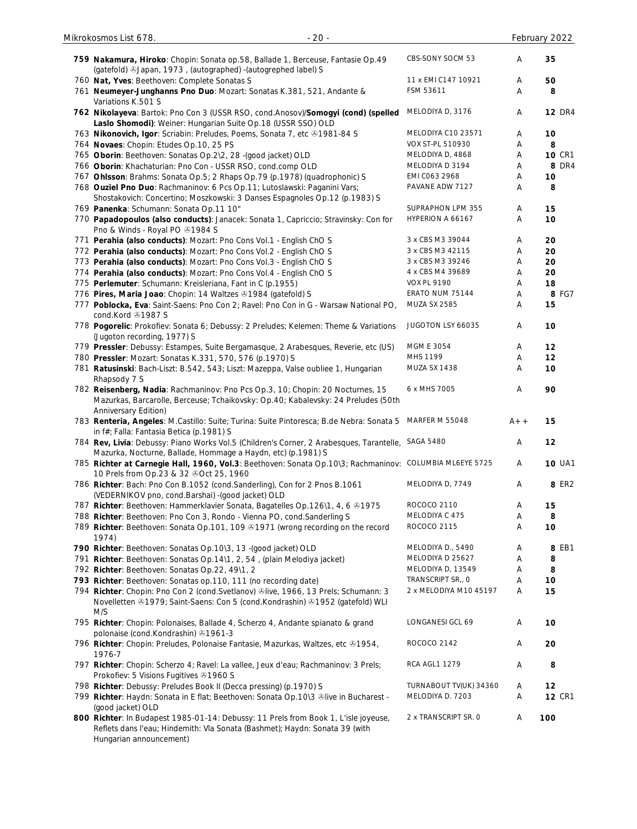| 759 Nakamura, Hiroko: Chopin: Sonata op.58, Ballade 1, Berceuse, Fantasie Op.49<br>(gatefold) 3Japan, 1973, (autographed) - (autogrephed label) S                                             | CBS-SONY SOCM 53       | Α     | 35            |
|-----------------------------------------------------------------------------------------------------------------------------------------------------------------------------------------------|------------------------|-------|---------------|
| 760 Nat, Yves: Beethoven: Complete Sonatas S                                                                                                                                                  | 11 x EMI C147 10921    | Α     | 50            |
| 761 Neumeyer-Junghanns Pno Duo: Mozart: Sonatas K.381, 521, Andante &<br>Variations K.501 S                                                                                                   | FSM 53611              | A     | 8             |
| 762 Nikolayeva: Bartok: Pno Con 3 (USSR RSO, cond.Anosov)/Somogyi (cond) (spelled<br>Laslo Shomodi): Weiner: Hungarian Suite Op.18 (USSR SSO) OLD                                             | MELODIYA D, 3176       | Α     | <b>12 DR4</b> |
| 763 Nikonovich, Igor: Scriabin: Preludes, Poems, Sonata 7, etc ®1981-84 S                                                                                                                     | MELODIYA C10 23571     | Α     | 10            |
| 764 Novaes: Chopin: Etudes Op.10, 25 PS                                                                                                                                                       | VOX ST-PL 510930       | Α     | 8             |
| 765 Oborin: Beethoven: Sonatas Op.2\2, 28 -(good jacket) OLD                                                                                                                                  | MELODIYA D, 4868       | A     | <b>10 CR1</b> |
| 766 Oborin: Khachaturian: Pno Con - USSR RSO, cond.comp OLD                                                                                                                                   | MELODIYA D 3194        | Α     | 8 DR4         |
| 767 Ohlsson: Brahms: Sonata Op.5; 2 Rhaps Op.79 (p.1978) (quadrophonic) S                                                                                                                     | EMI C063 2968          | A     | 10            |
| 768 Ouziel Pno Duo: Rachmaninov: 6 Pcs Op.11; Lutoslawski: Paganini Vars;<br>Shostakovich: Concertino; Moszkowski: 3 Danses Espagnoles Op.12 (p.1983) S                                       | PAVANE ADW 7127        | Α     | 8             |
| 769 Panenka: Schumann: Sonata Op.11 10"                                                                                                                                                       | SUPRAPHON LPM 355      | Α     | 15            |
| 770 Papadopoulos (also conducts): Janacek: Sonata 1, Capriccio; Stravinsky: Con for<br>Pno & Winds - Royal PO 31984 S                                                                         | HYPERION A 66167       | A     | 10            |
| 771 Perahia (also conducts): Mozart: Pno Cons Vol.1 - English ChO S                                                                                                                           | 3 x CBS M3 39044       | Α     | 20            |
| 772 Perahia (also conducts): Mozart: Pno Cons Vol.2 - English ChO S                                                                                                                           | 3 x CBS M3 42115       | Α     | 20            |
| 773 Perahia (also conducts): Mozart: Pno Cons Vol.3 - English ChO S                                                                                                                           | 3 x CBS M3 39246       | Α     | 20            |
| 774 Perahia (also conducts): Mozart: Pno Cons Vol.4 - English ChO S                                                                                                                           | 4 x CBS M4 39689       | Α     | 20            |
| 775 Perlemuter: Schumann: Kreisleriana, Fant in C (p.1955)                                                                                                                                    | <b>VOX PL 9190</b>     | Α     | 18            |
| 776 Pires, Maria Joao: Chopin: 14 Waltzes @1984 (gatefold) S                                                                                                                                  | ERATO NUM 75144        | Α     | 8 FG7         |
| 777 Poblocka, Eva: Saint-Saens: Pno Con 2; Ravel: Pno Con in G - Warsaw National PO,<br>cond.Kord 21987 S                                                                                     | <b>MUZA SX 2585</b>    | A     | 15            |
| 778 Pogorelic: Prokofiev: Sonata 6; Debussy: 2 Preludes; Kelemen: Theme & Variations<br>(Jugoton recording, 1977) S                                                                           | JUGOTON LSY 66035      | A     | 10            |
| 779 Pressler: Debussy: Estampes, Suite Bergamasque, 2 Arabesques, Reverie, etc (US)                                                                                                           | <b>MGM E 3054</b>      | Α     | 12            |
| 780 Pressler: Mozart: Sonatas K.331, 570, 576 (p.1970) S                                                                                                                                      | MHS 1199               | Α     | 12            |
| 781 Ratusinski: Bach-Liszt: B.542, 543; Liszt: Mazeppa, Valse oubliee 1, Hungarian<br>Rhapsody 7 S                                                                                            | MUZA SX 1438           | Α     | 10            |
| 782 Reisenberg, Nadia: Rachmaninov: Pno Pcs Op.3, 10; Chopin: 20 Nocturnes, 15<br>Mazurkas, Barcarolle, Berceuse; Tchaikovsky: Op.40; Kabalevsky: 24 Preludes (50th<br>Anniversary Edition)   | 6 x MHS 7005           | Α     | 90            |
| 783 Renteria, Angeles: M.Castillo: Suite; Turina: Suite Pintoresca; B.de Nebra: Sonata 5<br>in f#; Falla: Fantasia Betica (p.1981) S                                                          | MARFER M 55048         | $A++$ | 15            |
| 784 Rev, Livia: Debussy: Piano Works Vol.5 (Children's Corner, 2 Arabesques, Tarantelle, SAGA 5480<br>Mazurka, Nocturne, Ballade, Hommage a Haydn, etc) (p.1981) S                            |                        | Α     | 12            |
| 785 Richter at Carnegie Hall, 1960, Vol.3: Beethoven: Sonata Op.10\3; Rachmaninov: COLUMBIA ML6EYE 5725<br>10 Prels from Op.23 & 32 OCt 25, 1960                                              |                        | A     | <b>10 UA1</b> |
| 786 Richter: Bach: Pno Con B.1052 (cond.Sanderling), Con for 2 Pnos B.1061<br>(VEDERNIKOV pno, cond.Barshai) - (good jacket) OLD                                                              | MELODIYA D, 7749       | Α     | 8 ER2         |
| 787 Richter: Beethoven: Hammerklavier Sonata, Bagatelles Op.126\1, 4, 6 +1975                                                                                                                 | ROCOCO 2110            | Α     | 15            |
| 788 Richter: Beethoven: Pno Con 3, Rondo - Vienna PO, cond.Sanderling S                                                                                                                       | MELODIYA C 475         | Α     | 8             |
| 789 Richter: Beethoven: Sonata Op.101, 109 ®1971 (wrong recording on the record<br>1974)                                                                                                      | ROCOCO 2115            | A     | 10            |
| 790 Richter: Beethoven: Sonatas Op.10\3, 13 -(good jacket) OLD                                                                                                                                | MELODIYA D., 5490      | Α     | 8 EB1         |
| 791 Richter: Beethoven: Sonatas Op.14\1, 2, 54, (plain Melodiya jacket)                                                                                                                       | MELODIYA D 25627       | A     | 8             |
| 792 Richter: Beethoven: Sonatas Op.22, 49\1, 2                                                                                                                                                | MELODIYA D, 13549      | Α     | 8             |
| 793 Richter: Beethoven: Sonatas op.110, 111 (no recording date)                                                                                                                               | TRANSCRIPT SR,, O      | Α     | 10            |
| 794 Richter: Chopin: Pno Con 2 (cond. Svetlanov) @live, 1966, 13 Prels; Schumann: 3<br>Novelletten & 1979; Saint-Saens: Con 5 (cond.Kondrashin) & 1952 (gatefold) WLI<br>M/S                  | 2 x MELODIYA M10 45197 | A     | 15            |
| 795 Richter: Chopin: Polonaises, Ballade 4, Scherzo 4, Andante spianato & grand<br>polonaise (cond.Kondrashin) 31961-3                                                                        | LONGANESI GCL 69       | Α     | 10            |
| 796 Richter: Chopin: Preludes, Polonaise Fantasie, Mazurkas, Waltzes, etc 31954,<br>1976-7                                                                                                    | ROCOCO 2142            | Α     | 20            |
| 797 Richter: Chopin: Scherzo 4; Ravel: La vallee, Jeux d'eau; Rachmaninov: 3 Prels;<br>Prokofiev: 5 Visions Fugitives 31960 S                                                                 | <b>RCA AGL1 1279</b>   | Α     | 8             |
| 798 Richter: Debussy: Preludes Book II (Decca pressing) (p.1970) S                                                                                                                            | TURNABOUT TV(UK) 34360 | Α     | 12            |
| 799 Richter: Haydn: Sonata in E flat; Beethoven: Sonata Op.10\3 <sup>®</sup> live in Bucharest -<br>(good jacket) OLD                                                                         | MELODIYA D. 7203       | A     | <b>12 CR1</b> |
| 800 Richter: In Budapest 1985-01-14: Debussy: 11 Prels from Book 1, L'isle joyeuse,<br>Reflets dans l'eau; Hindemith: Vla Sonata (Bashmet); Haydn: Sonata 39 (with<br>Hungarian announcement) | 2 x TRANSCRIPT SR. 0   | Α     | 100           |

Mikrokosmos List 678. - 20 - February 2022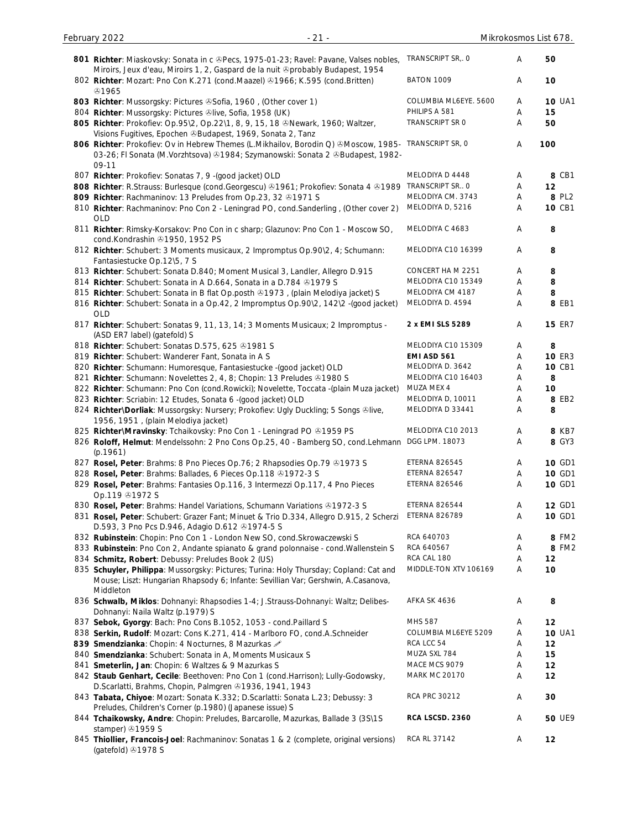| 801 Richter: Miaskovsky: Sonata in c & Pecs, 1975-01-23; Ravel: Pavane, Valses nobles,<br>Miroirs, Jeux d'eau, Miroirs 1, 2, Gaspard de la nuit ®probably Budapest, 1954                | TRANSCRIPT SR, O      | Α | 50            |
|-----------------------------------------------------------------------------------------------------------------------------------------------------------------------------------------|-----------------------|---|---------------|
| 802 Richter: Mozart: Pno Con K.271 (cond.Maazel) 31966; K.595 (cond.Britten)<br>හ1965                                                                                                   | <b>BATON 1009</b>     | Α | 10            |
| 803 Richter: Mussorgsky: Pictures & Sofia, 1960, (Other cover 1)                                                                                                                        | COLUMBIA ML6EYE. 5600 | Α | <b>10 UA1</b> |
| 804 Richter: Mussorgsky: Pictures &live, Sofia, 1958 (UK)                                                                                                                               | PHILIPS A 581         | Α | 15            |
| 805 Richter: Prokofiev: Op.95\2, Op.22\1, 8, 9, 15, 18 ®Newark, 1960; Waltzer,                                                                                                          | TRANSCRIPT SR O       | Α | 50            |
| Visions Fugitives, Epochen & Budapest, 1969, Sonata 2, Tanz                                                                                                                             |                       |   |               |
| 806 Richter: Prokofiev: Ov in Hebrew Themes (L.Mikhailov, Borodin Q) ®Moscow, 1985-<br>03-26; FI Sonata (M.Vorzhtsova) @1984; Szymanowski: Sonata 2 @Budapest, 1982-<br>09-11           | TRANSCRIPT SR, O      | A | 100           |
| 807 Richter: Prokofiev: Sonatas 7, 9 - (good jacket) OLD                                                                                                                                | MELODIYA D 4448       | A | 8 CB1         |
| 808 Richter: R.Strauss: Burlesque (cond.Georgescu) @1961; Prokofiev: Sonata 4 @1989                                                                                                     | TRANSCRIPT SR O       | Α | 12            |
| 809 Richter: Rachmaninov: 13 Preludes from Op.23, 32 & 1971 S                                                                                                                           | MELODIYA CM. 3743     | A | 8 PL2         |
| 810 Richter: Rachmaninov: Pno Con 2 - Leningrad PO, cond.Sanderling, (Other cover 2)<br><b>OLD</b>                                                                                      | MELODIYA D, 5216      | A | 10 CB1        |
| 811 Richter: Rimsky-Korsakov: Pno Con in c sharp; Glazunov: Pno Con 1 - Moscow SO,<br>cond.Kondrashin 31950, 1952 PS                                                                    | MELODIYA C 4683       | A | 8             |
| 812 Richter: Schubert: 3 Moments musicaux, 2 Impromptus Op.90\2, 4; Schumann:<br>Fantasiestucke Op.12\5, 7 S                                                                            | MELODIYA C10 16399    | Α | 8             |
| 813 Richter: Schubert: Sonata D.840; Moment Musical 3, Landler, Allegro D.915                                                                                                           | CONCERT HAM 2251      | Α | 8             |
| 814 Richter: Schubert: Sonata in A D.664, Sonata in a D.784 & 1979 S                                                                                                                    | MELODIYA C10 15349    | Α | 8             |
| 815 Richter: Schubert: Sonata in B flat Op.posth 81973, (plain Melodiya jacket) S                                                                                                       | MELODIYA CM 4187      | Α | 8             |
| 816 Richter: Schubert: Sonata in a Op.42, 2 Impromptus Op.90\2, 142\2 -(good jacket)<br><b>OLD</b>                                                                                      | MELODIYA D. 4594      | A | 8 EB1         |
| 817 Richter: Schubert: Sonatas 9, 11, 13, 14; 3 Moments Musicaux; 2 Impromptus -<br>(ASD ER7 label) (gatefold) S                                                                        | 2 x EMI SLS 5289      | Α | <b>15 ER7</b> |
| 818 Richter: Schubert: Sonatas D.575, 625 31981 S                                                                                                                                       | MELODIYA C10 15309    | A | 8             |
| 819 Richter: Schubert: Wanderer Fant, Sonata in A S                                                                                                                                     | EMI ASD 561           | Α | <b>10 ER3</b> |
| 820 Richter: Schumann: Humoresque, Fantasiestucke -(good jacket) OLD                                                                                                                    | MELODIYA D. 3642      | Α | 10 CB1        |
| 821 Richter: Schumann: Novelettes 2, 4, 8; Chopin: 13 Preludes 31980 S                                                                                                                  | MELODIYA C10 16403    | Α | 8             |
| 822 Richter: Schumann: Pno Con (cond. Rowicki); Novelette, Toccata -(plain Muza jacket)                                                                                                 | MUZA MEX 4            | Α | 10            |
| 823 Richter: Scriabin: 12 Etudes, Sonata 6 - (good jacket) OLD                                                                                                                          | MELODIYA D, 10011     | Α | 8 EB2         |
| 824 Richter\Dorliak: Mussorgsky: Nursery; Prokofiev: Ugly Duckling; 5 Songs &live,<br>1956, 1951, (plain Melodiya jacket)                                                               | MELODIYA D 33441      | Α | 8             |
| 825 Richter\Mravinsky: Tchaikovsky: Pno Con 1 - Leningrad PO +1959 PS                                                                                                                   | MELODIYA C10 2013     | Α | 8 KB7         |
| 826 Roloff, Helmut: Mendelssohn: 2 Pno Cons Op.25, 40 - Bamberg SO, cond.Lehmann DGG LPM. 18073<br>(p.1961)                                                                             |                       | Α | 8 GY3         |
| 827 Rosel, Peter: Brahms: 8 Pno Pieces Op. 76; 2 Rhapsodies Op. 79 & 1973 S                                                                                                             | ETERNA 826545         | Α | 10 GD1        |
| 828 Rosel, Peter: Brahms: Ballades, 6 Pieces Op.118 & 1972-3 S                                                                                                                          | ETERNA 826547         | Α | 10 GD1        |
| 829 Rosel, Peter: Brahms: Fantasies Op.116, 3 Intermezzi Op.117, 4 Pno Pieces<br>Op.119 31972 S                                                                                         | ETERNA 826546         | Α | 10 GD1        |
| 830 Rosel, Peter: Brahms: Handel Variations, Schumann Variations @1972-3 S                                                                                                              | ETERNA 826544         | A | <b>12 GD1</b> |
| 831 Rosel, Peter: Schubert: Grazer Fant; Minuet & Trio D.334, Allegro D.915, 2 Scherzi<br>D.593, 3 Pno Pcs D.946, Adagio D.612 31974-5 S                                                | <b>ETERNA 826789</b>  | Α | 10 GD1        |
| 832 Rubinstein: Chopin: Pno Con 1 - London New SO, cond. Skrowaczewski S                                                                                                                | RCA 640703            | Α | 8 FM2         |
| 833 Rubinstein: Pno Con 2, Andante spianato & grand polonnaise - cond. Wallenstein S                                                                                                    | RCA 640567            | A | 8 FM2         |
| 834 Schmitz, Robert: Debussy: Preludes Book 2 (US)                                                                                                                                      | RCA CAL 180           | Α | 12            |
| 835 Schuyler, Philippa: Mussorgsky: Pictures; Turina: Holy Thursday; Copland: Cat and<br>Mouse; Liszt: Hungarian Rhapsody 6; Infante: Sevillian Var; Gershwin, A.Casanova,<br>Middleton | MIDDLE-TON XTV 106169 | A | 10            |
| 836 Schwalb, Miklos: Dohnanyi: Rhapsodies 1-4; J.Strauss-Dohnanyi: Waltz; Delibes-<br>Dohnanyi: Naila Waltz (p.1979) S                                                                  | AFKA SK 4636          | Α | 8             |
| 837 Sebok, Gyorgy: Bach: Pno Cons B.1052, 1053 - cond. Paillard S                                                                                                                       | MHS 587               | Α | 12            |
| 838 Serkin, Rudolf: Mozart: Cons K.271, 414 - Marlboro FO, cond.A.Schneider                                                                                                             | COLUMBIA ML6EYE 5209  | Α | <b>10 UA1</b> |
| 839 Smendzianka: Chopin: 4 Nocturnes, 8 Mazurkas 2                                                                                                                                      | RCA LCC 54            | Α | 12            |
| 840 Smendzianka: Schubert: Sonata in A, Moments Musicaux S                                                                                                                              | MUZA SXL 784          | A | 15            |
| 841 Smeterlin, Jan: Chopin: 6 Waltzes & 9 Mazurkas S                                                                                                                                    | MACE MCS 9079         | A | 12            |
| 842 Staub Genhart, Cecile: Beethoven: Pno Con 1 (cond.Harrison); Lully-Godowsky,<br>D.Scarlatti, Brahms, Chopin, Palmgren 31936, 1941, 1943                                             | <b>MARK MC 20170</b>  | Α | 12            |
| 843 Tabata, Chiyoe: Mozart: Sonata K.332; D.Scarlatti: Sonata L.23; Debussy: 3<br>Preludes, Children's Corner (p.1980) (Japanese issue) S                                               | RCA PRC 30212         | Α | 30            |
| 844 Tchaikowsky, Andre: Chopin: Preludes, Barcarolle, Mazurkas, Ballade 3 (3S\1S<br>stamper) 31959 S                                                                                    | RCA LSCSD. 2360       | Α | <b>50 UE9</b> |
| 845 Thiollier, Francois-Joel: Rachmaninov: Sonatas 1 & 2 (complete, original versions)<br>(gatefold) 31978 S                                                                            | RCA RL 37142          | A | 12            |

February 2022 - 21 - Mikrokosmos List 678.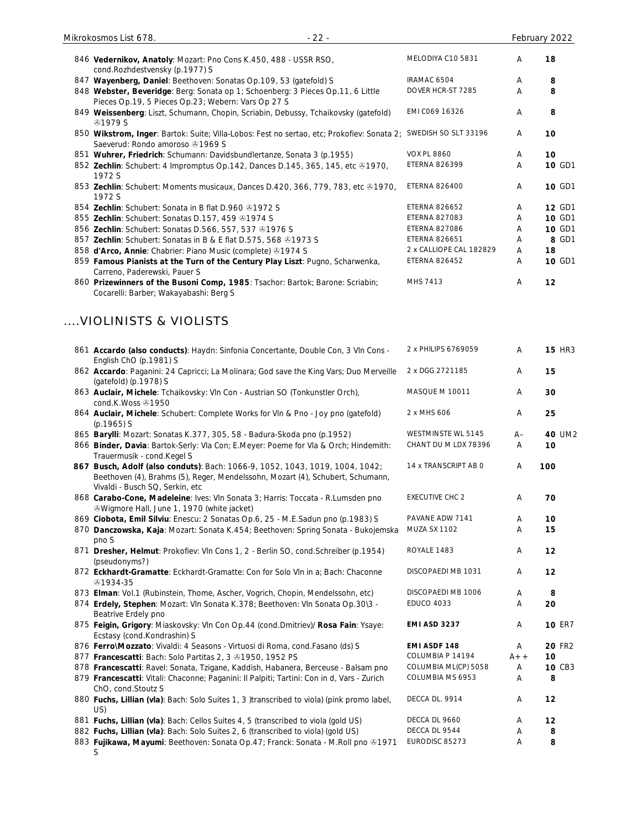| 848 Webster, Beveridge: Berg: Sonata op 1; Schoenberg: 3 Pieces Op.11, 6 Little<br>Pieces Op.19, 5 Pieces Op.23; Webern: Vars Op 27 S                          | DOVER HCR-ST 7285       | Α     | 8             |
|----------------------------------------------------------------------------------------------------------------------------------------------------------------|-------------------------|-------|---------------|
| 849 Weissenberg: Liszt, Schumann, Chopin, Scriabin, Debussy, Tchaikovsky (gatefold)<br><b>@1979 S</b>                                                          | EMI C069 16326          | A     | 8             |
| 850 Wikstrom, Inger: Bartok: Suite; Villa-Lobos: Fest no sertao, etc; Prokofiev: Sonata 2; SWEDISH SO SLT 33196<br>Saeverud: Rondo amoroso 31969 S             |                         | Α     | 10            |
| 851 Wuhrer, Friedrich: Schumann: Davidsbundlertanze, Sonata 3 (p.1955)                                                                                         | <b>VOX PL 8860</b>      | Α     | 10            |
| 852 Zechlin: Schubert: 4 Impromptus Op.142, Dances D.145, 365, 145, etc ®1970,                                                                                 | <b>ETERNA 826399</b>    | Α     | 10 GD1        |
| 1972 S                                                                                                                                                         |                         |       |               |
| 853 Zechlin: Schubert: Moments musicaux, Dances D.420, 366, 779, 783, etc ®1970,<br>1972 S                                                                     | <b>ETERNA 826400</b>    | Α     | 10 GD1        |
| 854 Zechlin: Schubert: Sonata in B flat D.960 31972 S                                                                                                          | <b>ETERNA 826652</b>    | Α     | 12 GD1        |
| 855 Zechlin: Schubert: Sonatas D.157, 459 81974 S                                                                                                              | <b>ETERNA 827083</b>    | Α     | 10 GD1        |
| 856 Zechlin: Schubert: Sonatas D.566, 557, 537 01976 S                                                                                                         | <b>ETERNA 827086</b>    | A     | 10 GD1        |
| 857 Zechlin: Schubert: Sonatas in B & E flat D.575, 568 21973 S                                                                                                | <b>ETERNA 826651</b>    | A     | 8 GD1         |
| 858 d'Arco, Annie: Chabrier: Piano Music (complete) 31974 S                                                                                                    | 2 x CALLIOPE CAL 182829 | Α     | 18            |
| 859 Famous Pianists at the Turn of the Century Play Liszt: Pugno, Scharwenka,<br>Carreno, Paderewski, Pauer S                                                  | <b>ETERNA 826452</b>    | A     | 10 GD1        |
| 860 Prizewinners of the Busoni Comp, 1985: Tsachor: Bartok; Barone: Scriabin;<br>Cocarelli: Barber; Wakayabashi: Berg S                                        | MHS 7413                | Α     | 12            |
| VIOLINISTS & VIOLISTS                                                                                                                                          |                         |       |               |
| 861 Accardo (also conducts): Haydn: Sinfonia Concertante, Double Con, 3 VIn Cons -<br>English ChO (p.1981) S                                                   | 2 x PHILIPS 6769059     | Α     | <b>15 HR3</b> |
| 862 Accardo: Paganini: 24 Capricci; La Molinara; God save the King Vars; Duo Merveille<br>(gatefold) (p.1978) S                                                | 2 x DGG 2721185         | Α     | 15            |
| 863 Auclair, Michele: Tchaikovsky: Vln Con - Austrian SO (Tonkunstler Orch),<br>cond.K.Woss 21950                                                              | MASQUE M 10011          | Α     | 30            |
| 864 Auclair, Michele: Schubert: Complete Works for VIn & Pno - Joy pno (gatefold)<br>$(p.1965)$ S                                                              | 2 x MHS 606             | Α     | 25            |
| 865 Barylli: Mozart: Sonatas K.377, 305, 58 - Badura-Skoda pno (p.1952)                                                                                        | WESTMINSTE WL 5145      | $A-$  | 40 UM2        |
| 866 Binder, Davia: Bartok-Serly: Vla Con; E.Meyer: Poeme for Vla & Orch; Hindemith:                                                                            | CHANT DU M LDX 78396    | A     | 10            |
| Trauermusik - cond.Kegel S                                                                                                                                     |                         |       |               |
| 867 Busch, Adolf (also conduts): Bach: 1066-9, 1052, 1043, 1019, 1004, 1042;<br>Beethoven (4), Brahms (5), Reger, Mendelssohn, Mozart (4), Schubert, Schumann, | 14 x TRANSCRIPT AB O    | A     | 100           |
| Vivaldi - Busch SQ, Serkin, etc                                                                                                                                |                         |       |               |
| 868 Carabo-Cone, Madeleine: Ives: VIn Sonata 3; Harris: Toccata - R.Lumsden pno<br><b><i>®Wigmore Hall, June 1, 1970 (white jacket)</i></b>                    | <b>EXECUTIVE CHC 2</b>  | A     | 70            |
| 869 Ciobota, Emil Silviu: Enescu: 2 Sonatas Op.6, 25 - M.E.Sadun pno (p.1983) S                                                                                | PAVANE ADW 7141         | A     | 10            |
| 870 Danczowska, Kaja: Mozart: Sonata K.454; Beethoven: Spring Sonata - Bukojemska                                                                              | MUZA SX 1102            | Α     | 15            |
| pno S<br>871 Dresher, Helmut: Prokofiev: Vln Cons 1, 2 - Berlin SO, cond. Schreiber (p.1954)<br>(pseudonyms?)                                                  | ROYALE 1483             | A     | 12            |
| 872 Eckhardt-Gramatte: Eckhardt-Gramatte: Con for Solo VIn in a; Bach: Chaconne<br>1934-35                                                                     | DISCOPAEDI MB 1031      | Α     | 12            |
| 873 Elman: Vol.1 (Rubinstein, Thome, Ascher, Vogrich, Chopin, Mendelssohn, etc)                                                                                | DISCOPAEDI MB 1006      | Α     | 8             |
| 874 Erdely, Stephen: Mozart: VIn Sonata K.378; Beethoven: VIn Sonata Op.30\3 -<br>Beatrive Erdely pno                                                          | <b>EDUCO 4033</b>       | Α     | 20            |
| 875 Feigin, Grigory: Miaskovsky: Vln Con Op.44 (cond.Dmitriev)/ Rosa Fain: Ysaye:<br>Ecstasy (cond.Kondrashin) S                                               | EMI ASD 3237            | Α     | <b>10 ER7</b> |
| 876 Ferro\Mozzato: Vivaldi: 4 Seasons - Virtuosi di Roma, cond.Fasano (ds) S                                                                                   | EMI ASDF 148            | Α     | <b>20 FR2</b> |
| 877 Francescatti: Bach: Solo Partitas 2, 3 81950, 1952 PS                                                                                                      | COLUMBIA P 14194        | $A++$ | 10            |
| 878 Francescatti: Ravel: Sonata, Tzigane, Kaddish, Habanera, Berceuse - Balsam pno                                                                             | COLUMBIA ML(CP) 5058    | Α     | 10 CB3        |
| 879 Francescatti: Vitali: Chaconne; Paganini: Il Palpiti; Tartini: Con in d, Vars - Zurich<br>ChO, cond.Stoutz S                                               | COLUMBIA MS 6953        | Α     | 8             |
| 880 Fuchs, Lillian (vla): Bach: Solo Suites 1, 3 )transcribed to viola) (pink promo label,<br>US)                                                              | DECCA DL. 9914          | Α     | 12            |
| 881 Fuchs, Lillian (vla): Bach: Cellos Suites 4, 5 (transcribed to viola (gold US)                                                                             | DECCA DL 9660           | Α     | 12            |
| 882 Fuchs, Lillian (vla): Bach: Solo Suites 2, 6 (transcribed to viola) (gold US)                                                                              | DECCA DL 9544           | A     | 8             |
| 883 Fujikawa, Mayumi: Beethoven: Sonata Op.47; Franck: Sonata - M.Roll pno @1971                                                                               | EURODISC 85273          | Α     | 8             |
| S                                                                                                                                                              |                         |       |               |

cond.Rozhdestvensky (p.1977) S

846 **Vedernikov, Anatoly**: Mozart: Pno Cons K.450, 488 - USSR RSO,

847 Wayenberg, Daniel: Beethoven: Sonatas Op.109, 53 (gatefold) S **IRAMAC 6504** A **8** 

MELODIYA C10 5831 A **18**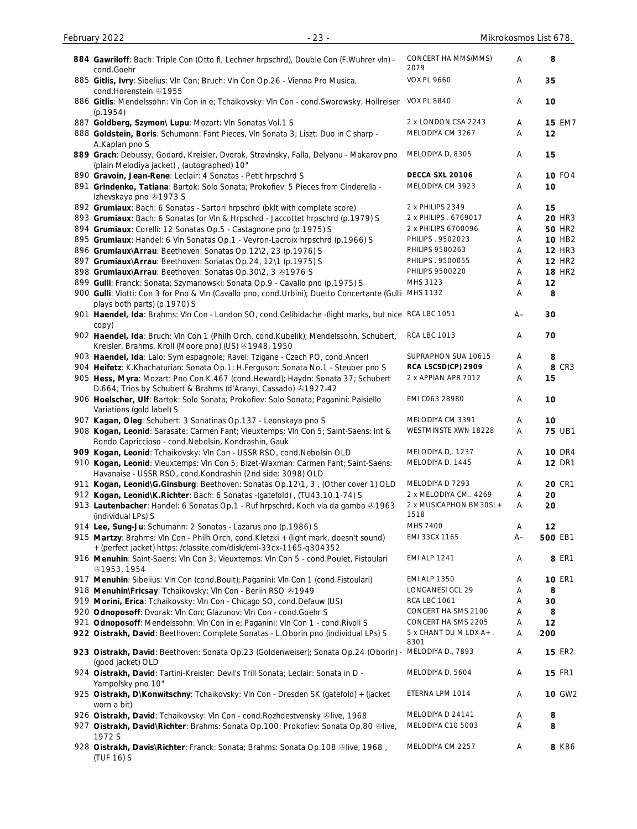(TUF 16) S

| 884 Gawriloff: Bach: Triple Con (Otto fl, Lechner hrpschrd), Double Con (F.Wuhrer vln) -<br>cond.Goehr                                                      | CONCERT HA MMS(MMS)<br>2079    | Α    | 8                  |
|-------------------------------------------------------------------------------------------------------------------------------------------------------------|--------------------------------|------|--------------------|
| 885 Gitlis, Ivry: Sibelius: VIn Con; Bruch: VIn Con Op.26 - Vienna Pro Musica,                                                                              | <b>VOX PL 9660</b>             | Α    | 35                 |
| cond.Horenstein 491955                                                                                                                                      |                                |      |                    |
| 886 Gitlis: Mendelssohn: Vln Con in e; Tchaikovsky: Vln Con - cond. Swarowsky, Hollreiser<br>(p.1954)                                                       | <b>VOX PL 8840</b>             | Α    | 10                 |
| 887 Goldberg, Szymon\ Lupu: Mozart: VIn Sonatas Vol.1 S                                                                                                     | 2 x LONDON CSA 2243            | Α    | <b>15 EM7</b>      |
| 888 Goldstein, Boris: Schumann: Fant Pieces, VIn Sonata 3; Liszt: Duo in C sharp -                                                                          | MELODIYA CM 3267               | Α    | 12                 |
| A.Kaplan pno S                                                                                                                                              |                                |      |                    |
| 889 Grach: Debussy, Godard, Kreisler, Dvorak, Stravinsky, Falla, Delyanu - Makarov pno<br>(plain Melodiya jacket), (autographed) 10"                        | MELODIYA D, 8305               | Α    | 15                 |
| 890 Gravoin, Jean-Rene: Leclair: 4 Sonatas - Petit hrpschrd S                                                                                               | DECCA SXL 20106                | Α    | <b>10 FO4</b>      |
| 891 Grindenko, Tatiana: Bartok: Solo Sonata; Prokofiev: 5 Pieces from Cinderella -<br>Izhevskaya pno 21973 S                                                | MELODIYA CM 3923               | Α    | 10                 |
| 892 Grumiaux: Bach: 6 Sonatas - Sartori hrpschrd (bklt with complete score)                                                                                 | 2 x PHILIPS 2349               | Α    | 15                 |
| 893 Grumiaux: Bach: 6 Sonatas for VIn & Hrpschrd - Jaccottet hrpschrd (p.1979) S                                                                            | 2 x PHILIPS . 6769017          | Α    | <b>20 HR3</b>      |
| 894 Grumiaux: Corelli: 12 Sonatas Op.5 - Castagnone pno (p.1975) S                                                                                          | 2 x PHILIPS 6700096            | Α    | <b>50 HR2</b>      |
| 895 Grumiaux: Handel: 6 VIn Sonatas Op.1 - Veyron-Lacroix hrpschrd (p.1966) S                                                                               | PHILIPS . 9502023              | Α    | 10 HB <sub>2</sub> |
| 896 Grumiaux\Arrau: Beethoven: Sonatas Op.12\2, 23 (p.1976) S                                                                                               | PHILIPS 9500263                | Α    | <b>12 HR3</b>      |
| 897 Grumiaux\Arrau: Beethoven: Sonatas Op.24, 12\1 (p.1975) S                                                                                               | PHILIPS . 9500055              | Α    | <b>12 HR2</b>      |
| 898 Grumiaux\Arrau: Beethoven: Sonatas Op.30\2, 3 31976 S                                                                                                   | <b>PHILIPS 9500220</b>         | Α    | <b>18 HR2</b>      |
| 899 Gulli: Franck: Sonata; Szymanowski: Sonata Op.9 - Cavallo pno (p.1975) S                                                                                | MHS 3123                       | Α    | 12                 |
| 900 Gulli: Viotti: Con 3 for Pno & Vln (Cavallo pno, cond. Urbini); Duetto Concertante (Gulli MHS 1132                                                      |                                | Α    | 8                  |
| plays both parts) (p.1970) S                                                                                                                                |                                |      |                    |
| 901 Haendel, Ida: Brahms: VIn Con - London SO, cond.Celibidache - (light marks, but nice RCA LBC 1051<br>copy)                                              |                                | A–   | 30                 |
| 902 Haendel, Ida: Bruch: Vln Con 1 (Philh Orch, cond.Kubelik); Mendelssohn, Schubert,<br>Kreisler, Brahms, Kroll (Moore pno) (US) 31948, 1950               | <b>RCA LBC 1013</b>            | Α    | 70                 |
| 903 Haendel, Ida: Lalo: Sym espagnole; Ravel: Tzigane - Czech PO, cond.Ancerl                                                                               | SUPRAPHON SUA 10615            | Α    | 8                  |
| 904 Heifetz: K.Khachaturian: Sonata Op.1; H.Ferguson: Sonata No.1 - Steuber pno S                                                                           | RCA LSCSD(CP) 2909             | Α    | 8 CR3              |
| 905 Hess, Myra: Mozart: Pno Con K.467 (cond.Heward); Haydn: Sonata 37; Schubert<br>D.664; Trios by Schubert & Brahms (d'Aranyi, Cassado) 41927-42           | 2 x APPIAN APR 7012            | Α    | 15                 |
| 906 Hoelscher, Ulf: Bartok: Solo Sonata; Prokofiev: Solo Sonata; Paganini: Paisiello<br>Variations (gold label) S                                           | EMI C063 28980                 | Α    | 10                 |
| 907 Kagan, Oleg: Schubert: 3 Sonatinas Op.137 - Leonskaya pno S                                                                                             | MELODIYA CM 3391               | Α    | 10                 |
| 908 Kogan, Leonid: Sarasate: Carmen Fant; Vieuxtemps: VIn Con 5; Saint-Saens: Int &                                                                         | WESTMINSTE XWN 18228           | Α    | <b>75 UB1</b>      |
| Rondo Capriccioso - cond. Nebolsin, Kondrashin, Gauk                                                                                                        |                                |      |                    |
| 909 Kogan, Leonid: Tchaikovsky: Vln Con - USSR RSO, cond. Nebolsin OLD                                                                                      | MELODIYA D., 1237              | А    | <b>10 DR4</b>      |
| 910 Kogan, Leonid: Vieuxtemps: VIn Con 5; Bizet-Waxman: Carmen Fant; Saint-Saens:<br>Havanaise - USSR RSO, cond.Kondrashin (2nd side: 3098) OLD             | MELODIYA D. 1445               | Α    | <b>12 DR1</b>      |
| 911 Kogan, Leonid\G.Ginsburg: Beethoven: Sonatas Op.12\1, 3, (Other cover 1) OLD                                                                            | MELODIYA D 7293                | Α    | <b>20 CR1</b>      |
| 912 Kogan, Leonid\K.Richter: Bach: 6 Sonatas -(gatefold), (TU43.10.1-74) S                                                                                  | 2 x MELODIYA CM 4269           | Α    | 20                 |
| 913 Lautenbacher: Handel: 6 Sonatas Op.1 - Ruf hrpschrd, Koch vla da gamba &1963<br>(individual LPs) S                                                      | 2 x MUSICAPHON BM30SL+<br>1518 | Α    | 20                 |
| 914 Lee, Sung-Ju: Schumann: 2 Sonatas - Lazarus pno (p.1986) S                                                                                              | MHS 7400                       | A    | 12                 |
| 915 Martzy: Brahms: VIn Con - Philh Orch, cond. Kletzki + (light mark, doesn't sound)<br>+ (perfect jacket) https: /classite.com/disk/emi-33cx-1165-q304352 | EMI 33CX 1165                  | $A-$ | 500 EB1            |
| 916 Menuhin: Saint-Saens: VIn Con 3; Vieuxtemps: VIn Con 5 - cond.Poulet, Fistoulari<br>@1953, 1954                                                         | <b>EMI ALP 1241</b>            | Α    | 8 ER1              |
| 917 Menuhin: Sibelius: VIn Con (cond.Boult); Paganini: VIn Con 1 (cond.Fistoulari)                                                                          | <b>EMI ALP 1350</b>            | Α    | <b>10 ER1</b>      |
| 918 Menuhin\Fricsay: Tchaikovsky: Vln Con - Berlin RSO & 1949                                                                                               | LONGANESI GCL 29               | Α    | 8                  |
| 919 Morini, Erica: Tchaikovsky: Vln Con - Chicago SO, cond.Defauw (US)                                                                                      | <b>RCA LBC 1061</b>            | A    | 30                 |
| 920 Odnoposoff: Dvorak: Vln Con; Glazunov: Vln Con - cond. Goehr S                                                                                          | CONCERT HA SMS 2100            | Α    | 8                  |
| 921 Odnoposoff: Mendelssohn: Vln Con in e; Paganini: Vln Con 1 - cond. Rivoli S                                                                             | CONCERT HA SMS 2205            | Α    | 12                 |
| 922 Oistrakh, David: Beethoven: Complete Sonatas - L.Oborin pno (individual LPs) S                                                                          | 5 x CHANT DU M LDX-A+.         | Α    | 200                |
|                                                                                                                                                             | 8301                           |      |                    |
| 923 Oistrakh, David: Beethoven: Sonata Op.23 (Goldenweiser); Sonata Op.24 (Oborin) -<br>(good jacket) OLD                                                   | MELODIYA D., 7893              | Α    | <b>15 ER2</b>      |
| 924 Oistrakh, David: Tartini-Kreisler: Devil's Trill Sonata; Leclair: Sonata in D -<br>Yampolsky pno 10"                                                    | MELODIYA D, 5604               | Α    | <b>15 FR1</b>      |
| 925 Oistrakh, D\Konwitschny: Tchaikovsky: VIn Con - Dresden SK (gatefold) + (jacket<br>worn a bit)                                                          | ETERNA LPM 1014                | Α    | <b>10 GW2</b>      |
| 926 Oistrakh, David: Tchaikovsky: Vln Con - cond. Rozhdestvensky &live, 1968                                                                                | MELODIYA D 24141               | Α    | 8                  |
| 927 Oistrakh, David\Richter: Brahms: Sonata Op.100; Prokofiev: Sonata Op.80 ®live,<br>1972 S                                                                | MELODIYA C10 5003              | Α    | 8                  |
| 928 Oistrakh, Davis\Richter: Franck: Sonata; Brahms: Sonata Op.108 &live, 1968,                                                                             | MELODIYA CM 2257               | A    | 8 KB6              |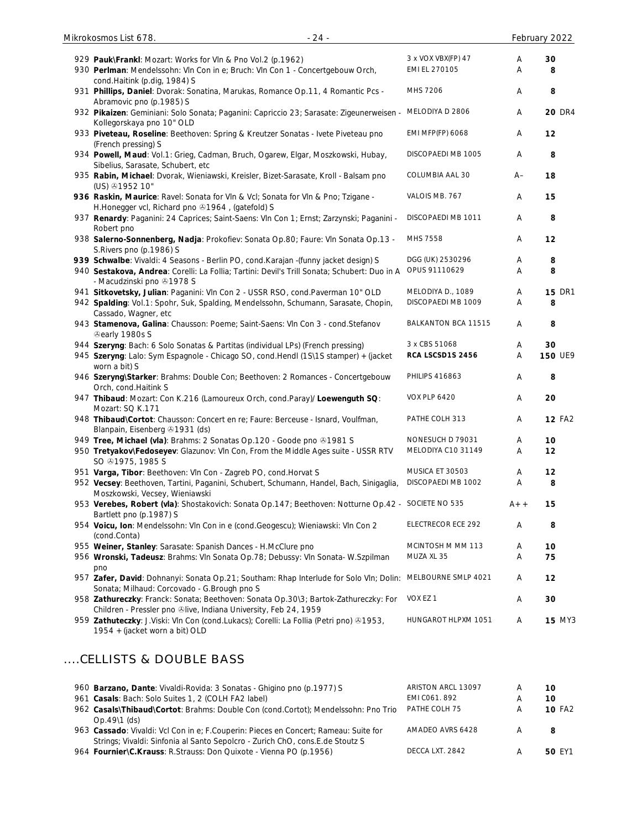| 929 Pauk\FrankI: Mozart: Works for VIn & Pno Vol.2 (p.1962)<br>930 Perlman: Mendelssohn: Vln Con in e; Bruch: Vln Con 1 - Concertgebouw Orch,          | 3 x VOX VBX(FP) 47<br>EMI EL 270105 | Α<br>Α | 30<br>8        |
|--------------------------------------------------------------------------------------------------------------------------------------------------------|-------------------------------------|--------|----------------|
| cond.Haitink (p.dig, 1984) S                                                                                                                           |                                     |        |                |
| 931 Phillips, Daniel: Dvorak: Sonatina, Marukas, Romance Op.11, 4 Romantic Pcs -<br>Abramovic pno (p.1985) S                                           | MHS 7206                            | Α      | 8              |
| 932 Pikaizen: Geminiani: Solo Sonata; Paganini: Capriccio 23; Sarasate: Zigeunerweisen -<br>Kollegorskaya pno 10" OLD                                  | MELODIYA D 2806                     | Α      | <b>20 DR4</b>  |
| 933 Piveteau, Roseline: Beethoven: Spring & Kreutzer Sonatas - Ivete Piveteau pno<br>(French pressing) S                                               | <b>EMI MFP(FP) 6068</b>             | Α      | 12             |
| 934 Powell, Maud: Vol.1: Grieg, Cadman, Bruch, Ogarew, Elgar, Moszkowski, Hubay,<br>Sibelius, Sarasate, Schubert, etc                                  | DISCOPAEDI MB 1005                  | Α      | 8              |
| 935 Rabin, Michael: Dvorak, Wieniawski, Kreisler, Bizet-Sarasate, Kroll - Balsam pno<br>(US) $@1952$ 10"                                               | COLUMBIA AAL 30                     | A–     | 18             |
| 936 Raskin, Maurice: Ravel: Sonata for Vln & Vcl; Sonata for Vln & Pno; Tzigane -<br>H.Honegger vcl, Richard pno 31964, (gatefold) S                   | VALOIS MB. 767                      | Α      | 15             |
| 937 Renardy: Paganini: 24 Caprices; Saint-Saens: VIn Con 1; Ernst; Zarzynski; Paganini -<br>Robert pno                                                 | DISCOPAEDI MB 1011                  | Α      | 8              |
| 938 Salerno-Sonnenberg, Nadja: Prokofiev: Sonata Op.80; Faure: VIn Sonata Op.13 -<br>S. Rivers pno (p. 1986) S                                         | MHS 7558                            | Α      | 12             |
| 939 Schwalbe: Vivaldi: 4 Seasons - Berlin PO, cond. Karajan - (funny jacket design) S                                                                  | DGG (UK) 2530296                    | Α      | 8              |
| 940 Sestakova, Andrea: Corelli: La Follia; Tartini: Devil's Trill Sonata; Schubert: Duo in A<br>- Macudzinski pno +1978 S                              | OPUS 91110629                       | Α      | 8              |
| 941 Sitkovetsky, Julian: Paganini: Vln Con 2 - USSR RSO, cond.Paverman 10" OLD                                                                         | MELODIYA D., 1089                   | Α      | <b>15 DR1</b>  |
| 942 Spalding: Vol.1: Spohr, Suk, Spalding, Mendelssohn, Schumann, Sarasate, Chopin,<br>Cassado, Wagner, etc                                            | DISCOPAEDI MB 1009                  | Α      | 8              |
| 943 Stamenova, Galina: Chausson: Poeme; Saint-Saens: VIn Con 3 - cond.Stefanov<br>Cearly 1980s S                                                       | BALKANTON BCA 11515                 | Α      | 8              |
| 944 Szeryng: Bach: 6 Solo Sonatas & Partitas (individual LPs) (French pressing)                                                                        | 3 x CBS 51068                       | Α      | 30             |
| 945 Szeryng: Lalo: Sym Espagnole - Chicago SO, cond.Hendl (1S\1S stamper) + (jacket<br>worn a bit) S                                                   | RCA LSCSD1S 2456                    | Α      | <b>150 UE9</b> |
| 946 Szeryng\Starker: Brahms: Double Con; Beethoven: 2 Romances - Concertgebouw<br>Orch, cond.Haitink S                                                 | <b>PHILIPS 416863</b>               | Α      | 8              |
| 947 Thibaud: Mozart: Con K.216 (Lamoureux Orch, cond.Paray)/ Loewenguth SQ:<br>Mozart: SQ K.171                                                        | <b>VOX PLP 6420</b>                 | Α      | 20             |
| 948 Thibaud\Cortot: Chausson: Concert en re; Faure: Berceuse - Isnard, Voulfman,<br>Blanpain, Eisenberg 21931 (ds)                                     | PATHE COLH 313                      | Α      | <b>12 FA2</b>  |
| 949 Tree, Michael (vla): Brahms: 2 Sonatas Op.120 - Goode pno 31981 S                                                                                  | NONESUCH D 79031                    | Α      | 10             |
| 950 Tretyakov\Fedoseyev: Glazunov: Vln Con, From the Middle Ages suite - USSR RTV<br>SO @1975, 1985 S                                                  | MELODIYA C10 31149                  | A      | 12             |
| 951 Varga, Tibor: Beethoven: Vln Con - Zagreb PO, cond.Horvat S                                                                                        | MUSICA ET 30503                     | Α      | 12             |
| 952 Vecsey: Beethoven, Tartini, Paganini, Schubert, Schumann, Handel, Bach, Sinigaglia,<br>Moszkowski, Vecsey, Wieniawski                              | DISCOPAEDI MB 1002                  | Α      | 8              |
| 953 Verebes, Robert (vla): Shostakovich: Sonata Op.147; Beethoven: Notturne Op.42 - SOCIETE NO 535<br>Bartlett pno (p.1987) S                          |                                     | $A++$  | 15             |
| 954 Voicu, Ion: Mendelssohn: Vln Con in e (cond.Geogescu); Wieniawski: Vln Con 2<br>(cond.Conta)                                                       | ELECTRECOR ECE 292                  | Α      | 8              |
| 955 Weiner, Stanley: Sarasate: Spanish Dances - H.McClure pno                                                                                          | MCINTOSH M MM 113                   | Α      | 10             |
| 956 Wronski, Tadeusz: Brahms: VIn Sonata Op.78; Debussy: VIn Sonata- W.Szpilman<br>pno                                                                 | MUZA XL 35                          | Α      | 75             |
| 957 Zafer, David: Dohnanyi: Sonata Op.21; Southam: Rhap Interlude for Solo VIn; Dolin:<br>Sonata; Milhaud: Corcovado - G. Brough pno S                 | MELBOURNE SMLP 4021                 | Α      | 12             |
| 958 Zathureczky: Franck: Sonata; Beethoven: Sonata Op.30\3; Bartok-Zathureczky: For<br>Children - Pressler pno ®live, Indiana University, Feb 24, 1959 | VOX EZ 1                            | A      | 30             |
| 959 Zathuteczky: J.Viski: Vln Con (cond.Lukacs); Corelli: La Follia (Petri pno) 31953,<br>1954 + (jacket worn a bit) OLD                               | HUNGAROT HLPXM 1051                 | Α      | <b>15 MY3</b>  |
|                                                                                                                                                        |                                     |        |                |

# ....CELLISTS & DOUBLE BASS

| 960 Barzano, Dante: Vivaldi-Rovida: 3 Sonatas - Ghigino pno (p.1977) S               | ARISTON ARCL 13097 |   | 10       |
|--------------------------------------------------------------------------------------|--------------------|---|----------|
| 961 Casals: Bach: Solo Suites 1, 2 (COLH FA2 label)                                  | EMI CO61, 892      | Α | 10       |
| 962 Casals\Thibaud\Cortot: Brahms: Double Con (cond.Cortot); Mendelssohn: Pno Trio   | PATHE COLH 75      | A | 10 $FA2$ |
| $Op.4911$ (ds)                                                                       |                    |   |          |
| 963 Cassado: Vivaldi: Vcl Con in e; F.Couperin: Pieces en Concert; Rameau: Suite for | AMADEO AVRS 6428   | A | 8        |
| Strings; Vivaldi: Sinfonia al Santo Sepolcro - Zurich ChO, cons.E.de Stoutz S        |                    |   |          |
| 964 Fournier\C.Krauss: R.Strauss: Don Quixote - Vienna PO (p.1956)                   | DECCA LXT. 2842    |   | 50 EY1   |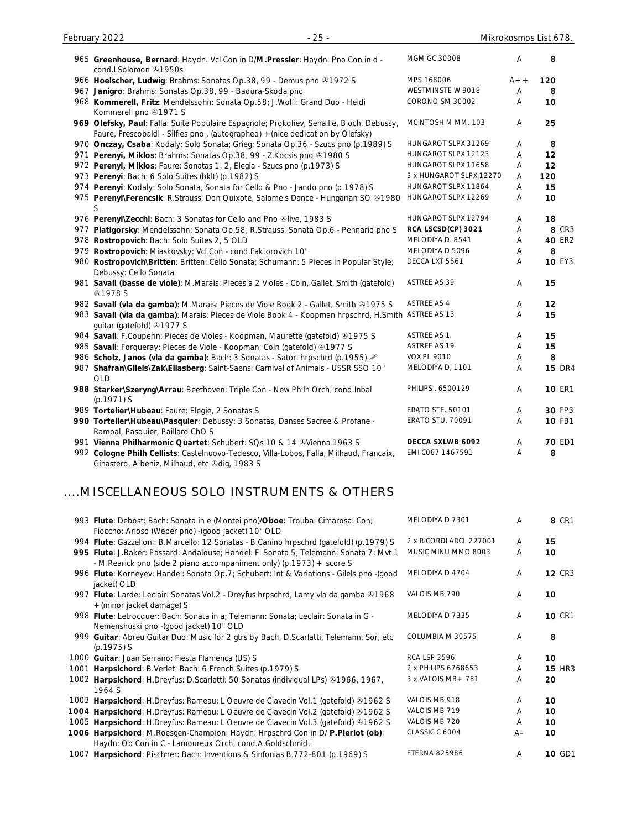| 965 Greenhouse, Bernard: Haydn: Vcl Con in D/M.Pressler: Haydn: Pno Con in d -<br>cond.I.Solomon → 1950s                                                                    | MGM GC 30008             | A     | 8               |
|-----------------------------------------------------------------------------------------------------------------------------------------------------------------------------|--------------------------|-------|-----------------|
| 966 Hoelscher, Ludwig: Brahms: Sonatas Op.38, 99 - Demus pno 31972 S                                                                                                        | MPS 168006               | $A++$ | 120             |
| 967 Janigro: Brahms: Sonatas Op.38, 99 - Badura-Skoda pno                                                                                                                   | <b>WESTMINSTE W 9018</b> | A     | 8               |
| 968 Kommerell, Fritz: Mendelssohn: Sonata Op.58; J. Wolfl: Grand Duo - Heidi<br>Kommerell pno 31971 S                                                                       | CORONO SM 30002          | A     | 10              |
| 969 Olefsky, Paul: Falla: Suite Populaire Espagnole; Prokofiev, Senaille, Bloch, Debussy,<br>Faure, Frescobaldi - Silfies pno, (autographed) + (nice dedication by Olefsky) | MCINTOSH M MM. 103       | A     | 25              |
| 970 Onczay, Csaba: Kodaly: Solo Sonata; Grieg: Sonata Op.36 - Szucs pno (p.1989) S                                                                                          | HUNGAROT SLPX 31269      | A     | 8               |
| 971 Perenyi, Miklos: Brahms: Sonatas Op.38, 99 - Z. Kocsis pno @1980 S                                                                                                      | HUNGAROT SLPX 12123      | A     | 12              |
| 972 Perenyi, Miklos: Faure: Sonatas 1, 2, Elegia - Szucs pno (p.1973) S                                                                                                     | HUNGAROT SLPX 11658      | A     | 12              |
| 973 Perenyi: Bach: 6 Solo Suites (bklt) (p.1982) S                                                                                                                          | 3 x HUNGAROT SLPX 12270  | A     | 120             |
| 974 Perenyi: Kodaly: Solo Sonata, Sonata for Cello & Pno - Jando pno (p.1978) S                                                                                             | HUNGAROT SLPX 11864      | A     | 15              |
| 975 Perenyi\Ferencsik: R.Strauss: Don Quixote, Salome's Dance - Hungarian SO &1980<br>S                                                                                     | HUNGAROT SLPX 12269      | A     | 10 <sup>1</sup> |
| 976 Perenyil Zecchi: Bach: 3 Sonatas for Cello and Pno Olive, 1983 S                                                                                                        | HUNGAROT SLPX 12794      | A     | 18              |
| 977 Piatigorsky: Mendelssohn: Sonata Op.58; R.Strauss: Sonata Op.6 - Pennario pno S                                                                                         | RCA LSCSD(CP) 3021       | A     | 8 CR3           |
| 978 Rostropovich: Bach: Solo Suites 2, 5 OLD                                                                                                                                | MELODIYA D. 8541         | A     | <b>40 ER2</b>   |
| 979 Rostropovich: Miaskovsky: Vcl Con - cond. Faktorovich 10"                                                                                                               | MELODIYA D 5096          | Α     | 8               |
| 980 Rostropovich\Britten: Britten: Cello Sonata; Schumann: 5 Pieces in Popular Style;<br>Debussy: Cello Sonata                                                              | DECCA LXT 5661           | A     | <b>10 EY3</b>   |
| 981 Savall (basse de viole): M.Marais: Pieces a 2 Violes - Coin, Gallet, Smith (gatefold)<br><b>@1978 S</b>                                                                 | ASTREE AS 39             | A     | 15              |
| 982 Savall (vla da gamba): M.Marais: Pieces de Viole Book 2 - Gallet, Smith & 1975 S                                                                                        | <b>ASTREE AS 4</b>       | A     | 12              |
| 983 Savall (vla da gamba): Marais: Pieces de Viole Book 4 - Koopman hrpschrd, H.Smith<br>guitar (gatefold) 31977 S                                                          | ASTREE AS 13             | A     | 15              |
| 984 Savall: F.Couperin: Pieces de Violes - Koopman, Maurette (gatefold) & 1975 S                                                                                            | <b>ASTREE AS 1</b>       | Α     | 15              |
| 985 Savall: Forqueray: Pieces de Viole - Koopman, Coin (gatefold) 31977 S                                                                                                   | <b>ASTREE AS 19</b>      | A     | 15              |
| 986 Scholz, Janos (vla da gamba): Bach: 3 Sonatas - Satori hrpschrd (p.1955)                                                                                                | <b>VOX PL 9010</b>       | Α     | 8               |
| 987 Shafran\Gilels\Zak\Eliasberg: Saint-Saens: Carnival of Animals - USSR SSO 10"<br><b>OLD</b>                                                                             | MELODIYA D, 1101         | A     | <b>15 DR4</b>   |
| 988 Starker\Szeryng\Arrau: Beethoven: Triple Con - New Philh Orch, cond.Inbal                                                                                               | PHILIPS . 6500129        | Α     | <b>10 ER1</b>   |

| $(p.1971)$ S                                                                            |                         |   |               |
|-----------------------------------------------------------------------------------------|-------------------------|---|---------------|
| 989 Tortelier\Hubeau: Faure: Elegie, 2 Sonatas S                                        | <b>ERATO STE. 50101</b> | A | 30 FP3        |
| 990 Tortelier\Hubeau\Pasquier: Debussy: 3 Sonatas, Danses Sacree & Profane -            | <b>ERATO STU. 70091</b> | A | <b>10 FB1</b> |
| Rampal, Pasquier, Paillard ChO S                                                        |                         |   |               |
| 991 Vienna Philharmonic Quartet: Schubert: SQs 10 & 14 & Vienna 1963 S                  | DECCA SXLWB 6092        | A | <b>70 ED1</b> |
| 992 Cologne Philh Cellists: Castelnuovo-Tedesco, Villa-Lobos, Falla, Milhaud, Francaix, | EMI CO67 1467591        | А | 8             |
| Ginastero, Albeniz, Milhaud, etc & dig, 1983 S                                          |                         |   |               |
|                                                                                         |                         |   |               |

# ....MISCELLANEOUS SOLO INSTRUMENTS & OTHERS

| 993 Flute: Debost: Bach: Sonata in e (Montei pno)/Oboe: Trouba: Cimarosa: Con;<br>Fioccho: Arioso (Weber pno) - (good jacket) 10" OLD                            | MELODIYA D 7301         | A    | 8 CR1         |
|------------------------------------------------------------------------------------------------------------------------------------------------------------------|-------------------------|------|---------------|
| 994 Flute: Gazzelloni: B.Marcello: 12 Sonatas - B.Canino hrpschrd (gatefold) (p.1979) S                                                                          | 2 x RICORDI ARCL 227001 | A    | 15            |
| 995 Flute: J.Baker: Passard: Andalouse; Handel: FI Sonata 5; Telemann: Sonata 7: Mvt 1<br>- M. Rearick pno (side 2 piano accompaniment only) (p. 1973) + score S | MUSIC MINU MMO 8003     | Α    | 10            |
| 996 Flute: Korneyev: Handel: Sonata Op.7; Schubert: Int & Variations - Gilels pno -(good<br>jacket) OLD                                                          | MELODIYA D 4704         | A    | <b>12 CR3</b> |
| 997 Flute: Larde: Leclair: Sonatas Vol.2 - Dreyfus hrpschrd, Lamy vla da gamba &1968<br>+ (minor jacket damage) S                                                | VALOIS MB 790           | A    | 10            |
| 998 Flute: Letrocquer: Bach: Sonata in a; Telemann: Sonata; Leclair: Sonata in G -<br>Nemenshuski pno - (good jacket) 10" OLD                                    | MELODIYA D 7335         | A    | <b>10 CR1</b> |
| 999 Guitar: Abreu Guitar Duo: Music for 2 gtrs by Bach, D.Scarlatti, Telemann, Sor, etc<br>$(p.1975)$ S                                                          | COLUMBIA M 30575        | A    | 8             |
| 1000 Guitar: Juan Serrano: Fiesta Flamenca (US) S                                                                                                                | <b>RCA LSP 3596</b>     | A    | 10            |
| 1001 Harpsichord: B.Verlet: Bach: 6 French Suites (p.1979) S                                                                                                     | 2 x PHILIPS 6768653     | A    | <b>15 HR3</b> |
| 1002 Harpsichord: H.Dreyfus: D.Scarlatti: 50 Sonatas (individual LPs) 21966, 1967,<br>1964 S                                                                     | 3 x VALOIS MB + 781     | Α    | 20            |
| 1003 Harpsichord: H.Dreyfus: Rameau: L'Oeuvre de Clavecin Vol.1 (gatefold) & 1962 S                                                                              | VALOIS MB 918           | A    | 10            |
| 1004 Harpsichord: H.Dreyfus: Rameau: L'Oeuvre de Clavecin Vol.2 (gatefold) & 1962 S                                                                              | VALOIS MB 719           | Α    | 10            |
| 1005 Harpsichord: H.Dreyfus: Rameau: L'Oeuvre de Clavecin Vol.3 (gatefold) & 1962 S                                                                              | VALOIS MB 720           | A    | 10            |
| 1006 Harpsichord: M.Roesgen-Champion: Haydn: Hrpschrd Con in D/ P.Pierlot (ob):<br>Haydn: Ob Con in C - Lamoureux Orch, cond.A.Goldschmidt                       | CLASSIC C 6004          | $A-$ | 10            |
| 1007 Harpsichord: Pischner: Bach: Inventions & Sinfonias B.772-801 (p.1969) S                                                                                    | <b>ETERNA 825986</b>    | A    | <b>10 GD1</b> |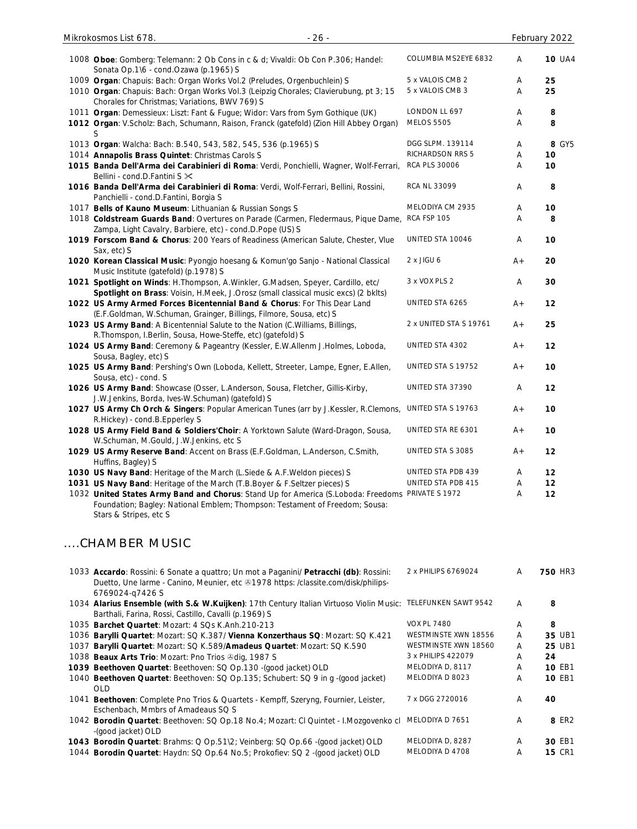| $-26-$<br>Mikrokosmos List 678.                                                                                                                                                                           |                        |       | February 2022  |
|-----------------------------------------------------------------------------------------------------------------------------------------------------------------------------------------------------------|------------------------|-------|----------------|
| 1008 Oboe: Gomberg: Telemann: 2 Ob Cons in c & d; Vivaldi: Ob Con P.306; Handel:<br>Sonata Op.1\6 - cond.Ozawa (p.1965) S                                                                                 | COLUMBIA MS2EYE 6832   | Α     | <b>10 UA4</b>  |
| 1009 Organ: Chapuis: Bach: Organ Works Vol.2 (Preludes, Orgenbuchlein) S                                                                                                                                  | 5 x VALOIS CMB 2       | A     | 25             |
| 1010 Organ: Chapuis: Bach: Organ Works Vol.3 (Leipzig Chorales; Clavierubung, pt 3; 15<br>Chorales for Christmas; Variations, BWV 769) S                                                                  | 5 x VALOIS CMB 3       | Α     | 25             |
| 1011 Organ: Demessieux: Liszt: Fant & Fugue; Widor: Vars from Sym Gothique (UK)                                                                                                                           | LONDON LL 697          | A     | 8              |
| 1012 Organ: V.Scholz: Bach, Schumann, Raison, Franck (gatefold) (Zion Hill Abbey Organ)                                                                                                                   | <b>MELOS 5505</b>      | Α     | 8              |
| S<br>1013 Organ: Walcha: Bach: B.540, 543, 582, 545, 536 (p.1965) S                                                                                                                                       | DGG SLPM. 139114       | A     | 8 GY5          |
| 1014 Annapolis Brass Quintet: Christmas Carols S                                                                                                                                                          | RICHARDSON RRS 5       | Α     | 10             |
| 1015 Banda Dell'Arma dei Carabinieri di Roma: Verdi, Ponchielli, Wagner, Wolf-Ferrari,<br>Bellini - cond.D.Fantini S $\times$                                                                             | <b>RCA PLS 30006</b>   | A     | 10             |
| 1016 Banda Dell'Arma dei Carabinieri di Roma: Verdi, Wolf-Ferrari, Bellini, Rossini,<br>Panchielli - cond.D.Fantini, Borgia S                                                                             | RCA NL 33099           | Α     | 8              |
| 1017 Bells of Kauno Museum: Lithuanian & Russian Songs S                                                                                                                                                  | MELODIYA CM 2935       | Α     | 10             |
| 1018 Coldstream Guards Band: Overtures on Parade (Carmen, Fledermaus, Pique Dame,<br>Zampa, Light Cavalry, Barbiere, etc) - cond.D.Pope (US) S                                                            | RCA FSP 105            | A     | 8              |
| 1019 Forscom Band & Chorus: 200 Years of Readiness (American Salute, Chester, Vlue<br>Sax, etc) S                                                                                                         | UNITED STA 10046       | A     | 10             |
| 1020 Korean Classical Music: Pyongjo hoesang & Komun'go Sanjo - National Classical<br>Music Institute (gatefold) (p.1978) S                                                                               | 2 x JIGU 6             | $A +$ | 20             |
| 1021 Spotlight on Winds: H.Thompson, A.Winkler, G.Madsen, Speyer, Cardillo, etc/<br>Spotlight on Brass: Voisin, H.Meek, J.Orosz (small classical music excs) (2 bklts)                                    | 3 x VOX PLS 2          | A     | 30             |
| 1022 US Army Armed Forces Bicentennial Band & Chorus: For This Dear Land<br>(E.F.Goldman, W.Schuman, Grainger, Billings, Filmore, Sousa, etc) S                                                           | UNITED STA 6265        | $A +$ | 12             |
| 1023 US Army Band: A Bicentennial Salute to the Nation (C. Williams, Billings,<br>R. Thomspon, I. Berlin, Sousa, Howe-Steffe, etc) (gatefold) S                                                           | 2 x UNITED STA S 19761 | $A+$  | 25             |
| 1024 US Army Band: Ceremony & Pageantry (Kessler, E.W.Allenm J.Holmes, Loboda,<br>Sousa, Bagley, etc) S                                                                                                   | UNITED STA 4302        | $A +$ | 12             |
| 1025 US Army Band: Pershing's Own (Loboda, Kellett, Streeter, Lampe, Egner, E.Allen,                                                                                                                      | UNITED STA S 19752     | $A +$ | 10             |
| Sousa, etc) - cond. S<br>1026 US Army Band: Showcase (Osser, L.Anderson, Sousa, Fletcher, Gillis-Kirby,                                                                                                   | UNITED STA 37390       | A     | 12             |
| J.W.Jenkins, Borda, Ives-W.Schuman) (gatefold) S<br>1027 US Army Ch Orch & Singers: Popular American Tunes (arr by J.Kessler, R.Clemons,                                                                  | UNITED STA S 19763     | $A +$ | 10             |
| R.Hickey) - cond.B.Epperley S<br>1028 US Army Field Band & Soldiers'Choir: A Yorktown Salute (Ward-Dragon, Sousa,<br>W.Schuman, M.Gould, J.W.Jenkins, etc S                                               | UNITED STA RE 6301     | $A+$  | 10             |
| 1029 US Army Reserve Band: Accent on Brass (E.F.Goldman, L.Anderson, C.Smith,                                                                                                                             | UNITED STA S 3085      | $A +$ | 12             |
| Huffins, Bagley) S<br>1030 US Navy Band: Heritage of the March (L. Siede & A.F. Weldon pieces) S                                                                                                          | UNITED STA PDB 439     | A     | 12             |
| 1031 US Navy Band: Heritage of the March (T.B.Boyer & F.Seltzer pieces) S                                                                                                                                 | UNITED STA PDB 415     | A     | 12             |
| 1032 United States Army Band and Chorus: Stand Up for America (S.Loboda: Freedoms PRIVATE S 1972<br>Foundation; Bagley: National Emblem; Thompson: Testament of Freedom; Sousa:<br>Stars & Stripes, etc S |                        | A     | 12             |
| CHAMBER MUSIC                                                                                                                                                                                             |                        |       |                |
| 1033 Accardo: Rossini: 6 Sonate a quattro; Un mot a Paganini/ Petracchi (db): Rossini:<br>Duetto, Une larme - Canino, Meunier, etc @1978 https: /classite.com/disk/philips-                               | 2 x PHILIPS 6769024    | A     | <b>750 HR3</b> |
| 6769024-q7426 S<br>1034 Alarius Ensemble (with S.& W.Kuijken): 17th Century Italian Virtuoso Violin Music:                                                                                                | TELEFUNKEN SAWT 9542   | Α     | 8              |
| Barthali, Farina, Rossi, Castillo, Cavalli (p.1969) S                                                                                                                                                     | <b>VOX PL 7480</b>     |       |                |
| 1035 Barchet Quartet: Mozart: 4 SQs K.Anh.210-213                                                                                                                                                         |                        | A     | 8              |
| 1036 Barylli Quartet: Mozart: SQ K.387/ Vienna Konzerthaus SQ: Mozart: SQ K.421                                                                                                                           | WESTMINSTE XWN 18556   | A     | 35 UB1         |
| 1037 Barylli Quartet: Mozart: SQ K.589/Amadeus Quartet: Mozart: SQ K.590                                                                                                                                  | WESTMINSTE XWN 18560   | A     | <b>25 UB1</b>  |
| 1038 Beaux Arts Trio: Mozart: Pno Trios & dig, 1987 S                                                                                                                                                     | 3 x PHILIPS 422079     | A     | 24             |
| 1039 Beethoven Quartet: Beethoven: SQ Op.130 -(good jacket) OLD                                                                                                                                           | MELODIYA D, 8117       | A     | 10 EB1         |
| 1040 Beethoven Quartet: Beethoven: SQ Op.135; Schubert: SQ 9 in g -(good jacket)<br><b>OLD</b>                                                                                                            | MELODIYA D 8023        | Α     | 10 EB1         |
| 1041 Beethoven: Complete Pno Trios & Quartets - Kempff, Szeryng, Fournier, Leister,                                                                                                                       | 7 x DGG 2720016        | A     | 40             |

1041 **Beethoven**: Complete Pno Trios & Quartets - Kempff, Szeryng, Fournier, Leister, Eschenbach, Mmbrs of Amadeaus SQ S

1042 **Borodin Quartet**: Beethoven: SQ Op.18 No.4; Mozart: Cl Quintet - I.Mozgovenko cl MELODIYA D 7651 A **8** ER2 -(good jacket) OLD **1043 Borodin Quartet**: Brahms: Q Op.51\2; Veinberg: SQ Op.66 -(good jacket) OLD MELODIYA D, 8287 A **30 EB1**<br>1044 **Borodin Quartet**: Haydn: SQ Op.64 No.5; Prokofiev: SQ 2 -(good jacket) OLD MELODIYA D 4708 A **15** CR1

1044 **Borodin Quartet**: Haydn: SQ Op.64 No.5; Prokofiev: SQ 2 -(good jacket) OLD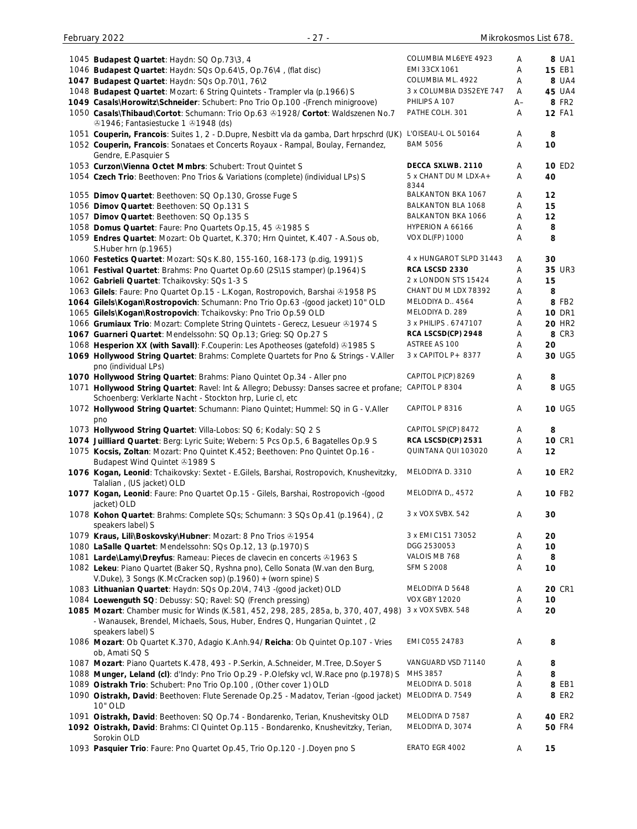| 1045 Budapest Quartet: Haydn: SQ Op.73\3, 4                                                                                                          | COLUMBIA ML6EYE 4923       | A    | 8 UA1         |
|------------------------------------------------------------------------------------------------------------------------------------------------------|----------------------------|------|---------------|
| 1046 Budapest Quartet: Haydn: SQs Op.64\5, Op.76\4, (flat disc)                                                                                      | EMI 33CX 1061              | Α    | <b>15 EB1</b> |
| 1047 Budapest Quartet: Haydn: SQs Op.70\1, 76\2                                                                                                      | COLUMBIA ML. 4922          | Α    | 8 UA4         |
| 1048 Budapest Quartet: Mozart: 6 String Quintets - Trampler vla (p.1966) S                                                                           | 3 x COLUMBIA D3S2EYE 747   | A    | <b>45 UA4</b> |
| 1049 Casals\Horowitz\Schneider: Schubert: Pno Trio Op.100 -(French minigroove)                                                                       | PHILIPS A 107              | $A-$ | 8 FR2         |
| 1050 Casals\Thibaud\Cortot: Schumann: Trio Op.63 &1928/ Cortot: Waldszenen No.7<br>21946; Fantasiestucke 1 21948 (ds)                                | PATHE COLH. 301            | A    | <b>12 FA1</b> |
| 1051 Couperin, Francois: Suites 1, 2 - D.Dupre, Nesbitt vla da gamba, Dart hrpschrd (UK)                                                             | L'OISEAU-L OL 50164        | A    | 8             |
| 1052 Couperin, Francois: Sonataes et Concerts Royaux - Rampal, Boulay, Fernandez,<br>Gendre, E.Pasquier S                                            | <b>BAM 5056</b>            | A    | 10            |
| 1053 Curzon\Vienna Octet Mmbrs: Schubert: Trout Quintet S                                                                                            | DECCA SXLWB. 2110          | Α    | 10 ED2        |
| 1054 Czech Trio: Beethoven: Pno Trios & Variations (complete) (individual LPs) S                                                                     | 5 x CHANT DU M LDX-A+      | Α    | 40            |
| 1055 Dimov Quartet: Beethoven: SQ Op.130, Grosse Fuge S                                                                                              | 8344<br>BALKANTON BKA 1067 | Α    | 12            |
| 1056 Dimov Quartet: Beethoven: SQ Op.131 S                                                                                                           | BALKANTON BLA 1068         | Α    | 15            |
| 1057 Dimov Quartet: Beethoven: SQ Op.135 S                                                                                                           | <b>BALKANTON BKA 1066</b>  | Α    | 12            |
| 1058 Domus Quartet: Faure: Pno Quartets Op.15, 45 31985 S                                                                                            | HYPERION A 66166           | Α    | 8             |
| 1059 Endres Quartet: Mozart: Ob Quartet, K.370; Hrn Quintet, K.407 - A.Sous ob,                                                                      | <b>VOX DL(FP) 1000</b>     | Α    | 8             |
| S.Huber hrn (p.1965)                                                                                                                                 |                            |      |               |
| 1060 Festetics Quartet: Mozart: SQs K.80, 155-160, 168-173 (p.dig, 1991) S                                                                           | 4 x HUNGAROT SLPD 31443    | Α    | 30            |
| 1061 Festival Quartet: Brahms: Pno Quartet Op.60 (2S\1S stamper) (p.1964) S                                                                          | RCA LSCSD 2330             | Α    | 35 UR3        |
| 1062 Gabrieli Quartet: Tchaikovsky: SQs 1-3 S                                                                                                        | 2 x LONDON STS 15424       | Α    | 15            |
| 1063 Gilels: Faure: Pno Quartet Op.15 - L.Kogan, Rostropovich, Barshai & 1958 PS                                                                     | CHANT DU M LDX 78392       | Α    | 8             |
| 1064 Gilels\Kogan\Rostropovich: Schumann: Pno Trio Op.63 -(good jacket) 10" OLD                                                                      | MELODIYA D., 4564          | Α    | 8 FB2         |
| 1065 Gilels\Kogan\Rostropovich: Tchaikovsky: Pno Trio Op.59 OLD                                                                                      | MELODIYA D. 289            | Α    | <b>10 DR1</b> |
| 1066 Grumiaux Trio: Mozart: Complete String Quintets - Gerecz, Lesueur & 1974 S                                                                      | 3 x PHILIPS . 6747107      | Α    | <b>20 HR2</b> |
| 1067 Guarneri Quartet: Mendelssohn: SQ Op.13; Grieg: SQ Op.27 S                                                                                      | RCA LSCSD(CP) 2948         | Α    | 8 CR3         |
| 1068 Hesperion XX (with Savall): F.Couperin: Les Apotheoses (gatefold) @1985 S                                                                       | ASTREE AS 100              | Α    | 20            |
| 1069 Hollywood String Quartet: Brahms: Complete Quartets for Pno & Strings - V.Aller<br>pno (individual LPs)                                         | 3 x CAPITOL P + 8377       | Α    | 30 UG5        |
| 1070 Hollywood String Quartet: Brahms: Piano Quintet Op.34 - Aller pno                                                                               | CAPITOL P(CP) 8269         | Α    | 8             |
| 1071 Hollywood String Quartet: Ravel: Int & Allegro; Debussy: Danses sacree et profane;<br>Schoenberg: Verklarte Nacht - Stockton hrp, Lurie cl, etc | CAPITOL P 8304             | A    | 8 UG5         |
| 1072 Hollywood String Quartet: Schumann: Piano Quintet; Hummel: SQ in G - V.Aller<br>pno                                                             | CAPITOL P 8316             | Α    | 10 UG5        |
| 1073 Hollywood String Quartet: Villa-Lobos: SQ 6; Kodaly: SQ 2 S                                                                                     | CAPITOL SP(CP) 8472        | A    | 8             |
| 1074 Juilliard Quartet: Berg: Lyric Suite; Webern: 5 Pcs Op.5, 6 Bagatelles Op.9 S                                                                   | RCA LSCSD(CP) 2531         | Α    | <b>10 CR1</b> |
| 1075 Kocsis, Zoltan: Mozart: Pno Quintet K.452; Beethoven: Pno Quintet Op.16 -<br>Budapest Wind Quintet 21989 S                                      | QUINTANA QUI 103020        | Α    | 12            |
| 1076 Kogan, Leonid: Tchaikovsky: Sextet - E.Gilels, Barshai, Rostropovich, Knushevitzky,<br>Talalian, (US jacket) OLD                                | MELODIYA D. 3310           | Α    | <b>10 ER2</b> |
| 1077 Kogan, Leonid: Faure: Pno Quartet Op.15 - Gilels, Barshai, Rostropovich -(good<br>jacket) OLD                                                   | MELODIYA D,, 4572          | Α    | 10 FB2        |
| 1078 Kohon Quartet: Brahms: Complete SQs; Schumann: 3 SQs Op.41 (p.1964), (2<br>speakers label) S                                                    | 3 x VOX SVBX. 542          | Α    | 30            |
| 1079 Kraus, Lili\Boskovsky\Hubner: Mozart: 8 Pno Trios & 1954                                                                                        | 3 x EMI C151 73052         | Α    | 20            |
| 1080 LaSalle Quartet: Mendelssohn: SQs Op.12, 13 (p.1970) S                                                                                          | DGG 2530053                | Α    | 10            |
| 1081 Larde\Lamy\Dreyfus: Rameau: Pieces de clavecin en concerts @1963 S                                                                              | VALOIS MB 768              | A    | 8             |
| 1082 Lekeu: Piano Quartet (Baker SQ, Ryshna pno), Cello Sonata (W.van den Burg,<br>V.Duke), 3 Songs (K.McCracken sop) (p.1960) + (worn spine) S      | <b>SFM S 2008</b>          | A    | 10            |
| 1083 Lithuanian Quartet: Haydn: SQs Op.20\4, 74\3 -(good jacket) OLD                                                                                 | MELODIYA D 5648            | Α    | <b>20 CR1</b> |
| 1084 Loewenguth SQ: Debussy: SQ; Ravel: SQ (French pressing)                                                                                         | <b>VOX GBY 12020</b>       | A    | 10            |
| 1085 Mozart: Chamber music for Winds (K.581, 452, 298, 285, 285a, b, 370, 407, 498)                                                                  | 3 x VOX SVBX. 548          | Α    | 20            |
| - Wanausek, Brendel, Michaels, Sous, Huber, Endres Q, Hungarian Quintet, (2<br>speakers label) S                                                     |                            |      |               |
| 1086 Mozart: Ob Quartet K.370, Adagio K.Anh.94/ Reicha: Ob Quintet Op.107 - Vries<br>ob, Amati SQ S                                                  | EMI C055 24783             | Α    | 8             |
| 1087 Mozart: Piano Quartets K.478, 493 - P.Serkin, A.Schneider, M.Tree, D.Soyer S                                                                    | VANGUARD VSD 71140         | A    | 8             |
| 1088 Munger, Leland (cl): d'Indy: Pno Trio Op.29 - P.Olefsky vcl, W.Race pno (p.1978) S                                                              | MHS 3857                   | Α    | 8             |
| 1089 Oistrakh Trio: Schubert: Pno Trio Op.100, (Other cover 1) OLD                                                                                   | MELODIYA D. 5018           | Α    | 8 EB1         |
| 1090 Oistrakh, David: Beethoven: Flute Serenade Op.25 - Madatov, Terian -(good jacket)                                                               | MELODIYA D. 7549           | Α    | 8 ER2         |
| 10" OLD                                                                                                                                              |                            |      |               |
| 1091 Oistrakh, David: Beethoven: SQ Op.74 - Bondarenko, Terian, Knushevitsky OLD                                                                     | MELODIYA D 7587            | Α    | 40 ER2        |
| 1092 Oistrakh, David: Brahms: Cl Quintet Op.115 - Bondarenko, Knushevitzky, Terian,<br>Sorokin OLD                                                   | MELODIYA D, 3074           | Α    | <b>50 FR4</b> |
| 1093 Pasquier Trio: Faure: Pno Quartet Op.45, Trio Op.120 - J.Doyen pno S                                                                            | ERATO EGR 4002             | Α    | 15            |
|                                                                                                                                                      |                            |      |               |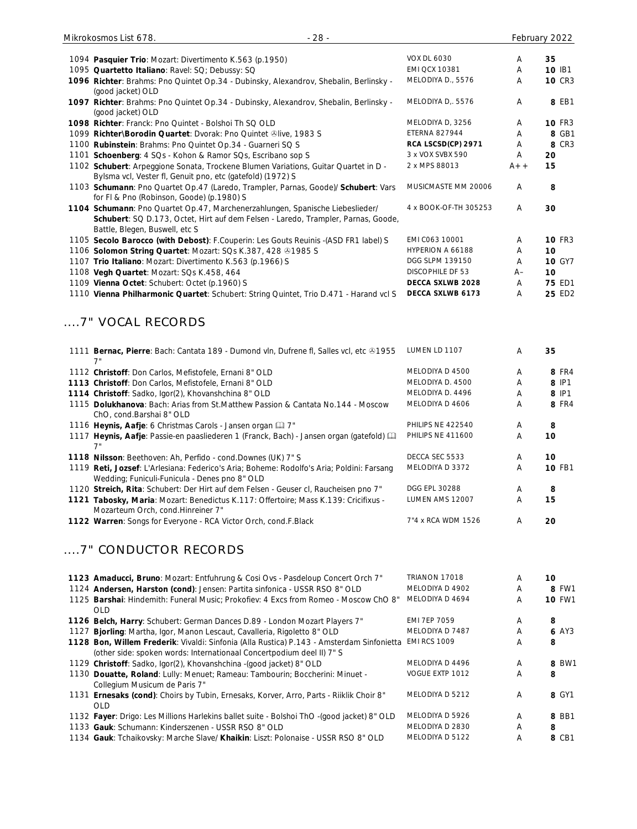| $-28-$<br>Mikrokosmos List 678.                                                                                                                                                                      |                         |       | February 2022 |
|------------------------------------------------------------------------------------------------------------------------------------------------------------------------------------------------------|-------------------------|-------|---------------|
|                                                                                                                                                                                                      | <b>VOX DL 6030</b>      | Α     | 35            |
| 1094 Pasquier Trio: Mozart: Divertimento K.563 (p.1950)<br>1095 Quartetto Italiano: Ravel: SQ; Debussy: SQ                                                                                           | <b>EMI QCX 10381</b>    | Α     | 10 IB1        |
|                                                                                                                                                                                                      | MELODIYA D., 5576       | Α     | <b>10 CR3</b> |
| 1096 Richter: Brahms: Pno Quintet Op.34 - Dubinsky, Alexandrov, Shebalin, Berlinsky -<br>(good jacket) OLD                                                                                           |                         |       |               |
| 1097 Richter: Brahms: Pno Quintet Op.34 - Dubinsky, Alexandrov, Shebalin, Berlinsky -<br>(good jacket) OLD                                                                                           | MELODIYA D,. 5576       | Α     | 8 EB1         |
| 1098 Richter: Franck: Pno Quintet - Bolshoi Th SQ OLD                                                                                                                                                | MELODIYA D, 3256        | Α     | <b>10 FR3</b> |
| 1099 Richter\Borodin Quartet: Dvorak: Pno Quintet ®live, 1983 S                                                                                                                                      | <b>ETERNA 827944</b>    | A     | 8 GB1         |
| 1100 Rubinstein: Brahms: Pno Quintet Op.34 - Guarneri SQ S                                                                                                                                           | RCA LSCSD(CP) 2971      | A     | 8 CR3         |
| 1101 Schoenberg: 4 SQs - Kohon & Ramor SQs, Escribano sop S                                                                                                                                          | 3 x VOX SVBX 590        | A     | 20            |
| 1102 Schubert: Arpeggione Sonata, Trockene Blumen Variations, Guitar Quartet in D -<br>Bylsma vcl, Vester fl, Genuit pno, etc (gatefold) (1972) S                                                    | 2 x MPS 88013           | $A++$ | 15            |
| 1103 Schumann: Pno Quartet Op.47 (Laredo, Trampler, Parnas, Goode)/ Schubert: Vars<br>for FI & Pno (Robinson, Goode) (p.1980) S                                                                      | MUSICMASTE MM 20006     | A     | 8             |
| 1104 Schumann: Pno Quartet Op.47, Marchenerzahlungen, Spanische Liebeslieder/<br>Schubert: SQ D.173, Octet, Hirt auf dem Felsen - Laredo, Trampler, Parnas, Goode,<br>Battle, Blegen, Buswell, etc S | 4 x BOOK-OF-TH 305253   | A     | 30            |
| 1105 Secolo Barocco (with Debost): F.Couperin: Les Gouts Reuinis -(ASD FR1 label) S                                                                                                                  | EMI C063 10001          | A     | <b>10 FR3</b> |
| 1106 Solomon String Quartet: Mozart: SQs K.387, 428 31985 S                                                                                                                                          | HYPERION A 66188        | Α     | 10            |
| 1107 Trio Italiano: Mozart: Divertimento K.563 (p.1966) S                                                                                                                                            | DGG SLPM 139150         | A     | <b>10 GY7</b> |
| 1108 Vegh Quartet: Mozart: SQs K.458, 464                                                                                                                                                            | <b>DISCOPHILE DF 53</b> | A–    | 10            |
| 1109 Vienna Octet: Schubert: Octet (p.1960) S                                                                                                                                                        | DECCA SXLWB 2028        | Α     | <b>75 ED1</b> |
| 1110 Vienna Philharmonic Quartet: Schubert: String Quintet, Trio D.471 - Harand vcl S                                                                                                                | DECCA SXLWB 6173        | A     | 25 ED2        |
| 7" VOCAL RECORDS                                                                                                                                                                                     |                         |       |               |
| 1111 Bernac, Pierre: Bach: Cantata 189 - Dumond vln, Dufrene fl, Salles vcl, etc & 1955<br>7"                                                                                                        | LUMEN LD 1107           | A     | 35            |
| 1112 Christoff: Don Carlos, Mefistofele, Ernani 8" OLD                                                                                                                                               | MELODIYA D 4500         | A     | <b>8 FR4</b>  |
| 1113 Christoff: Don Carlos, Mefistofele, Ernani 8" OLD                                                                                                                                               | MELODIYA D. 4500        | A     | 8 IP1         |
| 1114 Christoff: Sadko, Igor(2), Khovanshchina 8" OLD                                                                                                                                                 | MELODIYA D. 4496        | Α     | 8 IP1         |
| 1115 Dolukhanova: Bach: Arias from St. Matthew Passion & Cantata No. 144 - Moscow<br>ChO, cond.Barshai 8" OLD                                                                                        | MELODIYA D 4606         | A     | <b>8 FR4</b>  |

1116 **Heynis, Aafje**: 6 Christmas Carols - Jansen organ **Q** 7" PHILIPS NE 422540 A 8

| 1117 Heynis, Aafje: Passie-en paasliederen 1 (Franck, Bach) - Jansen organ (gatefold) [11] | PHILIPS NE 411600    |   | 10.           |
|--------------------------------------------------------------------------------------------|----------------------|---|---------------|
|                                                                                            |                      |   |               |
| 1118 Nilsson: Beethoven: Ah, Perfido - cond. Downes (UK) 7" S                              | DECCA SEC 5533       |   | 10.           |
| 1119 Reti, Jozsef: L'Arlesiana: Federico's Aria; Boheme: Rodolfo's Aria; Poldini: Farsang  | MELODIYA D 3372      | A | <b>10 FB1</b> |
| Wedding: Funiculi-Funicula - Denes pno 8" OLD                                              |                      |   |               |
| 1120 Streich, Rita: Schubert: Der Hirt auf dem Felsen - Geuser cl, Raucheisen pno 7"       | <b>DGG EPL 30288</b> | A | 8             |
| 1121 Tabosky, Maria: Mozart: Benedictus K.117: Offertoire; Mass K.139: Cricifixus -        | LUMEN AMS 12007      |   | 15            |
| Mozarteum Orch, cond. Hinreiner 7"                                                         |                      |   |               |

**1122 Warren**: Songs for Everyone - RCA Victor Orch, cond.F.Black 7"4 x RCA WDM 1526 A 20

# ....7" CONDUCTOR RECORDS

| 1123 Amaducci, Bruno: Mozart: Entfuhrung & Cosi Ovs - Pasdeloup Concert Orch 7"                    | TRIANON 17018       | A | 10            |
|----------------------------------------------------------------------------------------------------|---------------------|---|---------------|
| 1124 Andersen, Harston (cond): Jensen: Partita sinfonica - USSR RSO 8" OLD                         | MELODIYA D 4902     | A | 8 FW1         |
| 1125 Barshai: Hindemith: Funeral Music; Prokofiev: 4 Excs from Romeo - Moscow ChO 8"<br><b>OLD</b> | MELODIYA D 4694     | A | <b>10 FW1</b> |
| 1126 Belch, Harry: Schubert: German Dances D.89 - London Mozart Players 7"                         | <b>EMI 7EP 7059</b> | Α | 8             |
| 1127 Bjorling: Martha, Igor, Manon Lescaut, Cavalleria, Rigoletto 8" OLD                           | MELODIYA D 7487     | A | 6 AY3         |
| 1128 Bon, Willem Frederik: Vivaldi: Sinfonia (Alla Rustica) P.143 - Amsterdam Sinfonietta          | <b>EMI RCS 1009</b> | A | 8             |
| (other side: spoken words: Internationaal Concertpodium deel II) 7" S                              |                     |   |               |
| 1129 Christoff: Sadko, Igor(2), Khovanshchina - (good jacket) 8" OLD                               | MELODIYA D 4496     | A | 8 BW1         |
| 1130 Douatte, Roland: Lully: Menuet; Rameau: Tambourin; Boccherini: Minuet -                       | VOGUE EXTP 1012     | A | 8             |
| Collegium Musicum de Paris 7"                                                                      |                     |   |               |
| 1131 Ernesaks (cond): Choirs by Tubin, Ernesaks, Korver, Arro, Parts - Riiklik Choir 8"<br>OLD     | MELODIYA D 5212     | A | 8 GY1         |
| 1132 Fayer: Drigo: Les Millions Harlekins ballet suite - Bolshoi ThO -(good jacket) 8" OLD         | MELODIYA D 5926     | A | 8 BB1         |
| 1133 Gauk: Schumann: Kinderszenen - USSR RSO 8" OLD                                                | MELODIYA D 2830     | Α | 8             |
| 1134 Gauk: Tchaikovsky: Marche Slave/ Khaikin: Liszt: Polonaise - USSR RSO 8" OLD                  | MELODIYA D 5122     | Α | 8 CB1         |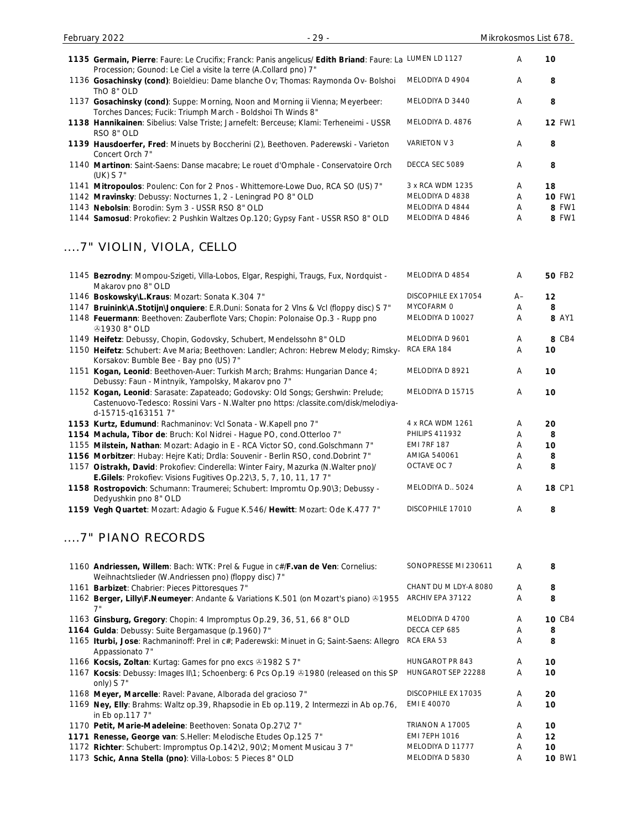| 1135 Germain, Pierre: Faure: Le Crucifix; Franck: Panis angelicus/ Edith Briand: Faure: La LUMEN LD 1127                                                                                     |                       | Α    | 10            |
|----------------------------------------------------------------------------------------------------------------------------------------------------------------------------------------------|-----------------------|------|---------------|
| Procession; Gounod: Le Ciel a visite la terre (A.Collard pno) 7"<br>1136 Gosachinsky (cond): Boieldieu: Dame blanche Ov; Thomas: Raymonda Ov- Bolshoi                                        | MELODIYA D 4904       | Α    | 8             |
| ThO 8" OLD                                                                                                                                                                                   |                       |      |               |
| 1137 Gosachinsky (cond): Suppe: Morning, Noon and Morning ii Vienna; Meyerbeer:<br>Torches Dances; Fucik: Triumph March - Boldshoi Th Winds 8"                                               | MELODIYA D 3440       | Α    | 8             |
| 1138 Hannikainen: Sibelius: Valse Triste; Jarnefelt: Berceuse; Klami: Terheneimi - USSR<br>RSO 8" OLD                                                                                        | MELODIYA D. 4876      | Α    | <b>12 FW1</b> |
| 1139 Hausdoerfer, Fred: Minuets by Boccherini (2), Beethoven. Paderewski - Varieton<br>Concert Orch 7"                                                                                       | VARIETON V 3          | Α    | 8             |
| 1140 Martinon: Saint-Saens: Danse macabre; Le rouet d'Omphale - Conservatoire Orch<br>(UK) S 7"                                                                                              | DECCA SEC 5089        | Α    | 8             |
| 1141 Mitropoulos: Poulenc: Con for 2 Pnos - Whittemore-Lowe Duo, RCA SO (US) 7"                                                                                                              | 3 x RCA WDM 1235      | Α    | 18            |
| 1142 Mravinsky: Debussy: Nocturnes 1, 2 - Leningrad PO 8" OLD                                                                                                                                | MELODIYA D 4838       | Α    | <b>10 FW1</b> |
| 1143 Nebolsin: Borodin: Sym 3 - USSR RSO 8" OLD                                                                                                                                              | MELODIYA D 4844       | Α    | 8 FW1         |
| 1144 Samosud: Prokofiev: 2 Pushkin Waltzes Op.120; Gypsy Fant - USSR RSO 8" OLD                                                                                                              | MELODIYA D 4846       | Α    | 8 FW1         |
| 7" VIOLIN, VIOLA, CELLO                                                                                                                                                                      |                       |      |               |
| 1145 Bezrodny: Mompou-Szigeti, Villa-Lobos, Elgar, Respighi, Traugs, Fux, Nordquist -<br>Makarov pno 8" OLD                                                                                  | MELODIYA D 4854       | Α    | <b>50 FB2</b> |
| 1146 Boskowsky\L.Kraus: Mozart: Sonata K.304 7"                                                                                                                                              | DISCOPHILE EX 17054   | $A-$ | 12            |
| 1147 Bruinink\A.Stotijn\Jonquiere: E.R.Duni: Sonata for 2 Vlns & Vcl (floppy disc) S 7"                                                                                                      | MYCOFARM 0            | Α    | 8             |
| 1148 Feuermann: Beethoven: Zauberflote Vars; Chopin: Polonaise Op.3 - Rupp pno<br><b>@19308" OLD</b>                                                                                         | MELODIYA D 10027      | Α    | 8 AY1         |
| 1149 Heifetz: Debussy, Chopin, Godovsky, Schubert, Mendelssohn 8" OLD                                                                                                                        | MELODIYA D 9601       | Α    | 8 CB4         |
| 1150 Heifetz: Schubert: Ave Maria; Beethoven: Landler; Achron: Hebrew Melody; Rimsky-<br>Korsakov: Bumble Bee - Bay pno (US) 7"                                                              | RCA ERA 184           | Α    | 10            |
| 1151 Kogan, Leonid: Beethoven-Auer: Turkish March; Brahms: Hungarian Dance 4;<br>Debussy: Faun - Mintnyik, Yampolsky, Makarov pno 7"                                                         | MELODIYA D 8921       | Α    | 10            |
| 1152 Kogan, Leonid: Sarasate: Zapateado; Godovsky: Old Songs; Gershwin: Prelude;<br>Castenuovo-Tedesco: Rossini Vars - N.Walter pno https: /classite.com/disk/melodiya-<br>d-15715-q1631517" | MELODIYA D 15715      | Α    | 10            |
| 1153 Kurtz, Edumund: Rachmaninov: Vcl Sonata - W.Kapell pno 7"                                                                                                                               | 4 x RCA WDM 1261      | A    | 20            |
| 1154 Machula, Tibor de: Bruch: Kol Nidrei - Hague PO, cond.Otterloo 7"                                                                                                                       | <b>PHILIPS 411932</b> | Α    | 8             |
| 1155 Milstein, Nathan: Mozart: Adagio in E - RCA Victor SO, cond.Golschmann 7"                                                                                                               | <b>EMI 7RF 187</b>    | Α    | 10            |
| 1156 Morbitzer: Hubay: Hejre Kati; Drdla: Souvenir - Berlin RSO, cond.Dobrint 7"                                                                                                             | AMIGA 540061          | Α    | 8             |
| 1157 Oistrakh, David: Prokofiev: Cinderella: Winter Fairy, Mazurka (N. Walter pno)/                                                                                                          | OCTAVE OC 7           | Α    | 8             |
| E.Gilels: Prokofiev: Visions Fugitives Op.22\3, 5, 7, 10, 11, 17 7"<br>1158 Rostropovich: Schumann: Traumerei; Schubert: Impromtu Op.90\3; Debussy -                                         | MELODIYA D., 5024     | A    | <b>18 CP1</b> |
| Dedyushkin pno 8" OLD                                                                                                                                                                        | DISCOPHILE 17010      |      |               |
| 1159 Vegh Quartet: Mozart: Adagio & Fugue K.546/ Hewitt: Mozart: Ode K.477 7"                                                                                                                |                       | Α    | 8             |
| 7" PIANO RECORDS                                                                                                                                                                             |                       |      |               |
| 1160 Andriessen, Willem: Bach: WTK: Prel & Fugue in c#/F.van de Ven: Cornelius:<br>Weihnachtslieder (W.Andriessen pno) (floppy disc) 7"                                                      | SONOPRESSE MI 230611  | A    | 8             |
| 1161 Barbizet: Chabrier: Pieces Pittoresques 7"                                                                                                                                              | CHANT DU M LDY-A 8080 | Α    | 8             |
| 1162 Berger, Lilly\F.Neumeyer: Andante & Variations K.501 (on Mozart's piano) & 1955                                                                                                         | ARCHIV EPA 37122      | Α    | 8             |
| 1163 Ginsburg, Gregory: Chopin: 4 Impromptus Op.29, 36, 51, 66 8" OLD                                                                                                                        | MELODIYA D 4700       | Α    | <b>10 CB4</b> |
| 1164 Gulda: Debussy: Suite Bergamasque (p.1960) 7"                                                                                                                                           | DECCA CEP 685         | Α    | 8             |
| 1165 Iturbi, Jose: Rachmaninoff: Prel in c#; Paderewski: Minuet in G; Saint-Saens: Allegro<br>Appassionato 7"                                                                                | RCA ERA 53            | Α    | 8             |
| 1166 Kocsis, Zoltan: Kurtag: Games for pno excs +1982 S 7"                                                                                                                                   | HUNGAROT PR 843       | A    | 10            |
| 1167 Kocsis: Debussy: Images II\1; Schoenberg: 6 Pcs Op.19 & 1980 (released on this SP<br>only) S 7"                                                                                         | HUNGAROT SEP 22288    | Α    | 10            |
| 1168 Meyer, Marcelle: Ravel: Pavane, Alborada del gracioso 7"                                                                                                                                | DISCOPHILE EX 17035   | Α    | 20            |
| 1169 Ney, Elly: Brahms: Waltz op.39, Rhapsodie in Eb op.119, 2 Intermezzi in Ab op.76,<br>in Eb op.117 7"                                                                                    | EMI E 40070           | Α    | 10            |
| 1170 Petit, Marie-Madeleine: Beethoven: Sonata Op.27\2 7"                                                                                                                                    | TRIANON A 17005       | Α    | 10            |
| 1171 Renesse, George van: S.Heller: Melodische Etudes Op.125 7"                                                                                                                              | <b>EMI 7EPH 1016</b>  | Α    | 12            |
| 1172 Richter: Schubert: Impromptus Op.142\2, 90\2; Moment Musicau 3 7"                                                                                                                       | MELODIYA D 11777      | A    | 10            |
| 1173 Schic, Anna Stella (pno): Villa-Lobos: 5 Pieces 8" OLD                                                                                                                                  | MELODIYA D 5830       | Α    | <b>10 BW1</b> |

February 2022 **2008** - 29 - 29 - 29 - 29 - 29 - Mikrokosmos List 678.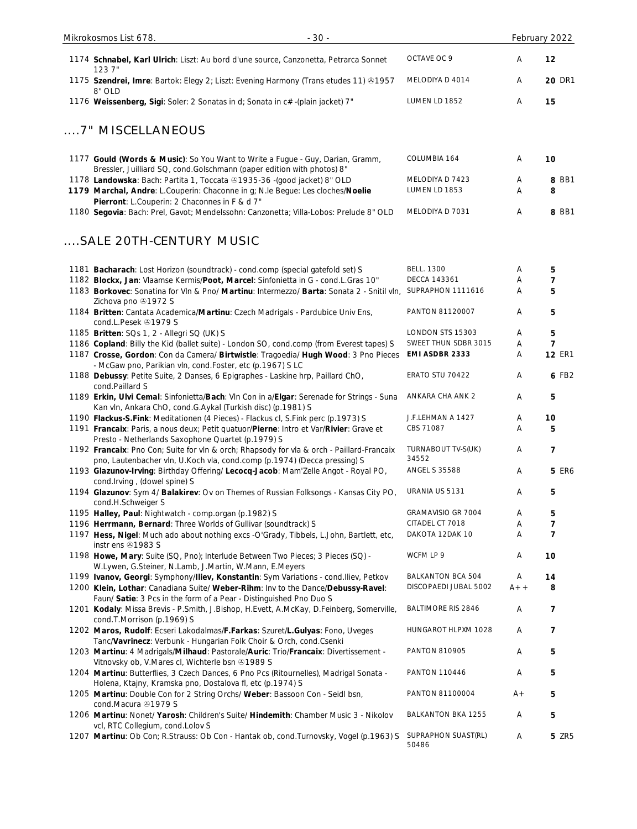| $-30-$<br>Mikrokosmos List 678.                                                                                                                                                                 |                                        |        | February 2022                   |
|-------------------------------------------------------------------------------------------------------------------------------------------------------------------------------------------------|----------------------------------------|--------|---------------------------------|
| 1174 Schnabel, Karl Ulrich: Liszt: Au bord d'une source, Canzonetta, Petrarca Sonnet<br>123 7"                                                                                                  | OCTAVE OC 9                            | Α      | 12                              |
| 1175 Szendrei, Imre: Bartok: Elegy 2; Liszt: Evening Harmony (Trans etudes 11) ®1957<br>8" OLD                                                                                                  | MELODIYA D 4014                        | Α      | <b>20 DR1</b>                   |
| 1176 Weissenberg, Sigi: Soler: 2 Sonatas in d; Sonata in c#-(plain jacket) 7"                                                                                                                   | LUMEN LD 1852                          | А      | 15                              |
| 7" MISCELLANEOUS                                                                                                                                                                                |                                        |        |                                 |
| 1177 Gould (Words & Music): So You Want to Write a Fugue - Guy, Darian, Gramm,<br>Bressler, Juilliard SQ, cond. Golschmann (paper edition with photos) 8"                                       | COLUMBIA 164                           | Α      | 10                              |
| 1178 Landowska: Bach: Partita 1, Toccata 21935-36 -(good jacket) 8" OLD                                                                                                                         | MELODIYA D 7423                        | A      | 8 BB1                           |
| 1179 Marchal, Andre: L.Couperin: Chaconne in g; N.le Begue: Les cloches/Noelie                                                                                                                  | LUMEN LD 1853                          | A      | 8                               |
| Pierront: L.Couperin: 2 Chaconnes in F & d 7"<br>1180 Segovia: Bach: Prel, Gavot; Mendelssohn: Canzonetta; Villa-Lobos: Prelude 8" OLD                                                          | MELODIYA D 7031                        | Α      | 8 BB1                           |
| SALE 20TH-CENTURY MUSIC                                                                                                                                                                         |                                        |        |                                 |
|                                                                                                                                                                                                 | <b>BELL. 1300</b>                      | Α      |                                 |
| 1181 Bacharach: Lost Horizon (soundtrack) - cond.comp (special gatefold set) S<br>1182 Blockx, Jan: Vlaamse Kermis/Poot, Marcel: Sinfonietta in G - cond.L.Gras 10"                             | <b>DECCA 143361</b>                    | Α      | 5<br>7                          |
| 1183 Borkovec: Sonatina for VIn & Pno/ Martinu: Intermezzo/ Barta: Sonata 2 - Snitil vIn,<br>Zichova pno 31972 S                                                                                | SUPRAPHON 1111616                      | Α      | 5                               |
| 1184 Britten: Cantata Academica/Martinu: Czech Madrigals - Pardubice Univ Ens,<br>cond.L.Pesek +1979 S                                                                                          | PANTON 81120007                        | Α      | 5                               |
| 1185 Britten: SQs 1, 2 - Allegri SQ (UK) S                                                                                                                                                      | LONDON STS 15303                       | Α      | 5                               |
| 1186 Copland: Billy the Kid (ballet suite) - London SO, cond.comp (from Everest tapes) S<br>1187 Crosse, Gordon: Con da Camera/ Birtwistle: Tragoedia/ Hugh Wood: 3 Pno Pieces                  | SWEET THUN SDBR 3015<br>EMI ASDBR 2333 | Α<br>Α | $\overline{7}$<br><b>12 ER1</b> |
| - McGaw pno, Parikian vln, cond. Foster, etc (p.1967) SLC                                                                                                                                       |                                        |        |                                 |
| 1188 Debussy: Petite Suite, 2 Danses, 6 Epigraphes - Laskine hrp, Paillard ChO,<br>cond.Paillard S                                                                                              | ERATO STU 70422                        | Α      | 6 FB2                           |
| 1189 Erkin, Ulvi Cemal: Sinfonietta/Bach: Vln Con in a/Elgar: Serenade for Strings - Suna<br>Kan vln, Ankara ChO, cond.G.Aykal (Turkish disc) (p.1981) S                                        | ANKARA CHA ANK 2                       | Α      | 5                               |
| 1190 Flackus-S.Fink: Meditationen (4 Pieces) - Flackus cl, S.Fink perc (p.1973) S                                                                                                               | J.F.LEHMAN A 1427                      | Α      | 10                              |
| 1191 Francaix: Paris, a nous deux; Petit quatuor/Pierne: Intro et Var/Rivier: Grave et<br>Presto - Netherlands Saxophone Quartet (p.1979) S                                                     | CBS 71087                              | Α      | 5                               |
| 1192 Francaix: Pno Con; Suite for vln & orch; Rhapsody for vla & orch - Paillard-Francaix<br>pno, Lautenbacher vln, U.Koch vla, cond.comp (p.1974) (Decca pressing) S                           | TURNABOUT TV-S(UK)<br>34552            | A      | 7                               |
| 1193 Glazunov-Irving: Birthday Offering/ Lecocq-Jacob: Mam'Zelle Angot - Royal PO,<br>cond. Irving, (dowel spine) S                                                                             | <b>ANGEL S 35588</b>                   | Α      | <b>5 ER6</b>                    |
| 1194 Glazunov: Sym 4/ Balakirev: Ov on Themes of Russian Folksongs - Kansas City PO,<br>cond.H.Schweiger S                                                                                      | URANIA US 5131                         | Α      | 5                               |
| 1195 Halley, Paul: Nightwatch - comp.organ (p.1982) S                                                                                                                                           | GRAMAVISIO GR 7004                     | Α      | 5                               |
| 1196 Herrmann, Bernard: Three Worlds of Gullivar (soundtrack) S                                                                                                                                 | CITADEL CT 7018<br>DAKOTA 12DAK 10     | A<br>Α | 7<br>7                          |
| 1197 Hess, Nigel: Much ado about nothing excs -O'Grady, Tibbels, L.John, Bartlett, etc,<br>instr ens 31983 S<br>1198 Howe, Mary: Suite (SQ, Pno); Interlude Between Two Pieces; 3 Pieces (SQ) - | WCFM LP 9                              | Α      | 10                              |
| W.Lywen, G.Steiner, N.Lamb, J.Martin, W.Mann, E.Meyers                                                                                                                                          |                                        |        |                                 |
| 1199 Ivanov, Georgi: Symphony/Iliev, Konstantin: Sym Variations - cond. Iliev, Petkov                                                                                                           | BALKANTON BCA 504                      | Α      | 14                              |
| 1200 Klein, Lothar: Canadiana Suite/ Weber-Rihm: Inv to the Dance/Debussy-Ravel:<br>Faun/ Satie: 3 Pcs in the form of a Pear - Distinguished Pno Duo S                                          | DISCOPAEDI JUBAL 5002                  | $A++$  | 8                               |
| 1201 Kodaly: Missa Brevis - P.Smith, J.Bishop, H.Evett, A.McKay, D.Feinberg, Somerville,<br>cond.T.Morrison (p.1969) S                                                                          | <b>BALTIMORE RIS 2846</b>              | Α      | 7                               |
| 1202 Maros, Rudolf: Ecseri Lakodalmas/F.Farkas: Szuret/L.Gulyas: Fono, Uveges<br>Tanc/Vavrinecz: Verbunk - Hungarian Folk Choir & Orch, cond.Csenki                                             | HUNGAROT HLPXM 1028                    | Α      | 7                               |
| 1203 Martinu: 4 Madrigals/Milhaud: Pastorale/Auric: Trio/Francaix: Divertissement -<br>Vitnovsky ob, V.Mares cl, Wichterle bsn 31989 S                                                          | <b>PANTON 810905</b>                   | Α      | 5                               |
| 1204 Martinu: Butterflies, 3 Czech Dances, 6 Pno Pcs (Ritournelles), Madrigal Sonata -<br>Holena, Ktajny, Kramska pno, Dostalova fl, etc (p.1974) S                                             | <b>PANTON 110446</b>                   | Α      | 5                               |
| 1205 Martinu: Double Con for 2 String Orchs/ Weber: Bassoon Con - Seidl bsn,<br>cond.Macura 21979 S                                                                                             | PANTON 81100004                        | $A +$  | 5                               |
| 1206 Martinu: Nonet/ Yarosh: Children's Suite/ Hindemith: Chamber Music 3 - Nikolov<br>vcl, RTC Collegium, cond.Lolov S                                                                         | <b>BALKANTON BKA 1255</b>              | A      | 5                               |
| 1207 Martinu: Ob Con; R.Strauss: Ob Con - Hantak ob, cond.Turnovsky, Vogel (p.1963) S                                                                                                           | SUPRAPHON SUAST(RL)<br>50486           | Α      | <b>5 ZR5</b>                    |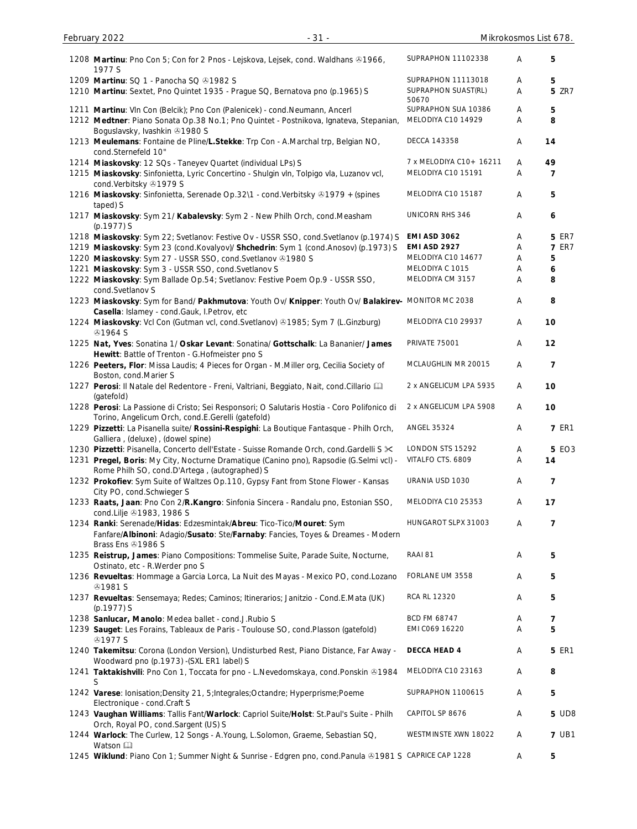| 1208 Martinu: Pno Con 5; Con for 2 Pnos - Lejskova, Lejsek, cond. Waldhans ®1966,<br>1977 S                                                             | SUPRAPHON 11102338           | Α      | 5                 |
|---------------------------------------------------------------------------------------------------------------------------------------------------------|------------------------------|--------|-------------------|
| 1209 Martinu: SQ 1 - Panocha SQ @1982 S                                                                                                                 | SUPRAPHON 11113018           |        |                   |
| 1210 Martinu: Sextet, Pno Quintet 1935 - Prague SQ, Bernatova pno (p.1965) S                                                                            | SUPRAPHON SUAST(RL)<br>50670 | A<br>Α | 5<br><b>5 ZR7</b> |
| 1211 Martinu: VIn Con (Belcik); Pno Con (Palenicek) - cond. Neumann, Ancerl                                                                             | SUPRAPHON SUA 10386          | Α      | 5                 |
| 1212 Medtner: Piano Sonata Op.38 No.1; Pno Quintet - Postnikova, Ignateva, Stepanian,                                                                   | MELODIYA C10 14929           | Α      | 8                 |
| Boguslavsky, Ivashkin 31980 S<br>1213 Meulemans: Fontaine de Pline/L.Stekke: Trp Con - A.Marchal trp, Belgian NO,                                       | <b>DECCA 143358</b>          | Α      | 14                |
| cond.Sternefeld 10"                                                                                                                                     |                              |        |                   |
| 1214 Miaskovsky: 12 SQs - Taneyev Quartet (individual LPs) S                                                                                            | 7 x MELODIYA C10+ 16211      | Α      | 49                |
| 1215 Miaskovsky: Sinfonietta, Lyric Concertino - Shulgin vln, Tolpigo vla, Luzanov vcl,<br>cond.Verbitsky 21979 S                                       | MELODIYA C10 15191           | Α      | 7                 |
| 1216 Miaskovsky: Sinfonietta, Serenade Op.32\1 - cond.Verbitsky 31979 + (spines<br>taped) S                                                             | MELODIYA C10 15187           | Α      | 5                 |
| 1217 Miaskovsky: Sym 21/ Kabalevsky: Sym 2 - New Philh Orch, cond. Measham<br>(p.1977) S                                                                | <b>UNICORN RHS 346</b>       | Α      | 6                 |
| 1218 Miaskovsky: Sym 22; Svetlanov: Festive Ov - USSR SSO, cond. Svetlanov (p.1974) S                                                                   | <b>EMI ASD 3062</b>          | Α      | <b>5 ER7</b>      |
| 1219 Miaskovsky: Sym 23 (cond.Kovalyov)/ Shchedrin: Sym 1 (cond.Anosov) (p.1973) S                                                                      | EMI ASD 2927                 | Α      | <b>7 ER7</b>      |
| 1220 Miaskovsky: Sym 27 - USSR SSO, cond. Svetlanov @1980 S                                                                                             | MELODIYA C10 14677           | Α      | 5                 |
| 1221 Miaskovsky: Sym 3 - USSR SSO, cond.Svetlanov S                                                                                                     | MELODIYA C 1015              | Α      | 6                 |
| 1222 Miaskovsky: Sym Ballade Op.54; Svetlanov: Festive Poem Op.9 - USSR SSO,                                                                            | MELODIYA CM 3157             | Α      | 8                 |
| cond.Svetlanov S                                                                                                                                        |                              |        |                   |
| 1223 Miaskovsky: Sym for Band/ Pakhmutova: Youth Ov/ Knipper: Youth Ov/ Balakirev- MONITOR MC 2038<br>Casella: Islamey - cond.Gauk, I.Petrov, etc       |                              | Α      | 8                 |
| 1224 Miaskovsky: Vcl Con (Gutman vcl, cond. Svetlanov) 31985; Sym 7 (L. Ginzburg)<br><b>@1964 S</b>                                                     | MELODIYA C10 29937           | Α      | 10                |
| 1225 Nat, Yves: Sonatina 1/ Oskar Levant: Sonatina/ Gottschalk: La Bananier/ James                                                                      | <b>PRIVATE 75001</b>         | Α      | 12                |
| Hewitt: Battle of Trenton - G. Hofmeister pno S                                                                                                         |                              |        |                   |
| 1226 Peeters, Flor: Missa Laudis; 4 Pieces for Organ - M. Miller org, Cecilia Society of<br>Boston, cond.Marier S                                       | MCLAUGHLIN MR 20015          | Α      | 7                 |
| 1227 Perosi: Il Natale del Redentore - Freni, Valtriani, Beggiato, Nait, cond.Cillario [11]                                                             | 2 x ANGELICUM LPA 5935       | Α      | 10                |
| (gatefold)<br>1228 Perosi: La Passione di Cristo; Sei Responsori; O Salutaris Hostia - Coro Polifonico di                                               | 2 x ANGELICUM LPA 5908       | Α      | 10                |
| Torino, Angelicum Orch, cond.E.Gerelli (gatefold)<br>1229 Pizzetti: La Pisanella suite/ Rossini-Respighi: La Boutique Fantasque - Philh Orch,           | <b>ANGEL 35324</b>           | Α      | <b>7 ER1</b>      |
| Galliera, (deluxe), (dowel spine)                                                                                                                       |                              |        |                   |
| 1230 Pizzetti: Pisanella, Concerto dell'Estate - Suisse Romande Orch, cond.Gardelli S $\times$                                                          | LONDON STS 15292             | Α      | <b>5 EO3</b>      |
| 1231 Pregel, Boris: My City, Nocturne Dramatique (Canino pno), Rapsodie (G.Selmi vcl) -                                                                 | VITALFO CTS. 6809            | Α      | 14                |
| Rome Philh SO, cond.D'Artega, (autographed) S                                                                                                           |                              |        |                   |
| 1232 Prokofiev: Sym Suite of Waltzes Op.110, Gypsy Fant from Stone Flower - Kansas<br>City PO, cond.Schwieger S                                         | URANIA USD 1030              | A      | 7                 |
| 1233 Raats, Jaan: Pno Con 2/R.Kangro: Sinfonia Sincera - Randalu pno, Estonian SSO,                                                                     | MELODIYA C10 25353           | Α      | 17                |
| cond.Lilje 31983, 1986 S                                                                                                                                | HUNGAROT SLPX 31003          | Α      |                   |
| 1234 Ranki: Serenade/Hidas: Edzesmintak/Abreu: Tico-Tico/Mouret: Sym<br>Fanfare/Albinoni: Adagio/Susato: Ste/Farnaby: Fancies, Toyes & Dreames - Modern |                              |        | 7                 |
| Brass Ens 21986 S                                                                                                                                       |                              |        |                   |
| 1235 Reistrup, James: Piano Compositions: Tommelise Suite, Parade Suite, Nocturne,<br>Ostinato, etc - R. Werder pno S                                   | RAAI 81                      | Α      | 5                 |
| 1236 Revueltas: Hommage a Garcia Lorca, La Nuit des Mayas - Mexico PO, cond. Lozano<br><b>@1981 S</b>                                                   | FORLANE UM 3558              | Α      | 5                 |
| 1237 Revueltas: Sensemaya; Redes; Caminos; Itinerarios; Janitzio - Cond.E.Mata (UK)<br>(p.1977) S                                                       | RCA RL 12320                 | Α      | 5                 |
| 1238 Sanlucar, Manolo: Medea ballet - cond.J.Rubio S                                                                                                    | BCD FM 68747                 | Α      | 7                 |
| 1239 Sauget: Les Forains, Tableaux de Paris - Toulouse SO, cond. Plasson (gatefold)<br><b>@1977 S</b>                                                   | EMI C069 16220               | A      | 5                 |
| 1240 Takemitsu: Corona (London Version), Undisturbed Rest, Piano Distance, Far Away -                                                                   | DECCA HEAD 4                 | Α      | <b>5 ER1</b>      |
| Woodward pno (p.1973) - (SXL ER1 label) S<br>1241 Taktakishvili: Pno Con 1, Toccata for pno - L.Nevedomskaya, cond.Ponskin & 1984                       | MELODIYA C10 23163           | Α      | 8                 |
| S                                                                                                                                                       |                              |        |                   |
| 1242 Varese: Ionisation; Density 21, 5; Integrales; Octandre; Hyperprisme; Poeme<br>Electronique - cond.Craft S                                         | SUPRAPHON 1100615            | Α      | 5                 |
| 1243 Vaughan Williams: Tallis Fant/Warlock: Capriol Suite/Holst: St.Paul's Suite - Philh<br>Orch, Royal PO, cond.Sargent (US) S                         | CAPITOL SP 8676              | Α      | <b>5 UD8</b>      |
| 1244 Warlock: The Curlew, 12 Songs - A.Young, L.Solomon, Graeme, Sebastian SQ,<br>Watson                                                                | WESTMINSTE XWN 18022         | A      | <b>7 UB1</b>      |
| 1245 Wiklund: Piano Con 1; Summer Night & Sunrise - Edgren pno, cond. Panula @1981 S CAPRICE CAP 1228                                                   |                              | A      | 5                 |

February 2022 **19 Taylor 10 Contract 10 Taylor 10 Contract 10 Taylor 10 Contract 10 Taylor 10 Contract 10 Taylor 10 Contract 10 Taylor 10 Taylor 10 Contract 10 Taylor 10 Contract 10 Taylor 10 Taylor 10 Taylor 10 Taylor 10**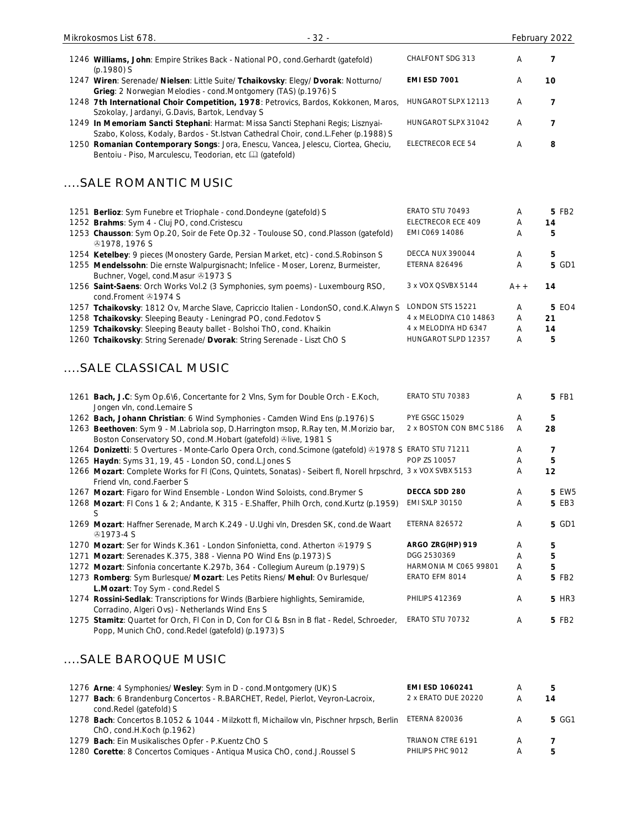| Mikrokosmos List 678.<br>$-32-$                                                                                                                                            |                          |   | February 2022 |
|----------------------------------------------------------------------------------------------------------------------------------------------------------------------------|--------------------------|---|---------------|
| 1246 Williams, John: Empire Strikes Back - National PO, cond. Gerhardt (gatefold)<br>$(p.1980)$ S                                                                          | CHALFONT SDG 313         | A |               |
| 1247 Wiren: Serenade/ Nielsen: Little Suite/ Tchaikovsky: Elegy/ Dvorak: Notturno/<br>Grieg: 2 Norwegian Melodies - cond.Montgomery (TAS) (p.1976) S                       | <b>EMI ESD 7001</b>      | A | 10            |
| 1248 7th International Choir Competition, 1978: Petrovics, Bardos, Kokkonen, Maros,<br>Szokolay, Jardanyi, G.Davis, Bartok, Lendvay S                                      | HUNGAROT SLPX 12113      | A | 7             |
| 1249 In Memoriam Sancti Stephani: Harmat: Missa Sancti Stephani Regis; Lisznyai-<br>Szabo, Koloss, Kodaly, Bardos - St. Istvan Cathedral Choir, cond. L. Feher (p. 1988) S | HUNGAROT SLPX 31042      | A |               |
| 1250 Romanian Contemporary Songs: Jora, Enescu, Vancea, Jelescu, Ciortea, Gheciu,<br>Bentoiu - Piso, Marculescu, Teodorian, etc [14] (gatefold)                            | <b>ELECTRECOR ECE 54</b> | A | 8             |
| SALE ROMANTIC MUSIC                                                                                                                                                        |                          |   |               |
| 1251 Berlioz: Sym Funebre et Triophale - cond. Dondeyne (gatefold) S                                                                                                       | <b>ERATO STU 70493</b>   | A | 5 FB2         |
| 1252 Brahms: Sym 4 - Cluj PO, cond. Cristescu                                                                                                                              | ELECTRECOR ECE 409       | A | 14            |
| 1253 Chausson: Sym Op.20, Soir de Fete Op.32 - Toulouse SO, cond.Plasson (gatefold)<br>@1978, 1976S                                                                        | EMI C069 14086           | A | 5             |

1254 **Ketelbey**: 9 pieces (Monostery Garde, Persian Market, etc) - cond.S.Robinson S DECCA NUX 390044 A 5 5 GD1<br>1255 Mendelssohn: Die ernste Walpurgisnacht; Infelice - Moser, Lorenz, Burmeister, ETERNA 826496 A 5 GD1 1255 **Mendelssohn**: Die ernste Walpurgisnacht; Infelice - Moser, Lorenz, Burmeister,

Buchner, Vogel, cond.Masur 31973 S ETERNA 826496 **A** 1256 **Saint-Saens**: Orch Works Vol.2 (3 Symphonies, sym poems) - Luxembourg RSO, cond.Froment 31974 S  $3 \times$  VOX QSVBX 5144  $A++$  **14** 

| 1257 Tchaikovsky: 1812 Ov, Marche Slave, Capriccio Italien - LondonSO, cond.K.Alwyn S LONDON STS 15221 |                        | $\overline{A}$ | 5 EO4 |
|--------------------------------------------------------------------------------------------------------|------------------------|----------------|-------|
| 1258 Tchaikovsky: Sleeping Beauty - Leningrad PO, cond. Fedotov S                                      | 4 x MELODIYA C10 14863 | A              | -21   |
| 1259 Tchaikovsky: Sleeping Beauty ballet - Bolshoi ThO, cond. Khaikin                                  | 4 x MELODIYA HD 6347   |                | 14    |
| 1260 Tchaikovsky: String Serenade/ Dvorak: String Serenade - Liszt ChO S                               | HUNGAROT SLPD 12357    |                | ь.    |

# ....SALE CLASSICAL MUSIC

| 1261 Bach, J.C: Sym Op.6\6, Concertante for 2 Vlns, Sym for Double Orch - E.Koch,<br>Jongen vln, cond. Lemaire S                                       | <b>ERATO STU 70383</b>  | Α              | 5 FB1        |
|--------------------------------------------------------------------------------------------------------------------------------------------------------|-------------------------|----------------|--------------|
| 1262 Bach, Johann Christian: 6 Wind Symphonies - Camden Wind Ens (p.1976) S                                                                            | <b>PYE GSGC 15029</b>   | A              | 5            |
| 1263 Beethoven: Sym 9 - M.Labriola sop, D.Harrington msop, R.Ray ten, M.Morizio bar,<br>Boston Conservatory SO, cond.M.Hobart (gatefold) @live, 1981 S | 2 x BOSTON CON BMC 5186 | $\overline{A}$ | 28           |
| 1264 Donizetti: 5 Overtures - Monte-Carlo Opera Orch, cond. Scimone (gatefold) @1978 S ERATO STU 71211                                                 |                         | A              | 7            |
| 1265 Haydn: Syms 31, 19, 45 - London SO, cond.L.Jones S                                                                                                | POP ZS 10057            | A              | 5            |
| 1266 Mozart: Complete Works for FI (Cons, Quintets, Sonatas) - Seibert fl, Norell hrpschrd, 3 x VOX SVBX 5153<br>Friend vln, cond. Faerber S           |                         | A              | 12           |
| 1267 Mozart: Figaro for Wind Ensemble - London Wind Soloists, cond. Brymer S                                                                           | DECCA SDD 280           | A              | <b>5 EW5</b> |
| 1268 Mozart: FI Cons 1 & 2; Andante, K 315 - E.Shaffer, Philh Orch, cond.Kurtz (p.1959)<br>S                                                           | <b>EMI SXLP 30150</b>   | A              | <b>5 EB3</b> |
| 1269 Mozart: Haffner Serenade, March K.249 - U.Ughi vln, Dresden SK, cond.de Waart<br>$&0.1973 - 4S$                                                   | <b>ETERNA 826572</b>    | A              | 5 GD1        |
| 1270 Mozart: Ser for Winds K.361 - London Sinfonietta, cond. Atherton 21979 S                                                                          | ARGO ZRG(HP) 919        | A              | 5            |
| 1271 Mozart: Serenades K.375, 388 - Vienna PO Wind Ens (p.1973) S                                                                                      | DGG 2530369             | A              | 5            |
| 1272 Mozart: Sinfonia concertante K.297b, 364 - Collegium Aureum (p.1979) S                                                                            | HARMONIA M C065 99801   | A              | 5            |
| 1273 Romberg: Sym Burlesque/ Mozart: Les Petits Riens/ Mehul: Ov Burlesque/<br>L. Mozart: Toy Sym - cond. Redel S                                      | ERATO EFM 8014          | A              | 5 FB2        |
| 1274 Rossini-Sedlak: Transcriptions for Winds (Barbiere highlights, Semiramide,<br>Corradino, Algeri Ovs) - Netherlands Wind Ens S                     | <b>PHILIPS 412369</b>   | A              | <b>5 HR3</b> |
| 1275 Stamitz: Quartet for Orch, FI Con in D, Con for CI & Bsn in B flat - Redel, Schroeder,<br>Popp, Munich ChO, cond. Redel (gatefold) (p.1973) S     | ERATO STU 70732         | A              | 5 FB2        |

#### ....SALE BAROQUE MUSIC

| 1276 Arne: 4 Symphonies/ Wesley: Sym in D - cond. Montgomery (UK) S                      | <b>EMI ESD 1060241</b> | A |       |
|------------------------------------------------------------------------------------------|------------------------|---|-------|
| 1277 Bach: 6 Brandenburg Concertos - R.BARCHET, Redel, Pierlot, Veyron-Lacroix,          | 2 x ERATO DUE 20220    | A | 14    |
| cond.Redel (gatefold) S                                                                  |                        |   |       |
| 1278 Bach: Concertos B.1052 & 1044 - Milzkott fl, Michailow vln, Pischner hrpsch, Berlin | ETERNA 820036          | A | 5 GG1 |
| $ChO$ , cond.H.Koch (p.1962)                                                             |                        |   |       |
| 1279 Bach: Ein Musikalisches Opfer - P.Kuentz ChO S                                      | TRIANON CTRE 6191      | А |       |
| 1280 Corette: 8 Concertos Comiques - Antiqua Musica ChO, cond.J.Roussel S                | PHILIPS PHC 9012       | А |       |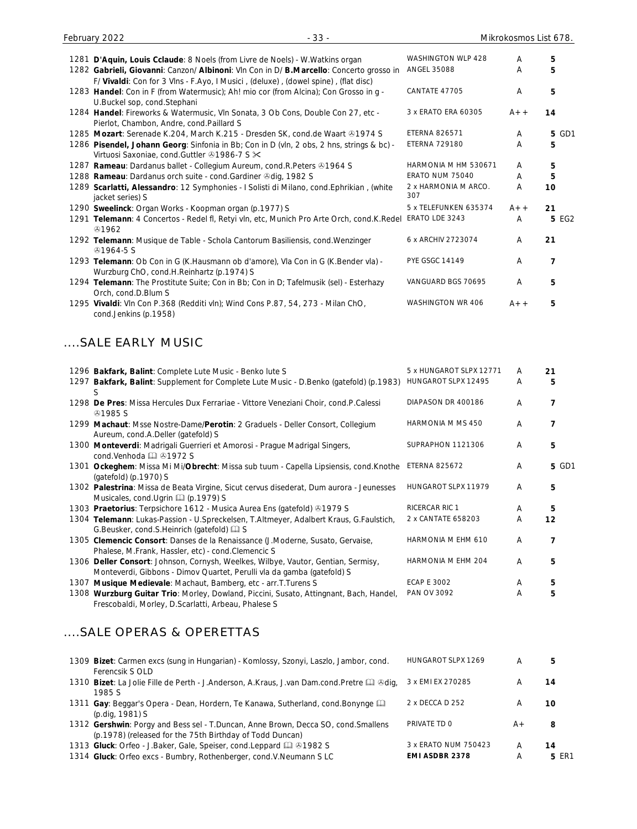| 1281 D'Aquin, Louis Cclaude: 8 Noels (from Livre de Noels) - W. Watkins organ                                                                                                 | WASHINGTON WLP 428          | A     | 5              |
|-------------------------------------------------------------------------------------------------------------------------------------------------------------------------------|-----------------------------|-------|----------------|
| 1282 Gabrieli, Giovanni: Canzon/ Albinoni: Vln Con in D/ B.Marcello: Concerto grosso in<br>F/ Vivaldi: Con for 3 Vlns - F.Ayo, I Musici, (deluxe), (dowel spine), (flat disc) | <b>ANGEL 35088</b>          | A     | 5              |
| 1283 Handel: Con in F (from Watermusic); Ah! mio cor (from Alcina); Con Grosso in g -<br>U.Buckel sop, cond.Stephani                                                          | CANTATE 47705               | Α     | 5              |
| 1284 Handel: Fireworks & Watermusic, VIn Sonata, 3 Ob Cons, Double Con 27, etc -<br>Pierlot, Chambon, Andre, cond.Paillard S                                                  | 3 x ERATO ERA 60305         | $A++$ | 14             |
| 1285 Mozart: Serenade K.204, March K.215 - Dresden SK, cond.de Waart & 1974 S                                                                                                 | <b>ETERNA 826571</b>        | Α     | <b>5 GD1</b>   |
| 1286 Pisendel, Johann Georg: Sinfonia in Bb; Con in D (vln, 2 obs, 2 hns, strings & bc) -<br>Virtuosi Saxoniae, cond. Guttler 31986-7 S X                                     | <b>ETERNA 729180</b>        | Α     | 5              |
| 1287 Rameau: Dardanus ballet - Collegium Aureum, cond.R.Peters & 1964 S                                                                                                       | HARMONIA M HM 530671        | A     | 5              |
| 1288 Rameau: Dardanus orch suite - cond.Gardiner Odig, 1982 S                                                                                                                 | ERATO NUM 75040             | Α     | 5              |
| 1289 Scarlatti, Alessandro: 12 Symphonies - I Solisti di Milano, cond. Ephrikian, (white<br>jacket series) S                                                                  | 2 x HARMONIA M ARCO.<br>307 | Α     | 10             |
| 1290 Sweelinck: Organ Works - Koopman organ (p.1977) S                                                                                                                        | 5 x TELEFUNKEN 635374       | $A++$ | 21             |
| 1291 Telemann: 4 Concertos - Redel fl, Retyi vln, etc, Munich Pro Arte Orch, cond.K.Redel<br><b>A</b> 1962                                                                    | ERATO LDE 3243              | Α     | 5 EG2          |
| 1292 Telemann: Musique de Table - Schola Cantorum Basiliensis, cond. Wenzinger<br><b><i></i></b> 91964-5 S                                                                    | 6 x ARCHIV 2723074          | Α     | 21             |
| 1293 Telemann: Ob Con in G (K.Hausmann ob d'amore), Vla Con in G (K.Bender vla) -<br>Wurzburg ChO, cond.H.Reinhartz (p.1974) S                                                | <b>PYE GSGC 14149</b>       | A     | 7              |
| 1294 Telemann: The Prostitute Suite; Con in Bb; Con in D; Tafelmusik (sel) - Esterhazy<br>Orch, cond.D.Blum S                                                                 | VANGUARD BGS 70695          | A     | 5              |
| 1295 Vivaldi: Vln Con P.368 (Redditi vln); Wind Cons P.87, 54, 273 - Milan ChO,<br>cond.Jenkins (p.1958)                                                                      | WASHINGTON WR 406           | A+ +  | 5              |
| SALE EARLY MUSIC                                                                                                                                                              |                             |       |                |
|                                                                                                                                                                               |                             |       |                |
| 1296 Bakfark, Balint: Complete Lute Music - Benko lute S                                                                                                                      | 5 x HUNGAROT SLPX 12771     | A     | 21             |
| 1297 Bakfark, Balint: Supplement for Complete Lute Music - D.Benko (gatefold) (p.1983)                                                                                        | HUNGAROT SLPX 12495         | A     | 5              |
| S                                                                                                                                                                             |                             |       |                |
| 1298 De Pres: Missa Hercules Dux Ferrariae - Vittore Veneziani Choir, cond.P.Calessi<br><b>41985 S</b>                                                                        | DIAPASON DR 400186          | Α     | $\overline{7}$ |
| 1299 Machaut: Msse Nostre-Dame/Perotin: 2 Graduels - Deller Consort, Collegium<br>Aureum, cond.A.Deller (gatefold) S                                                          | HARMONIA M MS 450           | Α     | 7              |
| 1300 Monteverdi: Madrigali Guerrieri et Amorosi - Prague Madrigal Singers,<br>cond.Venhoda [ 31972 S                                                                          | SUPRAPHON 1121306           | A     | 5              |
| 1301 Ockeghem: Missa Mi Mi/Obrecht: Missa sub tuum - Capella Lipsiensis, cond.Knothe<br>(gatefold) (p.1970) S                                                                 | <b>ETERNA 825672</b>        | Α     | 5 GD1          |
| 1302 Palestrina: Missa de Beata Virgine, Sicut cervus disederat, Dum aurora - Jeunesses<br>Musicales, cond. Ugrin [12] (p. 1979) S                                            | HUNGAROT SLPX 11979         | Α     | 5              |
| 1303 Praetorius: Terpsichore 1612 - Musica Aurea Ens (gatefold) & 1979 S                                                                                                      | RICERCAR RIC 1              | A     | 5              |
| 1304 Telemann: Lukas-Passion - U.Spreckelsen, T.Altmeyer, Adalbert Kraus, G.Faulstich,<br>G.Beusker, cond.S.Heinrich (gatefold) [1] S                                         | 2 x CANTATE 658203          | Α     | 12             |
| 1305 Clemencic Consort: Danses de la Renaissance (J.Moderne, Susato, Gervaise,<br>Phalese, M.Frank, Hassler, etc) - cond.Clemencic S                                          | HARMONIA M EHM 610          | Α     | 7              |
| 1306 Deller Consort: Johnson, Cornysh, Weelkes, Wilbye, Vautor, Gentian, Sermisy,<br>Monteverdi, Gibbons - Dimov Quartet, Perulli vla da gamba (gatefold) S                   | HARMONIA M EHM 204          | Α     | 5              |
|                                                                                                                                                                               |                             |       |                |

1307 **Musique Medievale**: Machaut, Bamberg, etc - arr.T.Turens S<br>1308 **Wurzburg Guitar Trio**: Morley, Dowland, Piccini, Susato, Attingnant, Bach, Handel, PAN OV 3092 4 5 1308 Wurzburg Guitar Trio: Morley, Dowland, Piccini, Susato, Attingnant, Bach, Handel, PAN OV 3092 **A 5** Frescobaldi, Morley, D.Scarlatti, Arbeau, Phalese S

#### ....SALE OPERAS & OPERETTAS

| 1309 Bizet: Carmen excs (sung in Hungarian) - Komlossy, Szonyi, Laszlo, Jambor, cond.<br>Ferencsik S OLD                                       | HUNGAROT SLPX 1269    | А     | 5     |
|------------------------------------------------------------------------------------------------------------------------------------------------|-----------------------|-------|-------|
| 1310 Bizet: La Jolie Fille de Perth - J.Anderson, A.Kraus, J.van Dam.cond.Pretre La &dig,<br>1985 S                                            | 3 x EMI EX 270285     | A     | 14    |
| 1311 Gay: Beggar's Opera - Dean, Hordern, Te Kanawa, Sutherland, cond. Bonynge<br>(p.dig, 1981) S                                              | 2 x DECCA D 252       | A     | 10    |
| 1312 Gershwin: Porgy and Bess sel - T.Duncan, Anne Brown, Decca SO, cond. Smallens<br>(p.1978) (released for the 75th Birthday of Todd Duncan) | PRIVATE TD 0          | $A +$ | 8     |
| 1313 Gluck: Orfeo - J.Baker, Gale, Speiser, cond.Leppard Q & 1982 S                                                                            | 3 x ERATO NUM 750423  | Α     | 14    |
| 1314 Gluck: Orfeo excs - Bumbry, Rothenberger, cond. V. Neumann SLC                                                                            | <b>EMI ASDBR 2378</b> | А     | 5 ER1 |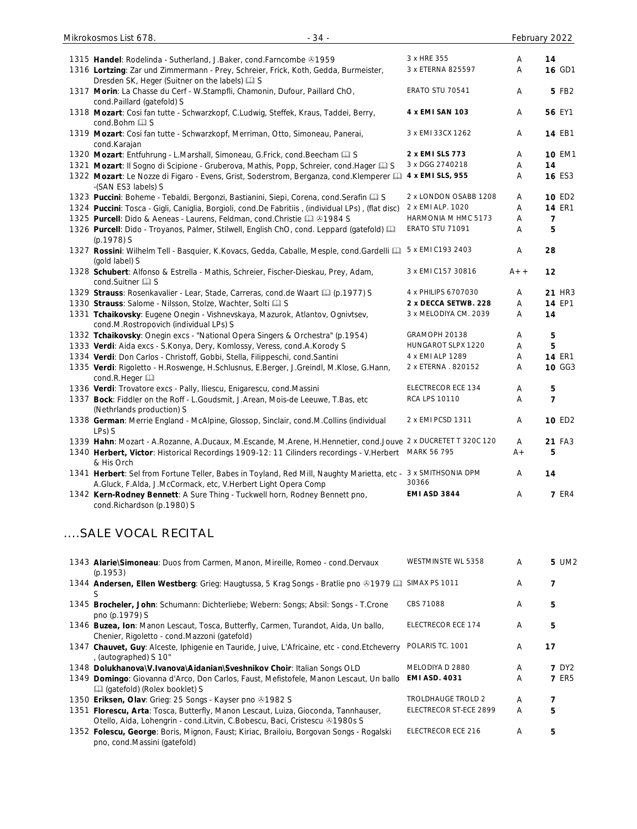| $-34-$<br>Mikrokosmos List 678.                                                                                                                                                |                       |       | February 2022  |
|--------------------------------------------------------------------------------------------------------------------------------------------------------------------------------|-----------------------|-------|----------------|
| 1315 Handel: Rodelinda - Sutherland, J.Baker, cond.Farncombe 21959                                                                                                             | 3 x HRE 355           | A     | 14             |
| 1316 Lortzing: Zar und Zimmermann - Prey, Schreier, Frick, Koth, Gedda, Burmeister,<br>Dresden SK, Heger (Suitner on the labels) [1] S                                         | 3 x ETERNA 825597     | Α     | <b>16 GD1</b>  |
| 1317 Morin: La Chasse du Cerf - W.Stampfli, Chamonin, Dufour, Paillard ChO,<br>cond.Paillard (gatefold) S                                                                      | ERATO STU 70541       | Α     | 5 FB2          |
| 1318 Mozart: Cosi fan tutte - Schwarzkopf, C.Ludwig, Steffek, Kraus, Taddei, Berry,<br>cond.Bohm a S                                                                           | 4 x EMI SAN 103       | Α     | 56 EY1         |
| 1319 Mozart: Cosi fan tutte - Schwarzkopf, Merriman, Otto, Simoneau, Panerai,<br>cond.Karajan                                                                                  | 3 x EMI 33CX 1262     | Α     | <b>14 EB1</b>  |
| 1320 Mozart: Entfuhrung - L.Marshall, Simoneau, G.Frick, cond.Beecham Ca S                                                                                                     | 2 x EMI SLS 773       | Α     | <b>10 EM1</b>  |
| 1321 Mozart: Il Sogno di Scipione - Gruberova, Mathis, Popp, Schreier, cond. Hager Q S                                                                                         | 3 x DGG 2740218       | A     | 14             |
| 1322 Mozart: Le Nozze di Figaro - Evens, Grist, Soderstrom, Berganza, cond. Klemperer [1]<br>-(SAN ES3 labels) S                                                               | 4 x EMI SLS, 955      | Α     | <b>16 ES3</b>  |
| 1323 Puccini: Boheme - Tebaldi, Bergonzi, Bastianini, Siepi, Corena, cond. Serafin Q S                                                                                         | 2 x LONDON OSABB 1208 | A     | 10 ED2         |
| 1324 Puccini: Tosca - Gigli, Caniglia, Borgioli, cond.De Fabritiis, (individual LPs), (flat disc)                                                                              | 2 x EMI ALP. 1020     | A     | <b>14 ER1</b>  |
| 1325 Purcell: Dido & Aeneas - Laurens, Feldman, cond. Christie 4 31984 S                                                                                                       | HARMONIA M HMC 5173   | A     | 7              |
| 1326 Purcell: Dido - Troyanos, Palmer, Stilwell, English ChO, cond. Leppard (gatefold) [11]<br>(p.1978) S                                                                      | ERATO STU 71091       | A     | 5              |
| 1327 Rossini: Wilhelm Tell - Basquier, K.Kovacs, Gedda, Caballe, Mesple, cond.Gardelli [ 5x EMI C193 2403<br>(gold label) S                                                    |                       | Α     | 28             |
| 1328 Schubert: Alfonso & Estrella - Mathis, Schreier, Fischer-Dieskau, Prey, Adam,<br>cond.Suitner La S                                                                        | 3 x EMI C157 30816    | $A++$ | 12             |
| 1329 Strauss: Rosenkavalier - Lear, Stade, Carreras, cond.de Waart [1] (p.1977) S                                                                                              | 4 x PHILIPS 6707030   | Α     | <b>21 HR3</b>  |
| 1330 Strauss: Salome - Nilsson, Stolze, Wachter, Solti La S                                                                                                                    | 2 x DECCA SETWB. 228  | Α     | 14 EP1         |
| 1331 Tchaikovsky: Eugene Onegin - Vishnevskaya, Mazurok, Atlantov, Ognivtsev,<br>cond.M.Rostropovich (individual LPs) S                                                        | 3 x MELODIYA CM. 2039 | Α     | 14             |
| 1332 Tchaikovsky: Onegin excs - "National Opera Singers & Orchestra" (p.1954)                                                                                                  | GRAMOPH 20138         | Α     | 5              |
| 1333 Verdi: Aida excs - S.Konya, Dery, Komlossy, Veress, cond.A.Korody S                                                                                                       | HUNGAROT SLPX 1220    | A     | 5              |
| 1334 Verdi: Don Carlos - Christoff, Gobbi, Stella, Filippeschi, cond. Santini                                                                                                  | 4 x EMI ALP 1289      | A     | <b>14 ER1</b>  |
| 1335 Verdi: Rigoletto - H.Roswenge, H.Schlusnus, E.Berger, J.Greindl, M.Klose, G.Hann,<br>cond.R.Heger                                                                         | 2 x ETERNA . 820152   | A     | 10 GG3         |
| 1336 Verdi: Trovatore excs - Pally, Iliescu, Enigarescu, cond.Massini                                                                                                          | ELECTRECOR ECE 134    | Α     | 5              |
| 1337 Bock: Fiddler on the Roff - L.Goudsmit, J.Arean, Mois-de Leeuwe, T.Bas, etc<br>(Nethrlands production) S                                                                  | <b>RCA LPS 10110</b>  | A     | $\overline{7}$ |
| 1338 German: Merrie England - McAlpine, Glossop, Sinclair, cond.M.Collins (individual<br>LPs) S                                                                                | 2 x EMI PCSD 1311     | Α     | 10 ED2         |
| 1339 Hahn: Mozart - A.Rozanne, A.Ducaux, M.Escande, M.Arene, H.Hennetier, cond.Jouve 2 x DUCRETET T 320C 120                                                                   |                       | A     | 21 FA3         |
| 1340 Herbert, Victor: Historical Recordings 1909-12: 11 Cilinders recordings - V. Herbert<br>& His Orch                                                                        | MARK 56 795           | $A +$ | 5              |
| 1341 Herbert: Sel from Fortune Teller, Babes in Toyland, Red Mill, Naughty Marietta, etc - 3 x SMITHSONIA DPM<br>A.Gluck, F.Alda, J.McCormack, etc, V.Herbert Light Opera Comp | 30366                 | Α     | 14             |
| 1342 Kern-Rodney Bennett: A Sure Thing - Tuckwell horn, Rodney Bennett pno,<br>cond.Richardson (p.1980) S                                                                      | <b>EMI ASD 3844</b>   | Α     | <b>7 ER4</b>   |

# ....SALE VOCAL RECITAL

| 1343 Alarie\Simoneau: Duos from Carmen, Manon, Mireille, Romeo - cond.Dervaux<br>(p.1953)                                                                           | WESTMINSTE WL 5358     | A | 5 UM <sub>2</sub> |
|---------------------------------------------------------------------------------------------------------------------------------------------------------------------|------------------------|---|-------------------|
| 1344 Andersen, Ellen Westberg: Grieg: Haugtussa, 5 Krag Songs - Bratlie pno ®1979 <b>Q</b><br>S                                                                     | SIMAX PS 1011          | A |                   |
| 1345 Brocheler, John: Schumann: Dichterliebe; Webern: Songs; Absil: Songs - T.Crone<br>pno (p.1979) S                                                               | CBS 71088              | A | 5                 |
| 1346 <b>Buzea, Ion:</b> Manon Lescaut, Tosca, Butterfly, Carmen, Turandot, Aida, Un ballo,<br>Chenier, Rigoletto - cond.Mazzoni (gatefold)                          | ELECTRECOR ECE 174     | A | 5                 |
| 1347 Chauvet, Guy: Alceste, Iphigenie en Tauride, Juive, L'Africaine, etc - cond. Etcheverry<br>, (autographed) S 10"                                               | POLARIS TC. 1001       | A | 17                |
| 1348 Dolukhanova\V.Ivanova\Aidanian\Sveshnikov Choir: Italian Songs OLD                                                                                             | MELODIYA D 2880        | A | <b>7</b> DY2      |
| 1349 Domingo: Giovanna d'Arco, Don Carlos, Faust, Mefistofele, Manon Lescaut, Un ballo<br>$\Box$ (gatefold) (Rolex booklet) S                                       | <b>EMI ASD. 4031</b>   | A | <b>7 ER5</b>      |
| 1350 Eriksen, Olav: Grieg: 25 Songs - Kayser pno @1982 S                                                                                                            | TROLDHAUGE TROLD 2     | A | 7                 |
| 1351 Florescu, Arta: Tosca, Butterfly, Manon Lescaut, Luiza, Gioconda, Tannhauser,<br>Otello, Aida, Lohengrin - cond. Litvin, C. Bobescu, Baci, Cristescu & 1980s S | ELECTRECOR ST-ECE 2899 | A | 5                 |
| 1352 Folescu, George: Boris, Mignon, Faust; Kiriac, Brailoiu, Borgovan Songs - Rogalski<br>pno, cond.Massini (gatefold)                                             | ELECTRECOR ECE 216     | A | 5                 |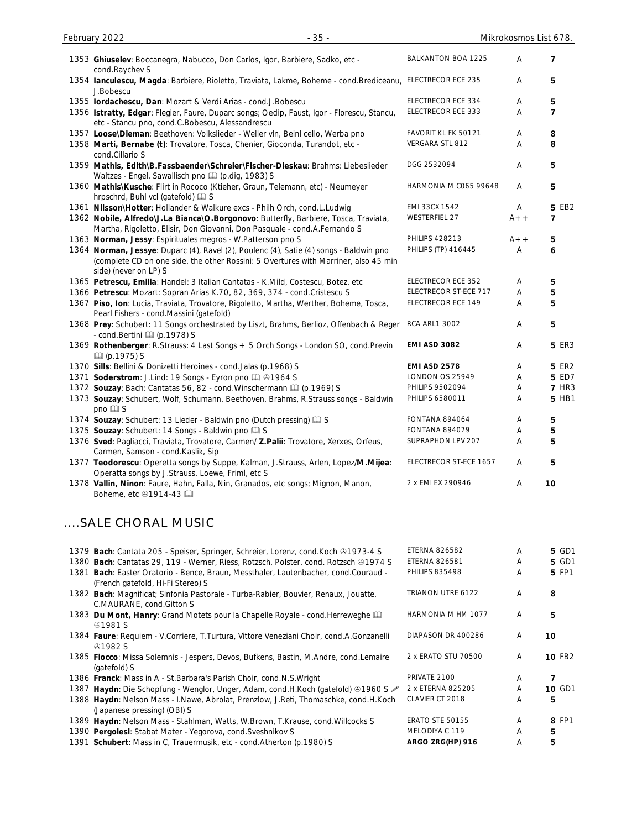| 1353 Ghiuselev: Boccanegra, Nabucco, Don Carlos, Igor, Barbiere, Sadko, etc -<br>cond.Raychev S                                                                                                        | <b>BALKANTON BOA 1225</b> | A     | 7              |
|--------------------------------------------------------------------------------------------------------------------------------------------------------------------------------------------------------|---------------------------|-------|----------------|
| 1354 Ianculescu, Magda: Barbiere, Rioletto, Traviata, Lakme, Boheme - cond. Brediceanu, ELECTRECOR ECE 235<br>J.Bobescu                                                                                |                           | A     | 5              |
| 1355 lordachescu, Dan: Mozart & Verdi Arias - cond.J.Bobescu                                                                                                                                           | ELECTRECOR ECE 334        | Α     | 5              |
| 1356 Istratty, Edgar: Flegier, Faure, Duparc songs; Oedip, Faust, Igor - Florescu, Stancu,<br>etc - Stancu pno, cond.C.Bobescu, Alessandrescu                                                          | ELECTRECOR ECE 333        | A     | $\overline{7}$ |
| 1357 Loose\Dieman: Beethoven: Volkslieder - Weller vln, Beinl cello, Werba pno                                                                                                                         | FAVORIT KL FK 50121       | Α     | 8              |
| 1358 Marti, Bernabe (t): Trovatore, Tosca, Chenier, Gioconda, Turandot, etc -<br>cond.Cillario S                                                                                                       | VERGARA STL 812           | A     | 8              |
| 1359 Mathis, Edith\B.Fassbaender\Schreier\Fischer-Dieskau: Brahms: Liebeslieder<br>Waltzes - Engel, Sawallisch pno [1] (p.dig, 1983) S                                                                 | DGG 2532094               | Α     | 5              |
| 1360 Mathis\Kusche: Flirt in Rococo (Ktieher, Graun, Telemann, etc) - Neumeyer<br>hrpschrd, Buhl vcl (gatefold) [2] S                                                                                  | HARMONIA M C065 99648     | A     | 5              |
| 1361 Nilsson\Hotter: Hollander & Walkure excs - Philh Orch, cond.L.Ludwig                                                                                                                              | EMI 33CX 1542             | A     | 5 EB2          |
| 1362 Nobile, Alfredo\J.La Bianca\O.Borgonovo: Butterfly, Barbiere, Tosca, Traviata,<br>Martha, Rigoletto, Elisir, Don Giovanni, Don Pasquale - cond.A.Fernando S                                       | <b>WESTERFIEL 27</b>      | $A++$ | 7              |
| 1363 Norman, Jessy: Espirituales megros - W.Patterson pno S                                                                                                                                            | <b>PHILIPS 428213</b>     | $A++$ | 5              |
| 1364 Norman, Jessye: Duparc (4), Ravel (2), Poulenc (4), Satie (4) songs - Baldwin pno<br>(complete CD on one side, the other Rossini: 5 Overtures with Marriner, also 45 min<br>side) (never on LP) S | PHILIPS (TP) 416445       | Α     | 6              |
| 1365 Petrescu, Emilia: Handel: 3 Italian Cantatas - K.Mild, Costescu, Botez, etc                                                                                                                       | ELECTRECOR ECE 352        | Α     | 5              |
| 1366 Petrescu: Mozart: Sopran Arias K.70, 82, 369, 374 - cond. Cristescu S                                                                                                                             | ELECTRECOR ST-ECE 717     | Α     | 5              |
| 1367 Piso, Ion: Lucia, Traviata, Trovatore, Rigoletto, Martha, Werther, Boheme, Tosca,<br>Pearl Fishers - cond.Massini (gatefold)                                                                      | ELECTRECOR ECE 149        | A     | 5              |
| 1368 Prey: Schubert: 11 Songs orchestrated by Liszt, Brahms, Berlioz, Offenbach & Reger<br>- cond.Bertini [1] (p.1978) S                                                                               | <b>RCA ARL1 3002</b>      | A     | 5              |
| 1369 Rothenberger: R.Strauss: 4 Last Songs + 5 Orch Songs - London SO, cond.Previn<br><b>Q</b> (p.1975) S                                                                                              | <b>EMI ASD 3082</b>       | Α     | <b>5 ER3</b>   |
| 1370 Sills: Bellini & Donizetti Heroines - cond.Jalas (p.1968) S                                                                                                                                       | <b>EMI ASD 2578</b>       | Α     | <b>5 ER2</b>   |
| 1371 Soderstrom: J.Lind: 19 Songs - Eyron pno 1 81964 S                                                                                                                                                | LONDON OS 25949           | Α     | 5 ED7          |
| 1372 Souzay: Bach: Cantatas 56, 82 - cond. Winschermann [1] (p.1969) S                                                                                                                                 | <b>PHILIPS 9502094</b>    | Α     | <b>7 HR3</b>   |
| 1373 Souzay: Schubert, Wolf, Schumann, Beethoven, Brahms, R.Strauss songs - Baldwin<br>pno Q S                                                                                                         | PHILIPS 6580011           | Α     | 5 HB1          |
| 1374 Souzay: Schubert: 13 Lieder - Baldwin pno (Dutch pressing) [13] S                                                                                                                                 | <b>FONTANA 894064</b>     | A     | 5              |
| 1375 Souzay: Schubert: 14 Songs - Baldwin pno La S                                                                                                                                                     | <b>FONTANA 894079</b>     | Α     | 5              |
| 1376 Sved: Pagliacci, Traviata, Trovatore, Carmen/ Z.Palii: Trovatore, Xerxes, Orfeus,<br>Carmen, Samson - cond.Kaslik, Sip                                                                            | SUPRAPHON LPV 207         | A     | 5              |
| 1377 Teodorescu: Operetta songs by Suppe, Kalman, J.Strauss, Arlen, Lopez/M.Mijea:<br>Operatta songs by J.Strauss, Loewe, Friml, etc S                                                                 | ELECTRECOR ST-ECE 1657    | A     | 5              |
| 1378 Vallin, Ninon: Faure, Hahn, Falla, Nin, Granados, etc songs; Mignon, Manon,<br>Boheme, etc →1914-43                                                                                               | 2 x EMI EX 290946         | Α     | 10             |

# ....SALE CHORAL MUSIC

| 1379 Bach: Cantata 205 - Speiser, Springer, Schreier, Lorenz, cond. Koch 21973-4 S                   | <b>ETERNA 826582</b>   | Α | 5 GD1  |
|------------------------------------------------------------------------------------------------------|------------------------|---|--------|
| 1380 Bach: Cantatas 29, 119 - Werner, Riess, Rotzsch, Polster, cond. Rotzsch ®1974 S                 | <b>ETERNA 826581</b>   | A | 5 GD1  |
| 1381 Bach: Easter Oratorio - Bence, Braun, Messthaler, Lautenbacher, cond.Couraud -                  | <b>PHILIPS 835498</b>  | Α | 5 FP1  |
| (French gatefold, Hi-Fi Stereo) S                                                                    |                        |   |        |
| 1382 Bach: Magnificat; Sinfonia Pastorale - Turba-Rabier, Bouvier, Renaux, Jouatte,                  | TRIANON UTRE 6122      | A | 8      |
| C.MAURANE, cond.Gitton S                                                                             |                        |   |        |
| 1383 Du Mont, Hanry: Grand Motets pour la Chapelle Royale - cond. Herreweghe Q                       | HARMONIA M HM 1077     | A | 5      |
| &0.1981S                                                                                             |                        |   |        |
| 1384 Faure: Requiem - V.Corriere, T.Turtura, Vittore Veneziani Choir, cond.A.Gonzanelli              | DIAPASON DR 400286     | A | 10     |
| &0.1982S                                                                                             |                        |   |        |
| 1385 Fiocco: Missa Solemnis - Jespers, Devos, Bufkens, Bastin, M.Andre, cond.Lemaire<br>(gatefold) S | 2 x ERATO STU 70500    | A | 10 FB2 |
| 1386 Franck: Mass in A - St. Barbara's Parish Choir, cond. N.S. Wright                               | PRIVATE 2100           | A | 7      |
| 1387 Haydn: Die Schopfung - Wenglor, Unger, Adam, cond.H.Koch (gatefold) $\otimes$ 1960 S            | 2 x ETERNA 825205      | A | 10 GD1 |
| 1388 Haydn: Nelson Mass - I.Nawe, Abrolat, Prenzlow, J.Reti, Thomaschke, cond.H.Koch                 | CLAVIER CT 2018        | A | 5      |
| (Japanese pressing) (OBI) S                                                                          |                        |   |        |
| 1389 Haydn: Nelson Mass - Stahlman, Watts, W.Brown, T.Krause, cond. Willcocks S.                     | <b>ERATO STE 50155</b> | A | 8 FP1  |
| 1390 Pergolesi: Stabat Mater - Yegorova, cond. Sveshnikov S                                          | MELODIYA C 119         | A | 5      |
| 1391 Schubert: Mass in C, Trauermusik, etc - cond. Atherton (p. 1980) S                              | ARGO ZRG(HP) 916       | Α | 5      |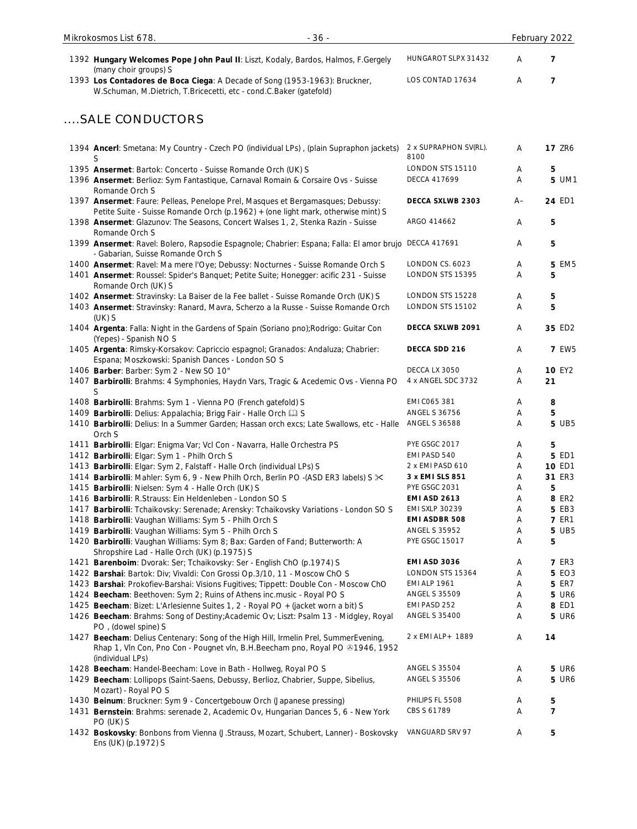| $-36-$<br>Mikrokosmos List 678.                                                                                                                                                           |                                     |        | February 2022  |
|-------------------------------------------------------------------------------------------------------------------------------------------------------------------------------------------|-------------------------------------|--------|----------------|
| 1392 Hungary Welcomes Pope John Paul II: Liszt, Kodaly, Bardos, Halmos, F.Gergely<br>(many choir groups) S                                                                                | HUNGAROT SLPX 31432                 | A      | $\overline{7}$ |
| 1393 Los Contadores de Boca Ciega: A Decade of Song (1953-1963): Bruckner,<br>W.Schuman, M.Dietrich, T.Bricecetti, etc - cond.C.Baker (gatefold)                                          | LOS CONTAD 17634                    | Α      | $\overline{7}$ |
| SALE CONDUCTORS                                                                                                                                                                           |                                     |        |                |
| 1394 Ancerl: Smetana: My Country - Czech PO (individual LPs), (plain Supraphon jackets)<br>S                                                                                              | 2 x SUPRAPHON SV(RL).<br>8100       | Α      | <b>17 ZR6</b>  |
| 1395 Ansermet: Bartok: Concerto - Suisse Romande Orch (UK) S                                                                                                                              | LONDON STS 15110                    | Α      | 5              |
| 1396 Ansermet: Berlioz: Sym Fantastique, Carnaval Romain & Corsaire Ovs - Suisse<br>Romande Orch S                                                                                        | <b>DECCA 417699</b>                 | Α      | 5 UM1          |
| 1397 Ansermet: Faure: Pelleas, Penelope Prel, Masques et Bergamasques; Debussy:<br>Petite Suite - Suisse Romande Orch (p.1962) + (one light mark, otherwise mint) S                       | DECCA SXLWB 2303                    | A–     | 24 ED1         |
| 1398 Ansermet: Glazunov: The Seasons, Concert Walses 1, 2, Stenka Razin - Suisse<br>Romande Orch S                                                                                        | ARGO 414662                         | Α      | 5              |
| 1399 Ansermet: Ravel: Bolero, Rapsodie Espagnole; Chabrier: Espana; Falla: El amor brujo DECCA 417691<br>- Gabarian, Suisse Romande Orch S                                                |                                     | Α      | 5              |
| 1400 Ansermet: Ravel: Ma mere l'Oye; Debussy: Nocturnes - Suisse Romande Orch S                                                                                                           | LONDON CS. 6023                     | Α      | <b>5 EM5</b>   |
| 1401 Ansermet: Roussel: Spider's Banquet; Petite Suite; Honegger: acific 231 - Suisse<br>Romande Orch (UK) S                                                                              | LONDON STS 15395                    | Α      | 5              |
| 1402 Ansermet: Stravinsky: La Baiser de la Fee ballet - Suisse Romande Orch (UK) S                                                                                                        | LONDON STS 15228                    | Α      | 5              |
| 1403 Ansermet: Stravinsky: Ranard, Mavra, Scherzo a la Russe - Suisse Romande Orch<br>$(UK)$ S                                                                                            | LONDON STS 15102                    | Α      | 5              |
| 1404 Argenta: Falla: Night in the Gardens of Spain (Soriano pno); Rodrigo: Guitar Con<br>(Yepes) - Spanish NOS                                                                            | DECCA SXLWB 2091                    | Α      | 35 ED2         |
| 1405 Argenta: Rimsky-Korsakov: Capriccio espagnol; Granados: Andaluza; Chabrier:<br>Espana; Moszkowski: Spanish Dances - London SO S                                                      | DECCA SDD 216                       | Α      | <b>7 EW5</b>   |
| 1406 Barber: Barber: Sym 2 - New SO 10"                                                                                                                                                   | DECCA LX 3050                       | Α      | <b>10 EY2</b>  |
| 1407 Barbirolli: Brahms: 4 Symphonies, Haydn Vars, Tragic & Acedemic Ovs - Vienna PO<br>S                                                                                                 | 4 x ANGEL SDC 3732                  | Α      | 21             |
| 1408 Barbirolli: Brahms: Sym 1 - Vienna PO (French gatefold) S                                                                                                                            | EMI C065 381                        | A      | 8              |
| 1409 Barbirolli: Delius: Appalachia; Brigg Fair - Halle Orch [1] S                                                                                                                        | <b>ANGEL S 36756</b>                | A      | 5              |
| 1410 Barbirolli: Delius: In a Summer Garden; Hassan orch excs; Late Swallows, etc - Halle<br>Orch S                                                                                       | <b>ANGEL S 36588</b>                | A      | <b>5 UB5</b>   |
| 1411 Barbirolli: Elgar: Enigma Var; Vcl Con - Navarra, Halle Orchestra PS                                                                                                                 | PYE GSGC 2017                       | A      | 5              |
| 1412 Barbirolli: Elgar: Sym 1 - Philh Orch S                                                                                                                                              | EMI PASD 540                        | Α      | <b>5 ED1</b>   |
| 1413 Barbirolli: Elgar: Sym 2, Falstaff - Halle Orch (individual LPs) S                                                                                                                   | 2 x EMI PASD 610<br>3 x EMI SLS 851 | Α      | 10 ED1         |
| 1414 Barbirolli: Mahler: Sym 6, 9 - New Philh Orch, Berlin PO -(ASD ER3 labels) S $\times$<br>1415 Barbirolli: Nielsen: Sym 4 - Halle Orch (UK) S                                         | PYE GSGC 2031                       | Α      | 31 ER3         |
| 1416 Barbirolli: R.Strauss: Ein Heldenleben - London SO S                                                                                                                                 | <b>EMI ASD 2613</b>                 | Α<br>Α | 5<br>8 ER2     |
| 1417 Barbirolli: Tchaikovsky: Serenade; Arensky: Tchaikovsky Variations - London SO S                                                                                                     | <b>EMI SXLP 30239</b>               | Α      | <b>5 EB3</b>   |
| 1418 Barbirolli: Vaughan Williams: Sym 5 - Philh Orch S                                                                                                                                   | <b>EMI ASDBR 508</b>                | Α      | <b>7 ER1</b>   |
| 1419 Barbirolli: Vaughan Williams: Sym 5 - Philh Orch S                                                                                                                                   | <b>ANGEL S 35952</b>                | Α      | 5 UB5          |
| 1420 Barbirolli: Vaughan Williams: Sym 8; Bax: Garden of Fand; Butterworth: A<br>Shropshire Lad - Halle Orch (UK) (p.1975) S                                                              | <b>PYE GSGC 15017</b>               | A      | 5              |
| 1421 Barenboim: Dvorak: Ser; Tchaikovsky: Ser - English ChO (p.1974) S                                                                                                                    | EMI ASD 3036                        | Α      | <b>7 ER3</b>   |
| 1422 Barshai: Bartok: Div; Vivaldi: Con Grossi Op.3/10, 11 - Moscow ChO S                                                                                                                 | LONDON STS 15364                    | Α      | <b>5 EO3</b>   |
| 1423 Barshai: Prokofiev-Barshai: Visions Fugitives; Tippett: Double Con - Moscow ChO                                                                                                      | <b>EMI ALP 1961</b>                 | Α      | <b>5 ER7</b>   |
| 1424 Beecham: Beethoven: Sym 2; Ruins of Athens inc.music - Royal PO S                                                                                                                    | <b>ANGEL S 35509</b>                | Α      | <b>5 UR6</b>   |
| 1425 Beecham: Bizet: L'Arlesienne Suites 1, 2 - Royal PO + (jacket worn a bit) S                                                                                                          | EMI PASD 252                        | A      | 8 ED1          |
| 1426 Beecham: Brahms: Song of Destiny; Academic Ov; Liszt: Psalm 13 - Midgley, Royal<br>PO, (dowel spine) S                                                                               | <b>ANGEL S 35400</b>                | Α      | <b>5 UR6</b>   |
| 1427 Beecham: Delius Centenary: Song of the High Hill, Irmelin Prel, SummerEvening,<br>Rhap 1, VIn Con, Pno Con - Pougnet vIn, B.H.Beecham pno, Royal PO & 1946, 1952<br>(individual LPs) | 2 x EMI ALP + 1889                  | Α      | 14             |
| 1428 Beecham: Handel-Beecham: Love in Bath - Hollweg, Royal PO S                                                                                                                          | <b>ANGEL S 35504</b>                | A      | <b>5 UR6</b>   |
| 1429 Beecham: Lollipops (Saint-Saens, Debussy, Berlioz, Chabrier, Suppe, Sibelius,<br>Mozart) - Royal PO S                                                                                | ANGEL S 35506                       | Α      | <b>5 UR6</b>   |
| 1430 Beinum: Bruckner: Sym 9 - Concertgebouw Orch (Japanese pressing)                                                                                                                     | PHILIPS FL 5508                     | A      | 5              |
| 1431 Bernstein: Brahms: serenade 2, Academic Ov, Hungarian Dances 5, 6 - New York<br>PO (UK) S                                                                                            | CBS S 61789                         | Α      | $\overline{7}$ |
| 1432 Boskovsky: Bonbons from Vienna (J.Strauss, Mozart, Schubert, Lanner) - Boskovsky<br>Ens (UK) (p.1972) S                                                                              | VANGUARD SRV 97                     | Α      | 5              |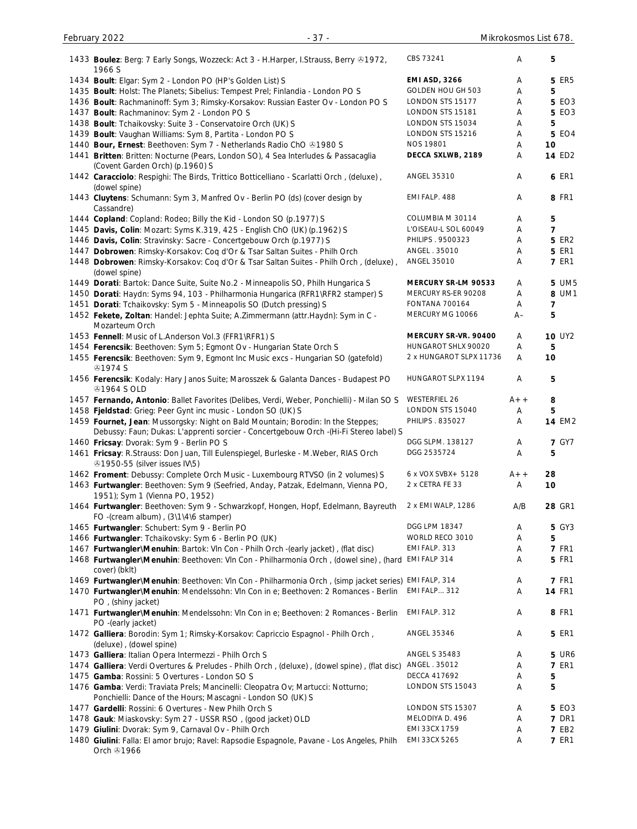| 1433 Boulez: Berg: 7 Early Songs, Wozzeck: Act 3 - H.Harper, I.Strauss, Berry ®1972,<br>1966 S                                                                            | CBS 73241               | Α      | 5              |
|---------------------------------------------------------------------------------------------------------------------------------------------------------------------------|-------------------------|--------|----------------|
| 1434 Boult: Elgar: Sym 2 - London PO (HP's Golden List) S                                                                                                                 | <b>EMI ASD, 3266</b>    | Α      | <b>5 ER5</b>   |
| 1435 Boult: Holst: The Planets; Sibelius: Tempest Prel; Finlandia - London PO S                                                                                           | GOLDEN HOU GH 503       | Α      | 5              |
| 1436 Boult: Rachmaninoff: Sym 3; Rimsky-Korsakov: Russian Easter Ov - London PO S                                                                                         | LONDON STS 15177        | Α      | <b>5 EO3</b>   |
| 1437 Boult: Rachmaninov: Sym 2 - London PO S                                                                                                                              | LONDON STS 15181        | Α      | <b>5 EO3</b>   |
| 1438 Boult: Tchaikovsky: Suite 3 - Conservatoire Orch (UK) S                                                                                                              | LONDON STS 15034        | Α      | 5              |
| 1439 Boult: Vaughan Williams: Sym 8, Partita - London PO S                                                                                                                | LONDON STS 15216        | Α      | <b>5 EO4</b>   |
| 1440 Bour, Ernest: Beethoven: Sym 7 - Netherlands Radio ChO @1980 S                                                                                                       | <b>NOS 19801</b>        |        | 10             |
| 1441 Britten: Britten: Nocturne (Pears, London SO), 4 Sea Interludes & Passacaglia                                                                                        | DECCA SXLWB, 2189       | Α<br>Α | <b>14 ED2</b>  |
| (Covent Garden Orch) (p.1960) S<br>1442 Caracciolo: Respighi: The Birds, Trittico Botticelliano - Scarlatti Orch, (deluxe),                                               | ANGEL 35310             | A      | <b>6 ER1</b>   |
| (dowel spine)<br>1443 Cluytens: Schumann: Sym 3, Manfred Ov - Berlin PO (ds) (cover design by<br>Cassandre)                                                               | EMI FALP. 488           | Α      | 8 FR1          |
| 1444 Copland: Copland: Rodeo; Billy the Kid - London SO (p.1977) S                                                                                                        | COLUMBIA M 30114        | Α      | 5              |
| 1445 Davis, Colin: Mozart: Syms K.319, 425 - English ChO (UK) (p.1962) S                                                                                                  | L'OISEAU-L SOL 60049    | Α      | $\overline{7}$ |
| 1446 Davis, Colin: Stravinsky: Sacre - Concertgebouw Orch (p.1977) S                                                                                                      | PHILIPS . 9500323       | Α      | <b>5 ER2</b>   |
| 1447 Dobrowen: Rimsky-Korsakov: Coq d'Or & Tsar Saltan Suites - Philh Orch                                                                                                | ANGEL . 35010           | Α      | <b>5 ER1</b>   |
| 1448 Dobrowen: Rimsky-Korsakov: Coq d'Or & Tsar Saltan Suites - Philh Orch, (deluxe),                                                                                     | ANGEL 35010             | Α      | <b>7 ER1</b>   |
| (dowel spine)                                                                                                                                                             |                         |        |                |
| 1449 Dorati: Bartok: Dance Suite, Suite No.2 - Minneapolis SO, Philh Hungarica S                                                                                          | MERCURY SR-LM 90533     | Α      | <b>5 UM5</b>   |
| 1450 Dorati: Haydn: Syms 94, 103 - Philharmonia Hungarica (RFR1\RFR2 stamper) S                                                                                           | MERCURY RS-ER 90208     | Α      | 8 UM1          |
| 1451 Dorati: Tchaikovsky: Sym 5 - Minneapolis SO (Dutch pressing) S                                                                                                       | <b>FONTANA 700164</b>   | Α      | $\overline{7}$ |
| 1452 Fekete, Zoltan: Handel: Jephta Suite; A.Zimmermann (attr.Haydn): Sym in C -<br>Mozarteum Orch                                                                        | MERCURY MG 10066        | $A-$   | 5              |
| 1453 Fennell: Music of L.Anderson Vol.3 (FFR1\RFR1) S                                                                                                                     | MERCURY SR-VR. 90400    | A      | <b>10 UY2</b>  |
| 1454 Ferencsik: Beethoven: Sym 5; Egmont Ov - Hungarian State Orch S                                                                                                      | HUNGAROT SHLX 90020     | Α      | 5              |
| 1455 Ferencsik: Beethoven: Sym 9, Egmont Inc Music excs - Hungarian SO (gatefold)<br><b>@1974 S</b>                                                                       | 2 x HUNGAROT SLPX 11736 | Α      | 10             |
| 1456 Ferencsik: Kodaly: Hary Janos Suite; Marosszek & Galanta Dances - Budapest PO<br><b>41964 S OLD</b>                                                                  | HUNGAROT SLPX 1194      | Α      | 5              |
| 1457 Fernando, Antonio: Ballet Favorites (Delibes, Verdi, Weber, Ponchielli) - Milan SO S                                                                                 | <b>WESTERFIEL 26</b>    | $A++$  | 8              |
| 1458 Fjeldstad: Grieg: Peer Gynt inc music - London SO (UK) S                                                                                                             | LONDON STS 15040        | Α      | 5              |
| 1459 Fournet, Jean: Mussorgsky: Night on Bald Mountain; Borodin: In the Steppes;<br>Debussy: Faun; Dukas: L'apprenti sorcier - Concertgebouw Orch -(Hi-Fi Stereo label) S | PHILIPS . 835027        | Α      | <b>14 EM2</b>  |
| 1460 Fricsay: Dvorak: Sym 9 - Berlin PO S                                                                                                                                 | DGG SLPM. 138127        | Α      | <b>7 GY7</b>   |
| 1461 Fricsay: R.Strauss: Don Juan, Till Eulenspiegel, Burleske - M.Weber, RIAS Orch<br>21950-55 (silver issues IV\5)                                                      | DGG 2535724             | Α      | 5              |
| 1462 Froment: Debussy: Complete Orch Music - Luxembourg RTVSO (in 2 volumes) S                                                                                            | 6 x VOX SVBX+ 5128      | $A++$  | 28             |
| 1463 Furtwangler: Beethoven: Sym 9 (Seefried, Anday, Patzak, Edelmann, Vienna PO,<br>1951); Sym 1 (Vienna PO, 1952)                                                       | 2 x CETRA FE 33         | Α      | 10             |
| 1464 Furtwangler: Beethoven: Sym 9 - Schwarzkopf, Hongen, Hopf, Edelmann, Bayreuth<br>FO -(cream album), (3\1\4\6 stamper)                                                | 2 x EMI WALP, 1286      | A/B    | 28 GR1         |
| 1465 Furtwangler: Schubert: Sym 9 - Berlin PO                                                                                                                             | <b>DGG LPM 18347</b>    | Α      | 5 GY3          |
| 1466 Furtwangler: Tchaikovsky: Sym 6 - Berlin PO (UK)                                                                                                                     | WORLD RECO 3010         | A      | 5              |
| 1467 Furtwangler\Menuhin: Bartok: Vln Con - Philh Orch -(early jacket), (flat disc)                                                                                       | EMI FALP. 313           | Α      | <b>7 FR1</b>   |
| 1468 Furtwangler\Menuhin: Beethoven: VIn Con - Philharmonia Orch, (dowel sine), (hard                                                                                     | EMI FALP 314            | Α      | <b>5 FR1</b>   |
| cover) (bklt)                                                                                                                                                             |                         |        |                |
| 1469 Furtwangler\Menuhin: Beethoven: VIn Con - Philharmonia Orch, (simp jacket series) EMI FALP, 314                                                                      |                         | Α      | <b>7 FR1</b>   |
| 1470 Furtwangler\Menuhin: Mendelssohn: Vln Con in e; Beethoven: 2 Romances - Berlin<br>PO, (shiny jacket)                                                                 | <b>EMI FALP 312</b>     | Α      | <b>14 FR1</b>  |
| 1471 Furtwangler\Menuhin: Mendelssohn: Vln Con in e; Beethoven: 2 Romances - Berlin<br>PO -(early jacket)                                                                 | EMI FALP. 312           | Α      | 8 FR1          |
| 1472 Galliera: Borodin: Sym 1; Rimsky-Korsakov: Capriccio Espagnol - Philh Orch,                                                                                          | ANGEL 35346             | Α      | 5 ER1          |
| (deluxe), (dowel spine)<br>1473 Galliera: Italian Opera Intermezzi - Philh Orch S                                                                                         | <b>ANGEL S 35483</b>    | Α      | <b>5 UR6</b>   |
|                                                                                                                                                                           | ANGEL . 35012           | Α      | <b>7 ER1</b>   |
| 1474 Galliera: Verdi Overtures & Preludes - Philh Orch, (deluxe), (dowel spine), (flat disc)                                                                              | DECCA 417692            |        |                |
| 1475 Gamba: Rossini: 5 Overtures - London SO S                                                                                                                            | LONDON STS 15043        | Α      | 5              |
| 1476 Gamba: Verdi: Traviata Prels; Mancinelli: Cleopatra Ov; Martucci: Notturno;<br>Ponchielli: Dance of the Hours; Mascagni - London SO (UK) S                           |                         | Α      | 5              |
| 1477 Gardelli: Rossini: 6 Overtures - New Philh Orch S                                                                                                                    | LONDON STS 15307        | Α      | 5 EO3          |
| 1478 Gauk: Miaskovsky: Sym 27 - USSR RSO, (good jacket) OLD                                                                                                               | MELODIYA D. 496         | Α      | <b>7 DR1</b>   |
| 1479 Giulini: Dvorak: Sym 9, Carnaval Ov - Philh Orch                                                                                                                     | EMI 33CX 1759           | Α      | <b>7 EB2</b>   |
| 1480 Giulini: Falla: El amor brujo; Ravel: Rapsodie Espagnole, Pavane - Los Angeles, Philh<br>Orch 21966                                                                  | EMI 33CX 5265           | Α      | <b>7 ER1</b>   |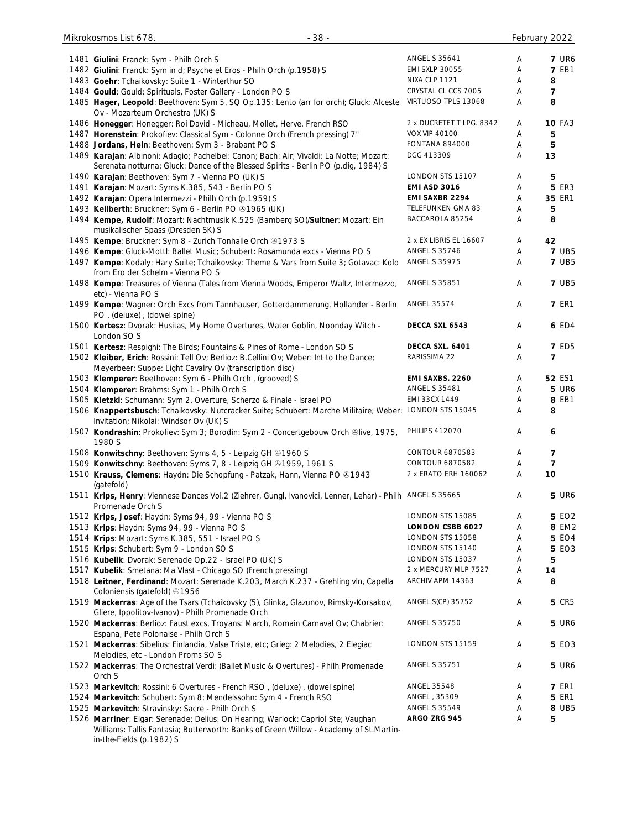| 1481 Giulini: Franck: Sym - Philh Orch S                                                                                                                                      | <b>ANGEL S 35641</b>     | A | <b>7 UR6</b>  |
|-------------------------------------------------------------------------------------------------------------------------------------------------------------------------------|--------------------------|---|---------------|
| 1482 Giulini: Franck: Sym in d; Psyche et Eros - Philh Orch (p.1958) S                                                                                                        | <b>EMI SXLP 30055</b>    | Α | <b>7 EB1</b>  |
| 1483 Goehr: Tchaikovsky: Suite 1 - Winterthur SO                                                                                                                              | NIXA CLP 1121            | Α | 8             |
| 1484 Gould: Gould: Spirituals, Foster Gallery - London PO S                                                                                                                   | CRYSTAL CL CCS 7005      | Α | 7             |
| 1485 Hager, Leopold: Beethoven: Sym 5, SQ Op.135: Lento (arr for orch); Gluck: Alceste                                                                                        | VIRTUOSO TPLS 13068      | Α | 8             |
| Ov - Mozarteum Orchestra (UK) S                                                                                                                                               |                          |   |               |
| 1486 Honegger: Honegger: Roi David - Micheau, Mollet, Herve, French RSO                                                                                                       | 2 x DUCRETET T LPG. 8342 | Α | <b>10 FA3</b> |
| 1487 Horenstein: Prokofiev: Classical Sym - Colonne Orch (French pressing) 7"                                                                                                 | <b>VOX VIP 40100</b>     | Α | 5             |
|                                                                                                                                                                               | <b>FONTANA 894000</b>    |   | 5             |
| 1488 Jordans, Hein: Beethoven: Sym 3 - Brabant PO S                                                                                                                           |                          | Α |               |
| 1489 Karajan: Albinoni: Adagio; Pachelbel: Canon; Bach: Air; Vivaldi: La Notte; Mozart:<br>Serenata notturna; Gluck: Dance of the Blessed Spirits - Berlin PO (p.dig, 1984) S | DGG 413309               | Α | 13            |
| 1490 Karajan: Beethoven: Sym 7 - Vienna PO (UK) S                                                                                                                             | LONDON STS 15107         | Α | 5             |
|                                                                                                                                                                               | <b>EMI ASD 3016</b>      | Α | <b>5 ER3</b>  |
| 1491 Karajan: Mozart: Syms K.385, 543 - Berlin POS                                                                                                                            |                          |   |               |
| 1492 Karajan: Opera Intermezzi - Philh Orch (p.1959) S                                                                                                                        | EMI SAXBR 2294           | Α | 35 ER1        |
| 1493 Keilberth: Bruckner: Sym 6 - Berlin PO +1965 (UK)                                                                                                                        | TELEFUNKEN GMA 83        | Α | 5             |
| 1494 Kempe, Rudolf: Mozart: Nachtmusik K.525 (Bamberg SO)/Suitner: Mozart: Ein<br>musikalischer Spass (Dresden SK) S                                                          | BACCAROLA 85254          | Α | 8             |
| 1495 Kempe: Bruckner: Sym 8 - Zurich Tonhalle Orch 21973 S                                                                                                                    | 2 x EX LIBRIS EL 16607   | Α | 42            |
|                                                                                                                                                                               | <b>ANGEL S 35746</b>     |   | <b>7 UB5</b>  |
| 1496 Kempe: Gluck-Mottl: Ballet Music; Schubert: Rosamunda excs - Vienna PO S                                                                                                 |                          | Α |               |
| 1497 Kempe: Kodaly: Hary Suite; Tchaikovsky: Theme & Vars from Suite 3; Gotavac: Kolo<br>from Ero der Schelm - Vienna PO S                                                    | <b>ANGEL S 35975</b>     | Α | <b>7 UB5</b>  |
| 1498 Kempe: Treasures of Vienna (Tales from Vienna Woods, Emperor Waltz, Intermezzo,                                                                                          | <b>ANGEL S 35851</b>     | Α | <b>7 UB5</b>  |
| etc) - Vienna PO S                                                                                                                                                            |                          |   |               |
| 1499 Kempe: Wagner: Orch Excs from Tannhauser, Gotterdammerung, Hollander - Berlin                                                                                            | ANGEL 35574              | Α | <b>7 ER1</b>  |
| PO, (deluxe), (dowel spine)                                                                                                                                                   |                          |   |               |
| 1500 Kertesz: Dvorak: Husitas, My Home Overtures, Water Goblin, Noonday Witch -                                                                                               | DECCA SXL 6543           | Α | 6 ED4         |
| London SO S                                                                                                                                                                   |                          |   |               |
| 1501 Kertesz: Respighi: The Birds; Fountains & Pines of Rome - London SO S                                                                                                    | DECCA SXL. 6401          | Α | <b>7 ED5</b>  |
| 1502 Kleiber, Erich: Rossini: Tell Ov; Berlioz: B.Cellini Ov; Weber: Int to the Dance;<br>Meyerbeer; Suppe: Light Cavalry Ov (transcription disc)                             | RARISSIMA 22             | Α | 7             |
| 1503 Klemperer: Beethoven: Sym 6 - Philh Orch, (grooved) S                                                                                                                    | EMI SAXBS. 2260          | Α | 52 ES1        |
|                                                                                                                                                                               | <b>ANGEL S 35481</b>     | Α | <b>5 UR6</b>  |
| 1504 Klemperer: Brahms: Sym 1 - Philh Orch S                                                                                                                                  | EMI 33CX 1449            |   |               |
| 1505 Kletzki: Schumann: Sym 2, Overture, Scherzo & Finale - Israel PO                                                                                                         |                          | Α | 8 EB1         |
| 1506 Knappertsbusch: Tchaikovsky: Nutcracker Suite; Schubert: Marche Militaire; Weber: LONDON STS 15045<br>Invitation; Nikolai: Windsor Ov (UK) S                             |                          | Α | 8             |
| 1507 Kondrashin: Prokofiev: Sym 3; Borodin: Sym 2 - Concertgebouw Orch ®live, 1975,<br>1980 S                                                                                 | <b>PHILIPS 412070</b>    | Α | 6             |
| 1508 Konwitschny: Beethoven: Syms 4, 5 - Leipzig GH @1960 S                                                                                                                   | CONTOUR 6870583          | Α | 7             |
|                                                                                                                                                                               | CONTOUR 6870582          |   |               |
| 1509 Konwitschny: Beethoven: Syms 7, 8 - Leipzig GH @1959, 1961 S                                                                                                             |                          | Α | 7             |
| 1510 Krauss, Clemens: Haydn: Die Schopfung - Patzak, Hann, Vienna PO ®1943                                                                                                    | 2 x ERATO ERH 160062     | Α | 10            |
| (gatefold)                                                                                                                                                                    |                          |   |               |
| 1511 Krips, Henry: Viennese Dances Vol.2 (Ziehrer, Gungl, Ivanovici, Lenner, Lehar) - Philh ANGEL S 35665<br>Promenade Orch S                                                 |                          | Α | <b>5 UR6</b>  |
| 1512 Krips, Josef: Haydn: Syms 94, 99 - Vienna PO S                                                                                                                           | LONDON STS 15085         | Α | 5 EO2         |
| 1513 Krips: Haydn: Syms 94, 99 - Vienna PO S                                                                                                                                  | <b>LONDON CSBB 6027</b>  | Α | 8 EM2         |
|                                                                                                                                                                               | LONDON STS 15058         |   | <b>5 EO4</b>  |
| 1514 Krips: Mozart: Syms K.385, 551 - Israel PO S                                                                                                                             |                          | Α |               |
| 1515 Krips: Schubert: Sym 9 - London SO S                                                                                                                                     | LONDON STS 15140         | Α | <b>5 EO3</b>  |
| 1516 Kubelik: Dvorak: Serenade Op.22 - Israel PO (UK) S                                                                                                                       | LONDON STS 15037         | Α | 5             |
| 1517 Kubelik: Smetana: Ma Vlast - Chicago SO (French pressing)                                                                                                                | 2 x MERCURY MLP 7527     | Α | 14            |
| 1518 Leitner, Ferdinand: Mozart: Serenade K.203, March K.237 - Grehling vln, Capella                                                                                          | ARCHIV APM 14363         | Α | 8             |
| Coloniensis (gatefold) 31956                                                                                                                                                  | ANGEL S(CP) 35752        |   |               |
| 1519 Mackerras: Age of the Tsars (Tchaikovsky (5), Glinka, Glazunov, Rimsky-Korsakov,<br>Gliere, Ippolitov-Ivanov) - Philh Promenade Orch                                     |                          | Α | <b>5 CR5</b>  |
| 1520 Mackerras: Berlioz: Faust excs, Troyans: March, Romain Carnaval Ov; Chabrier:                                                                                            | <b>ANGEL S 35750</b>     | Α | <b>5 UR6</b>  |
| Espana, Pete Polonaise - Philh Orch S                                                                                                                                         |                          |   |               |
| 1521 Mackerras: Sibelius: Finlandia, Valse Triste, etc; Grieg: 2 Melodies, 2 Elegiac                                                                                          | LONDON STS 15159         | Α | 5 EO3         |
| Melodies, etc - London Proms SO S                                                                                                                                             |                          |   |               |
| 1522 Mackerras: The Orchestral Verdi: (Ballet Music & Overtures) - Philh Promenade                                                                                            | <b>ANGEL S 35751</b>     | Α | <b>5 UR6</b>  |
| Orch S                                                                                                                                                                        |                          |   |               |
| 1523 Markevitch: Rossini: 6 Overtures - French RSO, (deluxe), (dowel spine)                                                                                                   | <b>ANGEL 35548</b>       | Α | <b>7 ER1</b>  |
| 1524 Markevitch: Schubert: Sym 8; Mendelssohn: Sym 4 - French RSO                                                                                                             | ANGEL, 35309             | Α | <b>5 ER1</b>  |
| 1525 Markevitch: Stravinsky: Sacre - Philh Orch S                                                                                                                             | ANGEL S 35549            | Α | 8 UB5         |
| 1526 Marriner: Elgar: Serenade; Delius: On Hearing; Warlock: Capriol Ste; Vaughan                                                                                             | ARGO ZRG 945             | Α | 5             |
| Williams: Tallis Fantasia: Butterworth: Banks of Green Willow - Academy of St.Martin-                                                                                         |                          |   |               |

Williams: Tallis Fantasia; Butterworth: Banks of Green Willow - Academy of St.Martinin-the-Fields (p.1982) S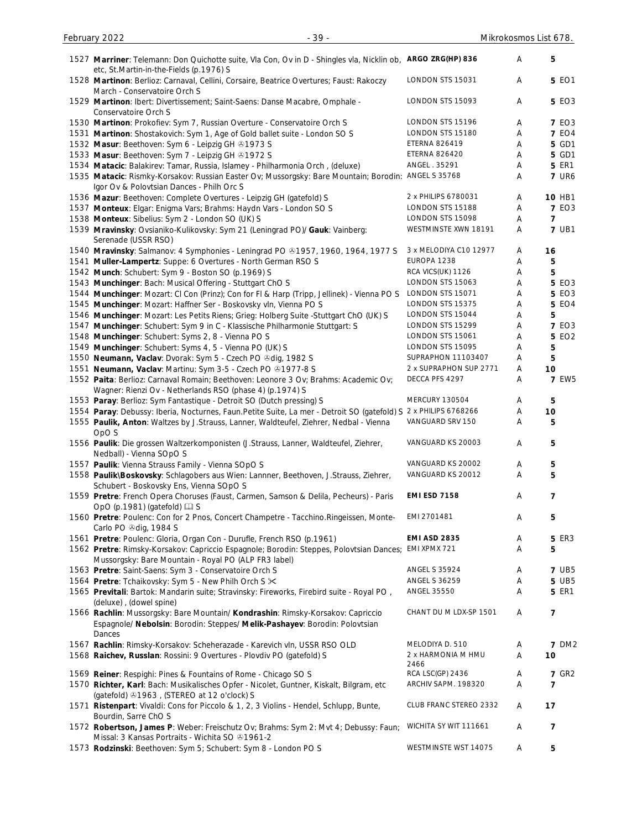| 1527 Marriner: Telemann: Don Quichotte suite, Vla Con, Ov in D - Shingles vla, Nicklin ob, ARGO ZRG(HP) 836<br>etc, St.Martin-in-the-Fields (p.1976) S                                   |                            | Α      | 5            |
|------------------------------------------------------------------------------------------------------------------------------------------------------------------------------------------|----------------------------|--------|--------------|
| 1528 Martinon: Berlioz: Carnaval, Cellini, Corsaire, Beatrice Overtures; Faust: Rakoczy<br>March - Conservatoire Orch S                                                                  | LONDON STS 15031           | Α      | <b>5 EO1</b> |
| 1529 Martinon: Ibert: Divertissement; Saint-Saens: Danse Macabre, Omphale -<br>Conservatoire Orch S                                                                                      | LONDON STS 15093           | Α      | <b>5 EO3</b> |
| 1530 Martinon: Prokofiev: Sym 7, Russian Overture - Conservatoire Orch S                                                                                                                 | LONDON STS 15196           | Α      | <b>7 EO3</b> |
| 1531 Martinon: Shostakovich: Sym 1, Age of Gold ballet suite - London SO S                                                                                                               | LONDON STS 15180           | Α      | <b>7 EO4</b> |
| 1532 Masur: Beethoven: Sym 6 - Leipzig GH @1973 S                                                                                                                                        | <b>ETERNA 826419</b>       | Α      | 5 GD1        |
| 1533 Masur: Beethoven: Sym 7 - Leipzig GH @1972 S                                                                                                                                        | <b>ETERNA 826420</b>       | Α      | 5 GD1        |
| 1534 Matacic: Balakirev: Tamar, Russia, Islamey - Philharmonia Orch, (deluxe)                                                                                                            | ANGEL . 35291              | Α      | <b>5 ER1</b> |
| 1535 Matacic: Rismky-Korsakov: Russian Easter Ov; Mussorgsky: Bare Mountain; Borodin:                                                                                                    | <b>ANGEL S 35768</b>       | Α      | <b>7 UR6</b> |
| Igor Ov & Polovtsian Dances - Philh Orc S                                                                                                                                                |                            |        |              |
| 1536 Mazur: Beethoven: Complete Overtures - Leipzig GH (gatefold) S                                                                                                                      | 2 x PHILIPS 6780031        | Α      | 10 HB1       |
| 1537 Monteux: Elgar: Enigma Vars; Brahms: Haydn Vars - London SO S                                                                                                                       | LONDON STS 15188           | Α      | <b>7 EO3</b> |
| 1538 Monteux: Sibelius: Sym 2 - London SO (UK) S                                                                                                                                         | LONDON STS 15098           | Α      | 7            |
| 1539 Mravinsky: Ovsianiko-Kulikovsky: Sym 21 (Leningrad PO)/ Gauk: Vainberg:<br>Serenade (USSR RSO)                                                                                      | WESTMINSTE XWN 18191       | Α      | <b>7 UB1</b> |
| 1540 Mravinsky: Salmanov: 4 Symphonies - Leningrad PO & 1957, 1960, 1964, 1977 S                                                                                                         | 3 x MELODIYA C10 12977     | A      | 16           |
| 1541 Muller-Lampertz: Suppe: 6 Overtures - North German RSO S                                                                                                                            | EUROPA 1238                | Α      | 5            |
| 1542 Munch: Schubert: Sym 9 - Boston SO (p.1969) S                                                                                                                                       | RCA VICS(UK) 1126          | Α      | 5            |
| 1543 Munchinger: Bach: Musical Offering - Stuttgart ChO S                                                                                                                                | LONDON STS 15063           | Α      | <b>5 EO3</b> |
| 1544 Munchinger: Mozart: CI Con (Prinz); Con for FI & Harp (Tripp, Jellinek) - Vienna PO S                                                                                               | LONDON STS 15071           | Α      | <b>5 EO3</b> |
| 1545 Munchinger: Mozart: Haffner Ser - Boskovsky vln, Vienna PO S                                                                                                                        | LONDON STS 15375           | Α      | <b>5 EO4</b> |
|                                                                                                                                                                                          | LONDON STS 15044           |        |              |
| 1546 Munchinger: Mozart: Les Petits Riens; Grieg: Holberg Suite -Stuttgart ChO (UK) S                                                                                                    |                            | Α      | 5            |
| 1547 Munchinger: Schubert: Sym 9 in C - Klassische Philharmonie Stuttgart: S                                                                                                             | LONDON STS 15299           | Α      | <b>7 EO3</b> |
| 1548 Munchinger: Schubert: Syms 2, 8 - Vienna PO S                                                                                                                                       | LONDON STS 15061           | Α      | <b>5 EO2</b> |
| 1549 Munchinger: Schubert: Syms 4, 5 - Vienna PO (UK) S                                                                                                                                  | LONDON STS 15095           | Α      | 5            |
| 1550 Neumann, Vaclav: Dvorak: Sym 5 - Czech PO & dig, 1982 S                                                                                                                             | SUPRAPHON 11103407         | Α      | 5            |
| 1551 Neumann, Vaclav: Martinu: Sym 3-5 - Czech PO @1977-8 S                                                                                                                              | 2 x SUPRAPHON SUP 2771     | Α      | 10           |
| 1552 Paita: Berlioz: Carnaval Romain; Beethoven: Leonore 3 Ov; Brahms: Academic Ov;<br>Wagner: Rienzi Ov - Netherlands RSO (phase 4) (p.1974) S                                          | DECCA PFS 4297             | Α      | <b>7 EW5</b> |
| 1553 Paray: Berlioz: Sym Fantastique - Detroit SO (Dutch pressing) S                                                                                                                     | MERCURY 130504             | Α      | 5            |
| 1554 Paray: Debussy: Iberia, Nocturnes, Faun.Petite Suite, La mer - Detroit SO (gatefold) S 2 x PHILIPS 6768266                                                                          |                            | Α      | 10           |
| 1555 Paulik, Anton: Waltzes by J.Strauss, Lanner, Waldteufel, Ziehrer, Nedbal - Vienna<br>OpO <sub>S</sub>                                                                               | VANGUARD SRV 150           | Α      | 5            |
| 1556 Paulik: Die grossen Waltzerkomponisten (J.Strauss, Lanner, Waldteufel, Ziehrer,<br>Nedball) - Vienna SOpO S                                                                         | VANGUARD KS 20003          | Α      | 5            |
| 1557 Paulik: Vienna Strauss Family - Vienna SOpO S                                                                                                                                       | VANGUARD KS 20002          | Α      | 5            |
| 1558 Paulik\Boskovsky: Schlagobers aus Wien: Lannner, Beethoven, J.Strauss, Ziehrer,<br>Schubert - Boskovsky Ens, Vienna SOpO S                                                          | VANGUARD KS 20012          | Α      | 5            |
| 1559 Pretre: French Opera Choruses (Faust, Carmen, Samson & Delila, Pecheurs) - Paris<br>OpO (p.1981) (gatefold) [1] S                                                                   | <b>EMI ESD 7158</b>        | Α      | 7            |
| 1560 Pretre: Poulenc: Con for 2 Pnos, Concert Champetre - Tacchino.Ringeissen, Monte-<br>Carlo PO Odig, 1984 S                                                                           | EMI 2701481                | Α      | 5            |
| 1561 Pretre: Poulenc: Gloria, Organ Con - Durufle, French RSO (p.1961)                                                                                                                   | <b>EMI ASD 2835</b>        | Α      | <b>5 ER3</b> |
| 1562 Pretre: Rimsky-Korsakov: Capriccio Espagnole; Borodin: Steppes, Polovtsian Dances;                                                                                                  | EMI XPMX 721               | Α      | 5            |
| Mussorgsky: Bare Mountain - Royal PO (ALP FR3 label)                                                                                                                                     |                            |        |              |
| 1563 Pretre: Saint-Saens: Sym 3 - Conservatoire Orch S                                                                                                                                   | <b>ANGEL S 35924</b>       | A      | <b>7 UB5</b> |
|                                                                                                                                                                                          | <b>ANGEL S 36259</b>       |        | 5 UB5        |
| 1564 Pretre: Tchaikovsky: Sym 5 - New Philh Orch S $\times$<br>1565 Previtali: Bartok: Mandarin suite; Stravinsky: Fireworks, Firebird suite - Royal PO,                                 | <b>ANGEL 35550</b>         | A<br>Α | <b>5 ER1</b> |
| (deluxe), (dowel spine)<br>1566 Rachlin: Mussorgsky: Bare Mountain/ Kondrashin: Rimsky-Korsakov: Capriccio<br>Espagnole/ Nebolsin: Borodin: Steppes/ Melik-Pashayev: Borodin: Polovtsian | CHANT DU M LDX-SP 1501     | Α      | 7            |
| Dances                                                                                                                                                                                   |                            |        |              |
| 1567 Rachlin: Rimsky-Korsakov: Scheherazade - Karevich vln, USSR RSO OLD                                                                                                                 | MELODIYA D. 510            | Α      | <b>7 DM2</b> |
| 1568 Raichev, Russlan: Rossini: 9 Overtures - Plovdiv PO (gatefold) S                                                                                                                    | 2 x HARMONIA M HMU<br>2466 | Α      | 10           |
| 1569 Reiner: Respighi: Pines & Fountains of Rome - Chicago SO S                                                                                                                          | RCA LSC(GP) 2436           | Α      | <b>7 GR2</b> |
| 1570 Richter, Karl: Bach: Musikalisches Opfer - Nicolet, Guntner, Kiskalt, Bilgram, etc<br>(gatefold) 31963, (STEREO at 12 o'clock) S                                                    | ARCHIV SAPM. 198320        | Α      | 7            |
| 1571 Ristenpart: Vivaldi: Cons for Piccolo & 1, 2, 3 Violins - Hendel, Schlupp, Bunte,<br>Bourdin, Sarre ChO S                                                                           | CLUB FRANC STEREO 2332     | Α      | 17           |
| 1572 Robertson, James P: Weber: Freischutz Ov; Brahms: Sym 2: Mvt 4; Debussy: Faun;<br>Missal: 3 Kansas Portraits - Wichita SO 31961-2                                                   | WICHITA SY WIT 111661      | A      | 7            |
| 1573 Rodzinski: Beethoven: Sym 5; Schubert: Sym 8 - London PO S                                                                                                                          | WESTMINSTE WST 14075       | A      | 5            |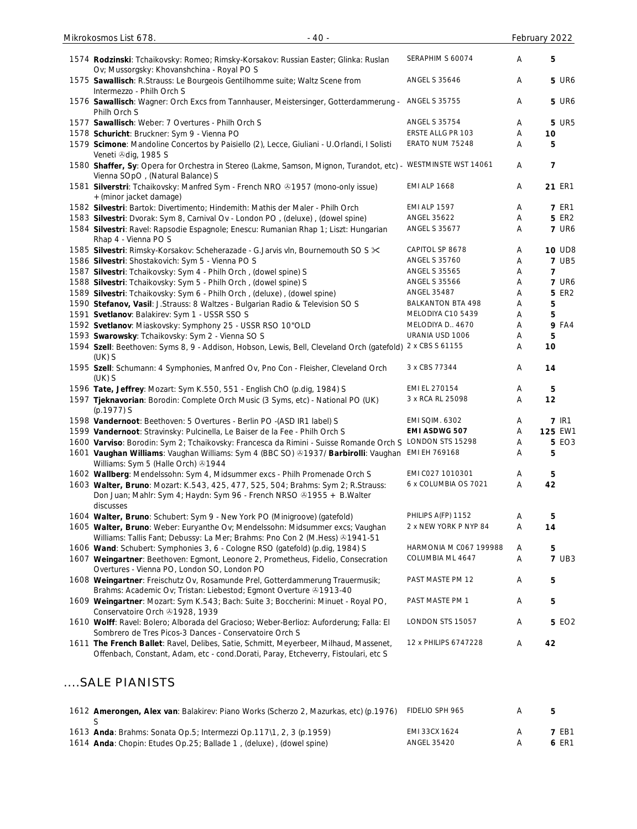| 1574 Rodzinski: Tchaikovsky: Romeo; Rimsky-Korsakov: Russian Easter; Glinka: Ruslan<br>Ov; Mussorgsky: Khovanshchina - Royal PO S                                      | SERAPHIM S 60074       | Α | 5             |
|------------------------------------------------------------------------------------------------------------------------------------------------------------------------|------------------------|---|---------------|
| 1575 Sawallisch: R.Strauss: Le Bourgeois Gentilhomme suite; Waltz Scene from<br>Intermezzo - Philh Orch S                                                              | <b>ANGEL S 35646</b>   | Α | <b>5 UR6</b>  |
| 1576 Sawallisch: Wagner: Orch Excs from Tannhauser, Meistersinger, Gotterdammerung -<br>Philh Orch S                                                                   | <b>ANGEL S 35755</b>   | A | <b>5 UR6</b>  |
| 1577 Sawallisch: Weber: 7 Overtures - Philh Orch S                                                                                                                     | <b>ANGEL S 35754</b>   | Α | <b>5 UR5</b>  |
| 1578 Schuricht: Bruckner: Sym 9 - Vienna PO                                                                                                                            | ERSTE ALLG PR 103      | Α | 10            |
| 1579 Scimone: Mandoline Concertos by Paisiello (2), Lecce, Giuliani - U.Orlandi, I Solisti<br>Veneti +dig, 1985 S                                                      | ERATO NUM 75248        | Α | 5             |
| 1580 Shaffer, Sy: Opera for Orchestra in Stereo (Lakme, Samson, Mignon, Turandot, etc) - WESTMINSTE WST 14061<br>Vienna SOpO, (Natural Balance) S                      |                        | Α | 7             |
| 1581 Silverstri: Tchaikovsky: Manfred Sym - French NRO & 1957 (mono-only issue)<br>+ (minor jacket damage)                                                             | <b>EMI ALP 1668</b>    | Α | 21 ER1        |
| 1582 Silvestri: Bartok: Divertimento; Hindemith: Mathis der Maler - Philh Orch                                                                                         | <b>EMI ALP 1597</b>    | Α | <b>7 ER1</b>  |
| 1583 Silvestri: Dvorak: Sym 8, Carnival Ov - London PO, (deluxe), (dowel spine)                                                                                        | <b>ANGEL 35622</b>     | Α | 5 ER2         |
| 1584 Silvestri: Ravel: Rapsodie Espagnole; Enescu: Rumanian Rhap 1; Liszt: Hungarian<br>Rhap 4 - Vienna PO S                                                           | <b>ANGEL S 35677</b>   | Α | <b>7 UR6</b>  |
| 1585 Silvestri: Rimsky-Korsakov: Scheherazade - G.Jarvis vln, Bournemouth SO S $\times$                                                                                | CAPITOL SP 8678        | Α | <b>10 UD8</b> |
| 1586 Silvestri: Shostakovich: Sym 5 - Vienna PO S                                                                                                                      | <b>ANGEL S 35760</b>   | Α | <b>7 UB5</b>  |
| 1587 Silvestri: Tchaikovsky: Sym 4 - Philh Orch, (dowel spine) S                                                                                                       | <b>ANGEL S 35565</b>   | Α | 7             |
| 1588 Silvestri: Tchaikovsky: Sym 5 - Philh Orch, (dowel spine) S                                                                                                       | <b>ANGEL S 35566</b>   | Α | <b>7 UR6</b>  |
| 1589 Silvestri: Tchaikovsky: Sym 6 - Philh Orch, (deluxe), (dowel spine)                                                                                               | <b>ANGEL 35487</b>     | Α | <b>5 ER2</b>  |
| 1590 Stefanov, Vasil: J.Strauss: 8 Waltzes - Bulgarian Radio & Television SO S                                                                                         | BALKANTON BTA 498      | Α | 5             |
| 1591 Svetlanov: Balakirev: Sym 1 - USSR SSO S                                                                                                                          | MELODIYA C10 5439      | Α | 5             |
| 1592 Svetlanov: Miaskovsky: Symphony 25 - USSR RSO 10"OLD                                                                                                              | MELODIYA D., 4670      | Α | <b>9 FA4</b>  |
| 1593 Swarowsky: Tchaikovsky: Sym 2 - Vienna SO S                                                                                                                       | URANIA USD 1006        | Α | 5             |
| 1594 Szell: Beethoven: Syms 8, 9 - Addison, Hobson, Lewis, Bell, Cleveland Orch (gatefold) 2 x CBS S 61155<br>$(UK)$ S                                                 |                        | Α | 10            |
| 1595 Szell: Schumann: 4 Symphonies, Manfred Ov, Pno Con - Fleisher, Cleveland Orch<br>$(UK)$ S                                                                         | 3 x CBS 77344          | Α | 14            |
| 1596 Tate, Jeffrey: Mozart: Sym K.550, 551 - English ChO (p.dig, 1984) S                                                                                               | EMI EL 270154          | Α | 5             |
| 1597 Tjeknavorian: Borodin: Complete Orch Music (3 Syms, etc) - National PO (UK)<br>(p.1977) S                                                                         | 3 x RCA RL 25098       | Α | 12            |
| 1598 Vandernoot: Beethoven: 5 Overtures - Berlin PO -(ASD IR1 label) S                                                                                                 | <b>EMI SQIM. 6302</b>  | Α | <b>7 IR1</b>  |
| 1599 Vandernoot: Stravinsky: Pulcinella, Le Baiser de la Fee - Philh Orch S                                                                                            | <b>EMI ASDWG 507</b>   | Α | 125 EW1       |
| 1600 Varviso: Borodin: Sym 2; Tchaikovsky: Francesca da Rimini - Suisse Romande Orch S LONDON STS 15298                                                                |                        | Α | 5 EO3         |
| 1601 Vaughan Williams: Vaughan Williams: Sym 4 (BBC SO) 31937/ Barbirolli: Vaughan EMI EH 769168<br>Williams: Sym 5 (Halle Orch) 31944                                 |                        | A | 5             |
| 1602 Wallberg: Mendelssohn: Sym 4, Midsummer excs - Philh Promenade Orch S                                                                                             | EMI CO27 1010301       | Α | 5             |
| 1603 Walter, Bruno: Mozart: K.543, 425, 477, 525, 504; Brahms: Sym 2; R.Strauss:<br>Don Juan; Mahlr: Sym 4; Haydn: Sym 96 - French NRSO 31955 + B. Walter<br>discusses | 6 x COLUMBIA OS 7021   | Α | 42            |
| 1604 Walter, Bruno: Schubert: Sym 9 - New York PO (Minigroove) (gatefold)                                                                                              | PHILIPS A(FP) 1152     | Α | 5             |
| 1605 Walter, Bruno: Weber: Euryanthe Ov; Mendelssohn: Midsummer excs; Vaughan<br>Williams: Tallis Fant; Debussy: La Mer; Brahms: Pno Con 2 (M.Hess) @1941-51           | 2 x NEW YORK P NYP 84  | Α | 14            |
| 1606 Wand: Schubert: Symphonies 3, 6 - Cologne RSO (gatefold) (p.dig, 1984) S                                                                                          | HARMONIA M C067 199988 | Α | 5             |
| 1607 Weingartner: Beethoven: Egmont, Leonore 2, Prometheus, Fidelio, Consecration<br>Overtures - Vienna PO, London SO, London PO                                       | COLUMBIA ML 4647       | Α | <b>7 UB3</b>  |
| 1608 Weingartner: Freischutz Ov, Rosamunde Prel, Gotterdammerung Trauermusik;<br>Brahms: Academic Ov; Tristan: Liebestod; Egmont Overture & 1913-40                    | PAST MASTE PM 12       | Α | 5             |
| 1609 Weingartner: Mozart: Sym K.543; Bach: Suite 3; Boccherini: Minuet - Royal PO,<br>Conservatoire Orch & 1928, 1939                                                  | PAST MASTE PM 1        | Α | 5             |
| 1610 Wolff: Ravel: Bolero; Alborada del Gracioso; Weber-Berlioz: Auforderung; Falla: El<br>Sombrero de Tres Picos-3 Dances - Conservatoire Orch S                      | LONDON STS 15057       | Α | 5 EO2         |
| 1611 The French Ballet: Ravel, Delibes, Satie, Schmitt, Meyerbeer, Milhaud, Massenet,                                                                                  | 12 x PHILIPS 6747228   | Α | 42            |

# ....SALE PIANISTS

| 1612 Amerongen, Alex van: Balakirev: Piano Works (Scherzo 2, Mazurkas, etc) (p.1976) | FIDELIO SPH 965 | 5            |
|--------------------------------------------------------------------------------------|-----------------|--------------|
|                                                                                      |                 |              |
| 1613 Anda: Brahms: Sonata Op.5; Intermezzi Op.117\1, 2, 3 (p.1959)                   | EMI 33CX 1624   | <b>7 FB1</b> |
| 1614 Anda: Chopin: Etudes Op.25; Ballade 1, (deluxe), (dowel spine)                  | ANGEL 35420     | 6 ER1        |

Offenbach, Constant, Adam, etc - cond.Dorati, Paray, Etcheverry, Fistoulari, etc S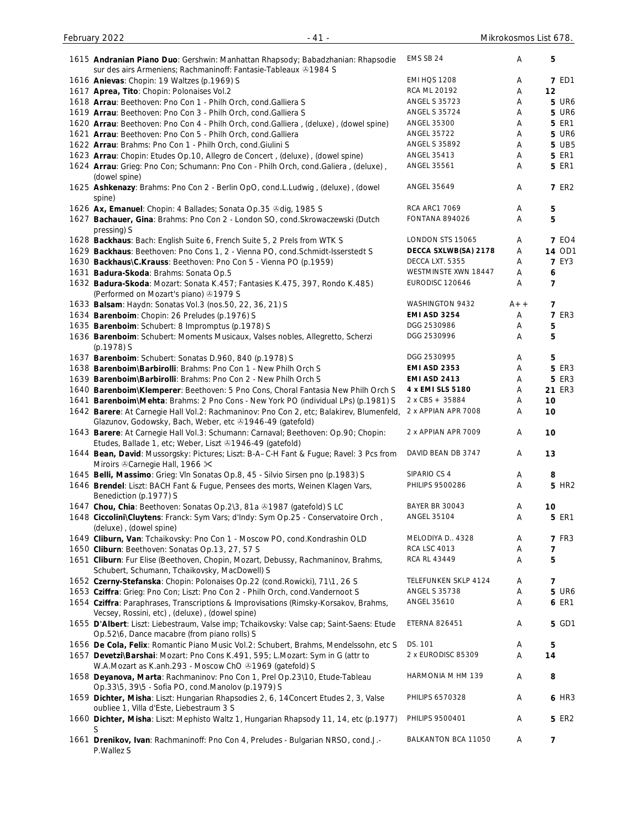| 1615 Andranian Piano Duo: Gershwin: Manhattan Rhapsody; Babadzhanian: Rhapsodie<br>sur des airs Armeniens; Rachmaninoff: Fantasie-Tableaux +1984 S   | EMS SB 24             | Α     | 5                 |
|------------------------------------------------------------------------------------------------------------------------------------------------------|-----------------------|-------|-------------------|
| 1616 Anievas: Chopin: 19 Waltzes (p.1969) S                                                                                                          | <b>EMI HQS 1208</b>   | Α     | <b>7 ED1</b>      |
| 1617 Aprea, Tito: Chopin: Polonaises Vol.2                                                                                                           | RCA ML 20192          | Α     | 12                |
| 1618 Arrau: Beethoven: Pno Con 1 - Philh Orch, cond. Galliera S                                                                                      | <b>ANGEL S 35723</b>  | Α     | <b>5 UR6</b>      |
| 1619 Arrau: Beethoven: Pno Con 3 - Philh Orch, cond. Galliera S                                                                                      | <b>ANGEL S 35724</b>  |       | <b>5 UR6</b>      |
|                                                                                                                                                      | ANGEL 35300           | Α     | <b>5 ER1</b>      |
| 1620 Arrau: Beethoven: Pno Con 4 - Philh Orch, cond. Galliera, (deluxe), (dowel spine)                                                               | <b>ANGEL 35722</b>    | Α     |                   |
| 1621 Arrau: Beethoven: Pno Con 5 - Philh Orch, cond. Galliera                                                                                        |                       | Α     | <b>5 UR6</b>      |
| 1622 Arrau: Brahms: Pno Con 1 - Philh Orch, cond. Giulini S                                                                                          | ANGEL S 35892         | Α     | <b>5 UB5</b>      |
| 1623 Arrau: Chopin: Etudes Op.10, Allegro de Concert, (deluxe), (dowel spine)                                                                        | ANGEL 35413           | Α     | <b>5 ER1</b>      |
| 1624 Arrau: Grieg: Pno Con; Schumann: Pno Con - Philh Orch, cond.Galiera, (deluxe),<br>(dowel spine)                                                 | ANGEL 35561           | Α     | <b>5 ER1</b>      |
| 1625 Ashkenazy: Brahms: Pno Con 2 - Berlin OpO, cond.L.Ludwig, (deluxe), (dowel<br>spine)                                                            | ANGEL 35649           | Α     | <b>7 ER2</b>      |
| 1626 Ax, Emanuel: Chopin: 4 Ballades; Sonata Op.35 Odig, 1985 S                                                                                      | <b>RCA ARC1 7069</b>  | Α     | 5                 |
| 1627 Bachauer, Gina: Brahms: Pno Con 2 - London SO, cond. Skrowaczewski (Dutch<br>pressing) S                                                        | <b>FONTANA 894026</b> | Α     | 5                 |
| 1628 Backhaus: Bach: English Suite 6, French Suite 5, 2 Prels from WTK S                                                                             | LONDON STS 15065      | Α     | <b>7 EO4</b>      |
| 1629 Backhaus: Beethoven: Pno Cons 1, 2 - Vienna PO, cond. Schmidt-Isserstedt S                                                                      | DECCA SXLWB(SA) 2178  | Α     | <b>14 OD1</b>     |
| 1630 Backhaus\C.Krauss: Beethoven: Pno Con 5 - Vienna PO (p.1959)                                                                                    | DECCA LXT. 5355       | Α     | <b>7 EY3</b>      |
| 1631 Badura-Skoda: Brahms: Sonata Op.5                                                                                                               | WESTMINSTE XWN 18447  | Α     | $\boldsymbol{6}$  |
| 1632 Badura-Skoda: Mozart: Sonata K.457; Fantasies K.475, 397, Rondo K.485)                                                                          | EURODISC 120646       | Α     | $\overline{7}$    |
| (Performed on Mozart's piano) 31979 S                                                                                                                |                       |       |                   |
| 1633 Balsam: Haydn: Sonatas Vol.3 (nos.50, 22, 36, 21) S                                                                                             | WASHINGTON 9432       | $A++$ | 7                 |
| 1634 Barenboim: Chopin: 26 Preludes (p.1976) S                                                                                                       | <b>EMI ASD 3254</b>   | Α     | <b>7 ER3</b>      |
| 1635 Barenboim: Schubert: 8 Impromptus (p.1978) S                                                                                                    | DGG 2530986           | Α     | 5                 |
| 1636 Barenboim: Schubert: Moments Musicaux, Valses nobles, Allegretto, Scherzi<br>(p.1978) S                                                         | DGG 2530996           | Α     | 5                 |
| 1637 Barenboim: Schubert: Sonatas D.960, 840 (p.1978) S                                                                                              | DGG 2530995           | Α     | 5                 |
| 1638 Barenboim\Barbirolli: Brahms: Pno Con 1 - New Philh Orch S                                                                                      | <b>EMI ASD 2353</b>   | Α     | <b>5 ER3</b>      |
| 1639 Barenboim\Barbirolli: Brahms: Pno Con 2 - New Philh Orch S                                                                                      | <b>EMI ASD 2413</b>   | Α     | <b>5 ER3</b>      |
| 1640 Barenboim\Klemperer: Beethoven: 5 Pno Cons, Choral Fantasia New Philh Orch S                                                                    | 4 x EMI SLS 5180      | Α     | 21 ER3            |
| 1641 Barenboim\Mehta: Brahms: 2 Pno Cons - New York PO (individual LPs) (p.1981) S                                                                   | 2 x CBS + 35884       | Α     | 10                |
| 1642 Barere: At Carnegie Hall Vol.2: Rachmaninov: Pno Con 2, etc; Balakirev, Blumenfeld,<br>Glazunov, Godowsky, Bach, Weber, etc +1946-49 (gatefold) | 2 x APPIAN APR 7008   | Α     | 10                |
| 1643 Barere: At Carnegie Hall Vol.3: Schumann: Carnaval; Beethoven: Op.90; Chopin:<br>Etudes, Ballade 1, etc; Weber, Liszt 21946-49 (gatefold)       | 2 x APPIAN APR 7009   | Α     | 10                |
| 1644 Bean, David: Mussorgsky: Pictures; Liszt: B-A-C-H Fant & Fugue; Ravel: 3 Pcs from<br>Miroirs & Carnegie Hall, 1966 X                            | DAVID BEAN DB 3747    | Α     | 13                |
| 1645 Belli, Massimo: Grieg: VIn Sonatas Op.8, 45 - Silvio Sirsen pno (p.1983) S                                                                      | SIPARIO CS 4          | Α     | 8                 |
| 1646 Brendel: Liszt: BACH Fant & Fugue, Pensees des morts, Weinen Klagen Vars,<br>Benediction (p.1977) S                                             | PHILIPS 9500286       | Α     | 5 HR <sub>2</sub> |
| 1647 Chou, Chia: Beethoven: Sonatas Op.2\3, 81a 31987 (gatefold) SLC                                                                                 | <b>BAYER BR 30043</b> | Α     | 10                |
| 1648 Ciccolini\Cluytens: Franck: Sym Vars; d'Indy: Sym Op.25 - Conservatoire Orch,                                                                   | <b>ANGEL 35104</b>    | Α     | <b>5 ER1</b>      |
| (deluxe), (dowel spine)                                                                                                                              |                       |       |                   |
| 1649 Cliburn, Van: Tchaikovsky: Pno Con 1 - Moscow PO, cond.Kondrashin OLD                                                                           | MELODIYA D., 4328     | Α     | <b>7 FR3</b>      |
| 1650 Cliburn: Beethoven: Sonatas Op.13, 27, 57 S                                                                                                     | <b>RCA LSC 4013</b>   | Α     | $\overline{7}$    |
| 1651 Cliburn: Fur Elise (Beethoven, Chopin, Mozart, Debussy, Rachmaninov, Brahms,                                                                    | <b>RCA RL 43449</b>   | Α     | 5                 |
| Schubert, Schumann, Tchaikovsky, MacDowell) S                                                                                                        |                       |       |                   |
| 1652 Czerny-Stefanska: Chopin: Polonaises Op.22 (cond.Rowicki), 71\1, 26 S                                                                           | TELEFUNKEN SKLP 4124  | Α     | $\overline{7}$    |
| 1653 Cziffra: Grieg: Pno Con; Liszt: Pno Con 2 - Philh Orch, cond.Vandernoot S                                                                       | ANGEL S 35738         | Α     | <b>5 UR6</b>      |
| 1654 Cziffra: Paraphrases, Transcriptions & Improvisations (Rimsky-Korsakov, Brahms,<br>Vecsey, Rossini, etc), (deluxe), (dowel spine)               | <b>ANGEL 35610</b>    | Α     | <b>6 ER1</b>      |
| 1655 D'Albert: Liszt: Liebestraum, Valse imp; Tchaikovsky: Valse cap; Saint-Saens: Etude<br>Op.52\6, Dance macabre (from piano rolls) S              | <b>ETERNA 826451</b>  | Α     | 5 GD1             |
| 1656 De Cola, Felix: Romantic Piano Music Vol.2: Schubert, Brahms, Mendelssohn, etc S                                                                | DS. 101               | Α     | 5                 |
| 1657 Devetzi\Barshai: Mozart: Pno Cons K.491, 595; L.Mozart: Sym in G (attr to<br>W.A.Mozart as K.anh.293 - Moscow ChO 31969 (gatefold) S            | 2 x EURODISC 85309    | Α     | 14                |
| 1658 Deyanova, Marta: Rachmaninov: Pno Con 1, Prel Op.23\10, Etude-Tableau<br>Op.33\5, 39\5 - Sofia PO, cond.Manolov (p.1979) S                      | HARMONIA M HM 139     | Α     | 8                 |
| 1659 Dichter, Misha: Liszt: Hungarian Rhapsodies 2, 6, 14Concert Etudes 2, 3, Valse<br>oubliee 1, Villa d'Este, Liebestraum 3 S                      | PHILIPS 6570328       | Α     | 6 HR3             |
| 1660 Dichter, Misha: Liszt: Mephisto Waltz 1, Hungarian Rhapsody 11, 14, etc (p.1977)<br>S                                                           | PHILIPS 9500401       | Α     | <b>5 ER2</b>      |
| 1661 Drenikov, Ivan: Rachmaninoff: Pno Con 4, Preludes - Bulgarian NRSO, cond.J.-<br>P.Wallez S                                                      | BALKANTON BCA 11050   | Α     | 7                 |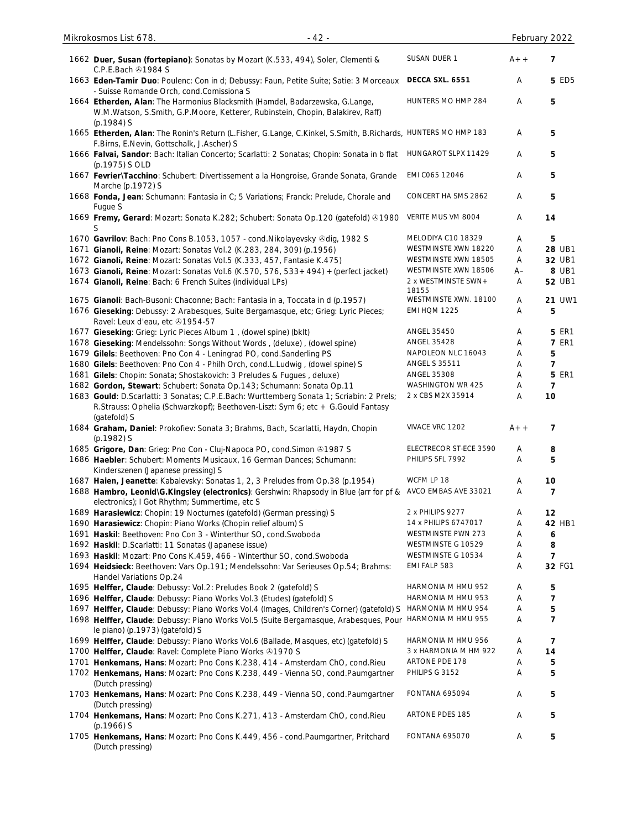| 1662 Duer, Susan (fortepiano): Sonatas by Mozart (K.533, 494), Soler, Clementi &<br>C.P.E.Bach 21984 S                                                                       | SUSAN DUER 1                 | $A++$ | 7              |
|------------------------------------------------------------------------------------------------------------------------------------------------------------------------------|------------------------------|-------|----------------|
| 1663 Eden-Tamir Duo: Poulenc: Con in d; Debussy: Faun, Petite Suite; Satie: 3 Morceaux<br>- Suisse Romande Orch, cond.Comissiona S                                           | DECCA SXL. 6551              | Α     | <b>5 ED5</b>   |
| 1664 Etherden, Alan: The Harmonius Blacksmith (Hamdel, Badarzewska, G.Lange,<br>W.M.Watson, S.Smith, G.P.Moore, Ketterer, Rubinstein, Chopin, Balakirev, Raff)<br>(p.1984) S | HUNTERS MO HMP 284           | Α     | 5              |
| 1665 Etherden, Alan: The Ronin's Return (L.Fisher, G.Lange, C.Kinkel, S.Smith, B.Richards, HUNTERS MO HMP 183<br>F.Birns, E.Nevin, Gottschalk, J.Ascher) S                   |                              | Α     | 5              |
| 1666 Falvai, Sandor: Bach: Italian Concerto; Scarlatti: 2 Sonatas; Chopin: Sonata in b flat<br>(p.1975) S OLD                                                                | HUNGAROT SLPX 11429          | A     | 5              |
| 1667 Fevrier\Tacchino: Schubert: Divertissement a la Hongroise, Grande Sonata, Grande<br>Marche (p.1972) S                                                                   | EMI C065 12046               | A     | 5              |
| 1668 Fonda, Jean: Schumann: Fantasia in C; 5 Variations; Franck: Prelude, Chorale and<br>Fugue S                                                                             | CONCERT HA SMS 2862          | A     | 5              |
| 1669 Fremy, Gerard: Mozart: Sonata K.282; Schubert: Sonata Op.120 (gatefold) @1980                                                                                           | VERITE MUS VM 8004           | Α     | 14             |
| 1670 Gavrilov: Bach: Pno Cons B.1053, 1057 - cond. Nikolayevsky & dig, 1982 S                                                                                                | MELODIYA C10 18329           | A     | 5              |
| 1671 Gianoli, Reine: Mozart: Sonatas Vol.2 (K.283, 284, 309) (p.1956)                                                                                                        | WESTMINSTE XWN 18220         | A     | 28 UB1         |
| 1672 Gianoli, Reine: Mozart: Sonatas Vol.5 (K.333, 457, Fantasie K.475)                                                                                                      | WESTMINSTE XWN 18505         | A     | 32 UB1         |
| 1673 Gianoli, Reine: Mozart: Sonatas Vol.6 (K.570, 576, 533+494) + (perfect jacket)                                                                                          | WESTMINSTE XWN 18506         | A–    | 8 UB1          |
| 1674 Gianoli, Reine: Bach: 6 French Suites (individual LPs)                                                                                                                  | 2 x WESTMINSTE SWN+<br>18155 | Α     | 52 UB1         |
| 1675 Gianoli: Bach-Busoni: Chaconne; Bach: Fantasia in a, Toccata in d (p.1957)                                                                                              | WESTMINSTE XWN. 18100        | Α     | 21 UW1         |
| 1676 Gieseking: Debussy: 2 Arabesques, Suite Bergamasque, etc; Grieg: Lyric Pieces;<br>Ravel: Leux d'eau, etc +1954-57                                                       | <b>EMI HOM 1225</b>          | A     | 5              |
| 1677 Gieseking: Grieg: Lyric Pieces Album 1, (dowel spine) (bklt)                                                                                                            | <b>ANGEL 35450</b>           | Α     | <b>5 ER1</b>   |
| 1678 Gieseking: Mendelssohn: Songs Without Words, (deluxe), (dowel spine)                                                                                                    | <b>ANGEL 35428</b>           | Α     | <b>7 ER1</b>   |
| 1679 Gilels: Beethoven: Pno Con 4 - Leningrad PO, cond.Sanderling PS                                                                                                         | NAPOLEON NLC 16043           | Α     | 5              |
| 1680 Gilels: Beethoven: Pno Con 4 - Philh Orch, cond.L.Ludwig, (dowel spine) S                                                                                               | <b>ANGEL S 35511</b>         | Α     | $\overline{7}$ |
| 1681 Gilels: Chopin: Sonata; Shostakovich: 3 Preludes & Fugues, deluxe)                                                                                                      | <b>ANGEL 35308</b>           | Α     | <b>5 ER1</b>   |
| 1682 Gordon, Stewart: Schubert: Sonata Op.143; Schumann: Sonata Op.11                                                                                                        | WASHINGTON WR 425            | Α     | $\overline{7}$ |
| 1683 Gould: D.Scarlatti: 3 Sonatas; C.P.E.Bach: Wurttemberg Sonata 1; Scriabin: 2 Prels;                                                                                     | 2 x CBS M2X 35914            | Α     | 10             |
| R.Strauss: Ophelia (Schwarzkopf); Beethoven-Liszt: Sym 6; etc + G.Gould Fantasy<br>(gatefold) S                                                                              |                              |       |                |
| 1684 Graham, Daniel: Prokofiev: Sonata 3; Brahms, Bach, Scarlatti, Haydn, Chopin<br>(p.1982) S                                                                               | VIVACE VRC 1202              | $A++$ | $\overline{7}$ |
| 1685 Grigore, Dan: Grieg: Pno Con - Cluj-Napoca PO, cond. Simon @1987 S                                                                                                      | ELECTRECOR ST-ECE 3590       | Α     | 8              |
| 1686 Haebler: Schubert: Moments Musicaux, 16 German Dances; Schumann:<br>Kinderszenen (Japanese pressing) S                                                                  | PHILIPS SFL 7992             | Α     | 5              |
| 1687 Haien, Jeanette: Kabalevsky: Sonatas 1, 2, 3 Preludes from Op.38 (p.1954)                                                                                               | WCFM LP 18                   | A     | 10             |
| 1688 Hambro, Leonid\G.Kingsley (electronics): Gershwin: Rhapsody in Blue (arr for pf &<br>electronics); I Got Rhythm; Summertime, etc S                                      | AVCO EMBAS AVE 33021         | A     | 7              |
| 1689 Harasiewicz: Chopin: 19 Nocturnes (gatefold) (German pressing) S                                                                                                        | 2 x PHILIPS 9277             | A     | 12             |
| 1690 Harasiewicz: Chopin: Piano Works (Chopin relief album) S                                                                                                                | 14 x PHILIPS 6747017         | Α     | 42 HB1         |
| 1691 Haskil: Beethoven: Pno Con 3 - Winterthur SO, cond. Swoboda                                                                                                             | WESTMINSTE PWN 273           | Α     | 6              |
| 1692 Haskil: D.Scarlatti: 11 Sonatas (Japanese issue)                                                                                                                        | WESTMINSTE G 10529           | A     | 8              |
| 1693 Haskil: Mozart: Pno Cons K.459, 466 - Winterthur SO, cond. Swoboda                                                                                                      | WESTMINSTE G 10534           | Α     | $\overline{7}$ |
| 1694 Heidsieck: Beethoven: Vars Op.191; Mendelssohn: Var Serieuses Op.54; Brahms:<br>Handel Variations Op.24                                                                 | EMI FALP 583                 | Α     | 32 FG1         |
| 1695 Helffer, Claude: Debussy: Vol.2: Preludes Book 2 (gatefold) S                                                                                                           | HARMONIA M HMU 952           | A     | 5              |
| 1696 Helffer, Claude: Debussy: Piano Works Vol.3 (Etudes) (gatefold) S                                                                                                       | HARMONIA M HMU 953           | Α     | $\overline{7}$ |
| 1697 Helffer, Claude: Debussy: Piano Works Vol.4 (Images, Children's Corner) (gatefold) S                                                                                    | HARMONIA M HMU 954           | Α     | 5              |
| 1698 Helffer, Claude: Debussy: Piano Works Vol.5 (Suite Bergamasque, Arabesques, Pour HARMONIA M HMU 955<br>le piano) (p.1973) (gatefold) S                                  |                              | Α     | $\overline{7}$ |
| 1699 Helffer, Claude: Debussy: Piano Works Vol.6 (Ballade, Masques, etc) (gatefold) S                                                                                        | HARMONIA M HMU 956           | A     | 7              |
| 1700 Helffer, Claude: Ravel: Complete Piano Works @1970 S                                                                                                                    | 3 x HARMONIA M HM 922        | A     | 14             |
| 1701 Henkemans, Hans: Mozart: Pno Cons K.238, 414 - Amsterdam ChO, cond. Rieu                                                                                                | ARTONE PDE 178               | A     | 5              |
| 1702 Henkemans, Hans: Mozart: Pno Cons K.238, 449 - Vienna SO, cond.Paumgartner                                                                                              | PHILIPS G 3152               | A     | 5              |
| (Dutch pressing)<br>1703 Henkemans, Hans: Mozart: Pno Cons K.238, 449 - Vienna SO, cond.Paumgartner                                                                          | FONTANA 695094               | Α     | 5              |
| (Dutch pressing)                                                                                                                                                             | <b>ARTONE PDES 185</b>       |       |                |
| 1704 Henkemans, Hans: Mozart: Pno Cons K.271, 413 - Amsterdam ChO, cond. Rieu<br>$(p.1966)$ S                                                                                |                              | Α     | 5              |
| 1705 Henkemans, Hans: Mozart: Pno Cons K.449, 456 - cond.Paumgartner, Pritchard<br>(Dutch pressing)                                                                          | <b>FONTANA 695070</b>        | Α     | 5              |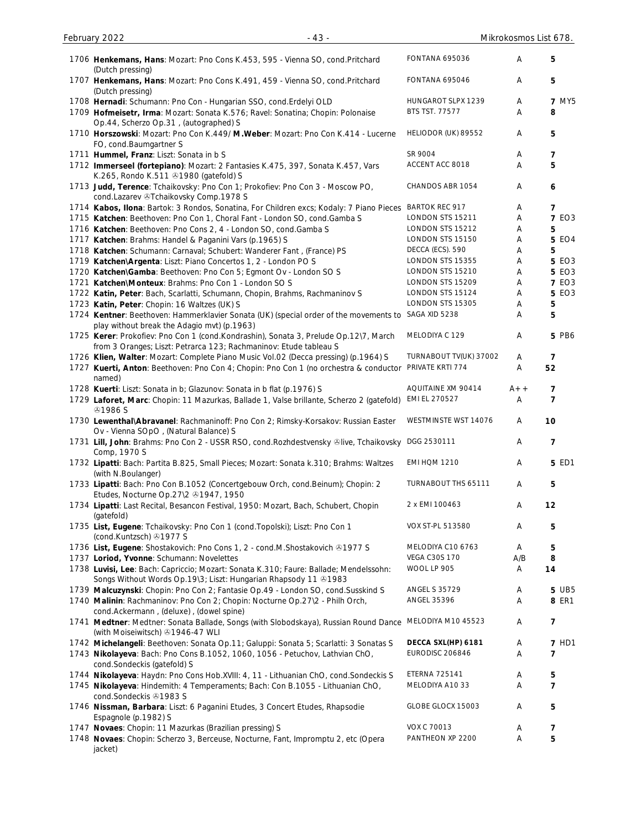| 1706 Henkemans, Hans: Mozart: Pno Cons K.453, 595 - Vienna SO, cond. Pritchard<br>(Dutch pressing)<br>1707 Henkemans, Hans: Mozart: Pno Cons K.491, 459 - Vienna SO, cond. Pritchard<br>(Dutch pressing)<br>1708 Hernadi: Schumann: Pno Con - Hungarian SSO, cond. Erdelyi OLD<br>1709 Hofmeisetr, Irma: Mozart: Sonata K.576; Ravel: Sonatina; Chopin: Polonaise<br>Op.44, Scherzo Op.31, (autographed) S<br>1710 Horszowski: Mozart: Pno Con K.449/ M. Weber: Mozart: Pno Con K.414 - Lucerne<br>FO, cond.Baumgartner S<br>1711 Hummel, Franz: Liszt: Sonata in b S<br>1712 Immerseel (fortepiano): Mozart: 2 Fantasies K.475, 397, Sonata K.457, Vars<br>K.265, Rondo K.511 @1980 (gatefold) S | <b>FONTANA 695036</b><br>FONTANA 695046<br>HUNGAROT SLPX 1239<br><b>BTS TST. 77577</b><br>HELIODOR (UK) 89552<br>SR 9004<br>ACCENT ACC 8018<br>CHANDOS ABR 1054<br><b>BARTOK REC 917</b><br>LONDON STS 15211<br>LONDON STS 15212<br>LONDON STS 15150<br>DECCA (ECS). 590<br>LONDON STS 15355 | Α<br>A<br>Α<br>Α<br>Α<br>A<br>Α<br>Α<br>Α<br>Α<br>Α<br>Α | 5<br>5<br><b>7 MY5</b><br>8<br>5<br>7<br>5<br>6<br>7<br><b>7 EO3</b><br>5 |
|---------------------------------------------------------------------------------------------------------------------------------------------------------------------------------------------------------------------------------------------------------------------------------------------------------------------------------------------------------------------------------------------------------------------------------------------------------------------------------------------------------------------------------------------------------------------------------------------------------------------------------------------------------------------------------------------------|----------------------------------------------------------------------------------------------------------------------------------------------------------------------------------------------------------------------------------------------------------------------------------------------|----------------------------------------------------------|---------------------------------------------------------------------------|
|                                                                                                                                                                                                                                                                                                                                                                                                                                                                                                                                                                                                                                                                                                   |                                                                                                                                                                                                                                                                                              |                                                          |                                                                           |
|                                                                                                                                                                                                                                                                                                                                                                                                                                                                                                                                                                                                                                                                                                   |                                                                                                                                                                                                                                                                                              |                                                          |                                                                           |
|                                                                                                                                                                                                                                                                                                                                                                                                                                                                                                                                                                                                                                                                                                   |                                                                                                                                                                                                                                                                                              |                                                          |                                                                           |
|                                                                                                                                                                                                                                                                                                                                                                                                                                                                                                                                                                                                                                                                                                   |                                                                                                                                                                                                                                                                                              |                                                          |                                                                           |
|                                                                                                                                                                                                                                                                                                                                                                                                                                                                                                                                                                                                                                                                                                   |                                                                                                                                                                                                                                                                                              |                                                          |                                                                           |
|                                                                                                                                                                                                                                                                                                                                                                                                                                                                                                                                                                                                                                                                                                   |                                                                                                                                                                                                                                                                                              |                                                          |                                                                           |
|                                                                                                                                                                                                                                                                                                                                                                                                                                                                                                                                                                                                                                                                                                   |                                                                                                                                                                                                                                                                                              |                                                          |                                                                           |
|                                                                                                                                                                                                                                                                                                                                                                                                                                                                                                                                                                                                                                                                                                   |                                                                                                                                                                                                                                                                                              |                                                          |                                                                           |
| 1713 Judd, Terence: Tchaikovsky: Pno Con 1; Prokofiev: Pno Con 3 - Moscow PO,<br>cond.Lazarev & Tchaikovsky Comp.1978 S                                                                                                                                                                                                                                                                                                                                                                                                                                                                                                                                                                           |                                                                                                                                                                                                                                                                                              |                                                          |                                                                           |
| 1714 Kabos, Ilona: Bartok: 3 Rondos, Sonatina, For Children excs; Kodaly: 7 Piano Pieces                                                                                                                                                                                                                                                                                                                                                                                                                                                                                                                                                                                                          |                                                                                                                                                                                                                                                                                              |                                                          |                                                                           |
| 1715 Katchen: Beethoven: Pno Con 1, Choral Fant - London SO, cond.Gamba S                                                                                                                                                                                                                                                                                                                                                                                                                                                                                                                                                                                                                         |                                                                                                                                                                                                                                                                                              |                                                          |                                                                           |
| 1716 Katchen: Beethoven: Pno Cons 2, 4 - London SO, cond. Gamba S                                                                                                                                                                                                                                                                                                                                                                                                                                                                                                                                                                                                                                 |                                                                                                                                                                                                                                                                                              |                                                          |                                                                           |
| 1717 Katchen: Brahms: Handel & Paganini Vars (p.1965) S                                                                                                                                                                                                                                                                                                                                                                                                                                                                                                                                                                                                                                           |                                                                                                                                                                                                                                                                                              |                                                          | <b>5 EO4</b>                                                              |
| 1718 Katchen: Schumann: Carnaval; Schubert: Wanderer Fant, (France) PS                                                                                                                                                                                                                                                                                                                                                                                                                                                                                                                                                                                                                            |                                                                                                                                                                                                                                                                                              | Α                                                        | 5                                                                         |
| 1719 Katchen\Argenta: Liszt: Piano Concertos 1, 2 - London PO S                                                                                                                                                                                                                                                                                                                                                                                                                                                                                                                                                                                                                                   |                                                                                                                                                                                                                                                                                              | Α                                                        | <b>5 EO3</b>                                                              |
| 1720 Katchen\Gamba: Beethoven: Pno Con 5; Egmont Ov - London SO S                                                                                                                                                                                                                                                                                                                                                                                                                                                                                                                                                                                                                                 | LONDON STS 15210                                                                                                                                                                                                                                                                             | Α                                                        | <b>5 EO3</b>                                                              |
| 1721 Katchen\Monteux: Brahms: Pno Con 1 - London SO S                                                                                                                                                                                                                                                                                                                                                                                                                                                                                                                                                                                                                                             | LONDON STS 15209                                                                                                                                                                                                                                                                             | Α                                                        | <b>7 EO3</b>                                                              |
| 1722 Katin, Peter: Bach, Scarlatti, Schumann, Chopin, Brahms, Rachmaninov S                                                                                                                                                                                                                                                                                                                                                                                                                                                                                                                                                                                                                       | LONDON STS 15124                                                                                                                                                                                                                                                                             | Α                                                        | 5 EO3                                                                     |
| 1723 Katin, Peter: Chopin: 16 Waltzes (UK) S                                                                                                                                                                                                                                                                                                                                                                                                                                                                                                                                                                                                                                                      | LONDON STS 15305                                                                                                                                                                                                                                                                             | A                                                        | 5                                                                         |
| 1724 Kentner: Beethoven: Hammerklavier Sonata (UK) (special order of the movements to                                                                                                                                                                                                                                                                                                                                                                                                                                                                                                                                                                                                             | SAGA XID 5238                                                                                                                                                                                                                                                                                | Α                                                        | 5                                                                         |
| play without break the Adagio mvt) (p.1963)                                                                                                                                                                                                                                                                                                                                                                                                                                                                                                                                                                                                                                                       | MELODIYA C 129                                                                                                                                                                                                                                                                               | Α                                                        | 5 PB6                                                                     |
| 1725 Kerer: Prokofiev: Pno Con 1 (cond.Kondrashin), Sonata 3, Prelude Op.12\7, March                                                                                                                                                                                                                                                                                                                                                                                                                                                                                                                                                                                                              |                                                                                                                                                                                                                                                                                              |                                                          |                                                                           |
| from 3 Oranges; Liszt: Petrarca 123; Rachmaninov: Etude tableau S                                                                                                                                                                                                                                                                                                                                                                                                                                                                                                                                                                                                                                 | TURNABOUT TV(UK) 37002                                                                                                                                                                                                                                                                       |                                                          |                                                                           |
| 1726 Klien, Walter: Mozart: Complete Piano Music Vol.02 (Decca pressing) (p.1964) S                                                                                                                                                                                                                                                                                                                                                                                                                                                                                                                                                                                                               |                                                                                                                                                                                                                                                                                              | A                                                        | 7                                                                         |
| 1727 Kuerti, Anton: Beethoven: Pno Con 4; Chopin: Pno Con 1 (no orchestra & conductor                                                                                                                                                                                                                                                                                                                                                                                                                                                                                                                                                                                                             | PRIVATE KRTI 774                                                                                                                                                                                                                                                                             | A                                                        | 52                                                                        |
| named)                                                                                                                                                                                                                                                                                                                                                                                                                                                                                                                                                                                                                                                                                            |                                                                                                                                                                                                                                                                                              |                                                          |                                                                           |
| 1728 Kuerti: Liszt: Sonata in b; Glazunov: Sonata in b flat (p.1976) S                                                                                                                                                                                                                                                                                                                                                                                                                                                                                                                                                                                                                            | AQUITAINE XM 90414                                                                                                                                                                                                                                                                           | $A++$                                                    | 7                                                                         |
| 1729 Laforet, Marc: Chopin: 11 Mazurkas, Ballade 1, Valse brillante, Scherzo 2 (gatefold)                                                                                                                                                                                                                                                                                                                                                                                                                                                                                                                                                                                                         | EMI EL 270527                                                                                                                                                                                                                                                                                | Α                                                        | $\overline{7}$                                                            |
| <b>@1986 S</b>                                                                                                                                                                                                                                                                                                                                                                                                                                                                                                                                                                                                                                                                                    |                                                                                                                                                                                                                                                                                              |                                                          |                                                                           |
| 1730 Lewenthal\Abravanel: Rachmaninoff: Pno Con 2; Rimsky-Korsakov: Russian Easter<br>Ov - Vienna SOpO, (Natural Balance) S                                                                                                                                                                                                                                                                                                                                                                                                                                                                                                                                                                       | WESTMINSTE WST 14076                                                                                                                                                                                                                                                                         | A                                                        | 10                                                                        |
| 1731 Lill, John: Brahms: Pno Con 2 - USSR RSO, cond. Rozhdestvensky ®live, Tchaikovsky DGG 2530111<br>Comp, 1970 S                                                                                                                                                                                                                                                                                                                                                                                                                                                                                                                                                                                |                                                                                                                                                                                                                                                                                              | Α                                                        | $\overline{7}$                                                            |
| 1732 Lipatti: Bach: Partita B.825, Small Pieces; Mozart: Sonata k.310; Brahms: Waltzes<br>(with N.Boulanger)                                                                                                                                                                                                                                                                                                                                                                                                                                                                                                                                                                                      | <b>EMI HOM 1210</b>                                                                                                                                                                                                                                                                          | A                                                        | <b>5 ED1</b>                                                              |
| 1733 Lipatti: Bach: Pno Con B.1052 (Concertgebouw Orch, cond.Beinum); Chopin: 2<br>Etudes, Nocturne Op.27\2 31947, 1950                                                                                                                                                                                                                                                                                                                                                                                                                                                                                                                                                                           | TURNABOUT THS 65111                                                                                                                                                                                                                                                                          | Α                                                        | 5                                                                         |
| 1734 Lipatti: Last Recital, Besancon Festival, 1950: Mozart, Bach, Schubert, Chopin<br>(gatefold)                                                                                                                                                                                                                                                                                                                                                                                                                                                                                                                                                                                                 | 2 x EMI 100463                                                                                                                                                                                                                                                                               | A                                                        | 12                                                                        |
| 1735 List, Eugene: Tchaikovsky: Pno Con 1 (cond. Topolski); Liszt: Pno Con 1<br>(cond.Kuntzsch) +1977 S                                                                                                                                                                                                                                                                                                                                                                                                                                                                                                                                                                                           | VOX ST-PL 513580                                                                                                                                                                                                                                                                             | Α                                                        | 5                                                                         |
| 1736 List, Eugene: Shostakovich: Pno Cons 1, 2 - cond.M.Shostakovich @1977 S                                                                                                                                                                                                                                                                                                                                                                                                                                                                                                                                                                                                                      | MELODIYA C10 6763                                                                                                                                                                                                                                                                            | Α                                                        | 5                                                                         |
| 1737 Loriod, Yvonne: Schumann: Novelettes                                                                                                                                                                                                                                                                                                                                                                                                                                                                                                                                                                                                                                                         | <b>VEGA C30S 170</b>                                                                                                                                                                                                                                                                         | A/B                                                      | 8                                                                         |
| 1738 Luvisi, Lee: Bach: Capriccio; Mozart: Sonata K.310; Faure: Ballade; Mendelssohn:                                                                                                                                                                                                                                                                                                                                                                                                                                                                                                                                                                                                             | WOOL LP 905                                                                                                                                                                                                                                                                                  | Α                                                        | 14                                                                        |
| Songs Without Words Op.19\3; Liszt: Hungarian Rhapsody 11 31983                                                                                                                                                                                                                                                                                                                                                                                                                                                                                                                                                                                                                                   |                                                                                                                                                                                                                                                                                              |                                                          |                                                                           |
| 1739 Malcuzynski: Chopin: Pno Con 2; Fantasie Op.49 - London SO, cond.Susskind S                                                                                                                                                                                                                                                                                                                                                                                                                                                                                                                                                                                                                  | <b>ANGEL S 35729</b>                                                                                                                                                                                                                                                                         | Α                                                        | <b>5 UB5</b>                                                              |
| 1740 Malinin: Rachmaninov: Pno Con 2; Chopin: Nocturne Op.27\2 - Philh Orch,<br>cond.Ackermann, (deluxe), (dowel spine)                                                                                                                                                                                                                                                                                                                                                                                                                                                                                                                                                                           | ANGEL 35396                                                                                                                                                                                                                                                                                  | Α                                                        | 8 ER1                                                                     |
| 1741 Medtner: Medtner: Sonata Ballade, Songs (with Slobodskaya), Russian Round Dance<br>(with Moiseiwitsch) 31946-47 WLI                                                                                                                                                                                                                                                                                                                                                                                                                                                                                                                                                                          | MELODIYA M10 45523                                                                                                                                                                                                                                                                           | A                                                        | $\overline{7}$                                                            |
| 1742 Michelangeli: Beethoven: Sonata Op.11; Galuppi: Sonata 5; Scarlatti: 3 Sonatas S                                                                                                                                                                                                                                                                                                                                                                                                                                                                                                                                                                                                             | DECCA SXL(HP) 6181                                                                                                                                                                                                                                                                           | Α                                                        | <b>7 HD1</b>                                                              |
| 1743 Nikolayeva: Bach: Pno Cons B.1052, 1060, 1056 - Petuchov, Lathvian ChO,<br>cond.Sondeckis (gatefold) S                                                                                                                                                                                                                                                                                                                                                                                                                                                                                                                                                                                       | EURODISC 206846                                                                                                                                                                                                                                                                              | Α                                                        | 7                                                                         |
| 1744 Nikolayeva: Haydn: Pno Cons Hob.XVIII: 4, 11 - Lithuanian ChO, cond.Sondeckis S                                                                                                                                                                                                                                                                                                                                                                                                                                                                                                                                                                                                              | <b>ETERNA 725141</b>                                                                                                                                                                                                                                                                         | A                                                        | 5                                                                         |
| 1745 Nikolayeva: Hindemith: 4 Temperaments; Bach: Con B.1055 - Lithuanian ChO,<br>cond.Sondeckis 31983 S                                                                                                                                                                                                                                                                                                                                                                                                                                                                                                                                                                                          | MELODIYA A10 33                                                                                                                                                                                                                                                                              | Α                                                        | $\overline{7}$                                                            |
| 1746 Nissman, Barbara: Liszt: 6 Paganini Etudes, 3 Concert Etudes, Rhapsodie<br>Espagnole (p.1982) S                                                                                                                                                                                                                                                                                                                                                                                                                                                                                                                                                                                              | GLOBE GLOCX 15003                                                                                                                                                                                                                                                                            | Α                                                        | 5                                                                         |
| 1747 Novaes: Chopin: 11 Mazurkas (Brazilian pressing) S                                                                                                                                                                                                                                                                                                                                                                                                                                                                                                                                                                                                                                           | <b>VOX C 70013</b>                                                                                                                                                                                                                                                                           | A                                                        | 7                                                                         |
| 1748 Novaes: Chopin: Scherzo 3, Berceuse, Nocturne, Fant, Impromptu 2, etc (Opera<br>jacket)                                                                                                                                                                                                                                                                                                                                                                                                                                                                                                                                                                                                      | PANTHEON XP 2200                                                                                                                                                                                                                                                                             | Α                                                        | 5                                                                         |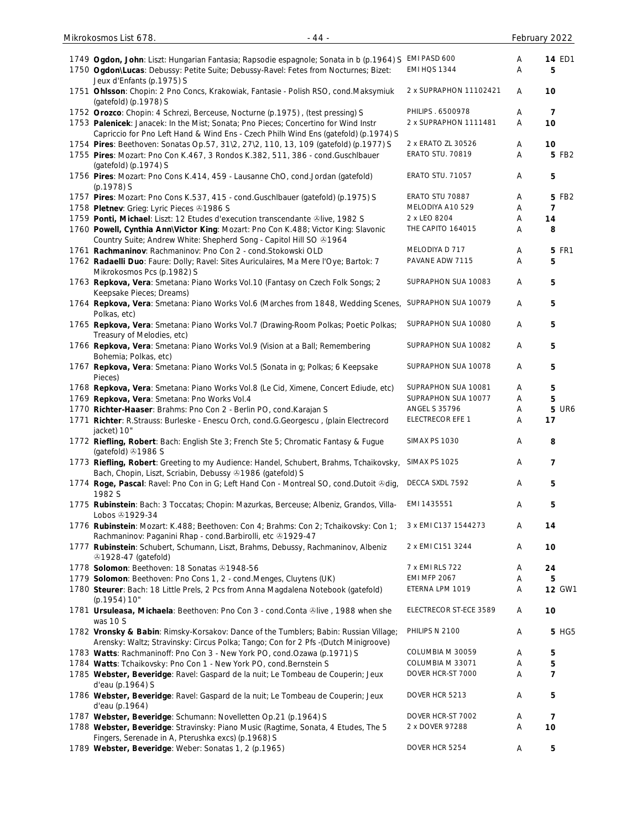| Mikrokosmos List 678.<br>$-44-$                                                                                                                                             |                         |   | February 2022  |
|-----------------------------------------------------------------------------------------------------------------------------------------------------------------------------|-------------------------|---|----------------|
| 1749 Ogdon, John: Liszt: Hungarian Fantasia; Rapsodie espagnole; Sonata in b (p.1964) S EMI PASD 600                                                                        |                         | A | <b>14 ED1</b>  |
| 1750 Ogdon\Lucas: Debussy: Petite Suite; Debussy-Ravel: Fetes from Nocturnes; Bizet:<br>Jeux d'Enfants (p.1975) S                                                           | EMI HQS 1344            | Α | 5              |
| 1751 Ohlsson: Chopin: 2 Pno Concs, Krakowiak, Fantasie - Polish RSO, cond.Maksymiuk<br>(gatefold) (p.1978) S                                                                | 2 x SUPRAPHON 11102421  | A | 10             |
| 1752 Orozco: Chopin: 4 Schrezi, Berceuse, Nocturne (p.1975), (test pressing) S                                                                                              | PHILIPS . 6500978       | Α | $\overline{7}$ |
| 1753 Palenicek: Janacek: In the Mist; Sonata; Pno Pieces; Concertino for Wind Instr<br>Capriccio for Pno Left Hand & Wind Ens - Czech Philh Wind Ens (gatefold) (p.1974) S  | 2 x SUPRAPHON 1111481   | Α | 10             |
| 1754 Pires: Beethoven: Sonatas Op.57, 31\2, 27\2, 110, 13, 109 (gatefold) (p.1977) S                                                                                        | 2 x ERATO ZL 30526      | Α | 10             |
| 1755 Pires: Mozart: Pno Con K.467, 3 Rondos K.382, 511, 386 - cond. Guschlbauer<br>(gatefold) (p.1974) S                                                                    | ERATO STU. 70819        | A | 5 FB2          |
| 1756 Pires: Mozart: Pno Cons K.414, 459 - Lausanne ChO, cond.Jordan (gatefold)<br>$(p.1978)$ S                                                                              | <b>ERATO STU. 71057</b> | Α | 5              |
| 1757 Pires: Mozart: Pno Cons K.537, 415 - cond. Guschlbauer (gatefold) (p.1975) S                                                                                           | ERATO STU 70887         | Α | 5 FB2          |
| 1758 Pletnev: Grieg: Lyric Pieces 31986 S                                                                                                                                   | MELODIYA A10 529        | Α | $\overline{7}$ |
| 1759 Ponti, Michael: Liszt: 12 Etudes d'execution transcendante @live, 1982 S                                                                                               | 2 x LEO 8204            | Α | 14             |
| 1760 Powell, Cynthia Ann\Victor King: Mozart: Pno Con K.488; Victor King: Slavonic<br>Country Suite; Andrew White: Shepherd Song - Capitol Hill SO 21964                    | THE CAPITO 164015       | Α | 8              |
| 1761 Rachmaninov: Rachmaninov: Pno Con 2 - cond.Stokowski OLD                                                                                                               | MELODIYA D 717          | Α | <b>5 FR1</b>   |
| 1762 Radaelli Duo: Faure: Dolly; Ravel: Sites Auriculaires, Ma Mere l'Oye; Bartok: 7<br>Mikrokosmos Pcs (p.1982) S                                                          | PAVANE ADW 7115         | Α | 5              |
| 1763 Repkova, Vera: Smetana: Piano Works Vol.10 (Fantasy on Czech Folk Songs; 2<br>Keepsake Pieces; Dreams)                                                                 | SUPRAPHON SUA 10083     | Α | 5              |
| 1764 Repkova, Vera: Smetana: Piano Works Vol.6 (Marches from 1848, Wedding Scenes,<br>Polkas, etc)                                                                          | SUPRAPHON SUA 10079     | Α | 5              |
| 1765 Repkova, Vera: Smetana: Piano Works Vol.7 (Drawing-Room Polkas; Poetic Polkas;<br>Treasury of Melodies, etc)                                                           | SUPRAPHON SUA 10080     | A | 5              |
| 1766 Repkova, Vera: Smetana: Piano Works Vol.9 (Vision at a Ball; Remembering<br>Bohemia; Polkas, etc)                                                                      | SUPRAPHON SUA 10082     | Α | 5              |
| 1767 Repkova, Vera: Smetana: Piano Works Vol.5 (Sonata in g; Polkas; 6 Keepsake<br>Pieces)                                                                                  | SUPRAPHON SUA 10078     | Α | 5              |
| 1768 Repkova, Vera: Smetana: Piano Works Vol.8 (Le Cid, Ximene, Concert Ediude, etc)                                                                                        | SUPRAPHON SUA 10081     | Α | 5              |
| 1769 Repkova, Vera: Smetana: Pno Works Vol.4                                                                                                                                | SUPRAPHON SUA 10077     | Α | 5              |
| 1770 Richter-Haaser: Brahms: Pno Con 2 - Berlin PO, cond.Karajan S                                                                                                          | <b>ANGEL S 35796</b>    | Α | <b>5 UR6</b>   |
| 1771 Richter: R.Strauss: Burleske - Enescu Orch, cond.G.Georgescu, (plain Electrecord<br>jacket) 10"                                                                        | ELECTRECOR EFE 1        | Α | 17             |
| 1772 Riefling, Robert: Bach: English Ste 3; French Ste 5; Chromatic Fantasy & Fugue<br>(gatefold) $\odot$ 1986 S                                                            | SIMAX PS 1030           | Α | 8              |
| 1773 Riefling, Robert: Greeting to my Audience: Handel, Schubert, Brahms, Tchaikovsky,<br>Bach, Chopin, Liszt, Scriabin, Debussy 31986 (gatefold) S                         | SIMAX PS 1025           | Α | 7              |
| 1774 Roge, Pascal: Ravel: Pno Con in G; Left Hand Con - Montreal SO, cond.Dutoit &dig,<br>1982 S                                                                            | DECCA SXDL 7592         | A | 5              |
| 1775 Rubinstein: Bach: 3 Toccatas; Chopin: Mazurkas, Berceuse; Albeniz, Grandos, Villa-<br>Lobos <b>81929-34</b>                                                            | EMI 1435551             | Α | 5              |
| 1776 Rubinstein: Mozart: K.488; Beethoven: Con 4; Brahms: Con 2; Tchaikovsky: Con 1;<br>Rachmaninov: Paganini Rhap - cond.Barbirolli, etc +1929-47                          | 3 x EMI C137 1544273    | Α | 14             |
| 1777 Rubinstein: Schubert, Schumann, Liszt, Brahms, Debussy, Rachmaninov, Albeniz<br>21928-47 (gatefold)                                                                    | 2 x EMI C151 3244       | Α | 10             |
| 1778 Solomon: Beethoven: 18 Sonatas 81948-56                                                                                                                                | 7 x EMI RLS 722         | Α | 24             |
| 1779 Solomon: Beethoven: Pno Cons 1, 2 - cond. Menges, Cluytens (UK)                                                                                                        | <b>EMI MFP 2067</b>     | Α | 5              |
| 1780 Steurer: Bach: 18 Little Prels, 2 Pcs from Anna Magdalena Notebook (gatefold)<br>(p.1954) 10"                                                                          | ETERNA LPM 1019         | Α | <b>12 GW1</b>  |
| 1781 Ursuleasa, Michaela: Beethoven: Pno Con 3 - cond.Conta &live, 1988 when she<br>was 10 S                                                                                | ELECTRECOR ST-ECE 3589  | A | 10             |
| 1782 Vronsky & Babin: Rimsky-Korsakov: Dance of the Tumblers; Babin: Russian Village;<br>Arensky: Waltz; Stravinsky: Circus Polka; Tango; Con for 2 Pfs -(Dutch Minigroove) | PHILIPS N 2100          | Α | 5 HG5          |
| 1783 Watts: Rachmaninoff: Pno Con 3 - New York PO, cond.Ozawa (p.1971) S                                                                                                    | COLUMBIA M 30059        | Α | 5              |
| 1784 Watts: Tchaikovsky: Pno Con 1 - New York PO, cond. Bernstein S                                                                                                         | COLUMBIA M 33071        | Α | 5              |
| 1785 Webster, Beveridge: Ravel: Gaspard de la nuit; Le Tombeau de Couperin; Jeux<br>d'eau (p.1964) S                                                                        | DOVER HCR-ST 7000       | Α | $\overline{7}$ |
| 1786 Webster, Beveridge: Ravel: Gaspard de la nuit; Le Tombeau de Couperin; Jeux<br>d'eau (p.1964)                                                                          | DOVER HCR 5213          | Α | 5              |
| 1787 Webster, Beveridge: Schumann: Novelletten Op.21 (p.1964) S                                                                                                             | DOVER HCR-ST 7002       | Α | $\overline{7}$ |
| 1788 Webster, Beveridge: Stravinsky: Piano Music (Ragtime, Sonata, 4 Etudes, The 5                                                                                          | 2 x DOVER 97288         | Α | 10             |
| Fingers, Serenade in A, Pterushka excs) (p.1968) S                                                                                                                          |                         |   |                |
| 1789 Webster, Beveridge: Weber: Sonatas 1, 2 (p.1965)                                                                                                                       | DOVER HCR 5254          | Α | 5              |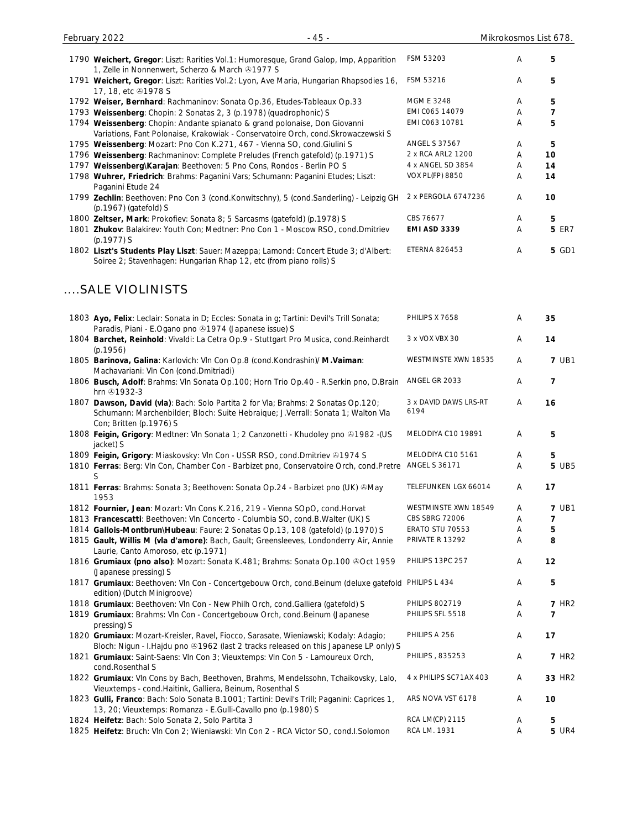|      | $-45-$<br>February 2022                                                                                                                                         |                        | Mikrokosmos List 678. |              |
|------|-----------------------------------------------------------------------------------------------------------------------------------------------------------------|------------------------|-----------------------|--------------|
|      | 1790 Weichert, Gregor: Liszt: Rarities Vol.1: Humoresque, Grand Galop, Imp, Apparition<br>1, Zelle in Nonnenwert, Scherzo & March 31977 S                       | FSM 53203              | A                     | 5            |
| 1791 | Weichert, Gregor: Liszt: Rarities Vol.2: Lyon, Ave Maria, Hungarian Rhapsodies 16,<br>17, 18, etc 31978 S                                                       | FSM 53216              | A                     | 5            |
|      | 1792 Weiser, Bernhard: Rachmaninov: Sonata Op.36, Etudes-Tableaux Op.33                                                                                         | <b>MGM E 3248</b>      | A                     | 5            |
|      | 1793 Weissenberg: Chopin: 2 Sonatas 2, 3 (p.1978) (quadrophonic) S                                                                                              | EMI C065 14079         | A                     |              |
|      | 1794 Weissenberg: Chopin: Andante spianato & grand polonaise, Don Giovanni<br>Variations, Fant Polonaise, Krakowiak - Conservatoire Orch, cond. Skrowaczewski S | EMI C063 10781         | A                     | 5            |
|      | 1795 Weissenberg: Mozart: Pno Con K.271, 467 - Vienna SO, cond. Giulini S                                                                                       | <b>ANGEL S 37567</b>   | A                     | 5            |
|      | 1796 Weissenberg: Rachmaninov: Complete Preludes (French gatefold) (p.1971) S                                                                                   | 2 x RCA ARL2 1200      | A                     | 10           |
| 1797 | Weissenberg\Karajan: Beethoven: 5 Pno Cons, Rondos - Berlin PO S                                                                                                | 4 x ANGEL SD 3854      | A                     | 14           |
|      | 1798 Wuhrer, Friedrich: Brahms: Paganini Vars; Schumann: Paganini Etudes; Liszt:<br>Paganini Etude 24                                                           | <b>VOX PL(FP) 8850</b> | A                     | 14           |
|      | 1799 Zechlin: Beethoven: Pno Con 3 (cond.Konwitschny), 5 (cond.Sanderling) - Leipzig GH<br>$(p.1967)$ (gatefold) S                                              | 2 x PERGOLA 6747236    | A                     | 10           |
|      | 1800 <b>Zeltser, Mark</b> : Prokofiev: Sonata 8; 5 Sarcasms (gatefold) (p.1978) S                                                                               | CBS 76677              | A                     | 5            |
|      | 1801 Zhukov: Balakirev: Youth Con; Medtner: Pno Con 1 - Moscow RSO, cond.Dmitriev<br>$(p.1977)$ S                                                               | <b>EMI ASD 3339</b>    | Α                     | <b>5 ER7</b> |

1802 **Liszt's Students Play Liszt**: Sauer: Mazeppa; Lamond: Concert Etude 3; d'Albert: Soiree 2; Stavenhagen: Hungarian Rhap 12, etc (from piano rolls) S ETERNA 826453 A **5** GD1

#### ....SALE VIOLINISTS

| 1803 Ayo, Felix: Leclair: Sonata in D; Eccles: Sonata in g; Tartini: Devil's Trill Sonata;<br>Paradis, Piani - E.Ogano pno 21974 (Japanese issue) S                                              | PHILIPS X 7658                | Α      | 35                |
|--------------------------------------------------------------------------------------------------------------------------------------------------------------------------------------------------|-------------------------------|--------|-------------------|
| 1804 Barchet, Reinhold: Vivaldi: La Cetra Op.9 - Stuttgart Pro Musica, cond.Reinhardt<br>(p.1956)                                                                                                | 3 x VOX VBX 30                | Α      | 14                |
| 1805 Barinova, Galina: Karlovich: Vln Con Op.8 (cond.Kondrashin)/ M.Vaiman:<br>Machavariani: VIn Con (cond.Dmitriadi)                                                                            | WESTMINSTE XWN 18535          | A      | <b>7 UB1</b>      |
| 1806 Busch, Adolf: Brahms: VIn Sonata Op.100; Horn Trio Op.40 - R.Serkin pno, D.Brain<br>hrn 31932-3                                                                                             | ANGEL GR 2033                 | Α      | $\overline{7}$    |
| 1807 Dawson, David (vla): Bach: Solo Partita 2 for Vla; Brahms: 2 Sonatas Op.120;<br>Schumann: Marchenbilder; Bloch: Suite Hebraique; J.Verrall: Sonata 1; Walton Vla<br>Con; Britten (p.1976) S | 3 x DAVID DAWS LRS-RT<br>6194 | Α      | 16                |
| 1808 Feigin, Grigory: Medtner: VIn Sonata 1; 2 Canzonetti - Khudoley pno & 1982 -(US<br>jacket) S                                                                                                | MELODIYA C10 19891            | Α      | 5                 |
| 1809 Feigin, Grigory: Miaskovsky: Vln Con - USSR RSO, cond.Dmitriev @1974 S<br>1810 Ferras: Berg: Vln Con, Chamber Con - Barbizet pno, Conservatoire Orch, cond.Pretre ANGEL S 36171<br>S        | MELODIYA C10 5161             | Α<br>A | 5<br><b>5 UB5</b> |
| 1811 Ferras: Brahms: Sonata 3; Beethoven: Sonata Op.24 - Barbizet pno (UK) & May<br>1953                                                                                                         | TELEFUNKEN LGX 66014          | Α      | 17                |
| 1812 Fournier, Jean: Mozart: VIn Cons K.216, 219 - Vienna SOpO, cond.Horvat                                                                                                                      | WESTMINSTE XWN 18549          | Α      | <b>7 UB1</b>      |
| 1813 Francescatti: Beethoven: VIn Concerto - Columbia SO, cond.B.Walter (UK) S                                                                                                                   | CBS SBRG 72006                | Α      | 7                 |
| 1814 Gallois-Montbrun\Hubeau: Faure: 2 Sonatas Op.13, 108 (gatefold) (p.1970) S                                                                                                                  | ERATO STU 70553               | Α      | 5                 |
| 1815 Gault, Willis M (vla d'amore): Bach, Gault; Greensleeves, Londonderry Air, Annie<br>Laurie, Canto Amoroso, etc (p.1971)                                                                     | PRIVATE R 13292               | Α      | 8                 |
| 1816 Grumiaux (pno also): Mozart: Sonata K.481; Brahms: Sonata Op.100 &Oct 1959<br>(Japanese pressing) S                                                                                         | PHILIPS 13PC 257              | Α      | 12                |
| 1817 Grumiaux: Beethoven: Vln Con - Concertgebouw Orch, cond. Beinum (deluxe gatefold PHILIPS L 434<br>edition) (Dutch Minigroove)                                                               |                               | Α      | 5                 |
| 1818 Grumiaux: Beethoven: Vln Con - New Philh Orch, cond. Galliera (gatefold) S                                                                                                                  | <b>PHILIPS 802719</b>         | Α      | <b>7 HR2</b>      |
| 1819 Grumiaux: Brahms: VIn Con - Concertgebouw Orch, cond. Beinum (Japanese<br>pressing) S                                                                                                       | PHILIPS SFL 5518              | Α      | 7                 |
| 1820 Grumiaux: Mozart-Kreisler, Ravel, Fiocco, Sarasate, Wieniawski; Kodaly: Adagio;<br>Bloch: Nigun - I.Hajdu pno 31962 (last 2 tracks released on this Japanese LP only) S                     | PHILIPS A 256                 | Α      | 17                |
| 1821 Grumiaux: Saint-Saens: VIn Con 3; Vieuxtemps: VIn Con 5 - Lamoureux Orch,<br>cond.Rosenthal S                                                                                               | PHILIPS, 835253               | Α      | <b>7 HR2</b>      |
| 1822 Grumiaux: VIn Cons by Bach, Beethoven, Brahms, Mendelssohn, Tchaikovsky, Lalo,<br>Vieuxtemps - cond.Haitink, Galliera, Beinum, Rosenthal S                                                  | 4 x PHILIPS SC71AX 403        | Α      | 33 HR2            |
| 1823 Gulli, Franco: Bach: Solo Sonata B.1001; Tartini: Devil's Trill; Paganini: Caprices 1,<br>13, 20; Vieuxtemps: Romanza - E.Gulli-Cavallo pno (p.1980) S                                      | ARS NOVA VST 6178             | Α      | 10                |
| 1824 Heifetz: Bach: Solo Sonata 2, Solo Partita 3                                                                                                                                                | <b>RCA LM(CP) 2115</b>        | Α      | 5                 |
| 1825 Heifetz: Bruch: Vln Con 2; Wieniawski: Vln Con 2 - RCA Victor SO, cond.I.Solomon                                                                                                            | RCA LM. 1931                  | Α      | <b>5 UR4</b>      |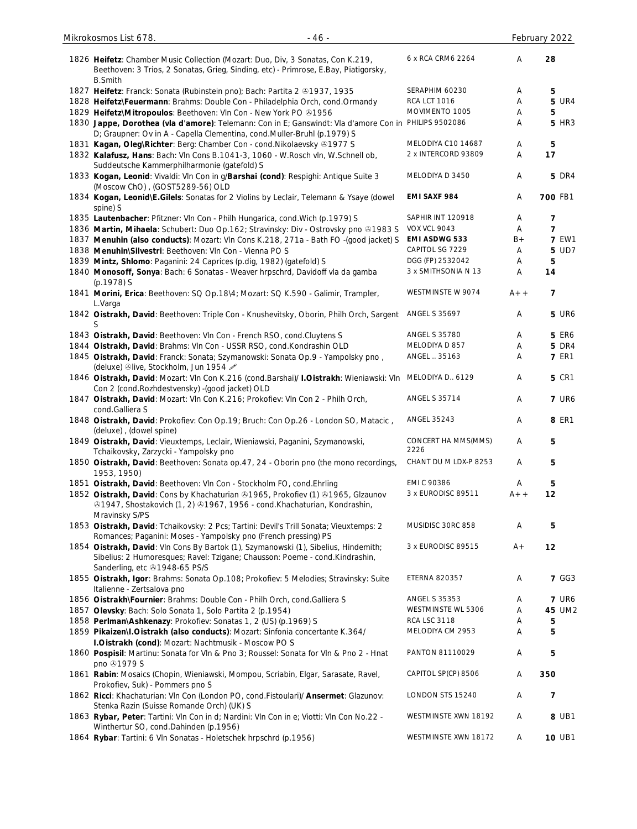| $-46-$<br>Mikrokosmos List 678.                                                                                                                                                                     |                             |       | February 2022  |
|-----------------------------------------------------------------------------------------------------------------------------------------------------------------------------------------------------|-----------------------------|-------|----------------|
| 1826 Heifetz: Chamber Music Collection (Mozart: Duo, Div, 3 Sonatas, Con K.219,<br>Beethoven: 3 Trios, 2 Sonatas, Grieg, Sinding, etc) - Primrose, E.Bay, Piatigorsky,<br><b>B.Smith</b>            | 6 x RCA CRM6 2264           | Α     | 28             |
| 1827 Heifetz: Franck: Sonata (Rubinstein pno); Bach: Partita 2 81937, 1935                                                                                                                          | SERAPHIM 60230              | Α     | 5              |
| 1828 Heifetz\Feuermann: Brahms: Double Con - Philadelphia Orch, cond.Ormandy                                                                                                                        | <b>RCA LCT 1016</b>         | Α     | <b>5 UR4</b>   |
| 1829 Heifetz\Mitropoulos: Beethoven: VIn Con - New York PO @1956                                                                                                                                    | MOVIMENTO 1005              | A     | 5              |
| 1830 Jappe, Dorothea (vla d'amore): Telemann: Con in E; Ganswindt: Vla d'amore Con in PHILIPS 9502086<br>D; Graupner: Ov in A - Capella Clementina, cond. Muller-Bruhl (p.1979) S                   |                             | Α     | <b>5 HR3</b>   |
| 1831 Kagan, Oleg\Richter: Berg: Chamber Con - cond. Nikolaevsky 31977 S                                                                                                                             | MELODIYA C10 14687          | A     | 5              |
| 1832 Kalafusz, Hans: Bach: Vln Cons B.1041-3, 1060 - W.Rosch vln, W.Schnell ob,<br>Suddeutsche Kammerphilharmonie (gatefold) S                                                                      | 2 x INTERCORD 93809         | Α     | 17             |
| 1833 Kogan, Leonid: Vivaldi: VIn Con in g/Barshai (cond): Respighi: Antique Suite 3<br>(Moscow ChO), (GOST5289-56) OLD                                                                              | MELODIYA D 3450             | Α     | <b>5 DR4</b>   |
| 1834 Kogan, Leonid\E.Gilels: Sonatas for 2 Violins by Leclair, Telemann & Ysaye (dowel<br>spine) S                                                                                                  | EMI SAXF 984                | Α     | 700 FB1        |
| 1835 Lautenbacher: Pfitzner: VIn Con - Philh Hungarica, cond. Wich (p.1979) S                                                                                                                       | SAPHIR INT 120918           | A     | 7              |
| 1836 Martin, Mihaela: Schubert: Duo Op.162; Stravinsky: Div - Ostrovsky pno &1983 S                                                                                                                 | <b>VOX VCL 9043</b>         | Α     | $\overline{7}$ |
| 1837 Menuhin (also conducts): Mozart: Vln Cons K.218, 271a - Bath FO -(good jacket) S                                                                                                               | EMI ASDWG 533               | $B +$ | <b>7 EW1</b>   |
| 1838 Menuhin\Silvestri: Beethoven: VIn Con - Vienna PO S                                                                                                                                            | CAPITOL SG 7229             | Α     | 5 UD7          |
| 1839 Mintz, Shlomo: Paganini: 24 Caprices (p.dig, 1982) (gatefold) S                                                                                                                                | DGG (FP) 2532042            | A     | 5              |
| 1840 Monosoff, Sonya: Bach: 6 Sonatas - Weaver hrpschrd, Davidoff vla da gamba<br>(p.1978) S                                                                                                        | 3 x SMITHSONIA N 13         | Α     | 14             |
| 1841 Morini, Erica: Beethoven: SQ Op.18\4; Mozart: SQ K.590 - Galimir, Trampler,<br>L.Varga                                                                                                         | WESTMINSTE W 9074           | $A++$ | $\overline{7}$ |
| 1842 Oistrakh, David: Beethoven: Triple Con - Knushevitsky, Oborin, Philh Orch, Sargent<br>S                                                                                                        | <b>ANGEL S 35697</b>        | Α     | <b>5 UR6</b>   |
| 1843 Oistrakh, David: Beethoven: VIn Con - French RSO, cond. Cluytens S                                                                                                                             | <b>ANGEL S 35780</b>        | A     | <b>5 ER6</b>   |
| 1844 Oistrakh, David: Brahms: Vln Con - USSR RSO, cond.Kondrashin OLD                                                                                                                               | MELODIYA D 857              | Α     | <b>5 DR4</b>   |
| 1845 Oistrakh, David: Franck: Sonata; Szymanowski: Sonata Op.9 - Yampolsky pno,<br>(deluxe) Olive, Stockholm, Jun 1954                                                                              | ANGEL  35163                | A     | <b>7 ER1</b>   |
| 1846 Oistrakh, David: Mozart: VIn Con K.216 (cond.Barshai)/ I.Oistrakh: Wieniawski: VIn<br>Con 2 (cond.Rozhdestvensky) - (good jacket) OLD                                                          | MELODIYA D., 6129           | Α     | <b>5 CR1</b>   |
| 1847 Oistrakh, David: Mozart: Vln Con K.216; Prokofiev: Vln Con 2 - Philh Orch,<br>cond.Galliera S                                                                                                  | <b>ANGEL S 35714</b>        | Α     | <b>7 UR6</b>   |
| 1848 Oistrakh, David: Prokofiev: Con Op.19; Bruch: Con Op.26 - London SO, Matacic,<br>(deluxe), (dowel spine)                                                                                       | ANGEL 35243                 | Α     | <b>8 ER1</b>   |
| 1849 Oistrakh, David: Vieuxtemps, Leclair, Wieniawski, Paganini, Szymanowski,<br>Tchaikovsky, Zarzycki - Yampolsky pno                                                                              | CONCERT HA MMS(MMS)<br>2226 | Α     | 5              |
| 1850 Oistrakh, David: Beethoven: Sonata op.47, 24 - Oborin pno (the mono recordings,<br>1953, 1950)                                                                                                 | CHANT DU M LDX-P 8253       | Α     | 5              |
| 1851 Oistrakh, David: Beethoven: Vln Con - Stockholm FO, cond. Ehrling                                                                                                                              | EMI C 90386                 | A     | 5              |
| 1852 Oistrakh, David: Cons by Khachaturian & 1965, Prokofiev (1) & 1965, Glzaunov<br><sup>3</sup> 1947, Shostakovich (1, 2) 31967, 1956 - cond. Khachaturian, Kondrashin,<br>Mravinsky S/PS         | 3 x EURODISC 89511          | $A++$ | 12             |
| 1853 Oistrakh, David: Tchaikovsky: 2 Pcs; Tartini: Devil's Trill Sonata; Vieuxtemps: 2<br>Romances; Paganini: Moses - Yampolsky pno (French pressing) PS                                            | MUSIDISC 30RC 858           | Α     | 5              |
| 1854 Oistrakh, David: Vln Cons By Bartok (1), Szymanowski (1), Sibelius, Hindemith;<br>Sibelius: 2 Humoresques; Ravel: Tzigane; Chausson: Poeme - cond.Kindrashin,<br>Sanderling, etc 31948-65 PS/S | 3 x EURODISC 89515          | $A +$ | 12             |
| 1855 Oistrakh, Igor: Brahms: Sonata Op.108; Prokofiev: 5 Melodies; Stravinsky: Suite<br>Italienne - Zertsalova pno                                                                                  | <b>ETERNA 820357</b>        | Α     | <b>7 GG3</b>   |
| 1856 Oistrakh\Fournier: Brahms: Double Con - Philh Orch, cond. Galliera S                                                                                                                           | <b>ANGEL S 35353</b>        | Α     | <b>7 UR6</b>   |
| 1857 Olevsky: Bach: Solo Sonata 1, Solo Partita 2 (p.1954)                                                                                                                                          | WESTMINSTE WL 5306          | A     | 45 UM2         |
| 1858 Perlman\Ashkenazy: Prokofiev: Sonatas 1, 2 (US) (p.1969) S                                                                                                                                     | <b>RCA LSC 3118</b>         | Α     | 5              |
| 1859 Pikaizen\I.Oistrakh (also conducts): Mozart: Sinfonia concertante K.364/<br>I.Oistrakh (cond): Mozart: Nachtmusik - Moscow POS                                                                 | MELODIYA CM 2953            | Α     | 5              |
| 1860 Pospisil: Martinu: Sonata for VIn & Pno 3; Roussel: Sonata for VIn & Pno 2 - Hnat<br>pno 21979 S                                                                                               | PANTON 81110029             | A     | 5              |
| 1861 Rabin: Mosaics (Chopin, Wieniawski, Mompou, Scriabin, Elgar, Sarasate, Ravel,<br>Prokofiev, Suk) - Pommers pno S                                                                               | CAPITOL SP(CP) 8506         | Α     | 350            |
| 1862 Ricci: Khachaturian: VIn Con (London PO, cond.Fistoulari)/ Ansermet: Glazunov:<br>Stenka Razin (Suisse Romande Orch) (UK) S                                                                    | LONDON STS 15240            | Α     | 7              |
| 1863 Rybar, Peter: Tartini: Vln Con in d; Nardini: Vln Con in e; Viotti: Vln Con No.22 -<br>Winthertur SO, cond.Dahinden (p.1956)                                                                   | WESTMINSTE XWN 18192        | A     | 8 UB1          |
| 1864 Rybar: Tartini: 6 Vln Sonatas - Holetschek hrpschrd (p.1956)                                                                                                                                   | WESTMINSTE XWN 18172        | A     | <b>10 UB1</b>  |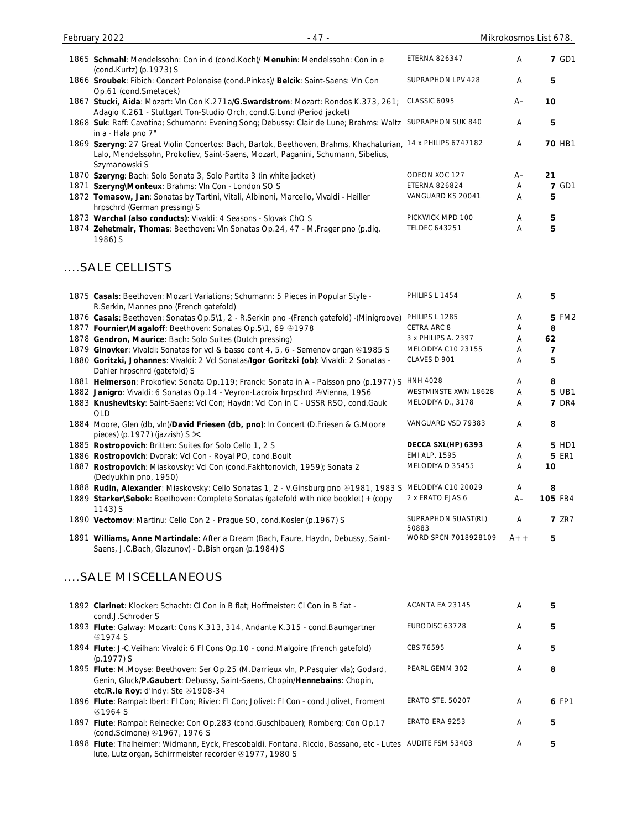| February 2022<br>- 47 -                                                                                                                                                                                           |                      | Mikrokosmos List 678. |              |
|-------------------------------------------------------------------------------------------------------------------------------------------------------------------------------------------------------------------|----------------------|-----------------------|--------------|
| 1865 Schmahl: Mendelssohn: Con in d (cond.Koch)/ Menuhin: Mendelssohn: Con in e<br>(cond.Kurtz) (p.1973) S                                                                                                        | <b>ETERNA 826347</b> | A                     | <b>7 GD1</b> |
| 1866 Sroubek: Fibich: Concert Polonaise (cond.Pinkas)/ Belcik: Saint-Saens: VIn Con<br>Op.61 (cond.Smetacek)                                                                                                      | SUPRAPHON LPV 428    | A                     | 5            |
| 1867 Stucki, Aida: Mozart: Vln Con K.271a/G.Swardstrom: Mozart: Rondos K.373, 261;<br>Adagio K.261 - Stuttgart Ton-Studio Orch, cond.G.Lund (Period jacket)                                                       | CLASSIC 6095         | $A-$                  | 10           |
| 1868 Suk: Raff: Cavatina; Schumann: Evening Song; Debussy: Clair de Lune; Brahms: Waltz<br>in a - Hala pno 7"                                                                                                     | SUPRAPHON SUK 840    | A                     | 5            |
| 1869 Szeryng: 27 Great Violin Concertos: Bach, Bartok, Beethoven, Brahms, Khachaturian, 14 x PHILIPS 6747182<br>Lalo, Mendelssohn, Prokofiev, Saint-Saens, Mozart, Paganini, Schumann, Sibelius,<br>Szymanowski S |                      | A                     | 70 HB1       |
| 1870 Szeryng: Bach: Solo Sonata 3, Solo Partita 3 (in white jacket)                                                                                                                                               | ODEON XOC 127        | $A -$                 | 21           |
| 1871 Szeryng\Monteux: Brahms: VIn Con - London SO S                                                                                                                                                               | <b>ETERNA 826824</b> | A                     | <b>7 GD1</b> |
| 1872 Tomasow, Jan: Sonatas by Tartini, Vitali, Albinoni, Marcello, Vivaldi - Heiller<br>hrpschrd (German pressing) S                                                                                              | VANGUARD KS 20041    | A                     | 5            |
| 1873 Warchal (also conducts): Vivaldi: 4 Seasons - Slovak ChO S                                                                                                                                                   | PICKWICK MPD 100     | Α                     | 5            |
| 1874 Zehetmair, Thomas: Beethoven: VIn Sonatas Op.24, 47 - M. Frager pno (p.dig,<br>1986) S                                                                                                                       | <b>TELDEC 643251</b> | Α                     | 5            |

# ....SALE CELLISTS

| 1875 Casals: Beethoven: Mozart Variations; Schumann: 5 Pieces in Popular Style -<br>R.Serkin, Mannes pno (French gatefold)                 | PHILIPS L 1454               | A     | 5            |
|--------------------------------------------------------------------------------------------------------------------------------------------|------------------------------|-------|--------------|
| 1876 Casals: Beethoven: Sonatas Op.5\1, 2 - R.Serkin pno -(French gatefold) -(Minigroove)                                                  | PHILIPS L 1285               | A     | 5 FM2        |
| 1877 Fournier\Magaloff: Beethoven: Sonatas Op.5\1, 69 01978                                                                                | CETRA ARC 8                  | A     | 8            |
| 1878 Gendron, Maurice: Bach: Solo Suites (Dutch pressing)                                                                                  | 3 x PHILIPS A. 2397          | A     | 62           |
| 1879 Ginovker: Vivaldi: Sonatas for vcl & basso cont 4, 5, 6 - Semenov organ & 1985 S                                                      | MELODIYA C10 23155           | A     | 7            |
| 1880 Goritzki, Johannes: Vivaldi: 2 Vcl Sonatas/Igor Goritzki (ob): Vivaldi: 2 Sonatas -<br>Dahler hrpschrd (gatefold) S                   | CLAVES D 901                 | A     | 5            |
| 1881 Helmerson: Prokofiev: Sonata Op.119; Franck: Sonata in A - Palsson pno (p.1977) S                                                     | <b>HNH 4028</b>              | A     | 8            |
| 1882 Janigro: Vivaldi: 6 Sonatas Op.14 - Veyron-Lacroix hrpschrd & Vienna, 1956                                                            | WESTMINSTE XWN 18628         | A     | 5 UB1        |
| 1883 Knushevitsky: Saint-Saens: Vcl Con; Haydn: Vcl Con in C - USSR RSO, cond.Gauk<br>OID                                                  | MELODIYA D., 3178            | A     | <b>7 DR4</b> |
| 1884 Moore, Glen (db, vln)/David Friesen (db, pno): In Concert (D.Friesen & G.Moore<br>pieces) (p.1977) (jazzish) S $\times$               | VANGUARD VSD 79383           | A     | 8            |
| 1885 Rostropovich: Britten: Suites for Solo Cello 1, 2 S                                                                                   | DECCA SXL(HP) 6393           | A     | 5 HD1        |
| 1886 Rostropovich: Dvorak: Vcl Con - Royal PO, cond. Boult                                                                                 | <b>EMI ALP. 1595</b>         | A     | <b>5 ER1</b> |
| 1887 Rostropovich: Miaskovsky: Vcl Con (cond.Fakhtonovich, 1959); Sonata 2<br>(Dedyukhin pno, 1950)                                        | MELODIYA D 35455             | A     | 10           |
| 1888 Rudin, Alexander: Miaskovsky: Cello Sonatas 1, 2 - V. Ginsburg pno ®1981, 1983 S                                                      | MELODIYA C10 20029           | A     | 8            |
| 1889 Starker\Sebok: Beethoven: Complete Sonatas (gatefold with nice booklet) + (copy<br>$1143$ ) S                                         | 2 x ERATO EJAS 6             | $A-$  | 105 FB4      |
| 1890 Vectomov: Martinu: Cello Con 2 - Prague SO, cond. Kosler (p. 1967) S                                                                  | SUPRAPHON SUAST(RL)<br>50883 | A     | <b>7 ZR7</b> |
| 1891 Williams, Anne Martindale: After a Dream (Bach, Faure, Haydn, Debussy, Saint-<br>Saens, J.C.Bach, Glazunov) - D.Bish organ (p.1984) S | WORD SPCN 7018928109         | $A++$ | 5            |

# ....SALE MISCELLANEOUS

| 1892 Clarinet: Klocker: Schacht: CI Con in B flat; Hoffmeister: CI Con in B flat -<br>cond.J.Schroder S                                                                                                      | ACANTA EA 23145         | A | 5     |
|--------------------------------------------------------------------------------------------------------------------------------------------------------------------------------------------------------------|-------------------------|---|-------|
| 1893 Flute: Galway: Mozart: Cons K.313, 314, Andante K.315 - cond. Baumgartner<br>$Q$ 1974 S                                                                                                                 | EURODISC 63728          | A | 5     |
| 1894 Flute: J-C.Veilhan: Vivaldi: 6 Fl Cons Op.10 - cond.Malgoire (French gatefold)<br>$(p.1977)$ S                                                                                                          | CBS 76595               | A | 5     |
| 1895 Flute: M.Moyse: Beethoven: Ser Op.25 (M.Darrieux vln, P.Pasquier vla); Godard,<br>Genin, Gluck/P.Gaubert: Debussy, Saint-Saens, Chopin/Hennebains: Chopin,<br>etc/R.le Roy: d'Indy: Ste $\odot$ 1908-34 | PEARL GEMM 302          | A | 8     |
| 1896 Flute: Rampal: Ibert: FI Con; Rivier: FI Con; Jolivet: FI Con - cond.Jolivet, Froment<br>$A$ 1964 S                                                                                                     | <b>ERATO STE. 50207</b> | A | 6 FP1 |
| 1897 Flute: Rampal: Reinecke: Con Op.283 (cond.Guschlbauer); Romberg: Con Op.17<br>(cond.Scimone) 31967, 1976 S                                                                                              | ERATO ERA 9253          | A | 5     |
| 1898 Flute: Thalheimer: Widmann, Eyck, Frescobaldi, Fontana, Riccio, Bassano, etc - Lutes<br>lute, Lutz organ, Schirrmeister recorder 31977, 1980 S                                                          | AUDITE FSM 53403        | Α | 5     |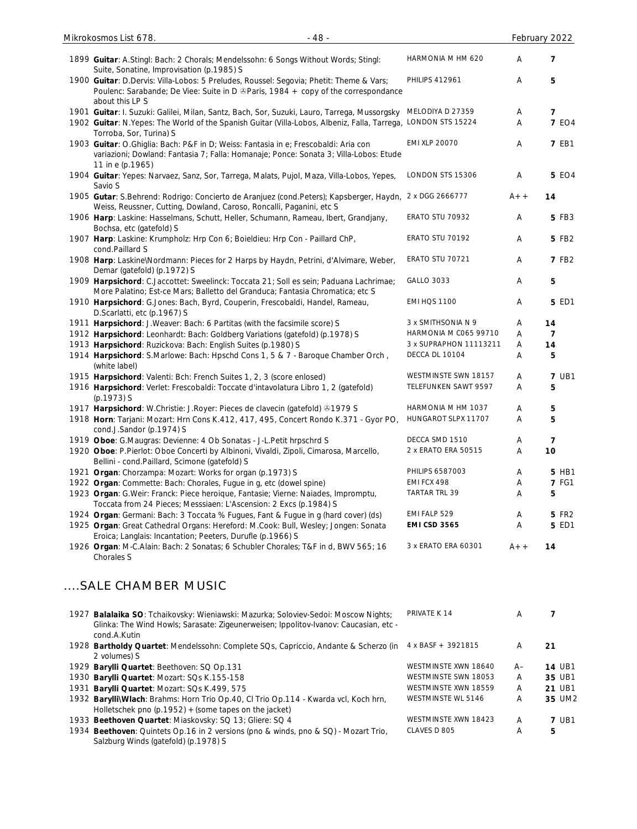| $-48-$<br>Mikrokosmos List 678.                                                                                                                                                                  |                        |       | February 2022  |
|--------------------------------------------------------------------------------------------------------------------------------------------------------------------------------------------------|------------------------|-------|----------------|
| 1899 Guitar: A.Stingl: Bach: 2 Chorals; Mendelssohn: 6 Songs Without Words; Stingl:<br>Suite, Sonatine, Improvisation (p.1985) S                                                                 | HARMONIA M HM 620      | Α     | $\overline{7}$ |
| 1900 Guitar: D.Dervis: Villa-Lobos: 5 Preludes, Roussel: Segovia; Phetit: Theme & Vars;<br>Poulenc: Sarabande; De Viee: Suite in D & Paris, 1984 + copy of the correspondance<br>about this LP S | <b>PHILIPS 412961</b>  | Α     | 5              |
| 1901 Guitar: I. Suzuki: Galilei, Milan, Santz, Bach, Sor, Suzuki, Lauro, Tarrega, Mussorgsky                                                                                                     | MELODIYA D 27359       | Α     | 7              |
| 1902 Guitar: N.Yepes: The World of the Spanish Guitar (Villa-Lobos, Albeniz, Falla, Tarrega,<br>Torroba, Sor, Turina) S                                                                          | LONDON STS 15224       | Α     | <b>7 EO4</b>   |
| 1903 Guitar: O.Ghiglia: Bach: P&F in D; Weiss: Fantasia in e; Frescobaldi: Aria con<br>variazioni; Dowland: Fantasia 7; Falla: Homanaje; Ponce: Sonata 3; Villa-Lobos: Etude<br>11 in e (p.1965) | <b>EMI XLP 20070</b>   | Α     | <b>7 EB1</b>   |
| 1904 Guitar: Yepes: Narvaez, Sanz, Sor, Tarrega, Malats, Pujol, Maza, Villa-Lobos, Yepes,<br>Savio S                                                                                             | LONDON STS 15306       | Α     | <b>5 EO4</b>   |
| 1905 Gutar: S.Behrend: Rodrigo: Concierto de Aranjuez (cond.Peters); Kapsberger, Haydn,<br>Weiss, Reussner, Cutting, Dowland, Caroso, Roncalli, Paganini, etc S                                  | 2 x DGG 2666777        | $A++$ | 14             |
| 1906 Harp: Laskine: Hasselmans, Schutt, Heller, Schumann, Rameau, Ibert, Grandjany,<br>Bochsa, etc (gatefold) S                                                                                  | ERATO STU 70932        | A     | 5 FB3          |
| 1907 Harp: Laskine: Krumpholz: Hrp Con 6; Boieldieu: Hrp Con - Paillard ChP,<br>cond.Paillard S                                                                                                  | ERATO STU 70192        | Α     | 5 FB2          |
| 1908 Harp: Laskine\Nordmann: Pieces for 2 Harps by Haydn, Petrini, d'Alvimare, Weber,<br>Demar (gatefold) (p.1972) S                                                                             | ERATO STU 70721        | Α     | <b>7 FB2</b>   |
| 1909 Harpsichord: C.Jaccottet: Sweelinck: Toccata 21; Soll es sein; Paduana Lachrimae;<br>More Palatino; Est-ce Mars; Balletto del Granduca; Fantasia Chromatica; etc S                          | <b>GALLO 3033</b>      | Α     | 5              |
| 1910 Harpsichord: G.Jones: Bach, Byrd, Couperin, Frescobaldi, Handel, Rameau,<br>D.Scarlatti, etc (p.1967) S                                                                                     | <b>EMI HQS 1100</b>    | Α     | 5 ED1          |
| 1911 Harpsichord: J. Weaver: Bach: 6 Partitas (with the facsimile score) S                                                                                                                       | 3 x SMITHSONIA N 9     | Α     | 14             |
| 1912 Harpsichord: Leonhardt: Bach: Goldberg Variations (gatefold) (p.1978) S                                                                                                                     | HARMONIA M C065 99710  | Α     | 7              |
| 1913 Harpsichord: Ruzickova: Bach: English Suites (p.1980) S                                                                                                                                     | 3 x SUPRAPHON 11113211 | Α     | 14             |
| 1914 Harpsichord: S.Marlowe: Bach: Hpschd Cons 1, 5 & 7 - Baroque Chamber Orch,<br>(white label)                                                                                                 | DECCA DL 10104         | Α     | 5              |
| 1915 Harpsichord: Valenti: Bch: French Suites 1, 2, 3 (score enlosed)                                                                                                                            | WESTMINSTE SWN 18157   | Α     | <b>7 UB1</b>   |
| 1916 Harpsichord: Verlet: Frescobaldi: Toccate d'intavolatura Libro 1, 2 (gatefold)<br>(p.1973) S                                                                                                | TELEFUNKEN SAWT 9597   | Α     | 5              |
| 1917 Harpsichord: W.Christie: J.Royer: Pieces de clavecin (gatefold) 31979 S                                                                                                                     | HARMONIA M HM 1037     | A     | 5              |
| 1918 Horn: Tarjani: Mozart: Hrn Cons K.412, 417, 495, Concert Rondo K.371 - Gyor PO,<br>cond.J.Sandor (p.1974) S                                                                                 | HUNGAROT SLPX 11707    | Α     | 5              |
| 1919 Oboe: G.Maugras: Devienne: 4 Ob Sonatas - J-L.Petit hrpschrd S                                                                                                                              | DECCA SMD 1510         | Α     | 7              |
| 1920 Oboe: P.Pierlot: Oboe Concerti by Albinoni, Vivaldi, Zipoli, Cimarosa, Marcello,<br>Bellini - cond.Paillard, Scimone (gatefold) S                                                           | 2 x ERATO ERA 50515    | Α     | 10             |
| 1921 Organ: Chorzampa: Mozart: Works for organ (p.1973) S                                                                                                                                        | PHILIPS 6587003        | Α     | 5 HB1          |
| 1922 Organ: Commette: Bach: Chorales, Fugue in g, etc (dowel spine)                                                                                                                              | EMI FCX 498            | Α     | <b>7 FG1</b>   |
| 1923 Organ: G.Weir: Franck: Piece heroique, Fantasie; Vierne: Naiades, Impromptu,<br>Toccata from 24 Pieces; Messsiaen: L'Ascension: 2 Excs (p.1984) S                                           | TARTAR TRL 39          | Α     | 5              |
| 1924 Organ: Germani: Bach: 3 Toccata % Fugues, Fant & Fugue in g (hard cover) (ds)                                                                                                               | EMI FALP 529           | Α     | 5 FR2          |
| 1925 Organ: Great Cathedral Organs: Hereford: M.Cook: Bull, Wesley; Jongen: Sonata<br>Eroica; Langlais: Incantation; Peeters, Durufle (p.1966) S                                                 | <b>EMI CSD 3565</b>    | Α     | 5 ED1          |
| 1926 Organ: M-C.Alain: Bach: 2 Sonatas; 6 Schubler Chorales; T&F in d, BWV 565; 16<br>Chorales S                                                                                                 | 3 x ERATO ERA 60301    | $A++$ | 14             |

# ....SALE CHAMBER MUSIC

| 1927 Balalaika SO: Tchaikovsky: Wieniawski: Mazurka; Soloviev-Sedoi: Moscow Nights;<br>Glinka: The Wind Howls; Sarasate: Zigeunerweisen; Ippolitov-Ivanov: Caucasian, etc -<br>cond.A.Kutin | PRIVATE K 14              | A    |               |
|---------------------------------------------------------------------------------------------------------------------------------------------------------------------------------------------|---------------------------|------|---------------|
| 1928 Bartholdy Quartet: Mendelssohn: Complete SQs, Capriccio, Andante & Scherzo (in<br>2 volumes) S                                                                                         | 4 x BASF + 3921815        | A    | 21            |
| 1929 Barylli Quartet: Beethoven: SQ Op.131                                                                                                                                                  | WESTMINSTE XWN 18640      | $A-$ | <b>14 UB1</b> |
| 1930 Barylli Quartet: Mozart: SQs K.155-158                                                                                                                                                 | WESTMINSTE SWN 18053      | A    | 35 UB1        |
| 1931 Barylli Quartet: Mozart: SQs K.499, 575                                                                                                                                                | WESTMINSTE XWN 18559      | Α    | 21 UB1        |
| 1932 BarylliWlach: Brahms: Horn Trio Op.40, Cl Trio Op.114 - Kwarda vcl, Koch hrn,<br>Holletschek pno (p.1952) $+$ (some tapes on the jacket)                                               | <b>WESTMINSTE WL 5146</b> | A    | 35 UM2        |
| 1933 Beethoven Quartet: Miaskovsky: SQ 13; Gliere: SQ 4                                                                                                                                     | WESTMINSTE XWN 18423      | A    | <b>7 UB1</b>  |
| 1934 Beethoven: Quintets Op.16 in 2 versions (pno & winds, pno & SQ) - Mozart Trio,<br>Salzburg Winds (gatefold) (p.1978) S                                                                 | CLAVES D 805              | A    | 5             |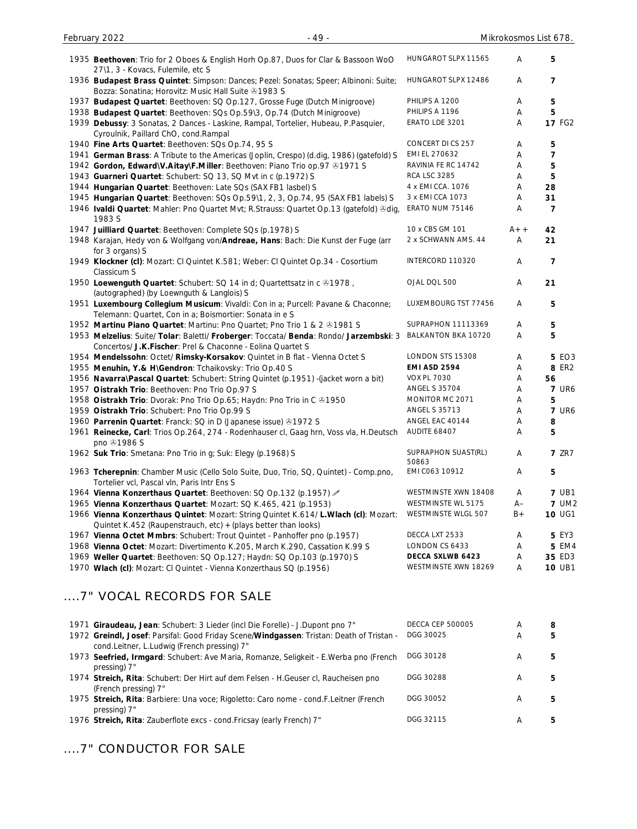| 1935 Beethoven: Trio for 2 Oboes & English Horh Op.87, Duos for Clar & Bassoon WoO<br>27\1, 3 - Kovacs, Fulemile, etc S                                 | HUNGAROT SLPX 11565          | A     | 5             |
|---------------------------------------------------------------------------------------------------------------------------------------------------------|------------------------------|-------|---------------|
| 1936 Budapest Brass Quintet: Simpson: Dances; Pezel: Sonatas; Speer; Albinoni: Suite;<br>Bozza: Sonatina; Horovitz: Music Hall Suite 31983 S            | HUNGAROT SLPX 12486          | A     | 7             |
| 1937 Budapest Quartet: Beethoven: SQ Op.127, Grosse Fuge (Dutch Minigroove)                                                                             | PHILIPS A 1200               | Α     | 5             |
| 1938 Budapest Quartet: Beethoven: SQs Op.59\3, Op.74 (Dutch Minigroove)                                                                                 | PHILIPS A 1196               | Α     | 5             |
| 1939 Debussy: 3 Sonatas, 2 Dances - Laskine, Rampal, Tortelier, Hubeau, P.Pasquier,<br>Cyroulnik, Paillard ChO, cond.Rampal                             | ERATO LDE 3201               | Α     | <b>17 FG2</b> |
| 1940 Fine Arts Quartet: Beethoven: SQs Op.74, 95 S                                                                                                      | CONCERT DI CS 257            | Α     | 5             |
| 1941 German Brass: A Tribute to the Americas (Joplin, Crespo) (d.dig, 1986) (gatefold) S                                                                | EMI EL 270632                | A     | 7             |
| 1942 Gordon, Edward\V.Aitay\F.Miller: Beethoven: Piano Trio op.97 & 1971 S                                                                              | RAVINIA FE RC 14742          | A     | 5             |
| 1943 Guarneri Quartet: Schubert: SQ 13, SQ Mvt in c (p.1972) S                                                                                          | <b>RCA LSC 3285</b>          | Α     | 5             |
| 1944 Hungarian Quartet: Beethoven: Late SQs (SAX FB1 lasbel) S                                                                                          | 4 x EMI CCA. 1076            | Α     | 28            |
| 1945 Hungarian Quartet: Beethoven: SQs Op.59\1, 2, 3, Op.74, 95 (SAX FB1 labels) S                                                                      | 3 x EMI CCA 1073             | Α     | 31            |
| 1946 Ivaldi Quartet: Mahler: Pno Quartet Mvt; R.Strauss: Quartet Op.13 (gatefold) &dig,<br>1983 S                                                       | ERATO NUM 75146              | A     | 7             |
| 1947 Juilliard Quartet: Beethoven: Complete SQs (p.1978) S                                                                                              | 10 x CBS GM 101              | $A++$ | 42            |
| 1948 Karajan, Hedy von & Wolfgang von/Andreae, Hans: Bach: Die Kunst der Fuge (arr<br>for 3 organs) S                                                   | 2 x SCHWANN AMS. 44          | Α     | 21            |
| 1949 Klockner (cl): Mozart: CI Quintet K.581; Weber: CI Quintet Op.34 - Cosortium<br>Classicum S                                                        | INTERCORD 110320             | Α     | 7             |
| 1950 Loewenguth Quartet: Schubert: SQ 14 in d; Quartettsatz in c 01978,<br>(autographed) (by Loewnguth & Langlois) S                                    | OJAL DQL 500                 | Α     | 21            |
| 1951 Luxembourg Collegium Musicum: Vivaldi: Con in a; Purcell: Pavane & Chaconne;<br>Telemann: Quartet, Con in a; Boismortier: Sonata in e S            | LUXEMBOURG TST 77456         | Α     | 5             |
| 1952 Martinu Piano Quartet: Martinu: Pno Quartet; Pno Trio 1 & 2 & 1981 S                                                                               | SUPRAPHON 11113369           | A     | 5             |
| 1953 Melzelius: Suite/ Tolar: Baletti/ Froberger: Toccata/ Benda: Rondo/ Jarzembski: 3<br>Concertos/ J.K. Fischer: Prel & Chaconne - Eolina Quartet S   | BALKANTON BKA 10720          | A     | 5             |
| 1954 Mendelssohn: Octet/ Rimsky-Korsakov: Quintet in B flat - Vienna Octet S                                                                            | LONDON STS 15308             | A     | <b>5 EO3</b>  |
| 1955 Menuhin, Y.& H\Gendron: Tchaikovsky: Trio Op.40 S                                                                                                  | <b>EMI ASD 2594</b>          | Α     | 8 ER2         |
| 1956 Navarra\Pascal Quartet: Schubert: String Quintet (p.1951) -(jacket worn a bit)                                                                     | <b>VOX PL 7030</b>           | A     | 56            |
| 1957 Oistrakh Trio: Beethoven: Pno Trio Op.97 S                                                                                                         | <b>ANGEL S 35704</b>         | A     | <b>7 UR6</b>  |
| 1958 Oistrakh Trio: Dvorak: Pno Trio Op.65; Haydn: Pno Trio in C 01950                                                                                  | MONITOR MC 2071              | Α     | 5             |
| 1959 Oistrakh Trio: Schubert: Pno Trio Op.99 S                                                                                                          | <b>ANGEL S 35713</b>         | A     | <b>7 UR6</b>  |
| 1960 Parrenin Quartet: Franck: SQ in D (Japanese issue) 31972 S                                                                                         | ANGEL EAC 40144              | Α     | 8             |
| 1961 Reinecke, Carl: Trios Op.264, 274 - Rodenhauser cl, Gaag hrn, Voss vla, H.Deutsch<br>pno 31986 S                                                   | AUDITE 68407                 | Α     | 5             |
| 1962 Suk Trio: Smetana: Pno Trio in g; Suk: Elegy (p.1968) S                                                                                            | SUPRAPHON SUAST(RL)<br>50863 | Α     | <b>7</b> ZR7  |
| 1963 Tcherepnin: Chamber Music (Cello Solo Suite, Duo, Trio, SQ, Quintet) - Comp.pno,<br>Tortelier vcl, Pascal vln, Paris Intr Ens S                    | EMI C063 10912               | Α     | 5             |
| 1964 Vienna Konzerthaus Quartet: Beethoven: SQ Op.132 (p.1957)                                                                                          | WESTMINSTE XWN 18408         | A     | <b>7 UB1</b>  |
| 1965 Vienna Konzerthaus Quartet: Mozart: SQ K.465, 421 (p.1953)                                                                                         | WESTMINSTE WL 5175           | $A-$  | <b>7 UM2</b>  |
| 1966 Vienna Konzerthaus Quintet: Mozart: String Quintet K.614/ L. Wlach (cl): Mozart:<br>Quintet K.452 (Raupenstrauch, etc) + (plays better than looks) | WESTMINSTE WLGL 507          | $B+$  | 10 UG1        |
| 1967 Vienna Octet Mmbrs: Schubert: Trout Quintet - Panhoffer pno (p.1957)                                                                               | DECCA LXT 2533               | Α     | 5 EY3         |
| 1968 Vienna Octet: Mozart: Divertimento K.205, March K.290, Cassation K.99 S                                                                            | LONDON CS 6433               | A     | 5 EM4         |
| 1969 Weller Quartet: Beethoven: SQ Op.127; Haydn: SQ Op.103 (p.1970) S                                                                                  | DECCA SXLWB 6423             | A     | 35 ED3        |
| 1970 Wlach (cl): Mozart: CI Quintet - Vienna Konzerthaus SQ (p.1956)                                                                                    | WESTMINSTE XWN 18269         | Α     | <b>10 UB1</b> |

February 2022 **19 - 19 - 19 - 19 - Mikrokosmos List 678.** 

# ....7" VOCAL RECORDS FOR SALE

| 1971 Giraudeau, Jean: Schubert: 3 Lieder (incl Die Forelle) - J.Dupont pno 7"<br>1972 Greindl, Josef: Parsifal: Good Friday Scene/Windgassen: Tristan: Death of Tristan -<br>cond.Leitner, L.Ludwig (French pressing) 7" | <b>DECCA CEP 500005</b><br>DGG 30025 | A<br>A | 8<br>5 |
|--------------------------------------------------------------------------------------------------------------------------------------------------------------------------------------------------------------------------|--------------------------------------|--------|--------|
| 1973 Seefried, Irmgard: Schubert: Ave Maria, Romanze, Seligkeit - E. Werba pno (French<br>pressing) 7"                                                                                                                   | DGG 30128                            | Α      | 5      |
| 1974 Streich, Rita: Schubert: Der Hirt auf dem Felsen - H. Geuser cl, Raucheisen pno<br>(French pressing) 7"                                                                                                             | DGG 30288                            | A      | 5      |
| 1975 Streich, Rita: Barbiere: Una voce; Rigoletto: Caro nome - cond.F.Leitner (French<br>pressing) 7"                                                                                                                    | DGG 30052                            | A      | 5      |
| 1976 Streich, Rita: Zauberflote excs - cond. Fricsay (early French) 7"                                                                                                                                                   | DGG 32115                            | A      | 5      |

....7" CONDUCTOR FOR SALE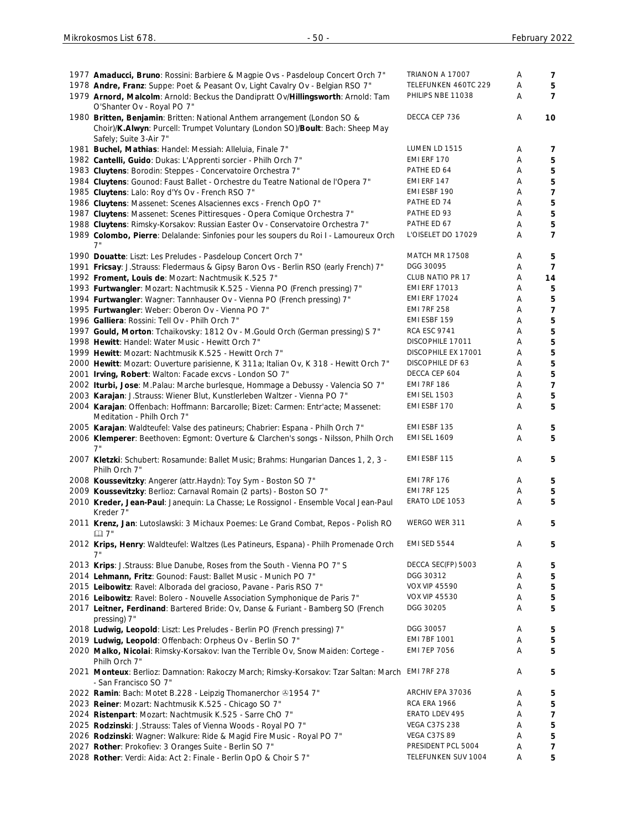| 1977 Amaducci, Bruno: Rossini: Barbiere & Magpie Ovs - Pasdeloup Concert Orch 7"<br>1978 Andre, Franz: Suppe: Poet & Peasant Ov, Light Cavalry Ov - Belgian RSO 7"<br>1979 Arnord, Malcolm: Arnold: Beckus the Dandipratt Ov/Hillingsworth: Arnold: Tam | TRIANON A 17007<br>TELEFUNKEN 460TC 229<br>PHILIPS NBE 11038 | Α<br>Α<br>A | 7<br>5<br>$\overline{7}$ |
|---------------------------------------------------------------------------------------------------------------------------------------------------------------------------------------------------------------------------------------------------------|--------------------------------------------------------------|-------------|--------------------------|
| O'Shanter Ov - Royal PO 7"                                                                                                                                                                                                                              |                                                              |             |                          |
| 1980 Britten, Benjamin: Britten: National Anthem arrangement (London SO &<br>Choir)/K.Alwyn: Purcell: Trumpet Voluntary (London SO)/Boult: Bach: Sheep May<br>Safely; Suite 3-Air 7"                                                                    | DECCA CEP 736                                                | Α           | 10                       |
| 1981 Buchel, Mathias: Handel: Messiah: Alleluia, Finale 7"                                                                                                                                                                                              | LUMEN LD 1515                                                | Α           | 7                        |
| 1982 Cantelli, Guido: Dukas: L'Apprenti sorcier - Philh Orch 7"                                                                                                                                                                                         | EMI ERF 170                                                  | Α           | 5                        |
| 1983 Cluytens: Borodin: Steppes - Concervatoire Orchestra 7"                                                                                                                                                                                            | PATHE ED 64                                                  | Α           | $\mathbf 5$              |
| 1984 Cluytens: Gounod: Faust Ballet - Orchestre du Teatre National de l'Opera 7"                                                                                                                                                                        | EMI ERF 147                                                  | Α           | 5                        |
| 1985 Cluytens: Lalo: Roy d'Ys Ov - French RSO 7"                                                                                                                                                                                                        | EMI ESBF 190                                                 | Α           | $\overline{7}$           |
| 1986 Cluytens: Massenet: Scenes Alsaciennes excs - French OpO 7"                                                                                                                                                                                        | PATHE ED 74                                                  | Α           | 5                        |
| 1987 Cluytens: Massenet: Scenes Pittiresques - Opera Comique Orchestra 7"                                                                                                                                                                               | PATHE ED 93                                                  | Α           | 5                        |
| 1988 Cluytens: Rimsky-Korsakov: Russian Easter Ov - Conservatoire Orchestra 7"                                                                                                                                                                          | PATHE ED 67                                                  | Α           | 5                        |
| 1989 Colombo, Pierre: Delalande: Sinfonies pour les soupers du Roi I - Lamoureux Orch                                                                                                                                                                   | L'OISELET DO 17029                                           | A           | $\overline{7}$           |
| 1990 Douatte: Liszt: Les Preludes - Pasdeloup Concert Orch 7"                                                                                                                                                                                           | MATCH MR 17508                                               | Α           | 5                        |
| 1991 Fricsay: J.Strauss: Fledermaus & Gipsy Baron Ovs - Berlin RSO (early French) 7"                                                                                                                                                                    | DGG 30095                                                    | Α           | $\overline{7}$           |
| 1992 Froment, Louis de: Mozart: Nachtmusik K.525 7"                                                                                                                                                                                                     | CLUB NATIO PR 17                                             | Α           | 14                       |
| 1993 Furtwangler: Mozart: Nachtmusik K.525 - Vienna PO (French pressing) 7"                                                                                                                                                                             | <b>EMI ERF 17013</b>                                         | Α           | 5                        |
| 1994 Furtwangler: Wagner: Tannhauser Ov - Vienna PO (French pressing) 7"                                                                                                                                                                                | <b>EMI ERF 17024</b>                                         | Α           | 5                        |
| 1995 Furtwangler: Weber: Oberon Ov - Vienna PO 7"                                                                                                                                                                                                       | <b>EMI 7RF 258</b>                                           | Α           | $\overline{7}$           |
| 1996 Galliera: Rossini: Tell Ov - Philh Orch 7"                                                                                                                                                                                                         | EMI ESBF 159                                                 | Α           | 5                        |
| 1997 Gould, Morton: Tchaikovsky: 1812 Ov - M.Gould Orch (German pressing) S 7"                                                                                                                                                                          | <b>RCA ESC 9741</b>                                          | Α           | 5                        |
| 1998 Hewitt: Handel: Water Music - Hewitt Orch 7"                                                                                                                                                                                                       | DISCOPHILE 17011                                             | Α           | 5                        |
| 1999 Hewitt: Mozart: Nachtmusik K.525 - Hewitt Orch 7"                                                                                                                                                                                                  | DISCOPHILE EX 17001                                          | Α           | 5                        |
| 2000 Hewitt: Mozart: Ouverture parisienne, K 311a; Italian Ov, K 318 - Hewitt Orch 7"                                                                                                                                                                   | DISCOPHILE DF 63                                             | Α           | 5                        |
| 2001 Irving, Robert: Walton: Facade excvs - London SO 7"                                                                                                                                                                                                | DECCA CEP 604                                                | Α           | 5                        |
| 2002 Iturbi, Jose: M.Palau: Marche burlesque, Hommage a Debussy - Valencia SO 7"                                                                                                                                                                        | <b>EMI 7RF 186</b><br><b>EMI SEL 1503</b>                    | Α           | $\overline{7}$           |
| 2003 Karajan: J.Strauss: Wiener Blut, Kunstlerleben Waltzer - Vienna PO 7"                                                                                                                                                                              | EMI ESBF 170                                                 | Α           | 5<br>5                   |
| 2004 Karajan: Offenbach: Hoffmann: Barcarolle; Bizet: Carmen: Entr'acte; Massenet:<br>Meditation - Philh Orch 7"                                                                                                                                        |                                                              | A           |                          |
| 2005 Karajan: Waldteufel: Valse des patineurs; Chabrier: Espana - Philh Orch 7"                                                                                                                                                                         | EMI ESBF 135                                                 | Α           | 5                        |
| 2006 Klemperer: Beethoven: Egmont: Overture & Clarchen's songs - Nilsson, Philh Orch                                                                                                                                                                    | <b>EMI SEL 1609</b>                                          | A           | 5                        |
| 7"<br>2007 Kletzki: Schubert: Rosamunde: Ballet Music; Brahms: Hungarian Dances 1, 2, 3 -<br>Philh Orch 7"                                                                                                                                              | EMI ESBF 115                                                 | Α           | 5                        |
| 2008 Koussevitzky: Angerer (attr. Haydn): Toy Sym - Boston SO 7"                                                                                                                                                                                        | <b>EMI 7RF 176</b>                                           | Α           | 5                        |
| 2009 Koussevitzky: Berlioz: Carnaval Romain (2 parts) - Boston SO 7"                                                                                                                                                                                    | <b>EMI 7RF 125</b>                                           | Α           | 5                        |
| 2010 Kreder, Jean-Paul: Janequin: La Chasse; Le Rossignol - Ensemble Vocal Jean-Paul<br>Kreder 7"                                                                                                                                                       | ERATO LDE 1053                                               | Α           | 5                        |
| 2011 Krenz, Jan: Lutoslawski: 3 Michaux Poemes: Le Grand Combat, Repos - Polish RO<br>$\boxtimes$ 7"                                                                                                                                                    | WERGO WER 311                                                | Α           | 5                        |
| 2012 Krips, Henry: Waldteufel: Waltzes (Les Patineurs, Espana) - Philh Promenade Orch<br>7"                                                                                                                                                             | <b>EMI SED 5544</b>                                          | Α           | 5                        |
| 2013 Krips: J.Strauss: Blue Danube, Roses from the South - Vienna PO 7" S                                                                                                                                                                               | DECCA SEC(FP) 5003                                           | Α           | 5                        |
| 2014 Lehmann, Fritz: Gounod: Faust: Ballet Music - Munich PO 7"                                                                                                                                                                                         | DGG 30312                                                    | Α           | 5                        |
| 2015 Leibowitz: Ravel: Alborada del gracioso, Pavane - Paris RSO 7"                                                                                                                                                                                     | <b>VOX VIP 45590</b>                                         | Α           | 5                        |
| 2016 Leibowitz: Ravel: Bolero - Nouvelle Association Symphonique de Paris 7"                                                                                                                                                                            | <b>VOX VIP 45530</b>                                         | Α           | 5                        |
| 2017 Leitner, Ferdinand: Bartered Bride: Ov, Danse & Furiant - Bamberg SO (French<br>pressing) 7"                                                                                                                                                       | DGG 30205                                                    | Α           | 5                        |
| 2018 Ludwig, Leopold: Liszt: Les Preludes - Berlin PO (French pressing) 7"                                                                                                                                                                              | DGG 30057                                                    | Α           | 5                        |
| 2019 Ludwig, Leopold: Offenbach: Orpheus Ov - Berlin SO 7"                                                                                                                                                                                              | EMI 7BF 1001                                                 | Α           | 5                        |
| 2020 Malko, Nicolai: Rimsky-Korsakov: Ivan the Terrible Ov, Snow Maiden: Cortege -<br>Philh Orch 7"                                                                                                                                                     | <b>EMI 7EP 7056</b>                                          | Α           | 5                        |
| 2021 Monteux: Berlioz: Damnation: Rakoczy March; Rimsky-Korsakov: Tzar Saltan: March<br>- San Francisco SO 7"                                                                                                                                           | <b>EMI 7RF 278</b>                                           | Α           | 5                        |
| 2022 Ramin: Bach: Motet B.228 - Leipzig Thomanerchor ®1954 7"                                                                                                                                                                                           | ARCHIV EPA 37036                                             | Α           | 5                        |
| 2023 Reiner: Mozart: Nachtmusik K.525 - Chicago SO 7"                                                                                                                                                                                                   | <b>RCA ERA 1966</b>                                          | Α           | 5                        |
| 2024 Ristenpart: Mozart: Nachtmusik K.525 - Sarre ChO 7"                                                                                                                                                                                                | ERATO LDEV 495                                               | Α           | $\overline{7}$           |
| 2025 Rodzinski: J.Strauss: Tales of Vienna Woods - Royal PO 7"                                                                                                                                                                                          | <b>VEGA C37S 238</b>                                         | Α           | 5                        |
| 2026 Rodzinski: Wagner: Walkure: Ride & Magid Fire Music - Royal PO 7"                                                                                                                                                                                  | VEGA C37S 89                                                 | Α           | 5                        |
| 2027 Rother: Prokofiev: 3 Oranges Suite - Berlin SO 7"                                                                                                                                                                                                  | PRESIDENT PCL 5004                                           | Α           | $\overline{7}$           |
| 2028 Rother: Verdi: Aida: Act 2: Finale - Berlin OpO & Choir S 7"                                                                                                                                                                                       | TELEFUNKEN SUV 1004                                          | Α           | 5                        |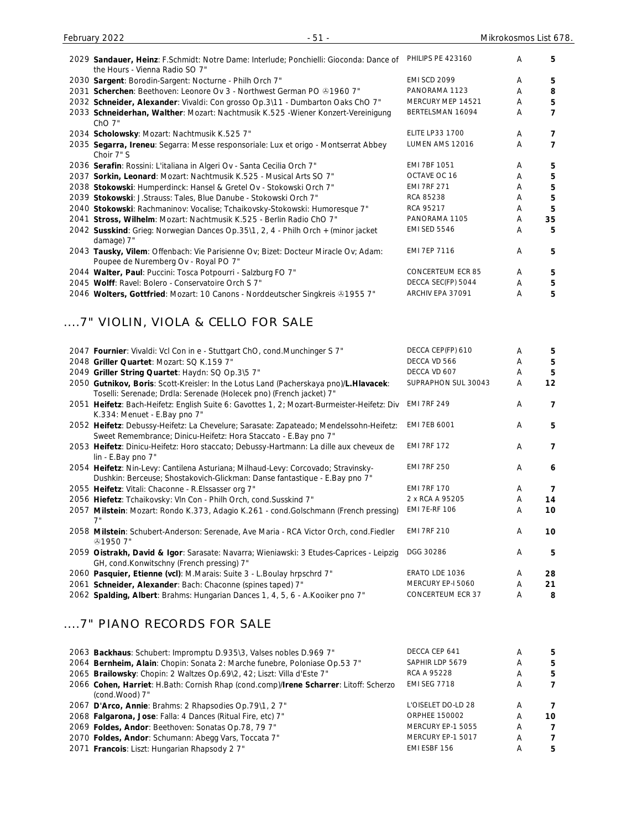| 2029 Sandauer, Heinz: F.Schmidt: Notre Dame: Interlude; Ponchielli: Gioconda: Dance of                                     | PHILIPS PE 423160        | A | 5  |
|----------------------------------------------------------------------------------------------------------------------------|--------------------------|---|----|
| the Hours - Vienna Radio SO 7"                                                                                             |                          |   |    |
| 2030 Sargent: Borodin-Sargent: Nocturne - Philh Orch 7"                                                                    | <b>EMI SCD 2099</b>      | A | 5. |
| 2031 Scherchen: Beethoven: Leonore Ov 3 - Northwest German PO $@19607"$                                                    | PANORAMA 1123            | A | 8  |
| 2032 Schneider, Alexander: Vivaldi: Con grosso Op.3\11 - Dumbarton Oaks ChO 7"                                             | MERCURY MEP 14521        | A | 5  |
| 2033 Schneiderhan, Walther: Mozart: Nachtmusik K.525 - Wiener Konzert-Vereinigung<br>$ChO7$ "                              | BERTELSMAN 16094         | A | 7  |
| 2034 Scholowsky: Mozart: Nachtmusik K.525 7"                                                                               | <b>ELITE LP33 1700</b>   | A | 7  |
| 2035 Segarra, Ireneu: Segarra: Messe responsoriale: Lux et origo - Montserrat Abbey<br>Choir 7" S                          | LUMEN AMS 12016          | A | 7  |
| 2036 Serafin: Rossini: L'italiana in Algeri Ov - Santa Cecilia Orch 7"                                                     | <b>EMI 7BF 1051</b>      | A | 5. |
| 2037 Sorkin, Leonard: Mozart: Nachtmusik K.525 - Musical Arts SO 7"                                                        | OCTAVE OC 16             | A | 5  |
| 2038 Stokowski: Humperdinck: Hansel & Gretel Ov - Stokowski Orch 7"                                                        | <b>EMI 7RF 271</b>       | A | 5  |
| 2039 Stokowski: J.Strauss: Tales, Blue Danube - Stokowski Orch 7"                                                          | RCA 85238                | A | 5  |
| 2040 Stokowski: Rachmaninov: Vocalise; Tchaikovsky-Stokowski: Humoresque 7"                                                | <b>RCA 95217</b>         | A | 5  |
| 2041 Stross, Wilhelm: Mozart: Nachtmusik K.525 - Berlin Radio ChO 7"                                                       | PANORAMA 1105            | A | 35 |
| 2042 Susskind: Grieg: Norwegian Dances Op.35\1, 2, 4 - Philh Orch + (minor jacket<br>damage) 7"                            | <b>EMI SED 5546</b>      | A | 5  |
| 2043 Tausky, Vilem: Offenbach: Vie Parisienne Ov; Bizet: Docteur Miracle Ov; Adam:<br>Poupee de Nuremberg Ov - Royal PO 7" | <b>EMI 7EP 7116</b>      | A | 5. |
| 2044 Walter, Paul: Puccini: Tosca Potpourri - Salzburg FO 7"                                                               | <b>CONCERTEUM ECR 85</b> | A | 5. |
| 2045 Wolff: Ravel: Bolero - Conservatoire Orch S 7"                                                                        | DECCA SEC(FP) 5044       | A | 5  |
| 2046 Wolters, Gottfried: Mozart: 10 Canons - Norddeutscher Singkreis & 1955 7"                                             | ARCHIV EPA 37091         | A | 5  |

# ....7" VIOLIN, VIOLA & CELLO FOR SALE

| 2047 Fournier: Vivaldi: Vcl Con in e - Stuttgart ChO, cond. Munchinger S 7"                                                                                     | DECCA CEP(FP) 610        | A | 5            |
|-----------------------------------------------------------------------------------------------------------------------------------------------------------------|--------------------------|---|--------------|
| 2048 Griller Quartet: Mozart: SQ K.159 7"                                                                                                                       | DECCA VD 566             | A | 5            |
| 2049 Griller String Quartet: Haydn: SQ Op.3\5 7"                                                                                                                | DECCA VD 607             | A | 5            |
| 2050 Gutnikov, Boris: Scott-Kreisler: In the Lotus Land (Pacherskaya pno)/L.Hlavacek:<br>Toselli: Serenade; Drdla: Serenade (Holecek pno) (French jacket) 7"    | SUPRAPHON SUL 30043      | A | 12           |
| 2051 Heifetz: Bach-Heifetz: English Suite 6: Gavottes 1, 2; Mozart-Burmeister-Heifetz: Div<br>K.334: Menuet - E.Bay pno 7"                                      | <b>EMI 7RF 249</b>       | A | 7            |
| 2052 Heifetz: Debussy-Heifetz: La Chevelure; Sarasate: Zapateado; Mendelssohn-Heifetz:<br>Sweet Remembrance; Dinicu-Heifetz: Hora Staccato - E.Bay pno 7"       | <b>EMI 7EB 6001</b>      | A | 5            |
| 2053 Heifetz: Dinicu-Heifetz: Horo staccato; Debussy-Hartmann: La dille aux cheveux de<br>lin - E.Bay pno 7"                                                    | <b>EMI 7RF 172</b>       | A | 7            |
| 2054 Heifetz: Nin-Levy: Cantilena Asturiana; Milhaud-Levy: Corcovado; Stravinsky-<br>Dushkin: Berceuse; Shostakovich-Glickman: Danse fantastique - E.Bay pno 7" | <b>EMI 7RF 250</b>       | A | 6            |
| 2055 Heifetz: Vitali: Chaconne - R. Elssasser org 7"                                                                                                            | <b>EMI 7RF 170</b>       | A | $\mathbf{7}$ |
| 2056 Hiefetz: Tchaikovsky: Vln Con - Philh Orch, cond. Susskind 7"                                                                                              | 2 x RCA A 95205          | A | 14           |
| 2057 Milstein: Mozart: Rondo K.373, Adagio K.261 - cond.Golschmann (French pressing)                                                                            | <b>EMI 7E-RF 106</b>     | A | 10           |
| 2058 Milstein: Schubert-Anderson: Serenade, Ave Maria - RCA Victor Orch, cond. Fiedler<br>&0.19507"                                                             | <b>EMI 7RF 210</b>       | A | 10           |
| 2059 Oistrakh, David & Igor: Sarasate: Navarra; Wieniawski: 3 Etudes-Caprices - Leipzig<br>GH, cond.Konwitschny (French pressing) 7"                            | DGG 30286                | A | 5            |
| 2060 Pasquier, Etienne (vcl): M.Marais: Suite 3 - L.Boulay hrpschrd 7"                                                                                          | ERATO LDE 1036           | A | 28           |
| 2061 Schneider, Alexander: Bach: Chaconne (spines taped) 7"                                                                                                     | MERCURY EP-I 5060        | A | 21           |
| 2062 Spalding, Albert: Brahms: Hungarian Dances 1, 4, 5, 6 - A.Kooiker pno 7"                                                                                   | <b>CONCERTEUM ECR 37</b> | A | 8            |
|                                                                                                                                                                 |                          |   |              |

#### ....7" PIANO RECORDS FOR SALE

| 2063 Backhaus: Schubert: Impromptu D.935\3, Valses nobles D.969 7"                    | DECCA CEP 641        |   | 5            |
|---------------------------------------------------------------------------------------|----------------------|---|--------------|
| 2064 Bernheim, Alain: Chopin: Sonata 2: Marche funebre, Poloniase Op.53 7"            | SAPHIR LDP 5679      | Α | 5            |
| 2065 Brailowsky: Chopin: 2 Waltzes Op.69\2, 42; Liszt: Villa d'Este 7"                | RCA A 95228          | A | 5            |
| 2066 Cohen, Harriet: H.Bath: Cornish Rhap (cond.comp)/Irene Scharrer: Litoff: Scherzo | <b>EMI SEG 7718</b>  | Α | 7            |
| (cond.Wood) 7"                                                                        |                      |   |              |
| 2067 D'Arco, Annie: Brahms: 2 Rhapsodies Op.79\1, 2 7"                                | L'OISELET DO-LD 28   |   | 7            |
| 2068 Falgarona, Jose: Falla: 4 Dances (Ritual Fire, etc) 7"                           | <b>ORPHEE 150002</b> | A | 10           |
| 2069 Foldes, Andor: Beethoven: Sonatas Op.78, 79 7"                                   | MERCURY EP-1 5055    | Α | $\mathbf{7}$ |
| 2070 Foldes, Andor: Schumann: Abegg Vars, Toccata 7"                                  | MERCURY EP-1 5017    | A | 7            |
| 2071 Francois: Liszt: Hungarian Rhapsody 27"                                          | EMI ESBF 156         |   | 5.           |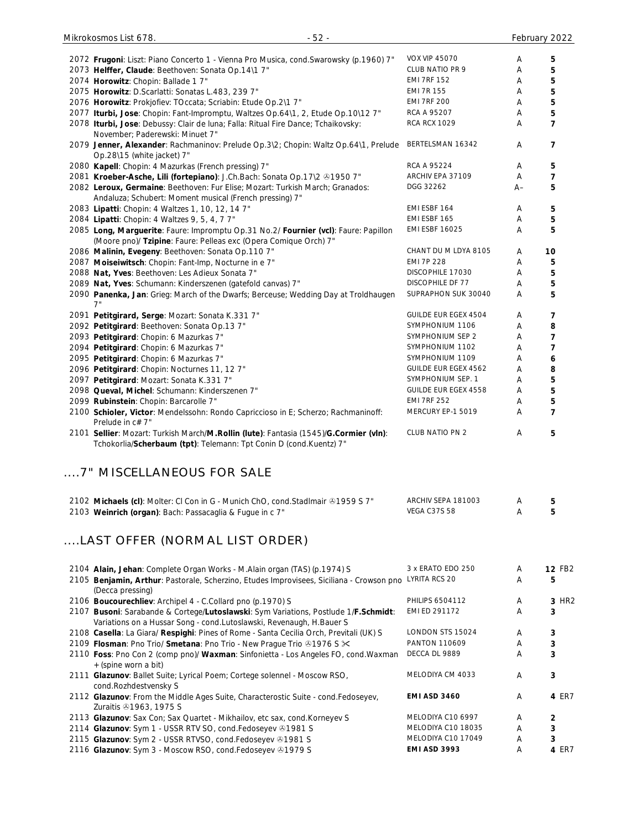| 2072 Frugoni: Liszt: Piano Concerto 1 - Vienna Pro Musica, cond. Swarowsky (p.1960) 7"                                                                      | <b>VOX VIP 45070</b>                      | Α      | 5                       |
|-------------------------------------------------------------------------------------------------------------------------------------------------------------|-------------------------------------------|--------|-------------------------|
| 2073 Helffer, Claude: Beethoven: Sonata Op.14\1 7"                                                                                                          | CLUB NATIO PR 9                           | Α      | 5                       |
| 2074 Horowitz: Chopin: Ballade 1 7"                                                                                                                         | <b>EMI 7RF 152</b>                        | Α      | 5                       |
| 2075 Horowitz: D.Scarlatti: Sonatas L.483, 239 7"                                                                                                           | <b>EMI 7R 155</b>                         | Α      | 5                       |
| 2076 Horowitz: Prokjofiev: TOccata; Scriabin: Etude Op.2\1 7"                                                                                               | <b>EMI 7RF 200</b>                        | Α      | 5                       |
| 2077 Iturbi, Jose: Chopin: Fant-Impromptu, Waltzes Op.64\1, 2, Etude Op.10\12 7"                                                                            | RCA A 95207                               | Α      | 5                       |
| 2078 Iturbi, Jose: Debussy: Clair de luna; Falla: Ritual Fire Dance; Tchaikovsky:<br>November; Paderewski: Minuet 7"                                        | <b>RCA RCX 1029</b>                       | Α      | 7                       |
| 2079 Jenner, Alexander: Rachmaninov: Prelude Op.3\2; Chopin: Waltz Op.64\1, Prelude<br>Op.28\15 (white jacket) 7"                                           | BERTELSMAN 16342                          | A      | 7                       |
| 2080 Kapell: Chopin: 4 Mazurkas (French pressing) 7"                                                                                                        | RCA A 95224                               | Α      | 5                       |
| 2081 Kroeber-Asche, Lili (fortepiano): J.Ch.Bach: Sonata Op.17\2 +1950 7"                                                                                   | ARCHIV EPA 37109                          | A      | 7                       |
| 2082 Leroux, Germaine: Beethoven: Fur Elise; Mozart: Turkish March; Granados:<br>Andaluza; Schubert: Moment musical (French pressing) 7"                    | DGG 32262                                 | A–     | 5                       |
| 2083 Lipatti: Chopin: 4 Waltzes 1, 10, 12, 14 7"                                                                                                            | EMI ESBF 164                              | Α      | 5                       |
| 2084 Lipatti: Chopin: 4 Waltzes 9, 5, 4, 7 7"                                                                                                               | EMI ESBF 165                              | Α      | 5                       |
| 2085 Long, Marguerite: Faure: Impromptu Op.31 No.2/ Fournier (vcl): Faure: Papillon                                                                         | <b>EMI ESBF 16025</b>                     | Α      | 5                       |
| (Moore pno)/ Tzipine: Faure: Pelleas exc (Opera Comique Orch) 7"                                                                                            |                                           |        |                         |
| 2086 Malinin, Evegeny: Beethoven: Sonata Op.110 7"                                                                                                          | CHANT DU M LDYA 8105                      | Α      | 10                      |
| 2087 Moiseiwitsch: Chopin: Fant-Imp, Nocturne in e 7"                                                                                                       | <b>EMI 7P 228</b>                         | Α      | 5                       |
| 2088 Nat, Yves: Beethoven: Les Adieux Sonata 7"                                                                                                             | DISCOPHILE 17030                          | Α      | 5                       |
| 2089 Nat, Yves: Schumann: Kinderszenen (gatefold canvas) 7"                                                                                                 | <b>DISCOPHILE DF 77</b>                   | Α      | 5                       |
| 2090 Panenka, Jan: Grieg: March of the Dwarfs; Berceuse; Wedding Day at Troldhaugen                                                                         | SUPRAPHON SUK 30040                       | Α      | 5                       |
| 7"                                                                                                                                                          |                                           |        |                         |
| 2091 Petitgirard, Serge: Mozart: Sonata K.331 7"                                                                                                            | GUILDE EUR EGEX 4504                      | Α      | 7                       |
| 2092 Petitgirard: Beethoven: Sonata Op.13 7"                                                                                                                | SYMPHONIUM 1106                           | Α      | 8                       |
| 2093 Petitgirard: Chopin: 6 Mazurkas 7"                                                                                                                     | SYMPHONIUM SEP 2                          | Α      | $\overline{\mathbf{z}}$ |
| 2094 Petitgirard: Chopin: 6 Mazurkas 7"                                                                                                                     | SYMPHONIUM 1102                           | Α      | 7                       |
| 2095 Petitgirard: Chopin: 6 Mazurkas 7"                                                                                                                     | SYMPHONIUM 1109                           | Α      | 6                       |
| 2096 Petitgirard: Chopin: Nocturnes 11, 12 7"                                                                                                               | <b>GUILDE EUR EGEX 4562</b>               | Α      | 8                       |
| 2097 Petitgirard: Mozart: Sonata K.331 7"                                                                                                                   | SYMPHONIUM SEP. 1                         | Α      | 5                       |
| 2098 Queval, Michel: Schumann: Kinderszenen 7"                                                                                                              | GUILDE EUR EGEX 4558                      | Α      | 5                       |
| 2099 Rubinstein: Chopin: Barcarolle 7"                                                                                                                      | <b>EMI 7RF 252</b>                        | Α      | 5                       |
| 2100 Schioler, Victor: Mendelssohn: Rondo Capriccioso in E; Scherzo; Rachmaninoff:<br>Prelude in c# 7"                                                      | MERCURY EP-1 5019                         | Α      | 7                       |
| 2101 Sellier: Mozart: Turkish March/M.Rollin (lute): Fantasia (1545)/G.Cormier (vln):<br>Tchokorlia/Scherbaum (tpt): Telemann: Tpt Conin D (cond.Kuentz) 7" | <b>CLUB NATIO PN 2</b>                    | Α      | 5                       |
| 7" MISCELLANEOUS FOR SALE                                                                                                                                   |                                           |        |                         |
| 2102 Michaels (cl): Molter: CI Con in G - Munich ChO, cond.StadImair $@1959$ S 7"<br>2103 Weinrich (organ): Bach: Passacaglia & Fugue in c 7"               | ARCHIV SEPA 181003<br><b>VEGA C37S 58</b> | Α<br>A | 5<br>5                  |
| LAST OFFER (NORMAL LIST ORDER)                                                                                                                              |                                           |        |                         |
| 2104 Alain, Jehan: Complete Organ Works - M.Alain organ (TAS) (p.1974) S                                                                                    | 3 x ERATO EDO 250                         | A      | 12 FB2                  |
| 2105 Benjamin, Arthur: Pastorale, Scherzino, Etudes Improvisees, Siciliana - Crowson pno LYRITA RCS 20<br>(Decca pressing)                                  |                                           | A      | 5                       |
| 2106 Boucourechliev: Archipel 4 - C.Collard pno (p.1970) S                                                                                                  | <b>PHILIPS 6504112</b>                    | A      | 3 HR2                   |
| 2107 Busoni: Sarabande & Cortege/Lutoslawski: Sym Variations, Postlude 1/F.Schmidt:<br>Variations on a Hussar Song - cond.Lutoslawski, Revenaugh, H.Bauer S | EMI ED 291172                             | A      | 3                       |
| 2108 Casella: La Giara/ Respighi: Pines of Rome - Santa Cecilia Orch, Previtali (UK) S                                                                      | LONDON STS 15024                          | Α      | 3                       |
| 2109 Flosman: Pno Trio/ Smetana: Pno Trio - New Prague Trio @1976 S $\times$                                                                                | PANTON 110609                             | Α      | 3                       |
| 2110 Foss: Pno Con 2 (comp pno)/ Waxman: Sinfonietta - Los Angeles FO, cond. Waxman<br>+ (spine worn a bit)                                                 | DECCA DL 9889                             | A      | 3                       |
| 2111 Glazunov: Ballet Suite; Lyrical Poem; Cortege solennel - Moscow RSO,<br>cond.Rozhdestvensky S                                                          | MELODIYA CM 4033                          | Α      | 3                       |
| 2112 Glazunov: From the Middle Ages Suite, Characterostic Suite - cond.Fedoseyev,<br>Zuraitis 31963, 1975 S                                                 | <b>EMI ASD 3460</b>                       | A      | 4 ER7                   |
| 2113 Glazunov: Sax Con; Sax Quartet - Mikhailov, etc sax, cond. Korneyev S                                                                                  | MELODIYA C10 6997                         | Α      | 2                       |
| 2114 Glazunov: Sym 1 - USSR RTV SO, cond.Fedoseyev +1981 S                                                                                                  | MELODIYA C10 18035                        | Α      | 3                       |
| 2115 Glazunov: Sym 2 - USSR RTVSO, cond.Fedoseyev @1981 S                                                                                                   | MELODIYA C10 17049                        | Α      | 3                       |
| 2116 Glazunov: Sym 3 - Moscow RSO, cond.Fedoseyev 31979 S                                                                                                   | EMI ASD 3993                              | Α      | 4 ER7                   |
|                                                                                                                                                             |                                           |        |                         |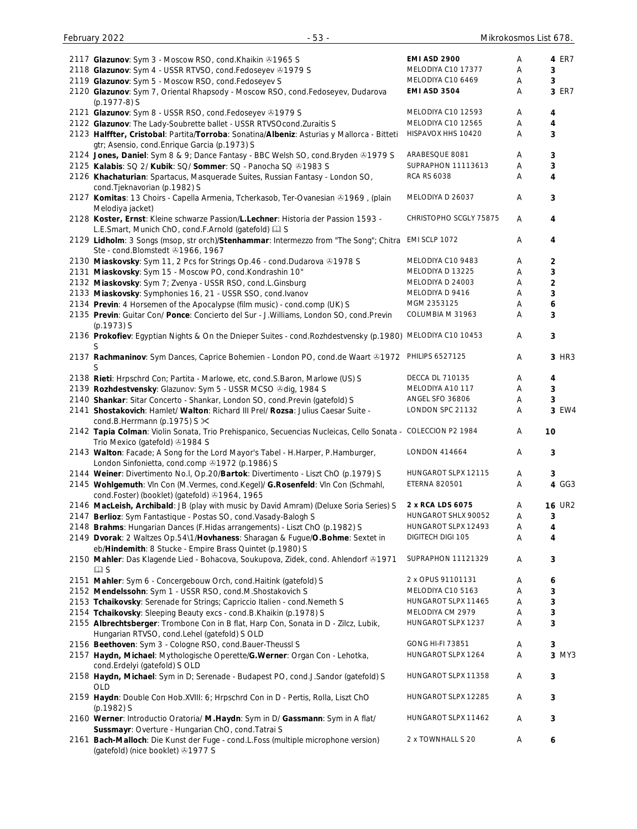| 2117 Glazunov: Sym 3 - Moscow RSO, cond. Khaikin @1965 S                                                    | <b>EMI ASD 2900</b>     | Α | 4 ER7                   |
|-------------------------------------------------------------------------------------------------------------|-------------------------|---|-------------------------|
| 2118 Glazunov: Sym 4 - USSR RTVSO, cond.Fedoseyev @1979 S                                                   | MELODIYA C10 17377      | Α | 3                       |
| 2119 Glazunov: Sym 5 - Moscow RSO, cond.Fedoseyev S                                                         | MELODIYA C10 6469       | Α | 3                       |
| 2120 Glazunov: Sym 7, Oriental Rhapsody - Moscow RSO, cond.Fedoseyev, Dudarova                              | <b>EMI ASD 3504</b>     | Α | 3 ER7                   |
| (p.1977-8) S                                                                                                |                         |   |                         |
| 2121 Glazunov: Sym 8 - USSR RSO, cond.Fedoseyev +1979 S                                                     | MELODIYA C10 12593      | Α | 4                       |
| 2122 Glazunov: The Lady-Soubrette ballet - USSR RTVSOcond. Zuraitis S                                       | MELODIYA C10 12565      | Α | $\overline{\mathbf{4}}$ |
|                                                                                                             | HISPAVOX HHS 10420      |   |                         |
| 2123 Halffter, Cristobal: Partita/Torroba: Sonatina/Albeniz: Asturias y Mallorca - Bitteti                  |                         | Α | 3                       |
| gtr; Asensio, cond. Enrique Garcia (p. 1973) S                                                              |                         |   |                         |
| 2124 Jones, Daniel: Sym 8 & 9; Dance Fantasy - BBC Welsh SO, cond. Bryden & 1979 S                          | ARABESQUE 8081          | Α | 3                       |
| 2125 Kalabis: SQ 2/ Kubik: SQ/ Sommer: SQ - Panocha SQ @1983 S                                              | SUPRAPHON 11113613      | Α | 3                       |
| 2126 Khachaturian: Spartacus, Masquerade Suites, Russian Fantasy - London SO,                               | <b>RCA RS 6038</b>      | Α | 4                       |
| cond. Tjeknavorian (p. 1982) S                                                                              |                         |   |                         |
| 2127 Komitas: 13 Choirs - Capella Armenia, Tcherkasob, Ter-Ovanesian & 1969, (plain                         | MELODIYA D 26037        | Α | 3                       |
| Melodiya jacket)                                                                                            |                         |   |                         |
| 2128 Koster, Ernst: Kleine schwarze Passion/L.Lechner: Historia der Passion 1593 -                          | CHRISTOPHO SCGLY 75875  | A | 4                       |
| L.E.Smart, Munich ChO, cond.F.Arnold (gatefold) as                                                          |                         |   |                         |
| 2129 Lidholm: 3 Songs (msop, str orch)/Stenhammar: Intermezzo from "The Song"; Chitra EMI SCLP 1072         |                         | A | 4                       |
| Ste - cond.Blomstedt & 1966, 1967                                                                           |                         |   |                         |
|                                                                                                             | MELODIYA C10 9483       | Α |                         |
| 2130 Miaskovsky: Sym 11, 2 Pcs for Strings Op.46 - cond.Dudarova @1978 S                                    |                         |   | 2                       |
| 2131 Miaskovsky: Sym 15 - Moscow PO, cond.Kondrashin 10"                                                    | MELODIYA D 13225        | A | 3                       |
| 2132 Miaskovsky: Sym 7; Zvenya - USSR RSO, cond.L.Ginsburg                                                  | MELODIYA D 24003        | Α | $\overline{a}$          |
| 2133 Miaskovsky: Symphonies 16, 21 - USSR SSO, cond.lvanov                                                  | MELODIYA D 9416         | Α | 3                       |
| 2134 Previn: 4 Horsemen of the Apocalypse (film music) - cond.comp (UK) S                                   | MGM 2353125             | Α | 6                       |
| 2135 Previn: Guitar Con/ Ponce: Concierto del Sur - J. Williams, London SO, cond. Previn                    | COLUMBIA M 31963        | Α | 3                       |
| (p.1973) S                                                                                                  |                         |   |                         |
| 2136 Prokofiev: Egyptian Nights & On the Dnieper Suites - cond. Rozhdestvensky (p.1980) MELODIYA C10 10453  |                         | Α | 3                       |
| S                                                                                                           |                         |   |                         |
| 2137 Rachmaninov: Sym Dances, Caprice Bohemien - London PO, cond.de Waart @1972 PHILIPS 6527125             |                         | A | 3 HR3                   |
| S                                                                                                           |                         |   |                         |
| 2138 Rieti: Hrpschrd Con; Partita - Marlowe, etc, cond.S.Baron, Marlowe (US) S                              | <b>DECCA DL 710135</b>  | Α | 4                       |
| 2139 Rozhdestvensky: Glazunov: Sym 5 - USSR MCSO & dig, 1984 S                                              | MELODIYA A10 117        | A | 3                       |
|                                                                                                             | ANGEL SFO 36806         |   | 3                       |
| 2140 Shankar: Sitar Concerto - Shankar, London SO, cond. Previn (gatefold) S                                |                         | Α |                         |
| 2141 Shostakovich: Hamlet/ Walton: Richard III Prel/ Rozsa: Julius Caesar Suite -                           | LONDON SPC 21132        | Α | 3 EW4                   |
| cond.B.Herrmann (p.1975) S $\times$                                                                         |                         |   |                         |
| 2142 Tapia Colman: Violin Sonata, Trio Prehispanico, Secuencias Nucleicas, Cello Sonata - COLECCION P2 1984 |                         | A | 10                      |
| Trio Mexico (gatefold) 31984 S                                                                              |                         |   |                         |
| 2143 Walton: Facade; A Song for the Lord Mayor's Tabel - H.Harper, P.Hamburger,                             | <b>LONDON 414664</b>    | A | 3                       |
| London Sinfonietta, cond.comp 21972 (p.1986) S                                                              |                         |   |                         |
| 2144 Weiner: Divertimento No.I, Op.20/Bartok: Divertimento - Liszt ChO (p.1979) S                           | HUNGAROT SLPX 12115     | Α | 3                       |
| 2145 Wohlgemuth: Vin Con (M.Vermes, cond.Kegel)/ G.Rosenfeld: Vin Con (Schmahl,                             | <b>ETERNA 820501</b>    | Α | 4 GG3                   |
| cond.Foster) (booklet) (gatefold) 31964, 1965                                                               |                         |   |                         |
| 2146 MacLeish, Archibald: JB (play with music by David Amram) (Deluxe Soria Series) S                       | 2 x RCA LDS 6075        | Α | <b>16 UR2</b>           |
| 2147 Berlioz: Sym Fantastique - Postas SO, cond. Vasady-Balogh S                                            | HUNGAROT SHLX 90052     | Α | 3                       |
| 2148 Brahms: Hungarian Dances (F. Hidas arrangements) - Liszt ChO (p.1982) S                                | HUNGAROT SLPX 12493     | Α | $\overline{\mathbf{4}}$ |
| 2149 Dvorak: 2 Waltzes Op.54\1/Hovhaness: Sharagan & Fugue/O.Bohme: Sextet in                               | DIGITECH DIGI 105       | Α | 4                       |
| eb/Hindemith: 8 Stucke - Empire Brass Quintet (p.1980) S                                                    |                         |   |                         |
|                                                                                                             | SUPRAPHON 11121329      |   |                         |
| 2150 Mahler: Das Klagende Lied - Bohacova, Soukupova, Zidek, cond. Ahlendorf ®1971                          |                         | Α | 3                       |
| $\square$ S                                                                                                 |                         |   |                         |
| 2151 Mahler: Sym 6 - Concergebouw Orch, cond. Haitink (gatefold) S                                          | 2 x OPUS 91101131       | Α | 6                       |
| 2152 Mendelssohn: Sym 1 - USSR RSO, cond.M.Shostakovich S                                                   | MELODIYA C10 5163       | Α | 3                       |
| 2153 Tchaikovsky: Serenade for Strings; Capriccio Italien - cond. Nemeth S                                  | HUNGAROT SLPX 11465     | Α | 3                       |
| 2154 Tchaikovsky: Sleeping Beauty excs - cond.B.Khaikin (p.1978) S                                          | MELODIYA CM 2979        | Α | 3                       |
| 2155 Albrechtsberger: Trombone Con in B flat, Harp Con, Sonata in D - Zilcz, Lubik,                         | HUNGAROT SLPX 1237      | Α | 3                       |
| Hungarian RTVSO, cond.Lehel (gatefold) S OLD                                                                |                         |   |                         |
| 2156 Beethoven: Sym 3 - Cologne RSO, cond.Bauer-Theussl S                                                   | <b>GONG HI-FI 73851</b> | Α | 3                       |
| 2157 Haydn, Michael: Mythologische Operette/G. Werner: Organ Con - Lehotka,                                 | HUNGAROT SLPX 1264      | Α | 3 MY3                   |
| cond.Erdelyi (gatefold) S OLD                                                                               |                         |   |                         |
| 2158 Haydn, Michael: Sym in D; Serenade - Budapest PO, cond.J.Sandor (gatefold) S                           | HUNGAROT SLPX 11358     | Α | 3                       |
|                                                                                                             |                         |   |                         |
| <b>OLD</b>                                                                                                  | HUNGAROT SLPX 12285     |   |                         |
| 2159 Haydn: Double Con Hob. XVIII: 6; Hrpschrd Con in D - Pertis, Rolla, Liszt ChO                          |                         | A | 3                       |
| (p.1982) S                                                                                                  |                         |   |                         |
| 2160 Werner: Introductio Oratoria/ M.Haydn: Sym in D/ Gassmann: Sym in A flat/                              | HUNGAROT SLPX 11462     | Α | 3                       |
| Sussmayr: Overture - Hungarian ChO, cond. Tatrai S                                                          |                         |   |                         |
| 2161 Bach-Malloch: Die Kunst der Fuge - cond.L.Foss (multiple microphone version)                           | 2 x TOWNHALL S 20       | Α | 6                       |
| (gatefold) (nice booklet) 31977 S                                                                           |                         |   |                         |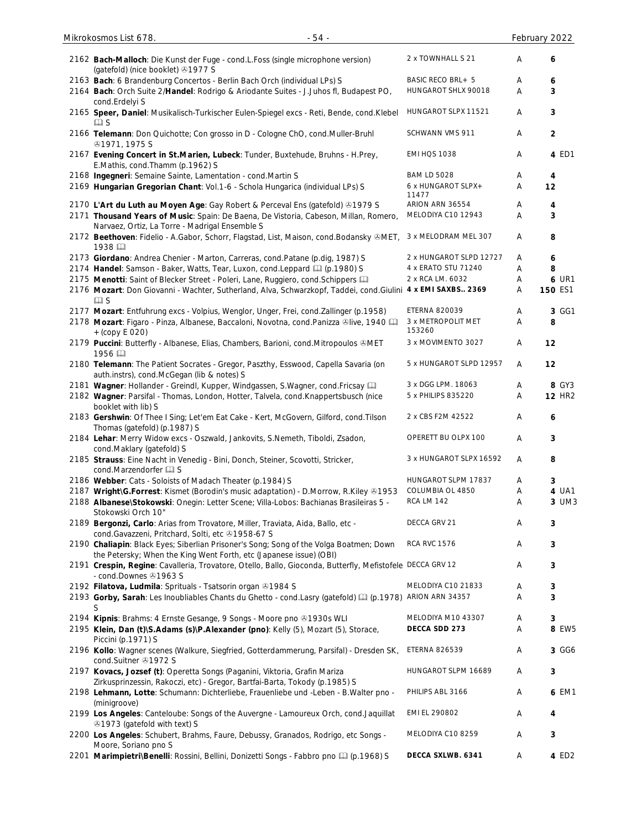| $-54-$<br>Mikrokosmos List 678.                                                                                                                                               |                                                   |        | February 2022    |
|-------------------------------------------------------------------------------------------------------------------------------------------------------------------------------|---------------------------------------------------|--------|------------------|
| 2162 Bach-Malloch: Die Kunst der Fuge - cond.L.Foss (single microphone version)<br>(gatefold) (nice booklet) 31977 S                                                          | 2 x TOWNHALL S 21                                 | A      | 6                |
| 2163 Bach: 6 Brandenburg Concertos - Berlin Bach Orch (individual LPs) S<br>2164 Bach: Orch Suite 2/Handel: Rodrigo & Ariodante Suites - J.Juhos fl, Budapest PO,             | <b>BASIC RECO BRL+ 5</b><br>HUNGAROT SHLX 90018   | Α<br>A | 6<br>3           |
| cond.Erdelyi S<br>2165 Speer, Daniel: Musikalisch-Turkischer Eulen-Spiegel excs - Reti, Bende, cond.Klebel<br>$\square$ S                                                     | HUNGAROT SLPX 11521                               | A      | 3                |
| 2166 Telemann: Don Quichotte; Con grosso in D - Cologne ChO, cond.Muller-Bruhl<br><b>@1971, 1975 S</b>                                                                        | SCHWANN VMS 911                                   | Α      | $\overline{2}$   |
| 2167 Evening Concert in St. Marien, Lubeck: Tunder, Buxtehude, Bruhns - H. Prey,<br>E.Mathis, cond.Thamm (p.1962) S                                                           | <b>EMI HQS 1038</b>                               | Α      | 4 ED1            |
| 2168 Ingegneri: Semaine Sainte, Lamentation - cond. Martin S<br>2169 Hungarian Gregorian Chant: Vol.1-6 - Schola Hungarica (individual LPs) S                                 | <b>BAM LD 5028</b><br>6 x HUNGAROT SLPX+<br>11477 | Α<br>Α | 4<br>12          |
| 2170 L'Art du Luth au Moyen Age: Gay Robert & Perceval Ens (gatefold) & 1979 S                                                                                                | ARION ARN 36554                                   | Α      | 4                |
| 2171 Thousand Years of Music: Spain: De Baena, De Vistoria, Cabeson, Millan, Romero,<br>Narvaez, Ortiz, La Torre - Madrigal Ensemble S                                        | MELODIYA C10 12943                                | Α      | 3                |
| 2172 Beethoven: Fidelio - A.Gabor, Schorr, Flagstad, List, Maison, cond.Bodansky &MET,<br>1938                                                                                | 3 x MELODRAM MEL 307                              | Α      | 8                |
| 2173 Giordano: Andrea Chenier - Marton, Carreras, cond.Patane (p.dig, 1987) S                                                                                                 | 2 x HUNGAROT SLPD 12727                           | A      | $\boldsymbol{6}$ |
| 2174 Handel: Samson - Baker, Watts, Tear, Luxon, cond. Leppard [1] (p.1980) S                                                                                                 | 4 x ERATO STU 71240                               | Α      | 8                |
| 2175 Menotti: Saint of Blecker Street - Poleri, Lane, Ruggiero, cond. Schippers Q                                                                                             | 2 x RCA LM. 6032                                  | Α      | <b>6 UR1</b>     |
| 2176 Mozart: Don Giovanni - Wachter, Sutherland, Alva, Schwarzkopf, Taddei, cond. Giulini 4 x EMI SAXBS 2369<br>$\square$ S                                                   |                                                   | Α      | 150 ES1          |
| 2177 Mozart: Entfuhrung excs - Volpius, Wenglor, Unger, Frei, cond.Zallinger (p.1958)                                                                                         | ETERNA 820039                                     | Α      | 3 GG1            |
| 2178 Mozart: Figaro - Pinza, Albanese, Baccaloni, Novotna, cond.Panizza ®live, 1940<br>$+(copy E 020)$                                                                        | 3 x METROPOLIT MET<br>153260                      | Α      | 8                |
| 2179 Puccini: Butterfly - Albanese, Elias, Chambers, Barioni, cond. Mitropoulos &MET<br>1956                                                                                  | 3 x MOVIMENTO 3027                                | Α      | 12               |
| 2180 Telemann: The Patient Socrates - Gregor, Paszthy, Esswood, Capella Savaria (on<br>auth.instrs), cond.McGegan (lib & notes) S                                             | 5 x HUNGAROT SLPD 12957                           | Α      | 12               |
| 2181 Wagner: Hollander - Greindl, Kupper, Windgassen, S.Wagner, cond. Fricsay [11]                                                                                            | 3 x DGG LPM. 18063                                | Α      | 8 GY3            |
| 2182 Wagner: Parsifal - Thomas, London, Hotter, Talvela, cond. Knappertsbusch (nice                                                                                           | 5 x PHILIPS 835220                                | Α      | <b>12 HR2</b>    |
| booklet with lib) S<br>2183 Gershwin: Of Thee I Sing; Let'em Eat Cake - Kert, McGovern, Gilford, cond. Tilson<br>Thomas (gatefold) (p.1987) S                                 | 2 x CBS F2M 42522                                 | Α      | 6                |
| 2184 Lehar: Merry Widow excs - Oszwald, Jankovits, S.Nemeth, Tiboldi, Zsadon,<br>cond.Maklary (gatefold) S                                                                    | OPERETT BU OLPX 100                               | Α      | 3                |
| 2185 Strauss: Eine Nacht in Venedig - Bini, Donch, Steiner, Scovotti, Stricker,<br>cond.Marzendorfer La S                                                                     | 3 x HUNGAROT SLPX 16592                           | Α      | 8                |
| 2186 Webber: Cats - Soloists of Madach Theater (p.1984) S                                                                                                                     | HUNGAROT SLPM 17837                               | A      | 3                |
| 2187 Wright\G.Forrest: Kismet (Borodin's music adaptation) - D.Morrow, R.Kiley & 1953                                                                                         | COLUMBIA OL 4850                                  | Α      | 4 UA1            |
| 2188 Albanese\Stokowski: Onegin: Letter Scene; Villa-Lobos: Bachianas Brasileiras 5 -<br>Stokowski Orch 10"                                                                   | <b>RCA LM 142</b>                                 | A      | 3 UM3            |
| 2189 Bergonzi, Carlo: Arias from Trovatore, Miller, Traviata, Aida, Ballo, etc -<br>cond.Gavazzeni, Pritchard, Solti, etc +1958-67 S                                          | DECCA GRV 21                                      | Α      | 3                |
| 2190 Chaliapin: Black Eyes; Siberlian Prisoner's Song; Song of the Volga Boatmen; Down<br>the Petersky; When the King Went Forth, etc (Japanese issue) (OBI)                  | <b>RCA RVC 1576</b>                               | Α      | 3                |
| 2191 Crespin, Regine: Cavalleria, Trovatore, Otello, Ballo, Gioconda, Butterfly, Mefistofele DECCA GRV 12<br>- cond.Downes 21963 S                                            |                                                   | Α      | 3                |
| 2192 Filatova, Ludmila: Sprituals - Tsatsorin organ 31984 S<br>2193 Gorby, Sarah: Les Inoubliables Chants du Ghetto - cond.Lasry (gatefold) [1] (p.1978) ARION ARN 34357<br>S | MELODIYA C10 21833                                | Α<br>A | 3<br>3           |
| 2194 Kipnis: Brahms: 4 Ernste Gesange, 9 Songs - Moore pno 31930s WLI                                                                                                         | MELODIYA M10 43307                                | Α      | 3                |
| 2195 Klein, Dan (t)\S.Adams (s)\P.Alexander (pno): Kelly (5), Mozart (5), Storace,<br>Piccini (p.1971) S                                                                      | DECCA SDD 273                                     | A      | 8 EW5            |
| 2196 Kollo: Wagner scenes (Walkure, Siegfried, Gotterdammerung, Parsifal) - Dresden SK,<br>cond.Suitner +1972 S                                                               | <b>ETERNA 826539</b>                              | Α      | 3 GG6            |
| 2197 Kovacs, Jozsef (t): Operetta Songs (Paganini, Viktoria, Grafin Mariza<br>Zirkusprinzessin, Rakoczi, etc) - Gregor, Bartfai-Barta, Tokody (p.1985) S                      | HUNGAROT SLPM 16689                               | Α      | 3                |
| 2198 Lehmann, Lotte: Schumann: Dichterliebe, Frauenliebe und -Leben - B. Walter pno -<br>(minigroove)                                                                         | PHILIPS ABL 3166                                  | Α      | 6 EM1            |
| 2199 Los Angeles: Canteloube: Songs of the Auvergne - Lamoureux Orch, cond.Jaquillat<br>⊙1973 (gatefold with text) S                                                          | EMI EL 290802                                     | Α      | 4                |
| 2200 Los Angeles: Schubert, Brahms, Faure, Debussy, Granados, Rodrigo, etc Songs -<br>Moore, Soriano pno S                                                                    | MELODIYA C10 8259                                 | Α      | 3                |
| 2201 Marimpietri\Benelli: Rossini, Bellini, Donizetti Songs - Fabbro pno [1] (p.1968) S                                                                                       | DECCA SXLWB. 6341                                 | Α      | 4 ED2            |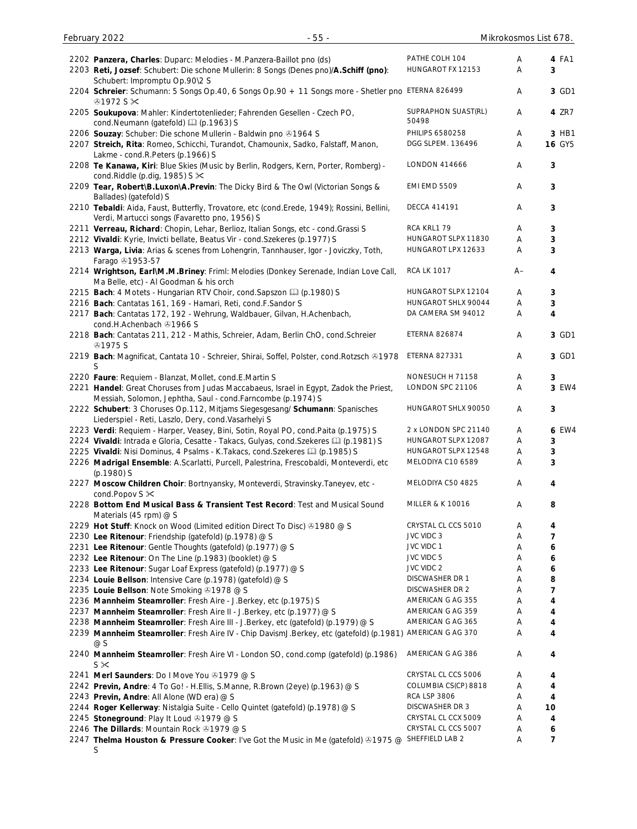| 2202 Panzera, Charles: Duparc: Melodies - M.Panzera-Baillot pno (ds)<br>2203 Reti, Jozsef: Schubert: Die schone Mullerin: 8 Songs (Denes pno)/A.Schiff (pno):<br>Schubert: Impromptu Op.90\2 S | PATHE COLH 104<br>HUNGAROT FX 12153        | Α<br>Α | 4 FA1<br>3             |
|------------------------------------------------------------------------------------------------------------------------------------------------------------------------------------------------|--------------------------------------------|--------|------------------------|
| 2204 Schreier: Schumann: 5 Songs Op.40, 6 Songs Op.90 + 11 Songs more - Shetler pno ETERNA 826499<br>$@1972S \times$                                                                           |                                            | Α      | 3 GD1                  |
| 2205 Soukupova: Mahler: Kindertotenlieder; Fahrenden Gesellen - Czech PO,<br>cond.Neumann (gatefold) [1] (p.1963) S                                                                            | SUPRAPHON SUAST(RL)<br>50498               | A      | 4 ZR7                  |
| 2206 Souzay: Schuber: Die schone Mullerin - Baldwin pno @1964 S<br>2207 Streich, Rita: Romeo, Schicchi, Turandot, Chamounix, Sadko, Falstaff, Manon,                                           | PHILIPS 6580258<br>DGG SLPEM. 136496       | A<br>Α | 3 HB1<br><b>16 GY5</b> |
| Lakme - cond.R.Peters (p.1966) S<br>2208 Te Kanawa, Kiri: Blue Skies (Music by Berlin, Rodgers, Kern, Porter, Romberg) -<br>cond.Riddle (p.dig, 1985) $S \times$                               | <b>LONDON 414666</b>                       | A      | 3                      |
| 2209 Tear, Robert\B.Luxon\A.Previn: The Dicky Bird & The Owl (Victorian Songs &<br>Ballades) (gatefold) S                                                                                      | <b>EMI EMD 5509</b>                        | A      | 3                      |
| 2210 Tebaldi: Aida, Faust, Butterfly, Trovatore, etc (cond.Erede, 1949); Rossini, Bellini,<br>Verdi, Martucci songs (Favaretto pno, 1956) S                                                    | <b>DECCA 414191</b>                        | Α      | 3                      |
| 2211 Verreau, Richard: Chopin, Lehar, Berlioz, Italian Songs, etc - cond.Grassi S                                                                                                              | RCA KRL179                                 | Α      | 3                      |
| 2212 Vivaldi: Kyrie, Invicti bellate, Beatus Vir - cond. Szekeres (p.1977) S                                                                                                                   | HUNGAROT SLPX 11830                        | Α      | 3                      |
| 2213 Warga, Livia: Arias & scenes from Lohengrin, Tannhauser, Igor - Joviczky, Toth,<br>Farago 31953-57                                                                                        | HUNGAROT LPX 12633                         | A      | 3                      |
| 2214 Wrightson, Earl\M.M.Briney: Friml: Melodies (Donkey Serenade, Indian Love Call,<br>Ma Belle, etc) - Al Goodman & his orch                                                                 | <b>RCA LK 1017</b>                         | A–     | 4                      |
| 2215 Bach: 4 Motets - Hungarian RTV Choir, cond. Sapszon [1] (p.1980) S                                                                                                                        | HUNGAROT SLPX 12104                        | Α      | 3                      |
| 2216 Bach: Cantatas 161, 169 - Hamari, Reti, cond.F.Sandor S                                                                                                                                   | HUNGAROT SHLX 90044                        | Α      | 3                      |
| 2217 Bach: Cantatas 172, 192 - Wehrung, Waldbauer, Gilvan, H.Achenbach,<br>cond.H.Achenbach 31966 S                                                                                            | DA CAMERA SM 94012                         | Α      | 4                      |
| 2218 Bach: Cantatas 211, 212 - Mathis, Schreier, Adam, Berlin ChO, cond.Schreier<br><b>@1975 S</b>                                                                                             | <b>ETERNA 826874</b>                       | Α      | 3 GD1                  |
| 2219 Bach: Magnificat, Cantata 10 - Schreier, Shirai, Soffel, Polster, cond. Rotzsch & 1978<br>S.                                                                                              | ETERNA 827331                              | Α      | 3 GD1                  |
| 2220 Faure: Requiem - Blanzat, Mollet, cond.E.Martin S                                                                                                                                         | NONESUCH H 71158                           | Α      | 3                      |
| 2221 Handel: Great Choruses from Judas Maccabaeus, Israel in Egypt, Zadok the Priest,<br>Messiah, Solomon, Jephtha, Saul - cond.Farncombe (p.1974) S                                           | LONDON SPC 21106                           | Α      | 3 EW4                  |
| 2222 Schubert: 3 Choruses Op.112, Mitjams Siegesgesang/ Schumann: Spanisches<br>Liederspiel - Reti, Laszlo, Dery, cond.Vasarhelyi S                                                            | HUNGAROT SHLX 90050                        | Α      | 3                      |
| 2223 Verdi: Requiem - Harper, Veasey, Bini, Sotin, Royal PO, cond.Paita (p.1975) S                                                                                                             | 2 x LONDON SPC 21140                       | A      | 6 EW4                  |
| 2224 Vivaldi: Intrada e Gloria, Cesatte - Takacs, Gulyas, cond. Szekeres [1] (p.1981) S                                                                                                        | HUNGAROT SLPX 12087<br>HUNGAROT SLPX 12548 | Α      | 3                      |
| 2225 Vivaldi: Nisi Dominus, 4 Psalms - K.Takacs, cond.Szekeres (1 (p.1985) S<br>2226 Madrigal Ensemble: A.Scarlatti, Purcell, Palestrina, Frescobaldi, Monteverdi, etc<br>$(p.1980)$ S         | MELODIYA C10 6589                          | A<br>Α | 3<br>3                 |
| 2227 Moscow Children Choir: Bortnyansky, Monteverdi, Stravinsky. Taneyev, etc -<br>cond. Popov $S \times$                                                                                      | MELODIYA C50 4825                          | Α      | 4                      |
| 2228 Bottom End Musical Bass & Transient Test Record: Test and Musical Sound<br>Materials (45 rpm) $@$ S                                                                                       | <b>MILLER &amp; K 10016</b>                | A      | 8                      |
| 2229 Hot Stuff: Knock on Wood (Limited edition Direct To Disc) @1980 @ S                                                                                                                       | CRYSTAL CL CCS 5010                        | Α      | 4                      |
| 2230 Lee Ritenour: Friendship (gatefold) (p.1978) @ S                                                                                                                                          | JVC VIDC 3                                 | Α      | 7                      |
| 2231 Lee Ritenour: Gentle Thoughts (gatefold) (p.1977) @ S                                                                                                                                     | JVC VIDC 1                                 | Α      | 6                      |
| 2232 Lee Ritenour: On The Line (p.1983) (booklet) @ S                                                                                                                                          | JVC VIDC 5                                 | Α      | 6                      |
| 2233 Lee Ritenour: Sugar Loaf Express (gatefold) (p.1977) @ S                                                                                                                                  | JVC VIDC 2                                 | Α      | 6                      |
| 2234 Louie Bellson: Intensive Care (p.1978) (gatefold) @ S                                                                                                                                     | DISCWASHER DR 1                            | Α      | 8                      |
| 2235 Louie Bellson: Note Smoking 31978 @ S                                                                                                                                                     | DISCWASHER DR 2                            | Α      | 7                      |
| 2236 Mannheim Steamroller: Fresh Aire - J.Berkey, etc (p.1975) S                                                                                                                               | AMERICAN G AG 355                          | Α      | 4                      |
| 2237 Mannheim Steamroller: Fresh Aire II - J.Berkey, etc (p.1977) @ S                                                                                                                          | AMERICAN G AG 359                          | Α      | 4                      |
| 2238 Mannheim Steamroller: Fresh Aire III - J.Berkey, etc (gatefold) (p.1979) @ S                                                                                                              | AMERICAN G AG 365                          | Α      | 4                      |
| 2239 Mannheim Steamroller: Fresh Aire IV - Chip DavismJ.Berkey, etc (gatefold) (p.1981)<br>@S                                                                                                  | AMERICAN G AG 370                          | A      | 4                      |
| 2240 Mannheim Steamroller: Fresh Aire VI - London SO, cond.comp (gatefold) (p.1986)<br>S×                                                                                                      | AMERICAN G AG 386                          | Α      | 4                      |
| 2241 Merl Saunders: Do I Move You 31979 @ S                                                                                                                                                    | CRYSTAL CL CCS 5006                        | Α      | 4                      |
| 2242 Previn, Andre: 4 To Go! - H. Ellis, S. Manne, R. Brown (2eye) (p. 1963) @ S                                                                                                               | COLUMBIA CS(CP) 8818                       | Α      | 4                      |
| 2243 Previn, Andre: All Alone (WD era) @ S                                                                                                                                                     | <b>RCA LSP 3806</b>                        | Α      | 4                      |
| 2244 Roger Kellerway: Nistalgia Suite - Cello Quintet (gatefold) (p.1978) @ S                                                                                                                  | DISCWASHER DR 3                            | Α      | 10                     |
| 2245 Stoneground: Play It Loud 31979 @ S                                                                                                                                                       | CRYSTAL CL CCX 5009                        | Α      | 4                      |
| 2246 The Dillards: Mountain Rock 31979 @ S                                                                                                                                                     | CRYSTAL CL CCS 5007                        | Α      | 6                      |
| 2247 Thelma Houston & Pressure Cooker: I've Got the Music in Me (gatefold) 31975 @ SHEFFIELD LAB 2<br>S                                                                                        |                                            | Α      | 7                      |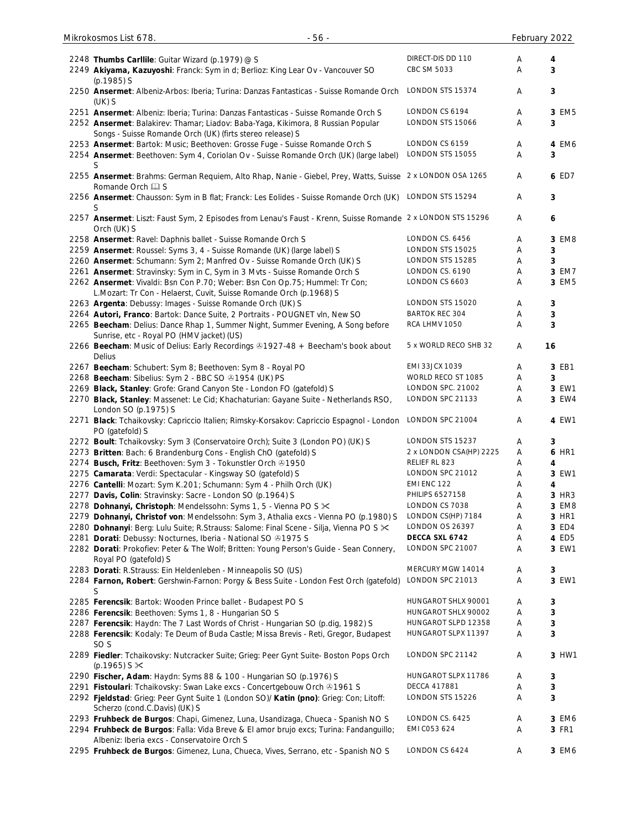| 2248 Thumbs Carllile: Guitar Wizard (p.1979) @ S                                                            | DIRECT-DIS DD 110       | Α | 4     |
|-------------------------------------------------------------------------------------------------------------|-------------------------|---|-------|
| 2249 Akiyama, Kazuyoshi: Franck: Sym in d; Berlioz: King Lear Ov - Vancouver SO                             | CBC SM 5033             | A | 3     |
|                                                                                                             |                         |   |       |
| (p.1985) S                                                                                                  |                         |   |       |
| 2250 Ansermet: Albeniz-Arbos: Iberia; Turina: Danzas Fantasticas - Suisse Romande Orch                      | LONDON STS 15374        | Α | 3     |
| $(UK)$ S                                                                                                    |                         |   |       |
| 2251 Ansermet: Albeniz: Iberia; Turina: Danzas Fantasticas - Suisse Romande Orch S                          | LONDON CS 6194          | Α | 3 EM5 |
| 2252 Ansermet: Balakirev: Thamar; Liadov: Baba-Yaga, Kikimora, 8 Russian Popular                            | LONDON STS 15066        | Α | 3     |
| Songs - Suisse Romande Orch (UK) (firts stereo release) S                                                   |                         |   |       |
|                                                                                                             | LONDON CS 6159          |   |       |
| 2253 Ansermet: Bartok: Music; Beethoven: Grosse Fuge - Suisse Romande Orch S                                |                         | Α | 4 EM6 |
| 2254 Ansermet: Beethoven: Sym 4, Coriolan Ov - Suisse Romande Orch (UK) (large label)                       | LONDON STS 15055        | Α | 3     |
| S                                                                                                           |                         |   |       |
| 2255 Ansermet: Brahms: German Requiem, Alto Rhap, Nanie - Giebel, Prey, Watts, Suisse 2 x LONDON OSA 1265   |                         | A | 6 ED7 |
| Romande Orch La S                                                                                           |                         |   |       |
|                                                                                                             | LONDON STS 15294        |   |       |
| 2256 Ansermet: Chausson: Sym in B flat; Franck: Les Eolides - Suisse Romande Orch (UK)                      |                         | Α | 3     |
| S                                                                                                           |                         |   |       |
| 2257 Ansermet: Liszt: Faust Sym, 2 Episodes from Lenau's Faust - Krenn, Suisse Romande 2 x LONDON STS 15296 |                         | A | 6     |
| Orch (UK) S                                                                                                 |                         |   |       |
| 2258 Ansermet: Ravel: Daphnis ballet - Suisse Romande Orch S                                                | LONDON CS. 6456         | A | 3 EM8 |
|                                                                                                             | LONDON STS 15025        |   |       |
| 2259 Ansermet: Roussel: Syms 3, 4 - Suisse Romande (UK) (large label) S                                     |                         | A | 3     |
| 2260 Ansermet: Schumann: Sym 2; Manfred Ov - Suisse Romande Orch (UK) S                                     | LONDON STS 15285        | Α | 3     |
| 2261 Ansermet: Stravinsky: Sym in C, Sym in 3 Mvts - Suisse Romande Orch S                                  | LONDON CS. 6190         | Α | 3 EM7 |
| 2262 Ansermet: Vivaldi: Bsn Con P.70; Weber: Bsn Con Op.75; Hummel: Tr Con;                                 | LONDON CS 6603          | A | 3 EM5 |
| L.Mozart: Tr Con - Helaerst, Cuvit, Suisse Romande Orch (p.1968) S                                          |                         |   |       |
|                                                                                                             | LONDON STS 15020        | Α |       |
| 2263 Argenta: Debussy: Images - Suisse Romande Orch (UK) S                                                  |                         |   | 3     |
| 2264 Autori, Franco: Bartok: Dance Suite, 2 Portraits - POUGNET vln, New SO                                 | <b>BARTOK REC 304</b>   | Α | 3     |
| 2265 Beecham: Delius: Dance Rhap 1, Summer Night, Summer Evening, A Song before                             | RCA LHMV 1050           | A | 3     |
| Sunrise, etc - Royal PO (HMV jacket) (US)                                                                   |                         |   |       |
| 2266 Beecham: Music of Delius: Early Recordings & 1927-48 + Beecham's book about                            | 5 x WORLD RECO SHB 32   | Α | 16    |
| Delius                                                                                                      |                         |   |       |
|                                                                                                             |                         |   |       |
| 2267 Beecham: Schubert: Sym 8; Beethoven: Sym 8 - Royal PO                                                  | <b>EMI 33JCX 1039</b>   | A | 3 EB1 |
| 2268 Beecham: Sibelius: Sym 2 - BBC SO @1954 (UK) PS                                                        | WORLD RECO ST 1085      | A | 3     |
| 2269 Black, Stanley: Grofe: Grand Canyon Ste - London FO (gatefold) S                                       | LONDON SPC. 21002       | Α | 3 EW1 |
| 2270 Black, Stanley: Massenet: Le Cid; Khachaturian: Gayane Suite - Netherlands RSO,                        | LONDON SPC 21133        | A | 3 EW4 |
| London SO (p.1975) S                                                                                        |                         |   |       |
|                                                                                                             |                         |   |       |
| 2271 Black: Tchaikovsky: Capriccio Italien; Rimsky-Korsakov: Capriccio Espagnol - London                    | LONDON SPC 21004        | A | 4 EW1 |
| PO (gatefold) S                                                                                             |                         |   |       |
| 2272 Boult: Tchaikovsky: Sym 3 (Conservatoire Orch); Suite 3 (London PO) (UK) S                             | LONDON STS 15237        | Α | 3     |
| 2273 Britten: Bach: 6 Brandenburg Cons - English ChO (gatefold) S                                           | 2 x LONDON CSA(HP) 2225 | Α | 6 HR1 |
| 2274 Busch, Fritz: Beethoven: Sym 3 - Tokunstler Orch & 1950                                                | RELIEF RL 823           | A | 4     |
|                                                                                                             |                         |   |       |
| 2275 Camarata: Verdi: Spectacular - Kingsway SO (gatefold) S                                                | LONDON SPC 21012        | Α | 3 EW1 |
| 2276 Cantelli: Mozart: Sym K.201; Schumann: Sym 4 - Philh Orch (UK)                                         | EMI ENC 122             | Α | 4     |
| 2277 Davis, Colin: Stravinsky: Sacre - London SO (p.1964) S                                                 | PHILIPS 6527158         | Α | 3 HR3 |
| 2278 Dohnanyi, Christoph: Mendelssohn: Syms 1, 5 - Vienna PO S $\times$                                     | LONDON CS 7038          | Α | 3 EM8 |
| 2279 Dohnanyi, Christof von: Mendelssohn: Sym 3, Athalia excs - Vienna PO (p.1980) S                        | LONDON CS(HP) 7184      | Α | 3 HR1 |
|                                                                                                             | LONDON OS 26397         |   |       |
| 2280 Dohnanyi: Berg: Lulu Suite; R.Strauss: Salome: Final Scene - Silja, Vienna PO S X                      |                         | Α | 3 ED4 |
| 2281 Dorati: Debussy: Nocturnes, Iberia - National SO +1975 S                                               | DECCA SXL 6742          | Α | 4 ED5 |
| 2282 Dorati: Prokofiev: Peter & The Wolf; Britten: Young Person's Guide - Sean Connery,                     | LONDON SPC 21007        | Α | 3 EW1 |
| Royal PO (gatefold) S                                                                                       |                         |   |       |
| 2283 Dorati: R.Strauss: Ein Heldenleben - Minneapolis SO (US)                                               | MERCURY MGW 14014       | A | 3     |
| 2284 Farnon, Robert: Gershwin-Farnon: Porgy & Bess Suite - London Fest Orch (gatefold)                      | LONDON SPC 21013        | Α | 3 EW1 |
|                                                                                                             |                         |   |       |
| S                                                                                                           |                         |   |       |
| 2285 Ferencsik: Bartok: Wooden Prince ballet - Budapest PO S                                                | HUNGAROT SHLX 90001     | Α | 3     |
| 2286 Ferencsik: Beethoven: Syms 1, 8 - Hungarian SO S                                                       | HUNGAROT SHLX 90002     | A | 3     |
| 2287 Ferencsik: Haydn: The 7 Last Words of Christ - Hungarian SO (p.dig, 1982) S                            | HUNGAROT SLPD 12358     | Α | 3     |
| 2288 Ferencsik: Kodaly: Te Deum of Buda Castle; Missa Brevis - Reti, Gregor, Budapest                       | HUNGAROT SLPX 11397     | Α | 3     |
|                                                                                                             |                         |   |       |
| SO <sub>S</sub>                                                                                             |                         |   |       |
| 2289 Fiedler: Tchaikovsky: Nutcracker Suite; Grieg: Peer Gynt Suite- Boston Pops Orch                       | LONDON SPC 21142        | A | 3 HW1 |
| $(p.1965)$ S $\times$                                                                                       |                         |   |       |
| 2290 Fischer, Adam: Haydn: Syms 88 & 100 - Hungarian SO (p.1976) S                                          | HUNGAROT SLPX 11786     | A | 3     |
| 2291 Fistoulari: Tchaikovsky: Swan Lake excs - Concertgebouw Orch & 1961 S                                  | DECCA 417881            | A | 3     |
|                                                                                                             | LONDON STS 15226        | Α | 3     |
| 2292 Fjeldstad: Grieg: Peer Gynt Suite 1 (London SO)/ Katin (pno): Grieg: Con; Litoff:                      |                         |   |       |
| Scherzo (cond.C.Davis) (UK) S                                                                               |                         |   |       |
| 2293 Fruhbeck de Burgos: Chapi, Gimenez, Luna, Usandizaga, Chueca - Spanish NO S                            | LONDON CS. 6425         | A | 3 EM6 |
| 2294 Fruhbeck de Burgos: Falla: Vida Breve & El amor brujo excs; Turina: Fandanguillo;                      | EMI C053 624            | Α | 3 FR1 |
| Albeniz: Iberia excs - Conservatoire Orch S                                                                 |                         |   |       |
| 2295 Fruhbeck de Burgos: Gimenez, Luna, Chueca, Vives, Serrano, etc - Spanish NO S                          | LONDON CS 6424          | Α | 3 EM6 |
|                                                                                                             |                         |   |       |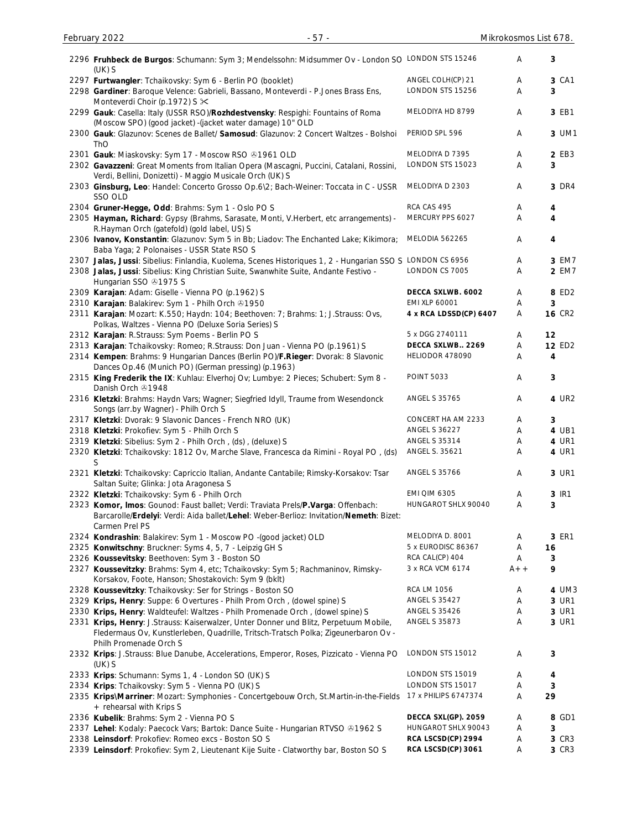| 2296 Fruhbeck de Burgos: Schumann: Sym 3; Mendelssohn: Midsummer Ov - London SO LONDON STS 15246<br>$(UK)$ S                                                                                          |                        | Α     | 3                |
|-------------------------------------------------------------------------------------------------------------------------------------------------------------------------------------------------------|------------------------|-------|------------------|
| 2297 Furtwangler: Tchaikovsky: Sym 6 - Berlin PO (booklet)                                                                                                                                            | ANGEL COLH(CP) 21      | Α     | 3 CA1            |
| 2298 Gardiner: Baroque Velence: Gabrieli, Bassano, Monteverdi - P.Jones Brass Ens,                                                                                                                    | LONDON STS 15256       | Α     | 3                |
| Monteverdi Choir (p.1972) S $\times$<br>2299 Gauk: Casella: Italy (USSR RSO)/Rozhdestvensky: Respighi: Fountains of Roma                                                                              | MELODIYA HD 8799       | Α     | 3 EB1            |
| (Moscow SPO) (good jacket) - (jacket water damage) 10" OLD<br>2300 Gauk: Glazunov: Scenes de Ballet/ Samosud: Glazunov: 2 Concert Waltzes - Bolshoi                                                   | PERIOD SPL 596         | Α     | 3 UM1            |
| ThO<br>2301 Gauk: Miaskovsky: Sym 17 - Moscow RSO @1961 OLD                                                                                                                                           | MELODIYA D 7395        | Α     | 2 EB3            |
| 2302 Gavazzeni: Great Moments from Italian Opera (Mascagni, Puccini, Catalani, Rossini,                                                                                                               | LONDON STS 15023       | Α     | 3                |
| Verdi, Bellini, Donizetti) - Maggio Musicale Orch (UK) S                                                                                                                                              |                        |       |                  |
| 2303 Ginsburg, Leo: Handel: Concerto Grosso Op.6\2; Bach-Weiner: Toccata in C - USSR<br>SSO OLD                                                                                                       | MELODIYA D 2303        | Α     | 3 DR4            |
| 2304 Gruner-Hegge, Odd: Brahms: Sym 1 - Oslo PO S                                                                                                                                                     | RCA CAS 495            | Α     | $\boldsymbol{4}$ |
| 2305 Hayman, Richard: Gypsy (Brahms, Sarasate, Monti, V.Herbert, etc arrangements) -<br>R.Hayman Orch (gatefold) (gold label, US) S                                                                   | MERCURY PPS 6027       | Α     | 4                |
| 2306 Ivanov, Konstantin: Glazunov: Sym 5 in Bb; Liadov: The Enchanted Lake; Kikimora;<br>Baba Yaga; 2 Polonaises - USSR State RSO S                                                                   | MELODIA 562265         | Α     | $\boldsymbol{4}$ |
| 2307 Jalas, Jussi: Sibelius: Finlandia, Kuolema, Scenes Historiques 1, 2 - Hungarian SSO S LONDON CS 6956                                                                                             |                        | Α     | 3 EM7            |
| 2308 Jalas, Jussi: Sibelius: King Christian Suite, Swanwhite Suite, Andante Festivo -<br>Hungarian SSO 21975 S                                                                                        | LONDON CS 7005         | Α     | 2 EM7            |
| 2309 Karajan: Adam: Giselle - Vienna PO (p.1962) S                                                                                                                                                    | DECCA SXLWB. 6002      | Α     | 8 ED2            |
| 2310 Karajan: Balakirev: Sym 1 - Philh Orch 01950                                                                                                                                                     | EMI XLP 60001          | Α     | 3                |
| 2311 Karajan: Mozart: K.550; Haydn: 104; Beethoven: 7; Brahms: 1; J.Strauss: Ovs,<br>Polkas, Waltzes - Vienna PO (Deluxe Soria Series) S                                                              | 4 x RCA LDSSD(CP) 6407 | Α     | <b>16 CR2</b>    |
| 2312 Karajan: R.Strauss: Sym Poems - Berlin PO S                                                                                                                                                      | 5 x DGG 2740111        | Α     | 12               |
| 2313 Karajan: Tchaikovsky: Romeo; R.Strauss: Don Juan - Vienna PO (p.1961) S                                                                                                                          | DECCA SXLWB 2269       | Α     | <b>12 ED2</b>    |
| 2314 Kempen: Brahms: 9 Hungarian Dances (Berlin PO)/F.Rieger: Dvorak: 8 Slavonic<br>Dances Op.46 (Munich PO) (German pressing) (p.1963)                                                               | HELIODOR 478090        | Α     | 4                |
| 2315 King Frederik the IX: Kuhlau: Elverhoj Ov; Lumbye: 2 Pieces; Schubert: Sym 8 -<br>Danish Orch 21948                                                                                              | <b>POINT 5033</b>      | Α     | 3                |
| 2316 Kletzki: Brahms: Haydn Vars; Wagner; Siegfried Idyll, Traume from Wesendonck<br>Songs (arr.by Wagner) - Philh Orch S                                                                             | <b>ANGEL S 35765</b>   | Α     | 4 UR2            |
| 2317 Kletzki: Dvorak: 9 Slavonic Dances - French NRO (UK)                                                                                                                                             | CONCERT HA AM 2233     | Α     | 3                |
| 2318 Kletzki: Prokofiev: Sym 5 - Philh Orch S                                                                                                                                                         | <b>ANGEL S 36227</b>   | A     | 4 UB1            |
| 2319 Kletzki: Sibelius: Sym 2 - Philh Orch, (ds), (deluxe) S                                                                                                                                          | ANGEL S 35314          | A     | 4 UR1            |
| 2320 Kletzki: Tchaikovsky: 1812 Ov, Marche Slave, Francesca da Rimini - Royal PO, (ds)<br>S                                                                                                           | ANGEL S. 35621         | Α     | 4 UR1            |
| 2321 Kletzki: Tchaikovsky: Capriccio Italian, Andante Cantabile; Rimsky-Korsakov: Tsar<br>Saltan Suite; Glinka: Jota Aragonesa S                                                                      | ANGEL S 35766          | Α     | 3 UR1            |
| 2322 Kletzki: Tchaikovsky: Sym 6 - Philh Orch                                                                                                                                                         | <b>EMI QIM 6305</b>    | Α     | 3 IR1            |
| 2323 Komor, Imos: Gounod: Faust ballet; Verdi: Traviata Prels/P.Varga: Offenbach:<br>Barcarolle/Erdelyi: Verdi: Aida ballet/Lehel: Weber-Berlioz: Invitation/Nemeth: Bizet:<br>Carmen Prel PS         | HUNGAROT SHLX 90040    | Α     | 3                |
| 2324 Kondrashin: Balakirev: Sym 1 - Moscow PO - (good jacket) OLD                                                                                                                                     | MELODIYA D. 8001       | Α     | 3 ER1            |
| 2325 Konwitschny: Bruckner: Syms 4, 5, 7 - Leipzig GH S                                                                                                                                               | 5 x EURODISC 86367     | Α     | 16               |
| 2326 Koussevitsky: Beethoven: Sym 3 - Boston SO                                                                                                                                                       | RCA CAL(CP) 404        | Α     | 3                |
| 2327 Koussevitzky: Brahms: Sym 4, etc; Tchaikovsky: Sym 5; Rachmaninov, Rimsky-<br>Korsakov, Foote, Hanson; Shostakovich: Sym 9 (bklt)                                                                | 3 x RCA VCM 6174       | $A++$ | 9                |
| 2328 Koussevitzky: Tchaikovsky: Ser for Strings - Boston SO                                                                                                                                           | <b>RCA LM 1056</b>     | Α     | 4 UM3            |
| 2329 Krips, Henry: Suppe: 6 Overtures - Philh Prom Orch, (dowel spine) S                                                                                                                              | <b>ANGEL S 35427</b>   | Α     | 3 UR1            |
| 2330 Krips, Henry: Waldteufel: Waltzes - Philh Promenade Orch, (dowel spine) S                                                                                                                        | <b>ANGEL S 35426</b>   | Α     | 3 UR1            |
| 2331 Krips, Henry: J.Strauss: Kaiserwalzer, Unter Donner und Blitz, Perpetuum Mobile,<br>Fledermaus Ov, Kunstlerleben, Quadrille, Tritsch-Tratsch Polka; Zigeunerbaron Ov -<br>Philh Promenade Orch S | <b>ANGEL S 35873</b>   | Α     | 3 UR1            |
| 2332 Krips: J.Strauss: Blue Danube, Accelerations, Emperor, Roses, Pizzicato - Vienna PO<br>$(UK)$ S                                                                                                  | LONDON STS 15012       | Α     | 3                |
| 2333 Krips: Schumann: Syms 1, 4 - London SO (UK) S                                                                                                                                                    | LONDON STS 15019       | Α     | 4                |
| 2334 Krips: Tchaikovsky: Sym 5 - Vienna PO (UK) S                                                                                                                                                     | LONDON STS 15017       | Α     | 3                |
| 2335 Krips\Marriner: Mozart: Symphonies - Concertgebouw Orch, St.Martin-in-the-Fields<br>+ rehearsal with Krips S                                                                                     | 17 x PHILIPS 6747374   | Α     | 29               |
| 2336 Kubelik: Brahms: Sym 2 - Vienna PO S                                                                                                                                                             | DECCA SXL(GP). 2059    | Α     | 8 GD1            |
| 2337 Lehel: Kodaly: Paecock Vars; Bartok: Dance Suite - Hungarian RTVSO & 1962 S                                                                                                                      | HUNGAROT SHLX 90043    | Α     | 3                |
| 2338 Leinsdorf: Prokofiev: Romeo excs - Boston SO S                                                                                                                                                   | RCA LSCSD(CP) 2994     | A     | 3 CR3            |
| 2339 Leinsdorf: Prokofiev: Sym 2, Lieutenant Kije Suite - Clatworthy bar, Boston SO S                                                                                                                 | RCA LSCSD(CP) 3061     | Α     | 3 CR3            |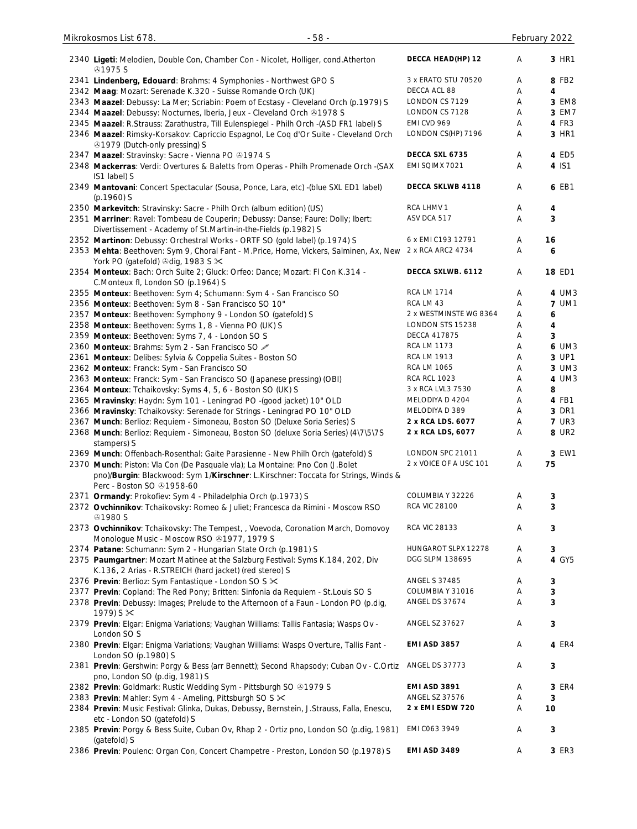| 2340 Ligeti: Melodien, Double Con, Chamber Con - Nicolet, Holliger, cond. Atherton<br><b>41975 S</b>                                                                                            | DECCA HEAD(HP) 12      | Α | 3 HR1        |
|-------------------------------------------------------------------------------------------------------------------------------------------------------------------------------------------------|------------------------|---|--------------|
| 2341 Lindenberg, Edouard: Brahms: 4 Symphonies - Northwest GPO S                                                                                                                                | 3 x ERATO STU 70520    | Α | 8 FB2        |
| 2342 Maag: Mozart: Serenade K.320 - Suisse Romande Orch (UK)                                                                                                                                    | DECCA ACL 88           | Α | 4            |
| 2343 Maazel: Debussy: La Mer; Scriabin: Poem of Ecstasy - Cleveland Orch (p.1979) S                                                                                                             | LONDON CS 7129         | Α | 3 EM8        |
| 2344 Maazel: Debussy: Nocturnes, Iberia, Jeux - Cleveland Orch @1978 S                                                                                                                          | LONDON CS 7128         | Α | 3 EM7        |
| 2345 Maazel: R.Strauss: Zarathustra, Till Eulenspiegel - Philh Orch -(ASD FR1 label) S                                                                                                          | EMI CVD 969            | Α | 4 FR3        |
| 2346 Maazel: Rimsky-Korsakov: Capriccio Espagnol, Le Coq d'Or Suite - Cleveland Orch                                                                                                            | LONDON CS(HP) 7196     | Α | 3 HR1        |
| ⊙1979 (Dutch-only pressing) S                                                                                                                                                                   |                        |   |              |
| 2347 Maazel: Stravinsky: Sacre - Vienna PO @1974 S                                                                                                                                              | DECCA SXL 6735         | Α | 4 ED5        |
| 2348 Mackerras: Verdi: Overtures & Baletts from Operas - Philh Promenade Orch - (SAX                                                                                                            | EMI SQIMX 7021         | Α | 4 IS1        |
| IS1 label) S                                                                                                                                                                                    |                        |   |              |
| 2349 Mantovani: Concert Spectacular (Sousa, Ponce, Lara, etc) -(blue SXL ED1 label)<br>$(p.1960)$ S                                                                                             | DECCA SKLWB 4118       | Α | 6 EB1        |
| 2350 Markevitch: Stravinsky: Sacre - Philh Orch (album edition) (US)                                                                                                                            | RCA LHMV 1             | Α | 4            |
| 2351 Marriner: Ravel: Tombeau de Couperin; Debussy: Danse; Faure: Dolly; Ibert:<br>Divertissement - Academy of St.Martin-in-the-Fields (p.1982) S                                               | ASV DCA 517            | Α | 3            |
| 2352 Martinon: Debussy: Orchestral Works - ORTF SO (gold label) (p.1974) S                                                                                                                      | 6 x EMI C193 12791     | Α | 16           |
| 2353 Mehta: Beethoven: Sym 9, Choral Fant - M.Price, Horne, Vickers, Salminen, Ax, New 2 x RCA ARC2 4734                                                                                        |                        | Α | 6            |
| York PO (gatefold) +dig, 1983 S ><                                                                                                                                                              |                        |   |              |
| 2354 Monteux: Bach: Orch Suite 2; Gluck: Orfeo: Dance; Mozart: FI Con K.314 -                                                                                                                   | DECCA SXLWB. 6112      | Α | 18 ED1       |
| C.Monteux fl, London SO (p.1964) S                                                                                                                                                              |                        |   |              |
| 2355 Monteux: Beethoven: Sym 4; Schumann: Sym 4 - San Francisco SO                                                                                                                              | <b>RCA LM 1714</b>     | Α | 4 UM3        |
| 2356 Monteux: Beethoven: Sym 8 - San Francisco SO 10"                                                                                                                                           | RCA LM 43              | Α | <b>7 UM1</b> |
| 2357 Monteux: Beethoven: Symphony 9 - London SO (gatefold) S                                                                                                                                    | 2 x WESTMINSTE WG 8364 | Α | 6            |
| 2358 Monteux: Beethoven: Syms 1, 8 - Vienna PO (UK) S                                                                                                                                           | LONDON STS 15238       | Α | 4            |
| 2359 Monteux: Beethoven: Syms 7, 4 - London SO S                                                                                                                                                | <b>DECCA 417875</b>    | Α | 3            |
|                                                                                                                                                                                                 | <b>RCA LM 1173</b>     | Α | 6 UM3        |
| 2360 Monteux: Brahms: Sym 2 - San Francisco SO 2                                                                                                                                                | <b>RCA LM 1913</b>     |   | 3 UP1        |
| 2361 Monteux: Delibes: Sylvia & Coppelia Suites - Boston SO                                                                                                                                     | <b>RCA LM 1065</b>     | Α | 3 UM3        |
| 2362 Monteux: Franck: Sym - San Francisco SO                                                                                                                                                    | <b>RCA RCL 1023</b>    | Α |              |
| 2363 Monteux: Franck: Sym - San Francisco SO (Japanese pressing) (OBI)                                                                                                                          |                        | Α | 4 UM3        |
| 2364 Monteux: Tchaikovsky: Syms 4, 5, 6 - Boston SO (UK) S                                                                                                                                      | 3 x RCA LVL3 7530      | Α | 8            |
| 2365 Mravinsky: Haydn: Sym 101 - Leningrad PO -(good jacket) 10" OLD                                                                                                                            | MELODIYA D 4204        | Α | 4 FB1        |
| 2366 Mravinsky: Tchaikovsky: Serenade for Strings - Leningrad PO 10" OLD                                                                                                                        | MELODIYA D 389         | Α | 3 DR1        |
| 2367 Munch: Berlioz: Requiem - Simoneau, Boston SO (Deluxe Soria Series) S                                                                                                                      | 2 x RCA LDS. 6077      | Α | <b>7 UR3</b> |
| 2368 Munch: Berlioz: Requiem - Simoneau, Boston SO (deluxe Soria Series) (4\7\5\7S                                                                                                              | 2 x RCA LDS, 6077      | A | 8 UR2        |
| stampers) S                                                                                                                                                                                     |                        |   |              |
| 2369 Munch: Offenbach-Rosenthal: Gaite Parasienne - New Philh Orch (gatefold) S                                                                                                                 | LONDON SPC 21011       | Α | 3 EW1        |
| 2370 Munch: Piston: Vla Con (De Pasquale vla); La Montaine: Pno Con (J.Bolet<br>pno)/Burgin: Blackwood: Sym 1/Kirschner: L.Kirschner: Toccata for Strings, Winds &<br>Perc - Boston SO 31958-60 | 2 x VOICE OF A USC 101 | A | 75           |
| 2371 Ormandy: Prokofiev: Sym 4 - Philadelphia Orch (p.1973) S                                                                                                                                   | COLUMBIA Y 32226       | A | 3            |
| 2372 Ovchinnikov: Tchaikovsky: Romeo & Juliet; Francesca da Rimini - Moscow RSO                                                                                                                 | <b>RCA VIC 28100</b>   | Α | 3            |
| <b>⊕1980 S</b><br>2373 Ovchinnikov: Tchaikovsky: The Tempest, , Voevoda, Coronation March, Domovoy                                                                                              | <b>RCA VIC 28133</b>   | Α | 3            |
| Monologue Music - Moscow RSO 31977, 1979 S                                                                                                                                                      |                        |   |              |
| 2374 Patane: Schumann: Sym 2 - Hungarian State Orch (p.1981) S                                                                                                                                  | HUNGAROT SLPX 12278    | Α | 3            |
| 2375 Paumgartner: Mozart Matinee at the Salzburg Festival: Syms K.184, 202, Div                                                                                                                 | DGG SLPM 138695        | Α | 4 GY5        |
| K.136, 2 Arias - R.STREICH (hard jacket) (red stereo) S<br>2376 Previn: Berlioz: Sym Fantastique - London SO S X                                                                                | <b>ANGEL S 37485</b>   | Α | 3            |
| 2377 Previn: Copland: The Red Pony; Britten: Sinfonia da Requiem - St.Louis SO S                                                                                                                | COLUMBIA Y 31016       | Α | 3            |
| 2378 Previn: Debussy: Images; Prelude to the Afternoon of a Faun - London PO (p.dig,                                                                                                            | ANGEL DS 37674         | Α | 3            |
| 1979) S $\times$<br>2379 Previn: Elgar: Enigma Variations; Vaughan Williams: Tallis Fantasia; Wasps Ov -                                                                                        | ANGEL SZ 37627         | Α | 3            |
| London SO S                                                                                                                                                                                     | <b>EMI ASD 3857</b>    | Α | 4 ER4        |
| 2380 Previn: Elgar: Enigma Variations; Vaughan Williams: Wasps Overture, Tallis Fant -<br>London SO (p.1980) S                                                                                  | ANGEL DS 37773         | Α |              |
| 2381 Previn: Gershwin: Porgy & Bess (arr Bennett); Second Rhapsody; Cuban Ov - C.Ortiz<br>pno, London SO (p.dig, 1981) S                                                                        |                        |   | 3            |
| 2382 Previn: Goldmark: Rustic Wedding Sym - Pittsburgh SO & 1979 S                                                                                                                              | <b>EMI ASD 3891</b>    | Α | 3 ER4        |
| 2383 Previn: Mahler: Sym 4 - Ameling, Pittsburgh SO S X                                                                                                                                         | ANGEL SZ 37576         | Α | 3            |
| 2384 Previn: Music Festival: Glinka, Dukas, Debussy, Bernstein, J.Strauss, Falla, Enescu,<br>etc - London SO (gatefold) S                                                                       | 2 x EMI ESDW 720       | Α | 10           |
| 2385 Previn: Porgy & Bess Suite, Cuban Ov, Rhap 2 - Ortiz pno, London SO (p.dig, 1981)                                                                                                          | EMI C063 3949          | Α | 3            |
| (gatefold) S                                                                                                                                                                                    |                        |   |              |
| 2386 Previn: Poulenc: Organ Con, Concert Champetre - Preston, London SO (p.1978) S                                                                                                              | EMI ASD 3489           | Α | 3 ER3        |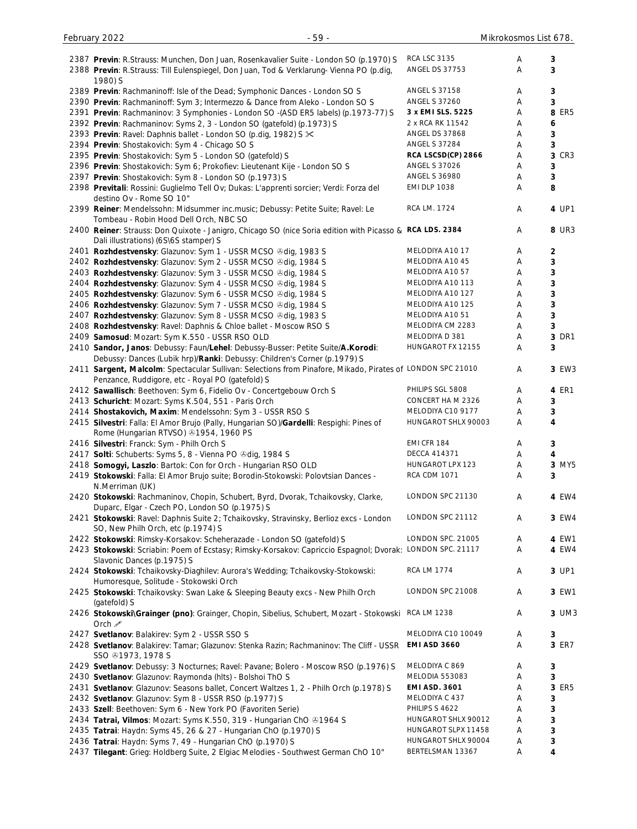| 2387 Previn: R.Strauss: Munchen, Don Juan, Rosenkavalier Suite - London SO (p.1970) S                      | <b>RCA LSC 3135</b>                     | Α | 3     |
|------------------------------------------------------------------------------------------------------------|-----------------------------------------|---|-------|
| 2388 Previn: R.Strauss: Till Eulenspiegel, Don Juan, Tod & Verklarung- Vienna PO (p.dig,                   | <b>ANGEL DS 37753</b>                   | Α | 3     |
| 1980) S                                                                                                    |                                         |   |       |
| 2389 Previn: Rachmaninoff: Isle of the Dead; Symphonic Dances - London SO S                                | <b>ANGEL S 37158</b>                    | Α | 3     |
|                                                                                                            | <b>ANGEL S 37260</b>                    |   | 3     |
| 2390 Previn: Rachmaninoff: Sym 3; Intermezzo & Dance from Aleko - London SO S                              |                                         | Α |       |
| 2391 Previn: Rachmaninov: 3 Symphonies - London SO - (ASD ER5 labels) (p.1973-77) S                        | 3 x EMI SLS. 5225                       | Α | 8 ER5 |
| 2392 Previn: Rachmaninov: Syms 2, 3 - London SO (gatefold) (p.1973) S                                      | 2 x RCA RK 11542                        | Α | 6     |
| 2393 Previn: Ravel: Daphnis ballet - London SO (p.dig, 1982) S $\times$                                    | ANGEL DS 37868                          | Α | 3     |
| 2394 Previn: Shostakovich: Sym 4 - Chicago SO S                                                            | <b>ANGEL S 37284</b>                    | Α | 3     |
| 2395 Previn: Shostakovich: Sym 5 - London SO (gatefold) S                                                  | RCA LSCSD(CP) 2866                      | Α | 3 CR3 |
| 2396 Previn: Shostakovich: Sym 6; Prokofiev: Lieutenant Kije - London SO S                                 | <b>ANGEL S 37026</b>                    | Α | 3     |
| 2397 Previn: Shostakovich: Sym 8 - London SO (p.1973) S                                                    | <b>ANGEL S 36980</b>                    | Α | 3     |
|                                                                                                            |                                         |   |       |
| 2398 Previtali: Rossini: Guglielmo Tell Ov; Dukas: L'apprenti sorcier; Verdi: Forza del                    | <b>EMI DLP 1038</b>                     | Α | 8     |
| destino Ov - Rome SO 10"                                                                                   |                                         |   |       |
| 2399 Reiner: Mendelssohn: Midsummer inc.music; Debussy: Petite Suite; Ravel: Le                            | RCA LM. 1724                            | Α | 4 UP1 |
| Tombeau - Robin Hood Dell Orch, NBC SO                                                                     |                                         |   |       |
| 2400 Reiner: Strauss: Don Quixote - Janigro, Chicago SO (nice Soria edition with Picasso & RCA LDS. 2384   |                                         | Α | 8 UR3 |
| Dali illustrations) (6S\6S stamper) S                                                                      |                                         |   |       |
| 2401 Rozhdestvensky: Glazunov: Sym 1 - USSR MCSO & dig, 1983 S                                             | MELODIYA A1017                          | Α | 2     |
| 2402 Rozhdestvensky: Glazunov: Sym 2 - USSR MCSO & dig, 1984 S                                             | MELODIYA A10 45                         | Α | 3     |
|                                                                                                            | MELODIYA A10 57                         |   |       |
| 2403 Rozhdestvensky: Glazunov: Sym 3 - USSR MCSO & dig, 1984 S                                             |                                         | Α | 3     |
| 2404 Rozhdestvensky: Glazunov: Sym 4 - USSR MCSO & dig, 1984 S                                             | MELODIYA A10 113                        | Α | 3     |
| 2405 Rozhdestvensky: Glazunov: Sym 6 - USSR MCSO & dig, 1984 S                                             | MELODIYA A10 127                        | Α | 3     |
| 2406 Rozhdestvensky: Glazunov: Sym 7 - USSR MCSO & dig, 1984 S                                             | MELODIYA A10 125                        | Α | 3     |
| 2407 Rozhdestvensky: Glazunov: Sym 8 - USSR MCSO & dig, 1983 S                                             | MELODIYA A10 51                         | Α | 3     |
| 2408 Rozhdestvensky: Ravel: Daphnis & Chloe ballet - Moscow RSO S                                          | MELODIYA CM 2283                        | Α | 3     |
| 2409 Samosud: Mozart: Sym K.550 - USSR RSO OLD                                                             | MELODIYA D 381                          | Α | 3 DR1 |
|                                                                                                            |                                         |   |       |
| 2410 Sandor, Janos: Debussy: Faun/Lehel: Debussy-Busser: Petite Suite/A.Korodi:                            | HUNGAROT FX 12155                       | Α | 3     |
| Debussy: Dances (Lubik hrp)/Ranki: Debussy: Children's Corner (p.1979) S                                   |                                         |   |       |
| 2411 Sargent, Malcolm: Spectacular Sullivan: Selections from Pinafore, Mikado, Pirates of LONDON SPC 21010 |                                         | Α | 3 EW3 |
| Penzance, Ruddigore, etc - Royal PO (gatefold) S                                                           |                                         |   |       |
| 2412 Sawallisch: Beethoven: Sym 6, Fidelio Ov - Concertgebouw Orch S                                       | PHILIPS SGL 5808                        | Α | 4 ER1 |
| 2413 Schuricht: Mozart: Syms K.504, 551 - Paris Orch                                                       | CONCERT HAM 2326                        | Α | 3     |
| 2414 Shostakovich, Maxim: Mendelssohn: Sym 3 - USSR RSO S                                                  | MELODIYA C10 9177                       | Α | 3     |
|                                                                                                            | HUNGAROT SHLX 90003                     | Α | 4     |
| 2415 Silvestri: Falla: El Amor Brujo (Pally, Hungarian SO)/Gardelli: Respighi: Pines of                    |                                         |   |       |
| Rome (Hungarian RTVSO) 31954, 1960 PS                                                                      |                                         |   |       |
| 2416 Silvestri: Franck: Sym - Philh Orch S                                                                 | EMI CFR 184                             | Α | 3     |
| 2417 Solti: Schuberts: Syms 5, 8 - Vienna PO & dig, 1984 S                                                 | DECCA 414371                            | A | 4     |
| 2418 Somogyi, Laszlo: Bartok: Con for Orch - Hungarian RSO OLD                                             | HUNGAROT LPX 123                        | Α | 3 MY5 |
| 2419 Stokowski: Falla: El Amor Brujo suite; Borodin-Stokowski: Polovtsian Dances -                         | RCA CDM 1071                            | Α | 3     |
| N.Merriman (UK)                                                                                            |                                         |   |       |
| 2420 Stokowski: Rachmaninov, Chopin, Schubert, Byrd, Dvorak, Tchaikovsky, Clarke,                          | LONDON SPC 21130                        | Α | 4 EW4 |
| Duparc, Elgar - Czech PO, London SO (p.1975) S                                                             |                                         |   |       |
|                                                                                                            | LONDON SPC 21112                        | Α | 3 EW4 |
| 2421 Stokowski: Ravel: Daphnis Suite 2; Tchaikovsky, Stravinsky, Berlioz excs - London                     |                                         |   |       |
| SO, New Philh Orch, etc (p.1974) S                                                                         |                                         |   |       |
| 2422 Stokowski: Rimsky-Korsakov: Scheherazade - London SO (gatefold) S                                     | LONDON SPC. 21005                       | Α | 4 EW1 |
| 2423 Stokowski: Scriabin: Poem of Ecstasy; Rimsky-Korsakov: Capriccio Espagnol; Dvorak: LONDON SPC. 21117  |                                         | Α | 4 EW4 |
| Slavonic Dances (p.1975) S                                                                                 |                                         |   |       |
| 2424 Stokowski: Tchaikovsky-Diaghilev: Aurora's Wedding; Tchaikovsky-Stokowski:                            | <b>RCA LM 1774</b>                      | Α | 3 UP1 |
| Humoresque, Solitude - Stokowski Orch                                                                      |                                         |   |       |
| 2425 Stokowski: Tchaikovsky: Swan Lake & Sleeping Beauty excs - New Philh Orch                             | LONDON SPC 21008                        | Α | 3 EW1 |
| (gatefold) S                                                                                               |                                         |   |       |
|                                                                                                            | <b>RCA LM 1238</b>                      | Α | 3 UM3 |
| 2426 Stokowski\Grainger (pno): Grainger, Chopin, Sibelius, Schubert, Mozart - Stokowski                    |                                         |   |       |
| Orch $\mathscr{P}$                                                                                         |                                         |   |       |
| 2427 Svetlanov: Balakirev: Sym 2 - USSR SSO S                                                              | MELODIYA C10 10049                      | Α | 3     |
| 2428 Svetlanov: Balakirev: Tamar; Glazunov: Stenka Razin; Rachmaninov: The Cliff - USSR                    | <b>EMI ASD 3660</b>                     | Α | 3 ER7 |
| SSO @1973, 1978 S                                                                                          |                                         |   |       |
| 2429 Svetlanov: Debussy: 3 Nocturnes; Ravel: Pavane; Bolero - Moscow RSO (p.1976) S                        | MELODIYA C 869                          | Α | 3     |
| 2430 Svetlanov: Glazunov: Raymonda (hlts) - Bolshoi ThO S                                                  | MELODIA 553083                          | Α | 3     |
| 2431 Svetlanov: Glazunov: Seasons ballet, Concert Waltzes 1, 2 - Philh Orch (p.1978) S                     | <b>EMI ASD. 3601</b>                    | Α | 3 ER5 |
| 2432 Svetlanov: Glazunov: Sym 8 - USSR RSO (p.1977) S                                                      | MELODIYA C 437                          | Α | 3     |
|                                                                                                            |                                         |   |       |
| 2433 Szell: Beethoven: Sym 6 - New York PO (Favoriten Serie)                                               |                                         | Α | 3     |
|                                                                                                            | PHILIPS S 4622                          |   |       |
| 2434 Tatrai, Vilmos: Mozart: Syms K.550, 319 - Hungarian ChO ®1964 S                                       | HUNGAROT SHLX 90012                     | Α | 3     |
| 2435 Tatrai: Haydn: Syms 45, 26 & 27 - Hungarian ChO (p.1970) S                                            | HUNGAROT SLPX 11458                     | Α | 3     |
| 2436 Tatrai: Haydn: Syms 7, 49 - Hungarian ChO (p.1970) S                                                  | HUNGAROT SHLX 90004<br>BERTELSMAN 13367 | Α | 3     |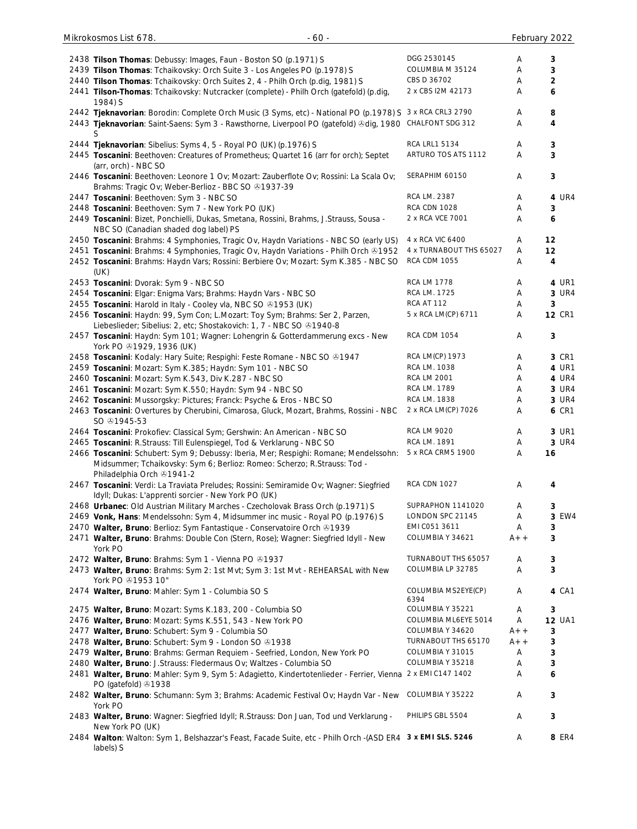| 2438 Tilson Thomas: Debussy: Images, Faun - Boston SO (p.1971) S                                           | DGG 2530145             | Α     | 3              |
|------------------------------------------------------------------------------------------------------------|-------------------------|-------|----------------|
| 2439 Tilson Thomas: Tchaikovsky: Orch Suite 3 - Los Angeles PO (p.1978) S                                  | COLUMBIA M 35124        | Α     | 3              |
| 2440 Tilson Thomas: Tchaikovsky: Orch Suites 2, 4 - Philh Orch (p.dig, 1981) S                             | CBS D 36702             | Α     | $\overline{2}$ |
| 2441 Tilson-Thomas: Tchaikovsky: Nutcracker (complete) - Philh Orch (gatefold) (p.dig,                     | 2 x CBS I2M 42173       | Α     | 6              |
| 1984) S                                                                                                    |                         |       |                |
| 2442 Tjeknavorian: Borodin: Complete Orch Music (3 Syms, etc) - National PO (p.1978) S 3 x RCA CRL3 2790   |                         | Α     | 8              |
| 2443 Tjeknavorian: Saint-Saens: Sym 3 - Rawsthorne, Liverpool PO (gatefold) &dig, 1980 CHALFONT SDG 312    |                         | Α     | 4              |
| S                                                                                                          |                         |       |                |
| 2444 Tjeknavorian: Sibelius: Syms 4, 5 - Royal PO (UK) (p.1976) S                                          | <b>RCA LRL1 5134</b>    | Α     | 3              |
| 2445 Toscanini: Beethoven: Creatures of Prometheus; Quartet 16 (arr for orch); Septet                      | ARTURO TOS ATS 1112     | A     | 3              |
| (arr, orch) - NBC SO                                                                                       |                         |       |                |
| 2446 Toscanini: Beethoven: Leonore 1 Ov; Mozart: Zauberflote Ov; Rossini: La Scala Ov;                     | SERAPHIM 60150          | Α     | 3              |
| Brahms: Tragic Ov; Weber-Berlioz - BBC SO 31937-39                                                         |                         |       |                |
| 2447 Toscanini: Beethoven: Sym 3 - NBC SO                                                                  | RCA LM. 2387            | Α     | 4 UR4          |
| 2448 Toscanini: Beethoven: Sym 7 - New York PO (UK)                                                        | <b>RCA CDN 1028</b>     | Α     | 3              |
| 2449 Toscanini: Bizet, Ponchielli, Dukas, Smetana, Rossini, Brahms, J.Strauss, Sousa -                     | 2 x RCA VCE 7001        | Α     | 6              |
| NBC SO (Canadian shaded dog label) PS                                                                      |                         |       |                |
| 2450 Toscanini: Brahms: 4 Symphonies, Tragic Ov, Haydn Variations - NBC SO (early US)                      | 4 x RCA VIC 6400        | Α     | 12             |
| 2451 Toscanini: Brahms: 4 Symphonies, Tragic Ov, Haydn Variations - Philh Orch & 1952                      | 4 x TURNABOUT THS 65027 | Α     | 12             |
| 2452 Toscanini: Brahms: Haydn Vars; Rossini: Berbiere Ov; Mozart: Sym K.385 - NBC SO                       | <b>RCA CDM 1055</b>     | Α     | 4              |
| (UK)                                                                                                       |                         |       |                |
| 2453 Toscanini: Dvorak: Sym 9 - NBC SO                                                                     | <b>RCA LM 1778</b>      | Α     | 4 UR1          |
|                                                                                                            | RCA LM. 1725            |       | 3 UR4          |
| 2454 Toscanini: Elgar: Enigma Vars; Brahms: Haydn Vars - NBC SO                                            | RCA AT 112              | Α     |                |
| 2455 Toscanini: Harold in Italy - Cooley vla, NBC SO @1953 (UK)                                            |                         | Α     | 3              |
| 2456 Toscanini: Haydn: 99, Sym Con; L.Mozart: Toy Sym; Brahms: Ser 2, Parzen,                              | 5 x RCA LM(CP) 6711     | Α     | <b>12 CR1</b>  |
| Liebeslieder; Sibelius: 2, etc; Shostakovich: 1, 7 - NBC SO 21940-8                                        |                         |       |                |
| 2457 Toscanini: Haydn: Sym 101; Wagner: Lohengrin & Gotterdammerung excs - New                             | <b>RCA CDM 1054</b>     | Α     | 3              |
| York PO 31929, 1936 (UK)                                                                                   |                         |       |                |
| 2458 Toscanini: Kodaly: Hary Suite; Respighi: Feste Romane - NBC SO ®1947                                  | RCA LM(CP) 1973         | Α     | 3 CR1          |
| 2459 Toscanini: Mozart: Sym K.385; Haydn: Sym 101 - NBC SO                                                 | RCA LM. 1038            | Α     | 4 UR1          |
| 2460 Toscanini: Mozart: Sym K.543, Div K.287 - NBC SO                                                      | <b>RCA LM 2001</b>      | Α     | 4 UR4          |
| 2461 Toscanini: Mozart: Sym K.550; Haydn: Sym 94 - NBC SO                                                  | RCA LM. 1789            | Α     | 3 UR4          |
| 2462 Toscanini: Mussorgsky: Pictures; Franck: Psyche & Eros - NBC SO                                       | RCA LM. 1838            | Α     | 3 UR4          |
| 2463 Toscanini: Overtures by Cherubini, Cimarosa, Gluck, Mozart, Brahms, Rossini - NBC                     | 2 x RCA LM(CP) 7026     | Α     | <b>6 CR1</b>   |
| SO $@1945-53$                                                                                              |                         |       |                |
| 2464 Toscanini: Prokofiev: Classical Sym; Gershwin: An American - NBC SO                                   | <b>RCA LM 9020</b>      | Α     | 3 UR1          |
| 2465 Toscanini: R.Strauss: Till Eulenspiegel, Tod & Verklarung - NBC SO                                    | RCA LM. 1891            | Α     | 3 UR4          |
| 2466 Toscanini: Schubert: Sym 9; Debussy: Iberia, Mer; Respighi: Romane; Mendelssohn:                      | 5 x RCA CRM5 1900       | Α     | 16             |
| Midsummer; Tchaikovsky: Sym 6; Berlioz: Romeo: Scherzo; R.Strauss: Tod -                                   |                         |       |                |
| Philadelphia Orch & 1941-2                                                                                 |                         |       |                |
| 2467 Toscanini: Verdi: La Traviata Preludes; Rossini: Semiramide Ov; Wagner: Siegfried                     | <b>RCA CDN 1027</b>     | Α     | 4              |
| Idyll; Dukas: L'apprenti sorcier - New York PO (UK)                                                        |                         |       |                |
| 2468 Urbanec: Old Austrian Military Marches - Czecholovak Brass Orch (p.1971) S                            | SUPRAPHON 1141020       | Α     | 3              |
| 2469 Vonk, Hans: Mendelssohn: Sym 4, Midsummer inc music - Royal PO (p.1976) S                             | LONDON SPC 21145        | Α     | 3 EW4          |
| 2470 Walter, Bruno: Berlioz: Sym Fantastique - Conservatoire Orch & 1939                                   | EMI C051 3611           | A     | 3              |
| 2471 Walter, Bruno: Brahms: Double Con (Stern, Rose); Wagner: Siegfried Idyll - New                        | COLUMBIA Y 34621        | $A++$ | 3              |
| York PO                                                                                                    |                         |       |                |
| 2472 Walter, Bruno: Brahms: Sym 1 - Vienna PO 81937                                                        | TURNABOUT THS 65057     | Α     | 3              |
| 2473 Walter, Bruno: Brahms: Sym 2: 1st Mvt; Sym 3: 1st Mvt - REHEARSAL with New                            | COLUMBIA LP 32785       | A     | 3              |
| York PO +1953 10"                                                                                          |                         |       |                |
| 2474 Walter, Bruno: Mahler: Sym 1 - Columbia SO S                                                          | COLUMBIA MS2EYE(CP)     | A     | 4 CA1          |
|                                                                                                            | 6394                    |       |                |
| 2475 Walter, Bruno: Mozart: Syms K.183, 200 - Columbia SO                                                  | COLUMBIA Y 35221        | Α     | 3              |
| 2476 Walter, Bruno: Mozart: Syms K.551, 543 - New York PO                                                  | COLUMBIA ML6EYE 5014    | Α     | <b>12 UA1</b>  |
| 2477 Walter, Bruno: Schubert: Sym 9 - Columbia SO                                                          | COLUMBIA Y 34620        | $A++$ | 3              |
| 2478 Walter, Bruno: Schubert: Sym 9 - London SO 81938                                                      | TURNABOUT THS 65170     | $A++$ | 3              |
| 2479 Walter, Bruno: Brahms: German Requiem - Seefried, London, New York PO                                 | COLUMBIA Y 31015        | Α     | 3              |
| 2480 Walter, Bruno: J.Strauss: Fledermaus Ov; Waltzes - Columbia SO                                        | COLUMBIA Y 35218        | Α     | 3              |
| 2481 Walter, Bruno: Mahler: Sym 9, Sym 5: Adagietto, Kindertotenlieder - Ferrier, Vienna 2 x EMI C147 1402 |                         | Α     | 6              |
| PO (gatefold) 31938                                                                                        |                         |       |                |
| 2482 Walter, Bruno: Schumann: Sym 3; Brahms: Academic Festival Ov; Haydn Var - New                         | COLUMBIA Y 35222        | Α     | 3              |
| York PO                                                                                                    |                         |       |                |
| 2483 Walter, Bruno: Wagner: Siegfried Idyll; R.Strauss: Don Juan, Tod und Verklarung -                     | PHILIPS GBL 5504        | Α     | 3              |
| New York PO (UK)                                                                                           |                         |       |                |
| 2484 Walton: Walton: Sym 1, Belshazzar's Feast, Facade Suite, etc - Philh Orch -(ASD ER4 3 x EMI SLS. 5246 |                         | Α     | 8 ER4          |
| labels) S                                                                                                  |                         |       |                |

Mikrokosmos List 678. - 60 - February 2022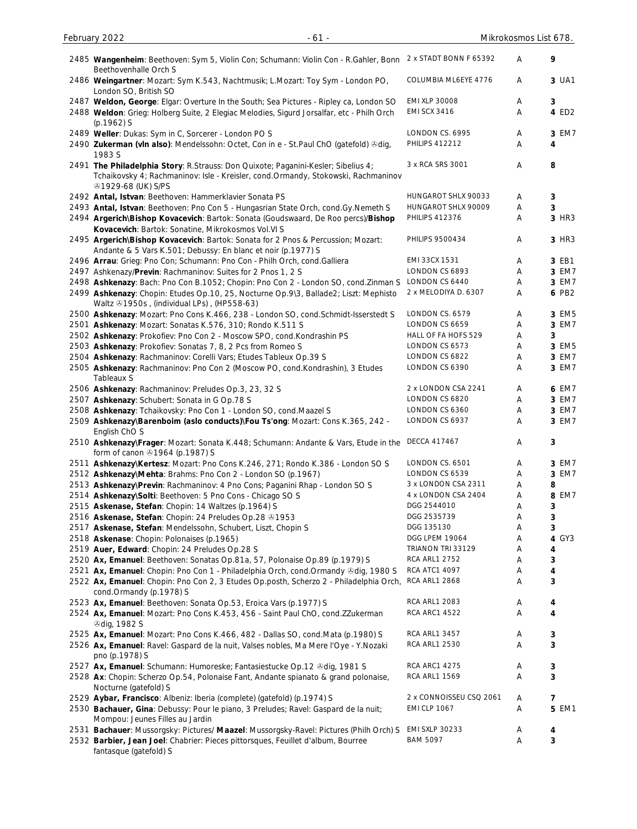| 2485 Wangenheim: Beethoven: Sym 5, Violin Con; Schumann: Violin Con - R.Gahler, Bonn<br>Beethovenhalle Orch S                                                                                       | 2 x STADT BONN F 65392                       | Α      | 9           |
|-----------------------------------------------------------------------------------------------------------------------------------------------------------------------------------------------------|----------------------------------------------|--------|-------------|
| 2486 Weingartner: Mozart: Sym K.543, Nachtmusik; L.Mozart: Toy Sym - London PO,<br>London SO, British SO                                                                                            | COLUMBIA ML6EYE 4776                         | A      | 3 UA1       |
| 2487 Weldon, George: Elgar: Overture In the South; Sea Pictures - Ripley ca, London SO<br>2488 Weldon: Grieg: Holberg Suite, 2 Elegiac Melodies, Sigurd Jorsalfar, etc - Philh Orch<br>$(p.1962)$ S | <b>EMI XLP 30008</b><br><b>EMI SCX 3416</b>  | A<br>Α | 3<br>4 ED2  |
| 2489 Weller: Dukas: Sym in C, Sorcerer - London PO S                                                                                                                                                | LONDON CS. 6995                              | Α      | 3 EM7       |
| 2490 Zukerman (vin also): Mendelssohn: Octet, Con in e - St.Paul ChO (gatefold) &dig,<br>1983 S                                                                                                     | <b>PHILIPS 412212</b>                        | Α      | 4           |
| 2491 The Philadelphia Story: R.Strauss: Don Quixote; Paganini-Kesler; Sibelius 4;<br>Tchaikovsky 4; Rachmaninov: Isle - Kreisler, cond.Ormandy, Stokowski, Rachmaninov<br>491929-68 (UK) S/PS       | 3 x RCA SRS 3001                             | Α      | 8           |
| 2492 Antal, Istvan: Beethoven: Hammerklavier Sonata PS                                                                                                                                              | HUNGAROT SHLX 90033                          | A      | $\mathbf 3$ |
| 2493 Antal, Istvan: Beethoven: Pno Con 5 - Hungasrian State Orch, cond.Gy.Nemeth S                                                                                                                  | HUNGAROT SHLX 90009                          | Α      | 3           |
| 2494 Argerich\Bishop Kovacevich: Bartok: Sonata (Goudswaard, De Roo percs)/Bishop<br>Kovacevich: Bartok: Sonatine, Mikrokosmos Vol.VI S                                                             | <b>PHILIPS 412376</b>                        | Α      | 3 HR3       |
| 2495 Argerich\Bishop Kovacevich: Bartok: Sonata for 2 Pnos & Percussion; Mozart:<br>Andante & 5 Vars K.501; Debussy: En blanc et noir (p.1977) S                                                    | PHILIPS 9500434                              | Α      | 3 HR3       |
| 2496 Arrau: Grieg: Pno Con; Schumann: Pno Con - Philh Orch, cond. Galliera                                                                                                                          | EMI 33CX 1531                                | Α      | 3 EB1       |
| 2497 Ashkenazy/Previn: Rachmaninov: Suites for 2 Pnos 1, 2 S                                                                                                                                        | LONDON CS 6893                               | Α      | 3 EM7       |
| 2498 Ashkenazy: Bach: Pno Con B.1052; Chopin: Pno Con 2 - London SO, cond.Zinman S                                                                                                                  | LONDON CS 6440                               | Α      | 3 EM7       |
| 2499 Ashkenazy: Chopin: Etudes Op.10, 25, Nocturne Op.9\3, Ballade2; Liszt: Mephisto<br>Waltz & 1950s, (individual LPs), (HP558-63)                                                                 | 2 x MELODIYA D. 6307                         | Α      | 6 PB2       |
| 2500 Ashkenazy: Mozart: Pno Cons K.466, 238 - London SO, cond.Schmidt-Isserstedt S                                                                                                                  | LONDON CS. 6579                              | A      | 3 EM5       |
| 2501 Ashkenazy: Mozart: Sonatas K.576, 310; Rondo K.511 S                                                                                                                                           | LONDON CS 6659                               | Α      | 3 EM7       |
| 2502 Ashkenazy: Prokofiev: Pno Con 2 - Moscow SPO, cond.Kondrashin PS                                                                                                                               | HALL OF FA HOFS 529                          | Α      | 3           |
| 2503 Ashkenazy: Prokofiev: Sonatas 7, 8, 2 Pcs from Romeo S                                                                                                                                         | LONDON CS 6573                               | A      | 3 EM5       |
| 2504 Ashkenazy: Rachmaninov: Corelli Vars; Etudes Tableux Op.39 S                                                                                                                                   | LONDON CS 6822                               | Α      | 3 EM7       |
| 2505 Ashkenazy: Rachmaninov: Pno Con 2 (Moscow PO, cond.Kondrashin), 3 Etudes<br>Tableaux S                                                                                                         | LONDON CS 6390                               | Α      | 3 EM7       |
| 2506 Ashkenazy: Rachmaninov: Preludes Op.3, 23, 32 S                                                                                                                                                | 2 x LONDON CSA 2241                          | A      | 6 EM7       |
| 2507 Ashkenazy: Schubert: Sonata in G Op.78 S                                                                                                                                                       | LONDON CS 6820                               | Α      | 3 EM7       |
| 2508 Ashkenazy: Tchaikovsky: Pno Con 1 - London SO, cond.Maazel S                                                                                                                                   | LONDON CS 6360                               | Α      | 3 EM7       |
| 2509 Ashkenazy\Barenboim (aslo conducts)\Fou Ts'ong: Mozart: Cons K.365, 242 -<br>English ChO S                                                                                                     | LONDON CS 6937                               | Α      | 3 EM7       |
| 2510 Ashkenazy\Frager: Mozart: Sonata K.448; Schumann: Andante & Vars, Etude in the<br>form of canon 31964 (p.1987) S                                                                               | <b>DECCA 417467</b>                          | Α      | 3           |
| 2511 Ashkenazy\Kertesz: Mozart: Pno Cons K.246, 271; Rondo K.386 - London SO S                                                                                                                      | LONDON CS. 6501                              | A      | 3 EM7       |
| 2512 Ashkenazy\Mehta: Brahms: Pno Con 2 - London SO (p.1967)                                                                                                                                        | LONDON CS 6539                               | Α      | 3 EM7       |
| 2513 Ashkenazy\Previn: Rachmaninov: 4 Pno Cons; Paganini Rhap - London SO S                                                                                                                         | 3 x LONDON CSA 2311                          | Α      | 8           |
| 2514 Ashkenazy\Solti: Beethoven: 5 Pno Cons - Chicago SO S                                                                                                                                          | 4 x LONDON CSA 2404                          | Α      | 8 EM7       |
| 2515 Askenase, Stefan: Chopin: 14 Waltzes (p.1964) S                                                                                                                                                | DGG 2544010                                  | Α      | 3           |
| 2516 Askenase, Stefan: Chopin: 24 Preludes Op.28 81953                                                                                                                                              | DGG 2535739                                  | Α      | 3           |
| 2517 Askenase, Stefan: Mendelssohn, Schubert, Liszt, Chopin S                                                                                                                                       | DGG 135130                                   | Α      | 3           |
| 2518 Askenase: Chopin: Polonaises (p.1965)                                                                                                                                                          | <b>DGG LPEM 19064</b>                        | Α      | 4 GY3       |
| 2519 Auer, Edward: Chopin: 24 Preludes Op.28 S                                                                                                                                                      | TRIANON TRI 33129                            | Α      | 4           |
| 2520 Ax, Emanuel: Beethoven: Sonatas Op.81a, 57, Polonaise Op.89 (p.1979) S                                                                                                                         | RCA ARL1 2752                                | Α      | 3           |
| 2521 Ax, Emanuel: Chopin: Pno Con 1 - Philadelphia Orch, cond. Ormandy &dig, 1980 S<br>2522 Ax, Emanuel: Chopin: Pno Con 2, 3 Etudes Op.posth, Scherzo 2 - Philadelphia Orch,                       | <b>RCA ATC1 4097</b><br><b>RCA ARL1 2868</b> | Α<br>Α | 4<br>3      |
| cond.Ormandy (p.1978) S                                                                                                                                                                             |                                              |        |             |
| 2523 Ax, Emanuel: Beethoven: Sonata Op.53, Eroica Vars (p.1977) S                                                                                                                                   | <b>RCA ARL1 2083</b>                         | A      | 4           |
| 2524 Ax, Emanuel: Mozart: Pno Cons K.453, 456 - Saint Paul ChO, cond.ZZukerman<br><b><i></i></b> ∂dig, 1982 S                                                                                       | <b>RCA ARC1 4522</b>                         | Α      | 4           |
| 2525 Ax, Emanuel: Mozart: Pno Cons K.466, 482 - Dallas SO, cond. Mata (p.1980) S                                                                                                                    | <b>RCA ARL1 3457</b>                         | A      | 3           |
| 2526 Ax, Emanuel: Ravel: Gaspard de la nuit, Valses nobles, Ma Mere l'Oye - Y. Nozaki<br>pno (p.1978) S                                                                                             | <b>RCA ARL1 2530</b>                         | Α      | 3           |
| 2527 Ax, Emanuel: Schumann: Humoreske; Fantasiestucke Op.12 & dig, 1981 S                                                                                                                           | <b>RCA ARC1 4275</b>                         | A      | 3           |
| 2528 Ax: Chopin: Scherzo Op.54, Polonaise Fant, Andante spianato & grand polonaise,<br>Nocturne (gatefold) S                                                                                        | <b>RCA ARL1 1569</b>                         | Α      | 3           |
| 2529 Aybar, Francisco: Albeniz: Iberia (complete) (gatefold) (p.1974) S                                                                                                                             | 2 x CONNOISSEU CSQ 2061                      | A      | 7           |
| 2530 Bachauer, Gina: Debussy: Pour le piano, 3 Preludes; Ravel: Gaspard de la nuit;<br>Mompou: Jeunes Filles au Jardin                                                                              | <b>EMI CLP 1067</b>                          | Α      | 5 EM1       |
| 2531 Bachauer: Mussorgsky: Pictures/ Maazel: Mussorgsky-Ravel: Pictures (Philh Orch) S                                                                                                              | <b>EMI SXLP 30233</b>                        | Α      | 4           |
| 2532 Barbier, Jean Joel: Chabrier: Pieces pittorsques, Feuillet d'album, Bourree<br>fantasque (gatefold) S                                                                                          | <b>BAM 5097</b>                              | Α      | 3           |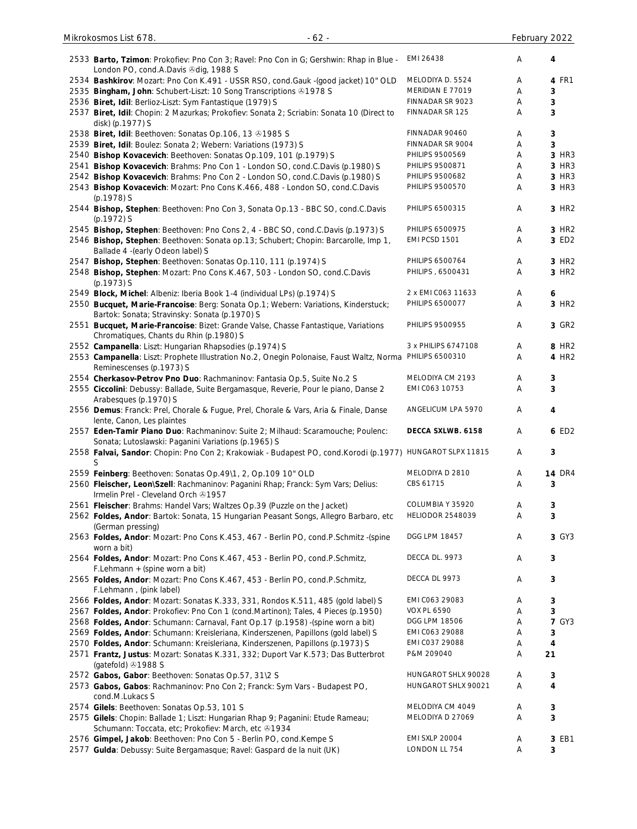| 2533 Barto, Tzimon: Prokofiev: Pno Con 3; Ravel: Pno Con in G; Gershwin: Rhap in Blue -<br>London PO, cond.A.Davis & dig, 1988 S        | EMI 26438               | Α | 4                 |
|-----------------------------------------------------------------------------------------------------------------------------------------|-------------------------|---|-------------------|
| 2534 Bashkirov: Mozart: Pno Con K.491 - USSR RSO, cond.Gauk -(good jacket) 10" OLD                                                      | MELODIYA D. 5524        | Α | 4 FR1             |
| 2535 Bingham, John: Schubert-Liszt: 10 Song Transcriptions @1978 S                                                                      | MERIDIAN E 77019        | Α | 3                 |
| 2536 Biret, Idil: Berlioz-Liszt: Sym Fantastique (1979) S                                                                               | FINNADAR SR 9023        | Α | 3                 |
| 2537 Biret, Idil: Chopin: 2 Mazurkas; Prokofiev: Sonata 2; Scriabin: Sonata 10 (Direct to<br>disk) (p.1977) S                           | FINNADAR SR 125         | Α | 3                 |
| 2538 Biret, Idil: Beethoven: Sonatas Op.106, 13 81985 S                                                                                 | FINNADAR 90460          | Α | 3                 |
| 2539 Biret, Idil: Boulez: Sonata 2; Webern: Variations (1973) S                                                                         | FINNADAR SR 9004        | Α | 3                 |
| 2540 Bishop Kovacevich: Beethoven: Sonatas Op.109, 101 (p.1979) S                                                                       | PHILIPS 9500569         | Α | 3 HR3             |
| 2541 Bishop Kovacevich: Brahms: Pno Con 1 - London SO, cond.C.Davis (p.1980) S                                                          | PHILIPS 9500871         | Α | 3 HR3             |
| 2542 Bishop Kovacevich: Brahms: Pno Con 2 - London SO, cond.C.Davis (p.1980) S                                                          | PHILIPS 9500682         | Α | 3 HR3             |
| 2543 Bishop Kovacevich: Mozart: Pno Cons K.466, 488 - London SO, cond.C.Davis<br>(p.1978) S                                             | PHILIPS 9500570         | Α | 3 HR3             |
| 2544 Bishop, Stephen: Beethoven: Pno Con 3, Sonata Op.13 - BBC SO, cond.C.Davis<br>(p.1972) S                                           | PHILIPS 6500315         | Α | 3 HR <sub>2</sub> |
| 2545 Bishop, Stephen: Beethoven: Pno Cons 2, 4 - BBC SO, cond.C.Davis (p.1973) S                                                        | PHILIPS 6500975         | A | 3 HR <sub>2</sub> |
| 2546 Bishop, Stephen: Beethoven: Sonata op.13; Schubert; Chopin: Barcarolle, Imp 1,<br>Ballade 4 - (early Odeon label) S                | EMI PCSD 1501           | Α | 3 ED2             |
| 2547 Bishop, Stephen: Beethoven: Sonatas Op.110, 111 (p.1974) S                                                                         | PHILIPS 6500764         | Α | 3 HR2             |
| 2548 Bishop, Stephen: Mozart: Pno Cons K.467, 503 - London SO, cond.C.Davis<br>$(p.1973)$ S                                             | PHILIPS, 6500431        | Α | 3 HR2             |
| 2549 Block, Michel: Albeniz: Iberia Book 1-4 (individual LPs) (p.1974) S                                                                | 2 x EMI CO63 11633      | Α | 6                 |
| 2550 Bucquet, Marie-Francoise: Berg: Sonata Op.1; Webern: Variations, Kinderstuck;<br>Bartok: Sonata; Stravinsky: Sonata (p.1970) S     | PHILIPS 6500077         | Α | 3 HR2             |
| 2551 Bucquet, Marie-Francoise: Bizet: Grande Valse, Chasse Fantastique, Variations<br>Chromatiques, Chants du Rhin (p.1980) S           | PHILIPS 9500955         | Α | 3 GR2             |
| 2552 Campanella: Liszt: Hungarian Rhapsodies (p.1974) S                                                                                 | 3 x PHILIPS 6747108     | Α | 8 HR2             |
| 2553 Campanella: Liszt: Prophete Illustration No.2, Onegin Polonaise, Faust Waltz, Norma PHILIPS 6500310<br>Reminescenses (p.1973) S    |                         | Α | 4 HR2             |
| 2554 Cherkasov-Petrov Pno Duo: Rachmaninov: Fantasia Op.5, Suite No.2 S                                                                 | MELODIYA CM 2193        | Α | 3                 |
| 2555 Ciccolini: Debussy: Ballade, Suite Bergamasque, Reverie, Pour le piano, Danse 2<br>Arabesques (p.1970) S                           | EMI C063 10753          | Α | 3                 |
| 2556 Demus: Franck: Prel, Chorale & Fugue, Prel, Chorale & Vars, Aria & Finale, Danse<br>lente, Canon, Les plaintes                     | ANGELICUM LPA 5970      | A | 4                 |
| 2557 Eden-Tamir Piano Duo: Rachmaninov: Suite 2; Milhaud: Scaramouche; Poulenc:<br>Sonata; Lutoslawski: Paganini Variations (p.1965) S  | DECCA SXLWB. 6158       | A | 6 ED2             |
| 2558 Falvai, Sandor: Chopin: Pno Con 2; Krakowiak - Budapest PO, cond.Korodi (p.1977) HUNGAROT SLPX 11815<br>S                          |                         | Α | 3                 |
| 2559 Feinberg: Beethoven: Sonatas Op.49\1, 2, Op.109 10" OLD                                                                            | MELODIYA D 2810         | Α | <b>14 DR4</b>     |
| 2560 Fleischer, Leon\Szell: Rachmaninov: Paganini Rhap; Franck: Sym Vars; Delius:<br>Irmelin Prel - Cleveland Orch & 1957               | CBS 61715               | Α | 3                 |
| 2561 Fleischer: Brahms: Handel Vars; Waltzes Op.39 (Puzzle on the Jacket)                                                               | COLUMBIA Y 35920        | Α | 3                 |
| 2562 Foldes, Andor: Bartok: Sonata, 15 Hungarian Peasant Songs, Allegro Barbaro, etc                                                    | <b>HELIODOR 2548039</b> | Α | 3                 |
| (German pressing)<br>2563 Foldes, Andor: Mozart: Pno Cons K.453, 467 - Berlin PO, cond.P.Schmitz - (spine                               | DGG LPM 18457           | Α | 3 GY3             |
| worn a bit)<br>2564 Foldes, Andor: Mozart: Pno Cons K.467, 453 - Berlin PO, cond.P.Schmitz,                                             | DECCA DL. 9973          | Α | 3                 |
| F.Lehmann + (spine worn a bit)<br>2565 Foldes, Andor: Mozart: Pno Cons K.467, 453 - Berlin PO, cond.P.Schmitz,                          | DECCA DL 9973           | Α | 3                 |
| F.Lehmann, (pink label)                                                                                                                 |                         |   |                   |
| 2566 Foldes, Andor: Mozart: Sonatas K.333, 331, Rondos K.511, 485 (gold label) S                                                        | EMI C063 29083          | Α | 3                 |
| 2567 Foldes, Andor: Prokofiev: Pno Con 1 (cond.Martinon); Tales, 4 Pieces (p.1950)                                                      | <b>VOX PL 6590</b>      | Α | 3                 |
| 2568 Foldes, Andor: Schumann: Carnaval, Fant Op.17 (p.1958) -(spine worn a bit)                                                         | DGG LPM 18506           | Α | <b>7 GY3</b>      |
| 2569 Foldes, Andor: Schumann: Kreisleriana, Kinderszenen, Papillons (gold label) S                                                      | EMI C063 29088          | Α | 3                 |
| 2570 Foldes, Andor: Schumann: Kreisleriana, Kinderszenen, Papillons (p.1973) S                                                          | EMI C037 29088          | Α | 4                 |
| 2571 Frantz, Justus: Mozart: Sonatas K.331, 332; Duport Var K.573; Das Butterbrot<br>(gatefold) 31988 S                                 | P&M 209040              | Α | 21                |
| 2572 Gabos, Gabor: Beethoven: Sonatas Op.57, 31\2 S                                                                                     | HUNGAROT SHLX 90028     | Α | 3                 |
| 2573 Gabos, Gabos: Rachmaninov: Pno Con 2; Franck: Sym Vars - Budapest PO,<br>cond.M.Lukacs S                                           | HUNGAROT SHLX 90021     | A | 4                 |
| 2574 Gilels: Beethoven: Sonatas Op.53, 101 S                                                                                            | MELODIYA CM 4049        | Α | 3                 |
| 2575 Gilels: Chopin: Ballade 1; Liszt: Hungarian Rhap 9; Paganini: Etude Rameau;<br>Schumann: Toccata, etc; Prokofiev: March, etc 31934 | MELODIYA D 27069        | Α | 3                 |
| 2576 Gimpel, Jakob: Beethoven: Pno Con 5 - Berlin PO, cond.Kempe S                                                                      | <b>EMI SXLP 20004</b>   | Α | 3 EB1             |
| 2577 Gulda: Debussy: Suite Bergamasque; Ravel: Gaspard de la nuit (UK)                                                                  | LONDON LL 754           | A | 3                 |

Mikrokosmos List 678. - 62 - February 2022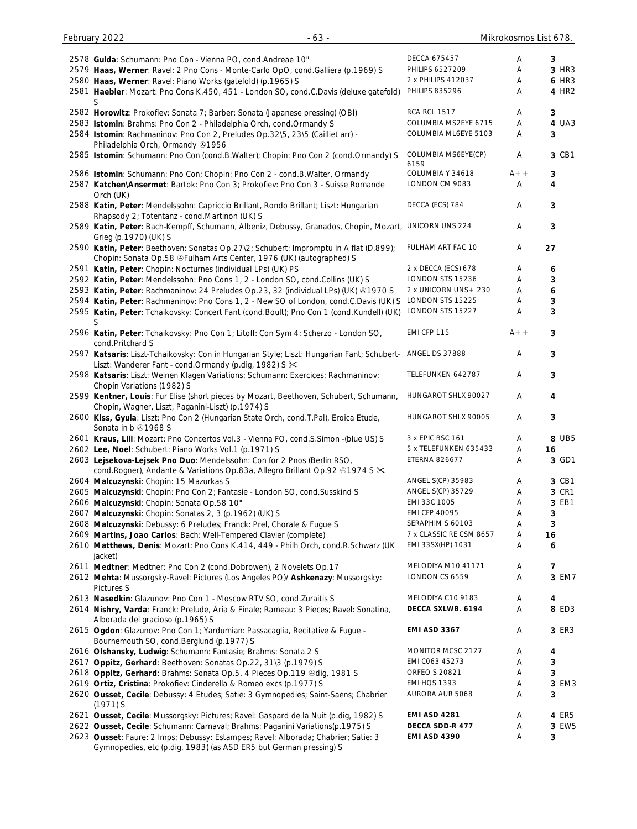| 2578 Gulda: Schumann: Pno Con - Vienna PO, cond. Andreae 10"                               | DECCA 675457             | Α     | 3            |
|--------------------------------------------------------------------------------------------|--------------------------|-------|--------------|
| 2579 Haas, Werner: Ravel: 2 Pno Cons - Monte-Carlo OpO, cond.Galliera (p.1969) S           | PHILIPS 6527209          | Α     | 3 HR3        |
| 2580 Haas, Werner: Ravel: Piano Works (gatefold) (p.1965) S                                | 2 x PHILIPS 412037       | Α     | <b>6 HR3</b> |
| 2581 Haebler: Mozart: Pno Cons K.450, 451 - London SO, cond.C.Davis (deluxe gatefold)      | <b>PHILIPS 835296</b>    | A     | 4 HR2        |
| S                                                                                          |                          |       |              |
| 2582 Horowitz: Prokofiev: Sonata 7; Barber: Sonata (Japanese pressing) (OBI)               | <b>RCA RCL 1517</b>      | Α     | 3            |
| 2583 Istomin: Brahms: Pno Con 2 - Philadelphia Orch, cond. Ormandy S                       | COLUMBIA MS2EYE 6715     | Α     | 4 UA3        |
| 2584 Istomin: Rachmaninov: Pno Con 2, Preludes Op.32\5, 23\5 (Cailliet arr) -              | COLUMBIA ML6EYE 5103     | Α     | 3            |
| Philadelphia Orch, Ormandy 31956                                                           |                          |       |              |
| 2585 Istomin: Schumann: Pno Con (cond.B.Walter); Chopin: Pno Con 2 (cond.Ormandy) S        | COLUMBIA MS6EYE(CP)      | Α     | 3 CB1        |
|                                                                                            | 6159<br>COLUMBIA Y 34618 |       |              |
| 2586 Istomin: Schumann: Pno Con; Chopin: Pno Con 2 - cond.B.Walter, Ormandy                |                          | $A++$ | 3            |
| 2587 Katchen\Ansermet: Bartok: Pno Con 3; Prokofiev: Pno Con 3 - Suisse Romande            | LONDON CM 9083           | Α     | 4            |
| Orch (UK)                                                                                  |                          |       |              |
| 2588 Katin, Peter: Mendelssohn: Capriccio Brillant, Rondo Brillant; Liszt: Hungarian       | DECCA (ECS) 784          | A     | 3            |
| Rhapsody 2; Totentanz - cond.Martinon (UK) S                                               |                          |       |              |
| 2589 Katin, Peter: Bach-Kempff, Schumann, Albeniz, Debussy, Granados, Chopin, Mozart,      | UNICORN UNS 224          | Α     | 3            |
| Grieg (p.1970) (UK) S                                                                      |                          |       |              |
| 2590 Katin, Peter: Beethoven: Sonatas Op.27\2; Schubert: Impromptu in A flat (D.899);      | FULHAM ART FAC 10        | Α     | 27           |
| Chopin: Sonata Op.58 & Fulham Arts Center, 1976 (UK) (autographed) S                       |                          |       |              |
| 2591 Katin, Peter: Chopin: Nocturnes (individual LPs) (UK) PS                              | 2 x DECCA (ECS) 678      | Α     | 6            |
| 2592 Katin, Peter: Mendelssohn: Pno Cons 1, 2 - London SO, cond.Collins (UK) S             | LONDON STS 15236         | Α     | 3            |
| 2593 Katin, Peter: Rachmaninov: 24 Preludes Op.23, 32 (individual LPs) (UK) & 1970 S       | 2 x UNICORN UNS+230      | Α     | 6            |
| 2594 Katin, Peter: Rachmaninov: Pno Cons 1, 2 - New SO of London, cond.C.Davis (UK) S      | LONDON STS 15225         | Α     | 3            |
| 2595 Katin, Peter: Tchaikovsky: Concert Fant (cond.Boult); Pno Con 1 (cond.Kundell) (UK)   | LONDON STS 15227         | A     | 3            |
|                                                                                            |                          |       |              |
| 2596 Katin, Peter: Tchaikovsky: Pno Con 1; Litoff: Con Sym 4: Scherzo - London SO,         | EMI CFP 115              | $A++$ | 3            |
| cond.Pritchard S                                                                           |                          |       |              |
| 2597 Katsaris: Liszt-Tchaikovsky: Con in Hungarian Style; Liszt: Hungarian Fant; Schubert- | ANGEL DS 37888           | Α     | 3            |
| Liszt: Wanderer Fant - cond.Ormandy (p.dig, 1982) S $\times$                               |                          |       |              |
| 2598 Katsaris: Liszt: Weinen Klagen Variations; Schumann: Exercices; Rachmaninov:          | TELEFUNKEN 642787        | Α     | 3            |
| Chopin Variations (1982) S                                                                 |                          |       |              |
| 2599 Kentner, Louis: Fur Elise (short pieces by Mozart, Beethoven, Schubert, Schumann,     | HUNGAROT SHLX 90027      | A     | 4            |
| Chopin, Wagner, Liszt, Paganini-Liszt) (p.1974) S                                          |                          |       |              |
| 2600 Kiss, Gyula: Liszt: Pno Con 2 (Hungarian State Orch, cond.T.Pal), Eroica Etude,       | HUNGAROT SHLX 90005      | A     | 3            |
| Sonata in b 31968 S                                                                        |                          |       |              |
| 2601 Kraus, Lili: Mozart: Pno Concertos Vol.3 - Vienna FO, cond.S.Simon -(blue US) S       | 3 x EPIC BSC 161         | Α     | 8 UB5        |
| 2602 Lee, Noel: Schubert: Piano Works Vol.1 (p.1971) S                                     | 5 x TELEFUNKEN 635433    | Α     | 16           |
| 2603 Lejsekova-Lejsek Pno Duo: Mendelssohn: Con for 2 Pnos (Berlin RSO,                    | <b>ETERNA 826677</b>     | A     | 3 GD1        |
| cond. Rogner), Andante & Variations Op.83a, Allegro Brillant Op.92 31974 S $\times$        |                          |       |              |
| 2604 Malcuzynski: Chopin: 15 Mazurkas S                                                    | ANGEL S(CP) 35983        | Α     | 3 CB1        |
| 2605 Malcuzynski: Chopin: Pno Con 2; Fantasie - London SO, cond. Susskind S                | ANGEL S(CP) 35729        | Α     | 3 CR1        |
| 2606 Malcuzynski: Chopin: Sonata Op.58 10"                                                 | EMI 33C 1005             | Α     | 3 EB1        |
| 2607 Malcuzynski: Chopin: Sonatas 2, 3 (p.1962) (UK) S                                     | <b>EMI CFP 40095</b>     | Α     | 3            |
| 2608 Malcuzynski: Debussy: 6 Preludes; Franck: Prel, Chorale & Fugue S                     | SERAPHIM S 60103         | Α     | 3            |
| 2609 Martins, Joao Carlos: Bach: Well-Tempered Clavier (complete)                          | 7 x CLASSIC RE CSM 8657  | Α     | 16           |
| 2610 Matthews, Denis: Mozart: Pno Cons K.414, 449 - Philh Orch, cond.R.Schwarz (UK         | EMI 33SX(HP) 1031        | Α     | 6            |
| jacket)                                                                                    |                          |       |              |
| 2611 Medtner: Medtner: Pno Con 2 (cond.Dobrowen), 2 Novelets Op.17                         | MELODIYA M10 41171       | A     | 7            |
| 2612 Mehta: Mussorgsky-Ravel: Pictures (Los Angeles PO)/ Ashkenazy: Mussorgsky:            | LONDON CS 6559           | A     | 3 EM7        |
| <b>Pictures S</b>                                                                          |                          |       |              |
| 2613 Nasedkin: Glazunov: Pno Con 1 - Moscow RTV SO, cond. Zuraitis S                       | MELODIYA C10 9183        | Α     | 4            |
| 2614 Nishry, Varda: Franck: Prelude, Aria & Finale; Rameau: 3 Pieces; Ravel: Sonatina,     | DECCA SXLWB. 6194        | Α     | 8 ED3        |
| Alborada del gracioso (p.1965) S                                                           |                          |       |              |
| 2615 Ogdon: Glazunov: Pno Con 1; Yardumian: Passacaglia, Recitative & Fugue -              | EMI ASD 3367             | Α     | 3 ER3        |
| Bournemouth SO, cond. Berglund (p.1977) S                                                  |                          |       |              |
| 2616 Olshansky, Ludwig: Schumann: Fantasie; Brahms: Sonata 2 S                             | MONITOR MCSC 2127        | Α     | 4            |
| 2617 Oppitz, Gerhard: Beethoven: Sonatas Op.22, 31\3 (p.1979) S                            | EMI C063 45273           | Α     | 3            |
| 2618 Oppitz, Gerhard: Brahms: Sonata Op.5, 4 Pieces Op.119 & dig, 1981 S                   | <b>ORFEO S 20821</b>     | Α     | 3            |
| 2619 Ortiz, Cristina: Prokofiev: Cinderella & Romeo excs (p.1977) S                        | <b>EMI HQS 1393</b>      | Α     | 3 EM3        |
| 2620 Ousset, Cecile: Debussy: 4 Etudes; Satie: 3 Gymnopedies; Saint-Saens; Chabrier        | AURORA AUR 5068          | Α     | 3            |
| $(1971)$ S                                                                                 |                          |       |              |
| 2621 Ousset, Cecile: Mussorgsky: Pictures; Ravel: Gaspard de la Nuit (p.dig, 1982) S       | <b>EMI ASD 4281</b>      | Α     | 4 ER5        |
| 2622 Ousset, Cecile: Schumann: Carnaval; Brahms: Paganini Variations(p.1975) S             | DECCA SDD-R 477          | A     | 3 EW5        |
| 2623 Ousset: Faure: 2 Imps; Debussy: Estampes; Ravel: Alborada; Chabrier; Satie: 3         | <b>EMI ASD 4390</b>      | Α     | 3            |

Gymnopedies, etc (p.dig, 1983) (as ASD ER5 but German pressing) S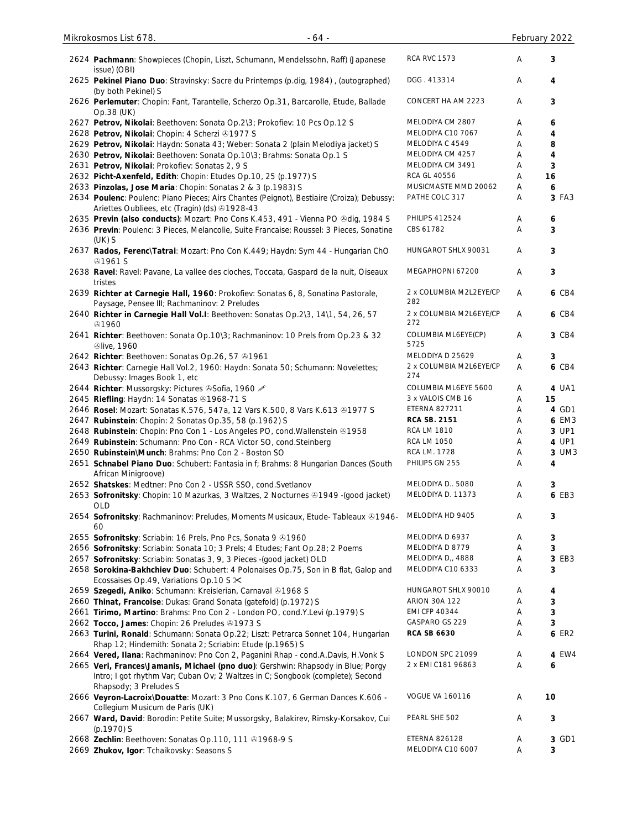| 2624 Pachmann: Showpieces (Chopin, Liszt, Schumann, Mendelssohn, Raff) (Japanese<br>issue) (OBI)                                               | <b>RCA RVC 1573</b>                    | Α | 3      |
|------------------------------------------------------------------------------------------------------------------------------------------------|----------------------------------------|---|--------|
| 2625 Pekinel Piano Duo: Stravinsky: Sacre du Printemps (p.dig, 1984), (autographed)<br>(by both Pekinel) S                                     | DGG. 413314                            | Α | 4      |
| 2626 Perlemuter: Chopin: Fant, Tarantelle, Scherzo Op.31, Barcarolle, Etude, Ballade<br>Op.38 (UK)                                             | CONCERT HA AM 2223                     | Α | 3      |
| 2627 Petrov, Nikolai: Beethoven: Sonata Op.2\3; Prokofiev: 10 Pcs Op.12 S                                                                      | MELODIYA CM 2807                       | Α | 6      |
| 2628 Petrov, Nikolai: Chopin: 4 Scherzi & 1977 S                                                                                               | MELODIYA C10 7067                      | Α | 4      |
| 2629 Petrov, Nikolai: Haydn: Sonata 43; Weber: Sonata 2 (plain Melodiya jacket) S                                                              | MELODIYA C 4549                        | Α | 8      |
| 2630 Petrov, Nikolai: Beethoven: Sonata Op.10\3; Brahms: Sonata Op.1 S                                                                         | MELODIYA CM 4257                       | A | 4      |
| 2631 Petrov, Nikolai: Prokofiev: Sonatas 2, 9 S                                                                                                | MELODIYA CM 3491                       | Α | 3      |
| 2632 Picht-Axenfeld, Edith: Chopin: Etudes Op.10, 25 (p.1977) S                                                                                | <b>RCA GL 40556</b>                    | Α | 16     |
| 2633 Pinzolas, Jose Maria: Chopin: Sonatas 2 & 3 (p.1983) S                                                                                    | MUSICMASTE MMD 20062                   | Α | 6      |
| 2634 Poulenc: Poulenc: Piano Pieces; Airs Chantes (Peignot), Bestiaire (Croiza); Debussy:<br>Ariettes Oubliees, etc (Tragin) (ds) 31928-43     | PATHE COLC 317                         | Α | 3 FA3  |
| 2635 Previn (also conducts): Mozart: Pno Cons K.453, 491 - Vienna PO & dig, 1984 S                                                             | <b>PHILIPS 412524</b>                  | A | 6      |
| 2636 Previn: Poulenc: 3 Pieces, Melancolie, Suite Francaise; Roussel: 3 Pieces, Sonatine<br>$(UK)$ S                                           | CBS 61782                              | Α | 3      |
| 2637 Rados, Ferenc\Tatrai: Mozart: Pno Con K.449; Haydn: Sym 44 - Hungarian ChO<br><b>⊕1961 S</b>                                              | HUNGAROT SHLX 90031                    | Α | 3      |
| 2638 Ravel: Ravel: Pavane, La vallee des cloches, Toccata, Gaspard de la nuit, Oiseaux<br>tristes                                              | MEGAPHOPNI 67200                       | A | 3      |
| 2639 Richter at Carnegie Hall, 1960: Prokofiev: Sonatas 6, 8, Sonatina Pastorale,<br>Paysage, Pensee III; Rachmaninov: 2 Preludes              | 2 x COLUMBIA M2L2EYE/CP<br>282         | A | 6 CB4  |
| 2640 Richter in Carnegie Hall Vol.I: Beethoven: Sonatas Op.2\3, 14\1, 54, 26, 57<br>@1960                                                      | 2 x COLUMBIA M2L6EYE/CP<br>272         | A | 6 CB4  |
| 2641 Richter: Beethoven: Sonata Op.10\3; Rachmaninov: 10 Prels from Op.23 & 32<br><b><i><u>Dlive, 1960</u></i></b>                             | COLUMBIA ML6EYE(CP)<br>5725            | Α | 3 CB4  |
| 2642 Richter: Beethoven: Sonatas Op.26, 57 81961                                                                                               | MELODIYA D 25629                       | A | 3      |
| 2643 Richter: Carnegie Hall Vol.2, 1960: Haydn: Sonata 50; Schumann: Novelettes;<br>Debussy: Images Book 1, etc                                | 2 x COLUMBIA M2L6EYE/CP<br>274         | A | 6 CB4  |
| 2644 Richter: Mussorgsky: Pictures & Sofia, 1960                                                                                               | COLUMBIA ML6EYE 5600                   | A | 4 UA1  |
| 2645 Riefling: Haydn: 14 Sonatas 31968-71 S                                                                                                    | 3 x VALOIS CMB 16                      | A | 15     |
| 2646 Rosel: Mozart: Sonatas K.576, 547a, 12 Vars K.500, 8 Vars K.613 & 1977 S                                                                  | <b>ETERNA 827211</b>                   | Α | 4 GD1  |
| 2647 Rubinstein: Chopin: 2 Sonatas Op.35, 58 (p.1962) S                                                                                        | <b>RCA SB. 2151</b>                    | Α | 6 EM3  |
| 2648 Rubinstein: Chopin: Pno Con 1 - Los Angeles PO, cond. Wallenstein 31958                                                                   | <b>RCA LM 1810</b>                     | Α | 3 UP1  |
| 2649 Rubinstein: Schumann: Pno Con - RCA Victor SO, cond. Steinberg                                                                            | <b>RCA LM 1050</b>                     | Α | 4 UP1  |
| 2650 Rubinstein\Munch: Brahms: Pno Con 2 - Boston SO                                                                                           | RCA LM. 1728                           | A | 3 UM3  |
| 2651 Schnabel Piano Duo: Schubert: Fantasia in f; Brahms: 8 Hungarian Dances (South<br>African Minigroove)                                     | PHILIPS GN 255                         | Α | 4      |
| 2652 Shatskes: Medtner: Pno Con 2 - USSR SSO, cond. Svetlanov                                                                                  | MELODIYA D. 5080                       | Α | 3      |
| 2653 Sofronitsky: Chopin: 10 Mazurkas, 3 Waltzes, 2 Nocturnes & 1949 - (good jacket)<br><b>OLD</b>                                             | MELODIYA D. 11373                      | Α | 6 EB3  |
| 2654 Sofronitsky: Rachmaninov: Preludes, Moments Musicaux, Etude- Tableaux ®1946-<br>60                                                        | MELODIYA HD 9405                       | Α | 3      |
| 2655 Sofronitsky: Scriabin: 16 Prels, Pno Pcs, Sonata 9 81960                                                                                  | MELODIYA D 6937                        | A | 3      |
| 2656 Sofronitsky: Scriabin: Sonata 10; 3 Prels; 4 Etudes; Fant Op.28; 2 Poems                                                                  | MELODIYA D 8779                        | A | 3      |
| 2657 Sofronitsky: Scriabin: Sonatas 3, 9, 3 Pieces - (good jacket) OLD                                                                         | MELODIYA D,, 4888                      | Α | 3 EB3  |
| 2658 Sorokina-Bakhchiev Duo: Schubert: 4 Polonaises Op.75, Son in B flat, Galop and<br>Ecossaises Op.49, Variations Op.10 S $\times$           | MELODIYA C10 6333                      | Α | 3      |
| 2659 Szegedi, Aniko: Schumann: Kreislerian, Carnaval @1968 S                                                                                   | HUNGAROT SHLX 90010                    | Α | 4      |
| 2660 Thinat, Francoise: Dukas: Grand Sonata (gatefold) (p.1972) S                                                                              | <b>ARION 30A 122</b>                   | A | 3      |
| 2661 Tirimo, Martino: Brahms: Pno Con 2 - London PO, cond.Y.Levi (p.1979) S                                                                    | <b>EMI CFP 40344</b><br>GASPARO GS 229 | A | 3<br>3 |
| 2662 Tocco, James: Chopin: 26 Preludes 31973 S                                                                                                 |                                        | A |        |
| 2663 Turini, Ronald: Schumann: Sonata Op.22; Liszt: Petrarca Sonnet 104, Hungarian<br>Rhap 12; Hindemith: Sonata 2; Scriabin: Etude (p.1965) S | <b>RCA SB 6630</b>                     | Α | 6 ER2  |
| 2664 Vered, Ilana: Rachmaninov: Pno Con 2, Paganini Rhap - cond.A.Davis, H.Vonk S                                                              | LONDON SPC 21099                       | Α | 4 EW4  |
| 2665 Veri, Frances Jamanis, Michael (pno duo): Gershwin: Rhapsody in Blue; Porgy                                                               | 2 x EMI C181 96863                     | Α | 6      |
| Intro; I got rhythm Var; Cuban Ov; 2 Waltzes in C; Songbook (complete); Second<br>Rhapsody; 3 Preludes S                                       |                                        |   |        |
| 2666 Veyron-Lacroix\Douatte: Mozart: 3 Pno Cons K.107, 6 German Dances K.606 -<br>Collegium Musicum de Paris (UK)                              | <b>VOGUE VA 160116</b>                 | Α | 10     |
| 2667 Ward, David: Borodin: Petite Suite; Mussorgsky, Balakirev, Rimsky-Korsakov, Cui<br>(p.1970) S                                             | PEARL SHE 502                          | Α | 3      |
| 2668 Zechlin: Beethoven: Sonatas Op.110, 111 31968-9 S                                                                                         | <b>ETERNA 826128</b>                   | Α | 3 GD1  |
| 2669 Zhukov, Igor: Tchaikovsky: Seasons S                                                                                                      | MELODIYA C10 6007                      | Α | 3      |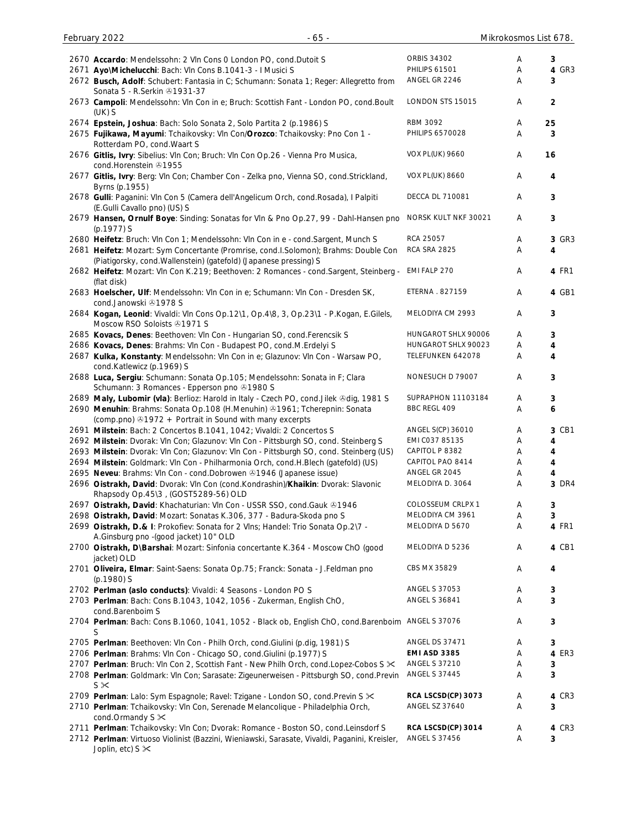| February 2022<br>$-65 -$                                                                                                                                  | Mikrokosmos List 678.  |   |                         |
|-----------------------------------------------------------------------------------------------------------------------------------------------------------|------------------------|---|-------------------------|
| 2670 Accardo: Mendelssohn: 2 VIn Cons 0 London PO, cond.Dutoit S                                                                                          | <b>ORBIS 34302</b>     | Α | 3                       |
| 2671 Ayo\Michelucchi: Bach: Vln Cons B.1041-3 - I Musici S                                                                                                | PHILIPS 61501          | Α | 4 GR3                   |
| 2672 Busch, Adolf: Schubert: Fantasia in C; Schumann: Sonata 1; Reger: Allegretto from<br>Sonata 5 - R.Serkin 31931-37                                    | ANGEL GR 2246          | Α | 3                       |
| 2673 Campoli: Mendelssohn: VIn Con in e; Bruch: Scottish Fant - London PO, cond.Boult<br>$(UK)$ S                                                         | LONDON STS 15015       | Α | $\overline{\mathbf{c}}$ |
| 2674 Epstein, Joshua: Bach: Solo Sonata 2, Solo Partita 2 (p.1986) S                                                                                      | <b>RBM 3092</b>        | Α | 25                      |
| 2675 Fujikawa, Mayumi: Tchaikovsky: Vln Con/Orozco: Tchaikovsky: Pno Con 1 -<br>Rotterdam PO, cond. Waart S                                               | PHILIPS 6570028        | Α | 3                       |
| 2676 Gitlis, Ivry: Sibelius: VIn Con; Bruch: VIn Con Op.26 - Vienna Pro Musica,<br>cond.Horenstein 21955                                                  | <b>VOX PL(UK) 9660</b> | Α | 16                      |
| 2677 Gitlis, Ivry: Berg: Vln Con; Chamber Con - Zelka pno, Vienna SO, cond.Strickland,<br>Byrns (p.1955)                                                  | <b>VOX PL(UK) 8660</b> | Α | 4                       |
| 2678 Gulli: Paganini: VIn Con 5 (Camera dell'Angelicum Orch, cond.Rosada), I Palpiti<br>(E.Gulli Cavallo pno) (US) S                                      | DECCA DL 710081        | Α | 3                       |
| 2679 Hansen, Ornulf Boye: Sinding: Sonatas for VIn & Pno Op.27, 99 - Dahl-Hansen pno<br>(p.1977) S                                                        | NORSK KULT NKF 30021   | Α | 3                       |
| 2680 Heifetz: Bruch: VIn Con 1; Mendelssohn: VIn Con in e - cond. Sargent, Munch S                                                                        | RCA 25057              | Α | 3 GR3                   |
| 2681 Heifetz: Mozart: Sym Concertante (Promrise, cond.I.Solomon); Brahms: Double Con<br>(Piatigorsky, cond. Wallenstein) (gatefold) (Japanese pressing) S | RCA SRA 2825           | Α | 4                       |
| 2682 Heifetz: Mozart: VIn Con K.219; Beethoven: 2 Romances - cond.Sargent, Steinberg -<br>(flat disk)                                                     | EMI FALP 270           | Α | 4 FR1                   |
| 2683 Hoelscher, Ulf: Mendelssohn: Vln Con in e; Schumann: Vln Con - Dresden SK,<br>cond.Janowski 21978 S                                                  | ETERNA . 827159        | Α | 4 GB1                   |
| 2684 Kogan, Leonid: Vivaldi: VIn Cons Op.12\1, Op.4\8, 3, Op.23\1 - P.Kogan, E.Gilels,<br>Moscow RSO Soloists 21971 S                                     | MELODIYA CM 2993       | Α | 3                       |
| 2685 Kovacs, Denes: Beethoven: Vln Con - Hungarian SO, cond. Ferencsik S                                                                                  | HUNGAROT SHLX 90006    | Α | 3                       |
| 2686 Kovacs, Denes: Brahms: VIn Con - Budapest PO, cond.M.Erdelyi S                                                                                       | HUNGAROT SHLX 90023    | Α | 4                       |
| 2687 Kulka, Konstanty: Mendelssohn: Vln Con in e; Glazunov: Vln Con - Warsaw PO,<br>cond.Katlewicz (p.1969) S                                             | TELEFUNKEN 642078      | Α | 4                       |
| 2688 Luca, Sergiu: Schumann: Sonata Op.105; Mendelssohn: Sonata in F; Clara<br>Schumann: 3 Romances - Epperson pno 31980 S                                | NONESUCH D 79007       | Α | 3                       |
| 2689 Maly, Lubomir (vla): Berlioz: Harold in Italy - Czech PO, cond.Jilek &dig, 1981 S                                                                    | SUPRAPHON 11103184     | Α | 3                       |
| 2690 Menuhin: Brahms: Sonata Op.108 (H.Menuhin) 31961; Tcherepnin: Sonata<br>(comp.pno) 31972 + Portrait in Sound with many excerpts                      | BBC REGL 409           | Α | 6                       |
| 2691 Milstein: Bach: 2 Concertos B.1041, 1042; Vivaldi: 2 Concertos S                                                                                     | ANGEL S(CP) 36010      | Α | 3 CB1                   |
| 2692 Milstein: Dvorak: Vln Con; Glazunov: Vln Con - Pittsburgh SO, cond. Steinberg S                                                                      | EMI C037 85135         | Α | 4                       |
| 2693 Milstein: Dvorak: Vln Con; Glazunov: Vln Con - Pittsburgh SO, cond. Steinberg (US)                                                                   | CAPITOL P 8382         | Α | 4                       |
| 2694 Milstein: Goldmark: Vln Con - Philharmonia Orch, cond.H.Blech (gatefold) (US)                                                                        | CAPITOL PAO 8414       | Α | 4                       |
| 2695 Neveu: Brahms: VIn Con - cond.Dobrowen 31946 (Japanese issue)                                                                                        | ANGEL GR 2045          | Α | 4                       |
| 2696 Oistrakh, David: Dvorak: Vln Con (cond.Kondrashin)/Khaikin: Dvorak: Slavonic<br>Rhapsody Op.45\3, (GOST5289-56) OLD                                  | MELODIYA D. 3064       | Α | 3 DR4                   |
| 2697 Oistrakh, David: Khachaturian: VIn Con - USSR SSO, cond.Gauk @1946                                                                                   | COLOSSEUM CRLPX 1      | Α | 3                       |
| 2698 Oistrakh, David: Mozart: Sonatas K.306, 377 - Badura-Skoda pno S                                                                                     | MELODIYA CM 3961       | Α | 3                       |
| 2699 Oistrakh, D.& I: Prokofiev: Sonata for 2 Vlns; Handel: Trio Sonata Op.2\7 -<br>A.Ginsburg pno - (good jacket) 10" OLD                                | MELODIYA D 5670        | Α | 4 FR1                   |
| 2700 Oistrakh, D\Barshai: Mozart: Sinfonia concertante K.364 - Moscow ChO (good<br>jacket) OLD                                                            | MELODIYA D 5236        | Α | 4 CB1                   |
| 2701 Oliveira, Elmar: Saint-Saens: Sonata Op.75; Franck: Sonata - J.Feldman pno<br>$(p.1980)$ S                                                           | CBS MX 35829           | Α | 4                       |
| 2702 Perlman (aslo conducts): Vivaldi: 4 Seasons - London PO S                                                                                            | ANGEL S 37053          | Α | 3                       |
| 2703 Perlman: Bach: Cons B.1043, 1042, 1056 - Zukerman, English ChO,<br>cond.Barenboim S                                                                  | ANGEL S 36841          | Α | 3                       |
| 2704 Perlman: Bach: Cons B.1060, 1041, 1052 - Black ob, English ChO, cond.Barenboim ANGEL S 37076<br>S                                                    |                        | Α | 3                       |
| 2705 Perlman: Beethoven: Vln Con - Philh Orch, cond. Giulini (p.dig, 1981) S                                                                              | <b>ANGEL DS 37471</b>  | Α | 3                       |
| 2706 Perlman: Brahms: Vln Con - Chicago SO, cond. Giulini (p.1977) S                                                                                      | <b>EMI ASD 3385</b>    | Α | 4 ER3                   |
| 2707 Perlman: Bruch: Vln Con 2, Scottish Fant - New Philh Orch, cond.Lopez-Cobos S $\ltimes$                                                              | <b>ANGEL S 37210</b>   | Α | 3                       |
| 2708 Perlman: Goldmark: VIn Con; Sarasate: Zigeunerweisen - Pittsburgh SO, cond. Previn<br>$S \times$                                                     | <b>ANGEL S 37445</b>   | Α | 3                       |
| 2709 Perlman: Lalo: Sym Espagnole; Ravel: Tzigane - London SO, cond. Previn S $\mathbb{\times}$                                                           | RCA LSCSD(CP) 3073     | Α | 4 CR3                   |
| 2710 Perlman: Tchaikovsky: Vln Con, Serenade Melancolique - Philadelphia Orch,<br>cond.Ormandy S $\times$                                                 | ANGEL SZ 37640         | Α | 3                       |
| 2711 Perlman: Tchaikovsky: VIn Con; Dvorak: Romance - Boston SO, cond.Leinsdorf S                                                                         | RCA LSCSD(CP) 3014     | Α | 4 CR3                   |
| 2712 Perlman: Virtuoso Violinist (Bazzini, Wieniawski, Sarasate, Vivaldi, Paganini, Kreisler,<br>Joplin, etc) S $\times$                                  | ANGEL S 37456          | Α | 3                       |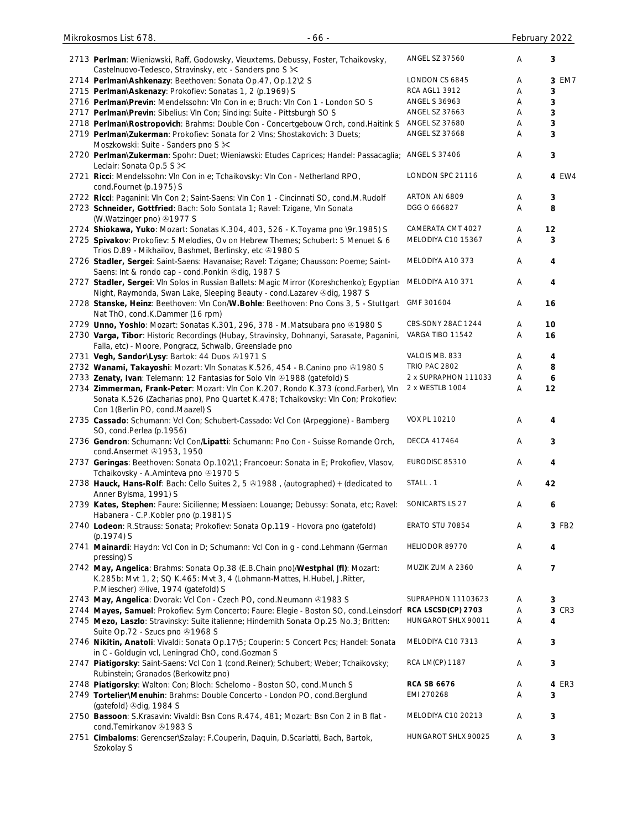| 2713 Perlman: Wieniawski, Raff, Godowsky, Vieuxtems, Debussy, Foster, Tchaikovsky,<br>Castelnuovo-Tedesco, Stravinsky, etc - Sanders pno S $\times$                                                        | <b>ANGEL SZ 37560</b> | Α | 3       |
|------------------------------------------------------------------------------------------------------------------------------------------------------------------------------------------------------------|-----------------------|---|---------|
|                                                                                                                                                                                                            | LONDON CS 6845        |   | 3 EM7   |
| 2714 Perlman\Ashkenazy: Beethoven: Sonata Op.47, Op.12\2 S                                                                                                                                                 |                       | A |         |
| 2715 Perlman\Askenazy: Prokofiev: Sonatas 1, 2 (p.1969) S                                                                                                                                                  | RCA AGL1 3912         | Α | 3       |
| 2716 Perlman\Previn: Mendelssohn: Vln Con in e; Bruch: Vln Con 1 - London SO S                                                                                                                             | <b>ANGEL S 36963</b>  | Α | 3       |
| 2717 Perlman\Previn: Sibelius: VIn Con; Sinding: Suite - Pittsburgh SO S                                                                                                                                   | ANGEL SZ 37663        | A | 3       |
| 2718 Perlman\Rostropovich: Brahms: Double Con - Concertgebouw Orch, cond.Haitink S                                                                                                                         | ANGEL SZ 37680        | A | 3       |
| 2719 Perlman\Zukerman: Prokofiev: Sonata for 2 Vlns; Shostakovich: 3 Duets;                                                                                                                                | <b>ANGEL SZ 37668</b> | A | 3       |
|                                                                                                                                                                                                            |                       |   |         |
| Moszkowski: Suite - Sanders pno S $\times$<br>2720 Perlman\Zukerman: Spohr: Duet; Wieniawski: Etudes Caprices; Handel: Passacaglia;                                                                        | ANGEL S 37406         | Α | 3       |
| Leclair: Sonata Op.5 S ×<br>2721 Ricci: Mendelssohn: Vln Con in e; Tchaikovsky: Vln Con - Netherland RPO,                                                                                                  | LONDON SPC 21116      | Α | 4 EW4   |
| cond.Fournet (p.1975) S                                                                                                                                                                                    |                       |   |         |
| 2722 Ricci: Paganini: Vln Con 2; Saint-Saens: Vln Con 1 - Cincinnati SO, cond.M.Rudolf                                                                                                                     | ARTON AN 6809         | A | 3       |
| 2723 Schneider, Gottfried: Bach: Solo Sontata 1; Ravel: Tzigane, VIn Sonata<br>(W.Watzinger pno) 31977 S                                                                                                   | DGG O 666827          | A | 8       |
| 2724 Shiokawa, Yuko: Mozart: Sonatas K.304, 403, 526 - K.Toyama pno \9r.1985) S                                                                                                                            | CAMERATA CMT 4027     | Α | $12 \,$ |
| 2725 Spivakov: Prokofiev: 5 Melodies, Ov on Hebrew Themes; Schubert: 5 Menuet & 6<br>Trios D.89 - Mikhailov, Bashmet, Berlinsky, etc +1980 S                                                               | MELODIYA C10 15367    | Α | 3       |
| 2726 Stadler, Sergei: Saint-Saens: Havanaise; Ravel: Tzigane; Chausson: Poeme; Saint-                                                                                                                      | MELODIYA A10 373      | Α | 4       |
| Saens: Int & rondo cap - cond. Ponkin @dig, 1987 S                                                                                                                                                         |                       |   |         |
| 2727 Stadler, Sergei: VIn Solos in Russian Ballets: Magic Mirror (Koreshchenko); Egyptian<br>Night, Raymonda, Swan Lake, Sleeping Beauty - cond. Lazarev & dig, 1987 S                                     | MELODIYA A10 371      | A | 4       |
| 2728 Stanske, Heinz: Beethoven: Vln Con/W.Bohle: Beethoven: Pno Cons 3, 5 - Stuttgart<br>Nat ThO, cond.K.Dammer (16 rpm)                                                                                   | GMF 301604            | A | 16      |
|                                                                                                                                                                                                            |                       |   |         |
| 2729 Unno, Yoshio: Mozart: Sonatas K.301, 296, 378 - M.Matsubara pno ®1980 S                                                                                                                               | CBS-SONY 28AC 1244    | Α | 10      |
| 2730 Varga, Tibor: Historic Recordings (Hubay, Stravinsky, Dohnanyi, Sarasate, Paganini,<br>Falla, etc) - Moore, Pongracz, Schwalb, Greenslade pno                                                         | VARGA TIBO 11542      | A | 16      |
| 2731 Vegh, Sandor\Lysy: Bartok: 44 Duos 31971 S                                                                                                                                                            | VALOIS MB. 833        | A | 4       |
| 2732 Wanami, Takayoshi: Mozart: VIn Sonatas K.526, 454 - B.Canino pno ®1980 S.                                                                                                                             | <b>TRIO PAC 2802</b>  | A | 8       |
|                                                                                                                                                                                                            |                       |   |         |
| 2733 Zenaty, Ivan: Telemann: 12 Fantasias for Solo VIn 31988 (gatefold) S                                                                                                                                  | 2 x SUPRAPHON 111033  | A | 6       |
| 2734 Zimmerman, Frank-Peter: Mozart: VIn Con K.207, Rondo K.373 (cond.Farber), VIn<br>Sonata K.526 (Zacharias pno), Pno Quartet K.478; Tchaikovsky: Vln Con; Prokofiev:<br>Con 1(Berlin PO, cond.Maazel) S | 2 x WESTLB 1004       | Α | 12      |
| 2735 Cassado: Schumann: Vcl Con; Schubert-Cassado: Vcl Con (Arpeggione) - Bamberg<br>SO, cond.Perlea (p.1956)                                                                                              | <b>VOX PL 10210</b>   | A | 4       |
| 2736 Gendron: Schumann: Vcl Con/Lipatti: Schumann: Pno Con - Suisse Romande Orch,<br>cond.Ansermet 31953, 1950                                                                                             | <b>DECCA 417464</b>   | A | 3       |
| 2737 Geringas: Beethoven: Sonata Op.102\1; Francoeur: Sonata in E; Prokofiev, Vlasov,<br>Tchaikovsky - A.Aminteva pno +1970 S                                                                              | EURODISC 85310        | Α | 4       |
| 2738 Hauck, Hans-Rolf: Bach: Cello Suites 2, 5 & 1988, (autographed) + (dedicated to<br>Anner Bylsma, 1991) S                                                                                              | STALL . 1             | Α | 42      |
| 2739 Kates, Stephen: Faure: Sicilienne; Messiaen: Louange; Debussy: Sonata, etc; Ravel:                                                                                                                    | SONICARTS LS 27       | Α | 6       |
| Habanera - C.P.Kobler pno (p.1981) S<br>2740 Lodeon: R.Strauss: Sonata; Prokofiev: Sonata Op.119 - Hovora pno (gatefold)                                                                                   | ERATO STU 70854       | Α | 3 FB2   |
| $(p.1974)$ S                                                                                                                                                                                               |                       |   |         |
| 2741 Mainardi: Haydn: Vcl Con in D; Schumann: Vcl Con in g - cond.Lehmann (German<br>pressing) S                                                                                                           | HELIODOR 89770        | Α | 4       |
| 2742 May, Angelica: Brahms: Sonata Op.38 (E.B.Chain pno)/Westphal (fl): Mozart:<br>K.285b: Mvt 1, 2; SQ K.465: Mvt 3, 4 (Lohmann-Mattes, H.Hubel, J.Ritter,<br>P.Miescher) Dlive, 1974 (gatefold) S        | MUZIK ZUM A 2360      | Α | 7       |
| 2743 May, Angelica: Dvorak: Vcl Con - Czech PO, cond. Neumann @1983 S                                                                                                                                      | SUPRAPHON 11103623    | Α | 3       |
| 2744 Mayes, Samuel: Prokofiev: Sym Concerto; Faure: Elegie - Boston SO, cond.Leinsdorf                                                                                                                     | RCA LSCSD(CP) 2703    | Α | 3 CR3   |
| 2745 Mezo, Laszlo: Stravinsky: Suite italienne; Hindemith Sonata Op.25 No.3; Britten:                                                                                                                      | HUNGAROT SHLX 90011   | A | 4       |
| Suite Op.72 - Szucs pno 31968 S<br>2746 Nikitin, Anatoli: Vivaldi: Sonata Op.17\5; Couperin: 5 Concert Pcs; Handel: Sonata                                                                                 | MELODIYA C10 7313     | Α | 3       |
| in C - Goldugin vcl, Leningrad ChO, cond.Gozman S<br>2747 Piatigorsky: Saint-Saens: Vcl Con 1 (cond.Reiner); Schubert; Weber; Tchaikovsky;                                                                 | RCA LM(CP) 1187       | Α | 3       |
| Rubinstein; Granados (Berkowitz pno)                                                                                                                                                                       |                       |   |         |
| 2748 Piatigorsky: Walton: Con; Bloch: Schelomo - Boston SO, cond. Munch S                                                                                                                                  | <b>RCA SB 6676</b>    | Α | 4 ER3   |
| 2749 Tortelier\Menuhin: Brahms: Double Concerto - London PO, cond.Berglund                                                                                                                                 | EMI 270268            | Α | 3       |
| (gatefold) Odig, 1984 S                                                                                                                                                                                    |                       |   |         |
| 2750 Bassoon: S.Krasavin: Vivaldi: Bsn Cons R.474, 481; Mozart: Bsn Con 2 in B flat -                                                                                                                      | MELODIYA C10 20213    | Α | 3       |
| cond.Temirkanov +1983 S                                                                                                                                                                                    |                       |   |         |
| 2751 Cimbaloms: Gerencser\Szalay: F.Couperin, Daquin, D.Scarlatti, Bach, Bartok,<br>Szokolay S                                                                                                             | HUNGAROT SHLX 90025   | Α | 3       |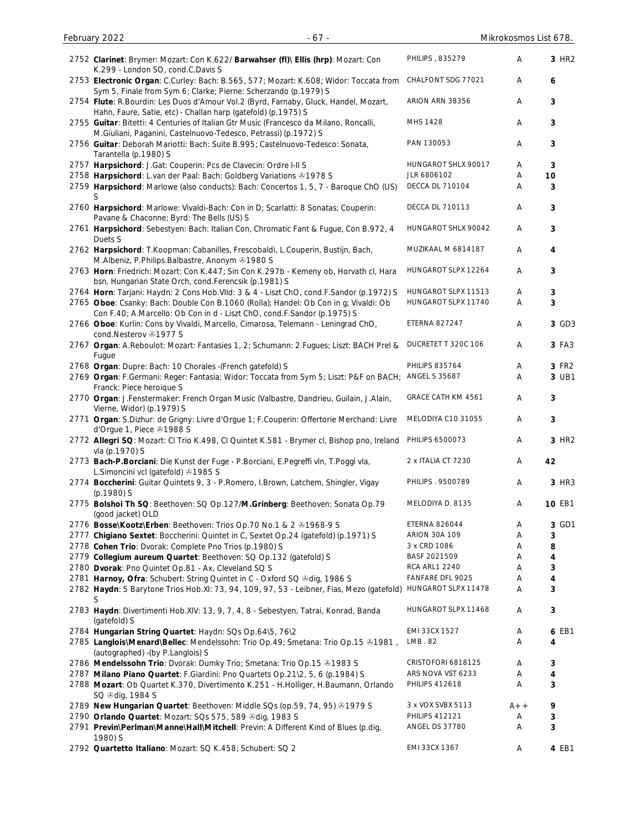| 2752 Clarinet: Brymer: Mozart: Con K.622/ Barwahser (fl)\ Ellis (hrp): Mozart: Con<br>K.299 - London SO, cond.C.Davis S                                         | PHILIPS, 835279        | Α     | 3 HR <sub>2</sub> |
|-----------------------------------------------------------------------------------------------------------------------------------------------------------------|------------------------|-------|-------------------|
| 2753 Electronic Organ: C.Curley: Bach: B.565, 577; Mozart: K.608; Widor: Toccata from<br>Sym 5, Finale from Sym 6; Clarke; Pierne: Scherzando (p.1979) S        | CHALFONT SDG 77021     | Α     | 6                 |
| 2754 Flute: R.Bourdin: Les Duos d'Amour Vol.2 (Byrd, Farnaby, Gluck, Handel, Mozart,<br>Hahn, Faure, Satie, etc) - Challan harp (gatefold) (p.1975) S           | ARION ARN 38356        | A     | 3                 |
| 2755 Guitar: Bitetti: 4 Centuries of Italian Gtr Music (Francesco da Milano, Roncalli,<br>M.Giuliani, Paganini, Castelnuovo-Tedesco, Petrassi) (p.1972) S       | MHS 1428               | Α     | 3                 |
| 2756 Guitar: Deborah Mariotti: Bach: Suite B.995; Castelnuovo-Tedesco: Sonata,<br>Tarantella (p.1980) S                                                         | PAN 130053             | Α     | 3                 |
| 2757 Harpsichord: J.Gat: Couperin: Pcs de Clavecin: Ordre I-II S                                                                                                | HUNGAROT SHLX 90017    | Α     | 3                 |
| 2758 Harpsichord: L.van der Paal: Bach: Goldberg Variations @1978 S                                                                                             | JLR 6806102            | A     | 10                |
| 2759 Harpsichord: Marlowe (also conducts): Bach: Concertos 1, 5, 7 - Baroque ChO (US)<br>S                                                                      | <b>DECCA DL 710104</b> | Α     | 3                 |
| 2760 Harpsichord: Marlowe: Vivaldi-Bach: Con in D; Scarlatti: 8 Sonatas; Couperin:<br>Pavane & Chaconne; Byrd: The Bells (US) S                                 | DECCA DL 710113        | A     | 3                 |
| 2761 Harpsichord: Sebestyen: Bach: Italian Con, Chromatic Fant & Fugue, Con B.972, 4<br>Duets S                                                                 | HUNGAROT SHLX 90042    | Α     | 3                 |
| 2762 Harpsichord: T.Koopman: Cabanilles, Frescobaldi, L.Couperin, Bustijn, Bach,<br>M.Albeniz, P.Philips.Balbastre, Anonym 31980 S                              | MUZIKAAL M 6814187     | Α     | 4                 |
| 2763 Horn: Friedrich: Mozart: Con K.447; Sin Con K.297b - Kemeny ob, Horvath cl, Hara<br>bsn, Hungarian State Orch, cond.Ferencsik (p.1981) S                   | HUNGAROT SLPX 12264    | A     | 3                 |
| 2764 Horn: Tarjani: Haydn: 2 Cons Hob.VIId: 3 & 4 - Liszt ChO, cond.F.Sandor (p.1972) S                                                                         | HUNGAROT SLPX 11513    | A     | 3                 |
| 2765 Oboe: Csanky: Bach: Double Con B.1060 (Rolla); Handel: Ob Con in g; Vivaldi: Ob<br>Con F.40; A.Marcello: Ob Con in d - Liszt ChO, cond.F.Sandor (p.1975) S | HUNGAROT SLPX 11740    | A     | 3                 |
| 2766 Oboe: Kurlin: Cons by Vivaldi, Marcello, Cimarosa, Telemann - Leningrad ChO,<br>cond.Nesterov @1977 S                                                      | <b>ETERNA 827247</b>   | Α     | 3 GD3             |
| 2767 Organ: A.Reboulot: Mozart: Fantasies 1, 2; Schumann: 2 Fugues; Liszt: BACH Prel &<br>Fugue                                                                 | DUCRETET T 320C 106    | Α     | 3 FA3             |
| 2768 Organ: Dupre: Bach: 10 Chorales -(French gatefold) S                                                                                                       | <b>PHILIPS 835764</b>  | Α     | 3 FR2             |
| 2769 Organ: F.Germani: Reger: Fantasia; Widor: Toccata from Sym 5; Liszt: P&F on BACH;<br>Franck: Piece heroique S                                              | ANGEL S 35687          | Α     | 3 UB1             |
| 2770 Organ: J.Fenstermaker: French Organ Music (Valbastre, Dandrieu, Guilain, J.Alain,<br>Vierne, Widor) (p.1979) S                                             | GRACE CATH KM 4561     | Α     | 3                 |
| 2771 Organ: S.Dizhur: de Grigny: Livre d'Orgue 1; F.Couperin: Offertorie Merchand: Livre<br>d'Orgue 1, Piece 31988 S                                            | MELODIYA C10 31055     | Α     | 3                 |
| 2772 Allegri SQ: Mozart: CI Trio K.498, CI Quintet K.581 - Brymer cl, Bishop pno, Ireland<br>vla (p.1970) S                                                     | PHILIPS 6500073        | Α     | 3 HR <sub>2</sub> |
| 2773 Bach-P.Borciani: Die Kunst der Fuge - P.Borciani, E.Pegreffi vln, T.Poggi vla,<br>L.Simoncini vcl (gatefold) 31985 S                                       | 2 x ITALIA CT 7230     | A     | 42                |
| 2774 Boccherini: Guitar Quintets 9, 3 - P.Romero, I.Brown, Latchem, Shingler, Vigay<br>(p.1980) S                                                               | PHILIPS . 9500789      | Α     | 3 HR3             |
| 2775 Bolshoi Th SQ: Beethoven: SQ Op.127/M.Grinberg: Beethoven: Sonata Op.79<br>(good jacket) OLD                                                               | MELODIYA D. 8135       | Α     | 10 EB1            |
| 2776 Bosse\Kootz\Erben: Beethoven: Trios Op.70 No.1 & 2 & 1968-9 S                                                                                              | <b>ETERNA 826044</b>   | A     | 3 GD1             |
| 2777 Chigiano Sextet: Boccherini: Quintet in C, Sextet Op.24 (gatefold) (p.1971) S                                                                              | <b>ARION 30A 109</b>   | Α     | 3                 |
| 2778 Cohen Trio: Dvorak: Complete Pno Trios (p.1980) S                                                                                                          | 3 x CRD 1086           | Α     | 8                 |
| 2779 Collegium aureum Quartet: Beethoven: SQ Op.132 (gatefold) S                                                                                                | BASF 2021509           | Α     | 4                 |
| 2780 Dvorak: Pno Quintet Op.81 - Ax, Cleveland SQ S                                                                                                             | <b>RCA ARL1 2240</b>   | Α     | 3                 |
| 2781 Harnoy, Ofra: Schubert: String Quintet in C - Oxford SQ & dig, 1986 S                                                                                      | FANFARE DFL 9025       | Α     | 4                 |
| 2782 Haydn: 5 Barytone Trios Hob.XI: 73, 94, 109, 97, 53 - Leibner, Fias, Mezo (gatefold)<br>S                                                                  | HUNGAROT SLPX 11478    | A     | 3                 |
| 2783 Haydn: Divertimenti Hob.XIV: 13, 9, 7, 4, 8 - Sebestyen, Tatrai, Konrad, Banda<br>(gatefold) S                                                             | HUNGAROT SLPX 11468    | A     | 3                 |
| 2784 Hungarian String Quartet: Haydn: SQs Op.64\5, 76\2                                                                                                         | EMI 33CX 1527          | Α     | 6 EB1             |
| 2785 Langlois\Menard\Bellec: Mendelssohn: Trio Op.49; Smetana: Trio Op.15 & 1981,<br>(autographed) - (by P.Langlois) S                                          | LMB.82                 | Α     | 4                 |
| 2786 Mendelssohn Trio: Dvorak: Dumky Trio; Smetana: Trio Op.15 & 1983 S                                                                                         | CRISTOFORI 6818125     | Α     | 3                 |
| 2787 Milano Piano Quartet: F.Giardini: Pno Quartets Op.21\2, 5, 6 (p.1984) S                                                                                    | ARS NOVA VST 6233      | A     | 4                 |
| 2788 Mozart: Ob Quartet K.370, Divertimento K.251 - H.Holliger, H.Baumann, Orlando<br>SQ +dig, 1984 S                                                           | <b>PHILIPS 412618</b>  | A     | 3                 |
| 2789 New Hungarian Quartet: Beethoven: Middle SQs (op.59, 74, 95) 31979 S                                                                                       | 3 x VOX SVBX 5113      | $A++$ | 9                 |
| 2790 Orlando Quartet: Mozart: SQs 575, 589 & dig, 1983 S                                                                                                        | <b>PHILIPS 412121</b>  | Α     | 3                 |
| 2791 Previn\Perlman\Manne\Hall\Mitchell: Previn: A Different Kind of Blues (p.dig,<br>1980) S                                                                   | ANGEL DS 37780         | Α     | 3                 |
| 2792 Quartetto Italiano: Mozart: SQ K.458; Schubert: SQ 2                                                                                                       | EMI 33CX 1367          | Α     | 4 EB1             |